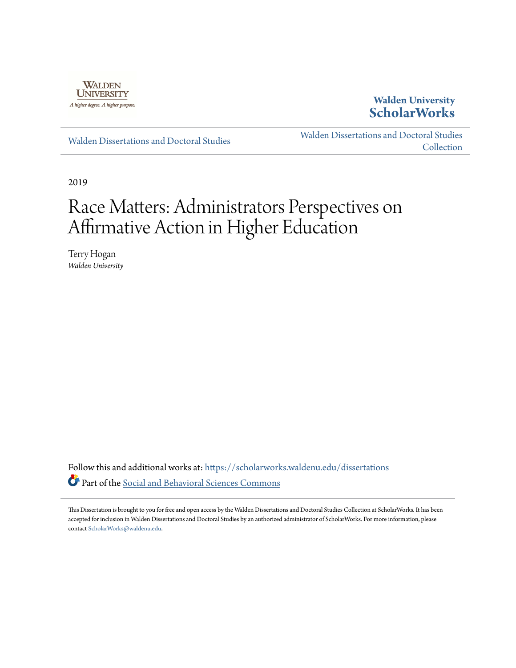

## **Walden University [ScholarWorks](https://scholarworks.waldenu.edu?utm_source=scholarworks.waldenu.edu%2Fdissertations%2F7300&utm_medium=PDF&utm_campaign=PDFCoverPages)**

[Walden Dissertations and Doctoral Studies](https://scholarworks.waldenu.edu/dissertations?utm_source=scholarworks.waldenu.edu%2Fdissertations%2F7300&utm_medium=PDF&utm_campaign=PDFCoverPages)

[Walden Dissertations and Doctoral Studies](https://scholarworks.waldenu.edu/dissanddoc?utm_source=scholarworks.waldenu.edu%2Fdissertations%2F7300&utm_medium=PDF&utm_campaign=PDFCoverPages) **[Collection](https://scholarworks.waldenu.edu/dissanddoc?utm_source=scholarworks.waldenu.edu%2Fdissertations%2F7300&utm_medium=PDF&utm_campaign=PDFCoverPages)** 

2019

# Race Matters: Administrators Perspectives on Affirmative Action in Higher Education

Terry Hogan *Walden University*

Follow this and additional works at: [https://scholarworks.waldenu.edu/dissertations](https://scholarworks.waldenu.edu/dissertations?utm_source=scholarworks.waldenu.edu%2Fdissertations%2F7300&utm_medium=PDF&utm_campaign=PDFCoverPages) Part of the [Social and Behavioral Sciences Commons](http://network.bepress.com/hgg/discipline/316?utm_source=scholarworks.waldenu.edu%2Fdissertations%2F7300&utm_medium=PDF&utm_campaign=PDFCoverPages)

This Dissertation is brought to you for free and open access by the Walden Dissertations and Doctoral Studies Collection at ScholarWorks. It has been accepted for inclusion in Walden Dissertations and Doctoral Studies by an authorized administrator of ScholarWorks. For more information, please contact [ScholarWorks@waldenu.edu](mailto:ScholarWorks@waldenu.edu).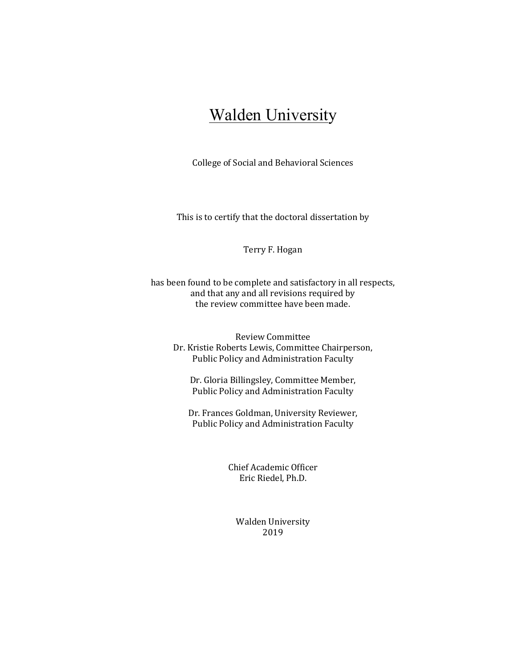## **Walden University**

College of Social and Behavioral Sciences

This is to certify that the doctoral dissertation by

#### Terry F. Hogan

has been found to be complete and satisfactory in all respects, and that any and all revisions required by the review committee have been made.

Review Committee Dr. Kristie Roberts Lewis, Committee Chairperson, Public Policy and Administration Faculty

Dr. Gloria Billingsley, Committee Member, Public Policy and Administration Faculty

Dr. Frances Goldman, University Reviewer, Public Policy and Administration Faculty

> Chief Academic Officer Eric Riedel, Ph.D.

Walden University 2019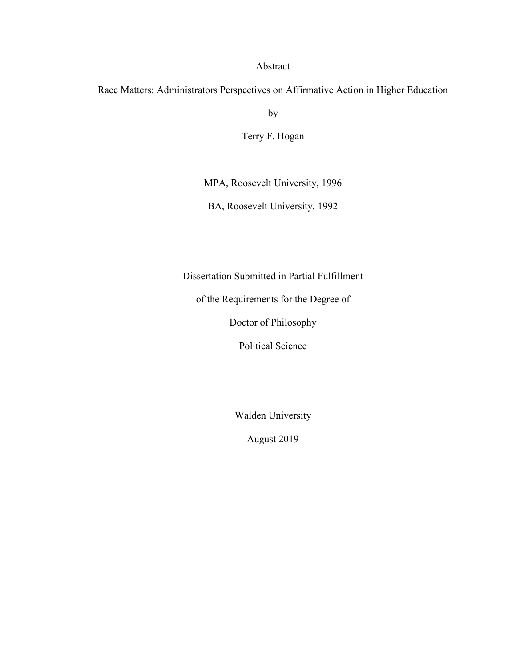### Abstract

Race Matters: Administrators Perspectives on Affirmative Action in Higher Education

by

Terry F. Hogan

MPA, Roosevelt University, 1996

BA, Roosevelt University, 1992

Dissertation Submitted in Partial Fulfillment

of the Requirements for the Degree of

Doctor of Philosophy

Political Science

Walden University

August 2019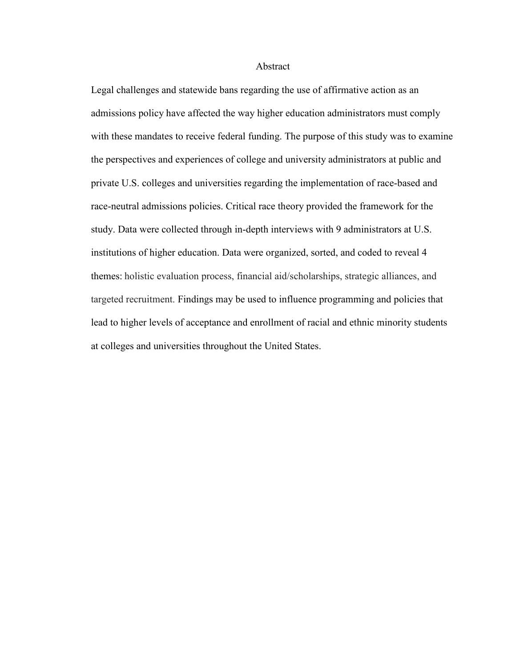#### Abstract

Legal challenges and statewide bans regarding the use of affirmative action as an admissions policy have affected the way higher education administrators must comply with these mandates to receive federal funding. The purpose of this study was to examine the perspectives and experiences of college and university administrators at public and private U.S. colleges and universities regarding the implementation of race-based and race-neutral admissions policies. Critical race theory provided the framework for the study. Data were collected through in-depth interviews with 9 administrators at U.S. institutions of higher education. Data were organized, sorted, and coded to reveal 4 themes: holistic evaluation process, financial aid/scholarships, strategic alliances, and targeted recruitment. Findings may be used to influence programming and policies that lead to higher levels of acceptance and enrollment of racial and ethnic minority students at colleges and universities throughout the United States.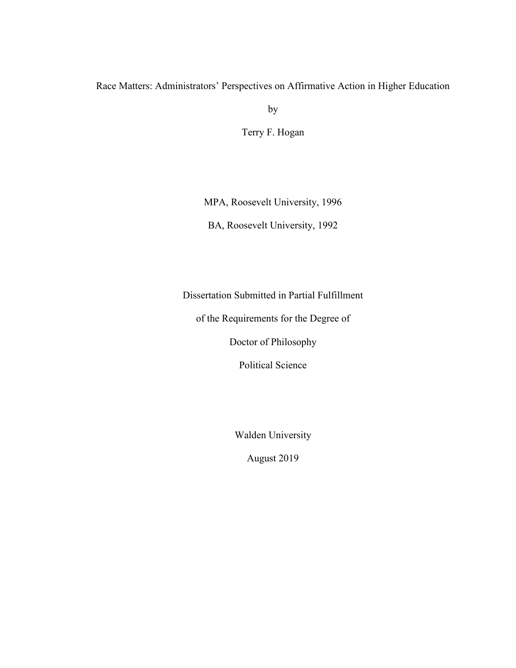## Race Matters: Administrators' Perspectives on Affirmative Action in Higher Education

by

Terry F. Hogan

MPA, Roosevelt University, 1996

BA, Roosevelt University, 1992

Dissertation Submitted in Partial Fulfillment

of the Requirements for the Degree of

Doctor of Philosophy

Political Science

Walden University

August 2019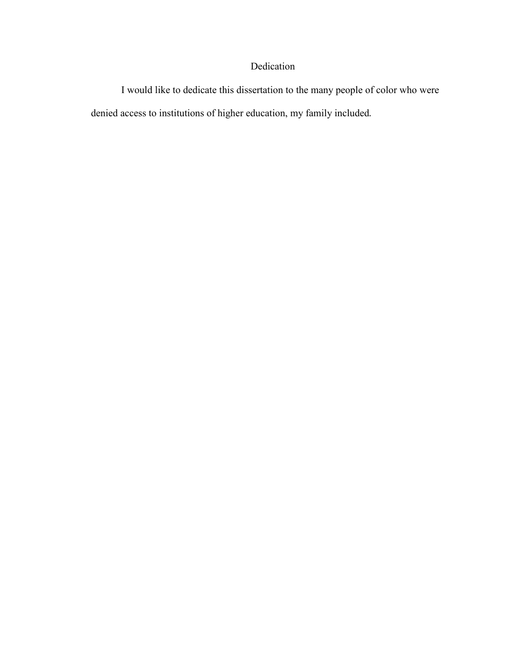## Dedication

I would like to dedicate this dissertation to the many people of color who were denied access to institutions of higher education, my family included.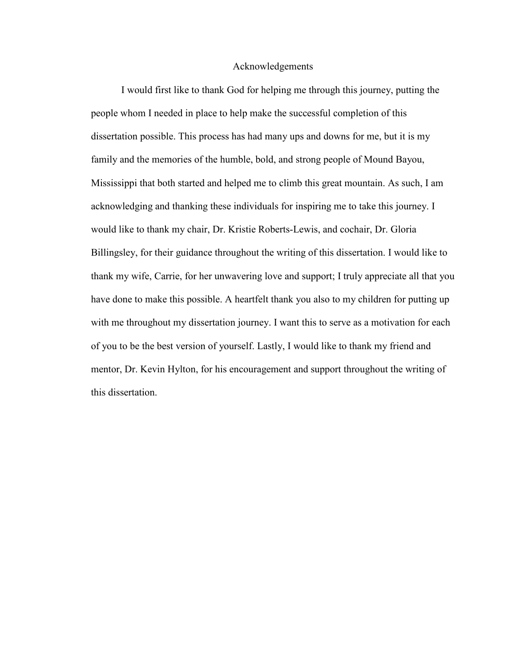#### Acknowledgements

I would first like to thank God for helping me through this journey, putting the people whom I needed in place to help make the successful completion of this dissertation possible. This process has had many ups and downs for me, but it is my family and the memories of the humble, bold, and strong people of Mound Bayou, Mississippi that both started and helped me to climb this great mountain. As such, I am acknowledging and thanking these individuals for inspiring me to take this journey. I would like to thank my chair, Dr. Kristie Roberts-Lewis, and cochair, Dr. Gloria Billingsley, for their guidance throughout the writing of this dissertation. I would like to thank my wife, Carrie, for her unwavering love and support; I truly appreciate all that you have done to make this possible. A heartfelt thank you also to my children for putting up with me throughout my dissertation journey. I want this to serve as a motivation for each of you to be the best version of yourself. Lastly, I would like to thank my friend and mentor, Dr. Kevin Hylton, for his encouragement and support throughout the writing of this dissertation.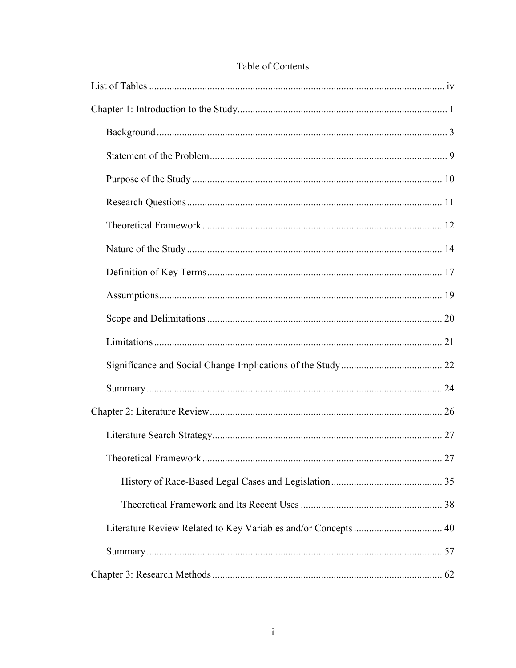| 27 |
|----|
|    |
|    |
|    |
|    |
|    |

## Table of Contents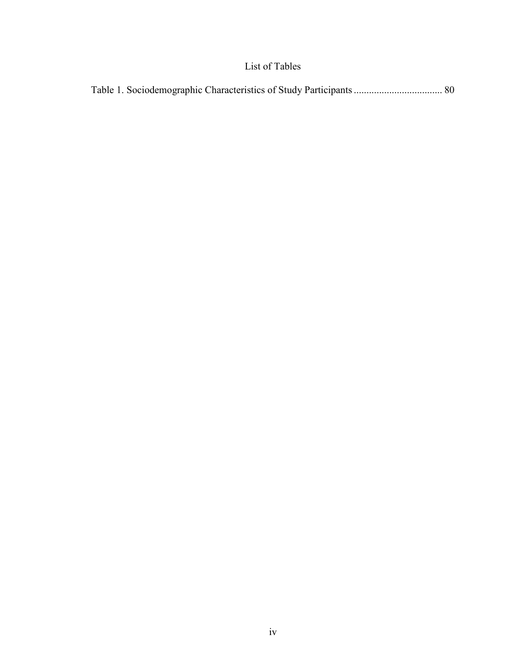## List of Tables

|--|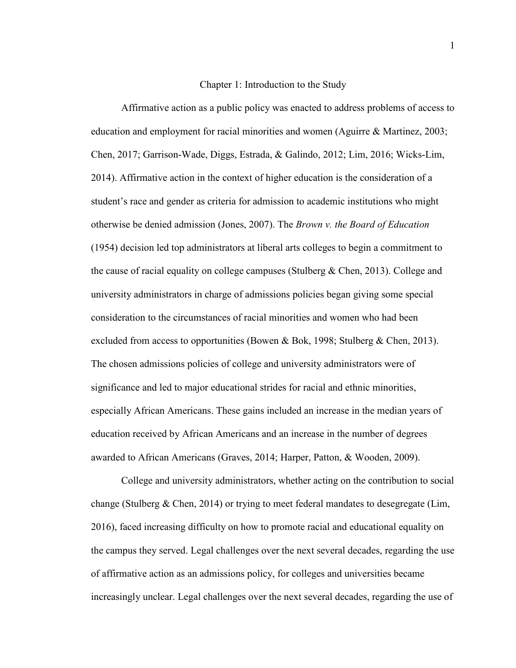#### Chapter 1: Introduction to the Study

 Affirmative action as a public policy was enacted to address problems of access to education and employment for racial minorities and women (Aguirre & Martinez, 2003; Chen, 2017; Garrison-Wade, Diggs, Estrada, & Galindo, 2012; Lim, 2016; Wicks-Lim, 2014). Affirmative action in the context of higher education is the consideration of a student's race and gender as criteria for admission to academic institutions who might otherwise be denied admission (Jones, 2007). The *Brown v. the Board of Education* (1954) decision led top administrators at liberal arts colleges to begin a commitment to the cause of racial equality on college campuses (Stulberg & Chen, 2013). College and university administrators in charge of admissions policies began giving some special consideration to the circumstances of racial minorities and women who had been excluded from access to opportunities (Bowen & Bok, 1998; Stulberg & Chen, 2013). The chosen admissions policies of college and university administrators were of significance and led to major educational strides for racial and ethnic minorities, especially African Americans. These gains included an increase in the median years of education received by African Americans and an increase in the number of degrees awarded to African Americans (Graves, 2014; Harper, Patton, & Wooden, 2009).

College and university administrators, whether acting on the contribution to social change (Stulberg & Chen, 2014) or trying to meet federal mandates to desegregate (Lim, 2016), faced increasing difficulty on how to promote racial and educational equality on the campus they served. Legal challenges over the next several decades, regarding the use of affirmative action as an admissions policy, for colleges and universities became increasingly unclear. Legal challenges over the next several decades, regarding the use of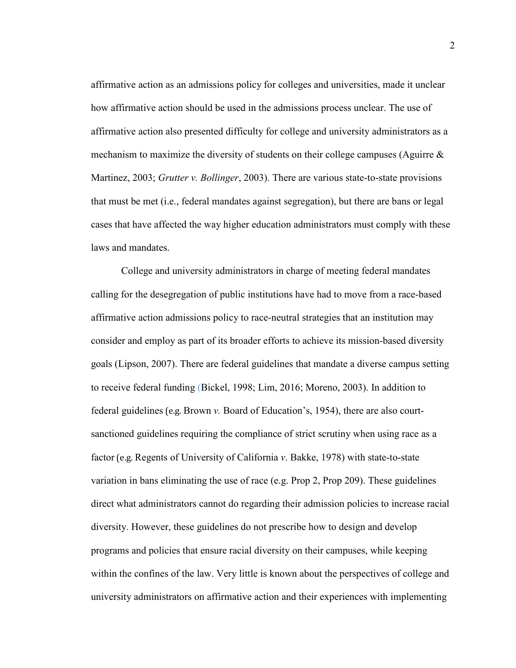affirmative action as an admissions policy for colleges and universities, made it unclear how affirmative action should be used in the admissions process unclear. The use of affirmative action also presented difficulty for college and university administrators as a mechanism to maximize the diversity of students on their college campuses (Aguirre & Martinez, 2003; *Grutter v. Bollinger*, 2003). There are various state-to-state provisions that must be met (i.e., federal mandates against segregation), but there are bans or legal cases that have affected the way higher education administrators must comply with these laws and mandates

College and university administrators in charge of meeting federal mandates calling for the desegregation of public institutions have had to move from a race-based affirmative action admissions policy to race-neutral strategies that an institution may consider and employ as part of its broader efforts to achieve its mission-based diversity goals (Lipson, 2007). There are federal guidelines that mandate a diverse campus setting to receive federal funding (Bickel, 1998; Lim, 2016; Moreno, 2003). In addition to federal guidelines (e.g. Brown *v.* Board of Education's, 1954), there are also courtsanctioned guidelines requiring the compliance of strict scrutiny when using race as a factor (e.g. Regents of University of California *v*. Bakke, 1978) with state-to-state variation in bans eliminating the use of race (e.g. Prop 2, Prop 209). These guidelines direct what administrators cannot do regarding their admission policies to increase racial diversity. However, these guidelines do not prescribe how to design and develop programs and policies that ensure racial diversity on their campuses, while keeping within the confines of the law. Very little is known about the perspectives of college and university administrators on affirmative action and their experiences with implementing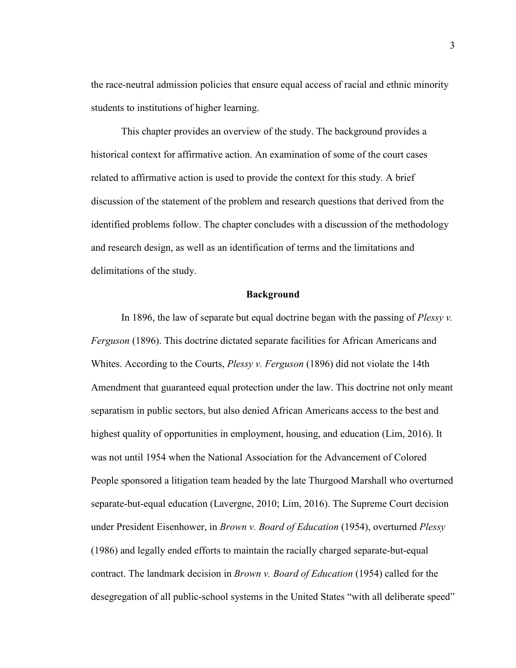the race-neutral admission policies that ensure equal access of racial and ethnic minority students to institutions of higher learning.

This chapter provides an overview of the study. The background provides a historical context for affirmative action. An examination of some of the court cases related to affirmative action is used to provide the context for this study. A brief discussion of the statement of the problem and research questions that derived from the identified problems follow. The chapter concludes with a discussion of the methodology and research design, as well as an identification of terms and the limitations and delimitations of the study.

#### **Background**

In 1896, the law of separate but equal doctrine began with the passing of *Plessy v. Ferguson* (1896). This doctrine dictated separate facilities for African Americans and Whites. According to the Courts, *Plessy v. Ferguson* (1896) did not violate the 14th Amendment that guaranteed equal protection under the law. This doctrine not only meant separatism in public sectors, but also denied African Americans access to the best and highest quality of opportunities in employment, housing, and education (Lim, 2016). It was not until 1954 when the National Association for the Advancement of Colored People sponsored a litigation team headed by the late Thurgood Marshall who overturned separate-but-equal education (Lavergne, 2010; Lim, 2016). The Supreme Court decision under President Eisenhower, in *Brown v. Board of Education* (1954), overturned *Plessy*  (1986) and legally ended efforts to maintain the racially charged separate-but-equal contract. The landmark decision in *Brown v. Board of Education* (1954) called for the desegregation of all public-school systems in the United States "with all deliberate speed"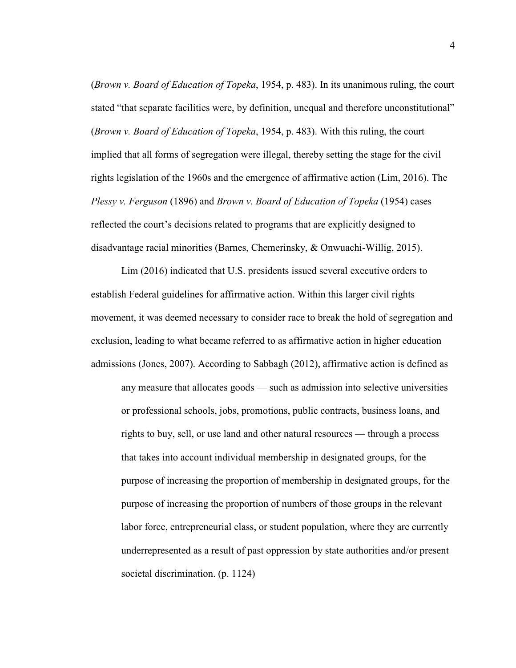(*Brown v. Board of Education of Topeka*, 1954, p. 483). In its unanimous ruling, the court stated "that separate facilities were, by definition, unequal and therefore unconstitutional" (*Brown v. Board of Education of Topeka*, 1954, p. 483). With this ruling, the court implied that all forms of segregation were illegal, thereby setting the stage for the civil rights legislation of the 1960s and the emergence of affirmative action (Lim, 2016). The *Plessy v. Ferguson* (1896) and *Brown v. Board of Education of Topeka* (1954) cases reflected the court's decisions related to programs that are explicitly designed to disadvantage racial minorities (Barnes, Chemerinsky, & Onwuachi-Willig, 2015).

Lim (2016) indicated that U.S. presidents issued several executive orders to establish Federal guidelines for affirmative action. Within this larger civil rights movement, it was deemed necessary to consider race to break the hold of segregation and exclusion, leading to what became referred to as affirmative action in higher education admissions (Jones, 2007). According to Sabbagh (2012), affirmative action is defined as

any measure that allocates goods — such as admission into selective universities or professional schools, jobs, promotions, public contracts, business loans, and rights to buy, sell, or use land and other natural resources — through a process that takes into account individual membership in designated groups, for the purpose of increasing the proportion of membership in designated groups, for the purpose of increasing the proportion of numbers of those groups in the relevant labor force, entrepreneurial class, or student population, where they are currently underrepresented as a result of past oppression by state authorities and/or present societal discrimination. (p. 1124)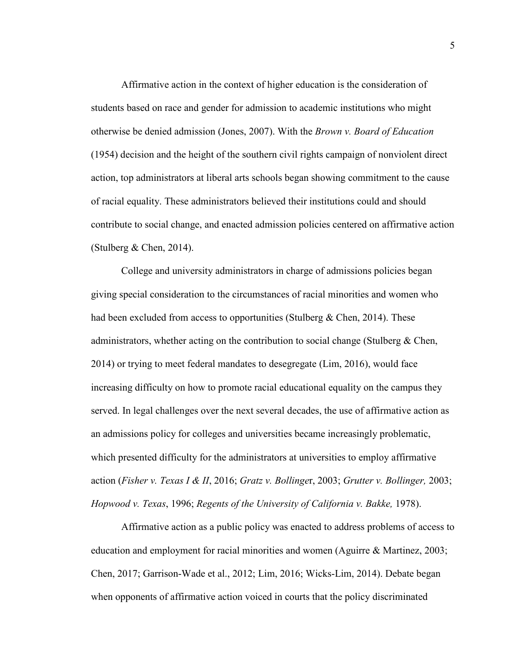Affirmative action in the context of higher education is the consideration of students based on race and gender for admission to academic institutions who might otherwise be denied admission (Jones, 2007). With the *Brown v. Board of Education* (1954) decision and the height of the southern civil rights campaign of nonviolent direct action, top administrators at liberal arts schools began showing commitment to the cause of racial equality. These administrators believed their institutions could and should contribute to social change, and enacted admission policies centered on affirmative action (Stulberg  $& Chen, 2014$ ).

College and university administrators in charge of admissions policies began giving special consideration to the circumstances of racial minorities and women who had been excluded from access to opportunities (Stulberg  $&$  Chen, 2014). These administrators, whether acting on the contribution to social change (Stulberg  $\&$  Chen, 2014) or trying to meet federal mandates to desegregate (Lim, 2016), would face increasing difficulty on how to promote racial educational equality on the campus they served. In legal challenges over the next several decades, the use of affirmative action as an admissions policy for colleges and universities became increasingly problematic, which presented difficulty for the administrators at universities to employ affirmative action (*Fisher v. Texas I & II*, 2016; *Gratz v. Bollinge*r, 2003; *Grutter v. Bollinger,* 2003; *Hopwood v. Texas*, 1996; *Regents of the University of California v. Bakke,* 1978).

Affirmative action as a public policy was enacted to address problems of access to education and employment for racial minorities and women (Aguirre & Martinez, 2003; Chen, 2017; Garrison-Wade et al., 2012; Lim, 2016; Wicks-Lim, 2014). Debate began when opponents of affirmative action voiced in courts that the policy discriminated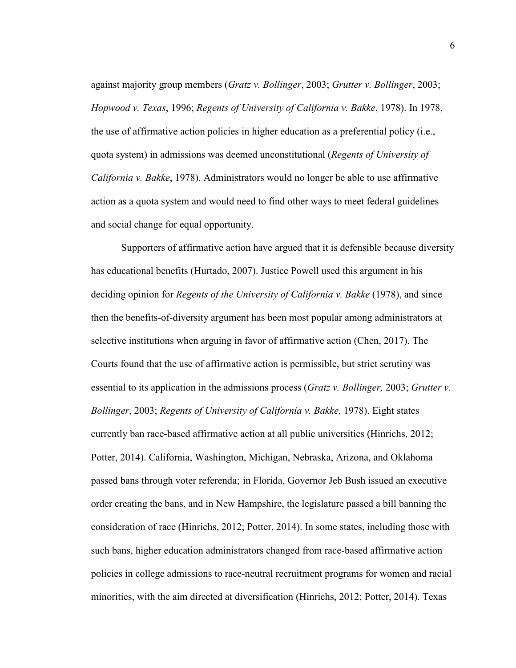against majority group members (*Gratz v. Bollinger*, 2003; *Grutter v. Bollinger*, 2003; *Hopwood v. Texas*, 1996; *Regents of University of California v. Bakke*, 1978). In 1978, the use of affirmative action policies in higher education as a preferential policy (i.e., quota system) in admissions was deemed unconstitutional (*Regents of University of California v. Bakke*, 1978). Administrators would no longer be able to use affirmative action as a quota system and would need to find other ways to meet federal guidelines and social change for equal opportunity.

Supporters of affirmative action have argued that it is defensible because diversity has educational benefits (Hurtado, 2007). Justice Powell used this argument in his deciding opinion for *Regents of the University of California v. Bakke* (1978), and since then the benefits-of-diversity argument has been most popular among administrators at selective institutions when arguing in favor of affirmative action (Chen, 2017). The Courts found that the use of affirmative action is permissible, but strict scrutiny was essential to its application in the admissions process (*Gratz v. Bollinger,* 2003; *Grutter v. Bollinger*, 2003; *Regents of University of California v. Bakke,* 1978). Eight states currently ban race-based affirmative action at all public universities (Hinrichs, 2012; Potter, 2014). California, Washington, Michigan, Nebraska, Arizona, and Oklahoma passed bans through voter referenda; in Florida, Governor Jeb Bush issued an executive order creating the bans, and in New Hampshire, the legislature passed a bill banning the consideration of race (Hinrichs, 2012; Potter, 2014). In some states, including those with such bans, higher education administrators changed from race-based affirmative action policies in college admissions to race-neutral recruitment programs for women and racial minorities, with the aim directed at diversification (Hinrichs, 2012; Potter, 2014). Texas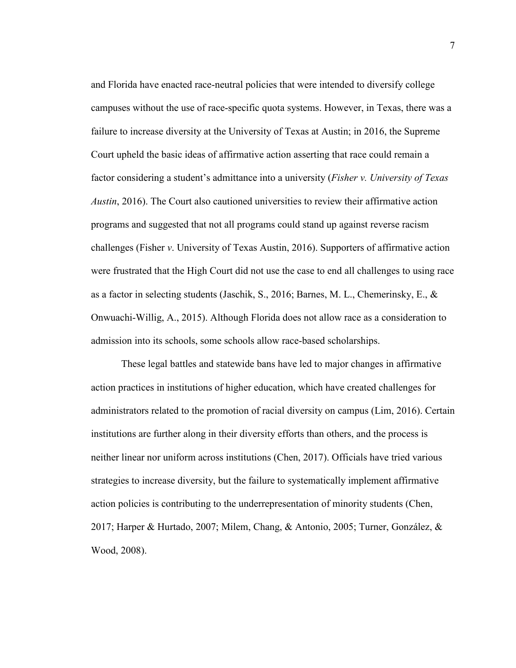and Florida have enacted race-neutral policies that were intended to diversify college campuses without the use of race-specific quota systems. However, in Texas, there was a failure to increase diversity at the University of Texas at Austin; in 2016, the Supreme Court upheld the basic ideas of affirmative action asserting that race could remain a factor considering a student's admittance into a university (*Fisher v. University of Texas Austin*, 2016). The Court also cautioned universities to review their affirmative action programs and suggested that not all programs could stand up against reverse racism challenges (Fisher *v*. University of Texas Austin, 2016). Supporters of affirmative action were frustrated that the High Court did not use the case to end all challenges to using race as a factor in selecting students (Jaschik, S., 2016; Barnes, M. L., Chemerinsky, E., & Onwuachi-Willig, A., 2015). Although Florida does not allow race as a consideration to admission into its schools, some schools allow race-based scholarships.

These legal battles and statewide bans have led to major changes in affirmative action practices in institutions of higher education, which have created challenges for administrators related to the promotion of racial diversity on campus (Lim, 2016). Certain institutions are further along in their diversity efforts than others, and the process is neither linear nor uniform across institutions (Chen, 2017). Officials have tried various strategies to increase diversity, but the failure to systematically implement affirmative action policies is contributing to the underrepresentation of minority students (Chen, 2017; Harper & Hurtado, 2007; Milem, Chang, & Antonio, 2005; Turner, González, & Wood, 2008).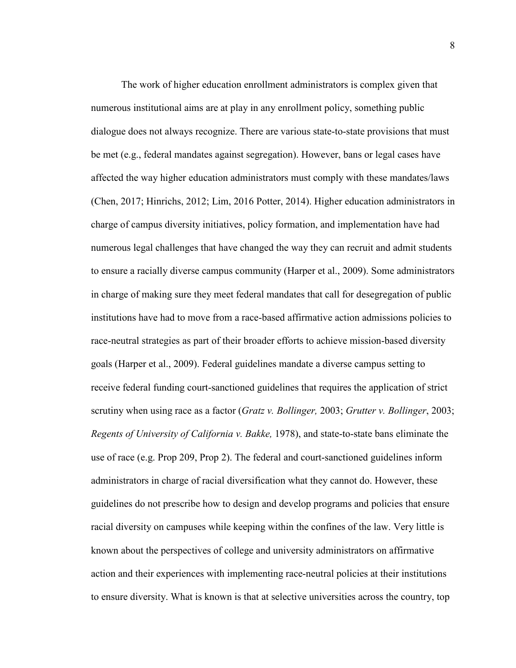The work of higher education enrollment administrators is complex given that numerous institutional aims are at play in any enrollment policy, something public dialogue does not always recognize. There are various state-to-state provisions that must be met (e.g., federal mandates against segregation). However, bans or legal cases have affected the way higher education administrators must comply with these mandates/laws (Chen, 2017; Hinrichs, 2012; Lim, 2016 Potter, 2014). Higher education administrators in charge of campus diversity initiatives, policy formation, and implementation have had numerous legal challenges that have changed the way they can recruit and admit students to ensure a racially diverse campus community (Harper et al., 2009). Some administrators in charge of making sure they meet federal mandates that call for desegregation of public institutions have had to move from a race-based affirmative action admissions policies to race-neutral strategies as part of their broader efforts to achieve mission-based diversity goals (Harper et al., 2009). Federal guidelines mandate a diverse campus setting to receive federal funding court-sanctioned guidelines that requires the application of strict scrutiny when using race as a factor (*Gratz v. Bollinger,* 2003; *Grutter v. Bollinger*, 2003; *Regents of University of California v. Bakke,* 1978), and state-to-state bans eliminate the use of race (e.g. Prop 209, Prop 2). The federal and court-sanctioned guidelines inform administrators in charge of racial diversification what they cannot do. However, these guidelines do not prescribe how to design and develop programs and policies that ensure racial diversity on campuses while keeping within the confines of the law. Very little is known about the perspectives of college and university administrators on affirmative action and their experiences with implementing race-neutral policies at their institutions to ensure diversity. What is known is that at selective universities across the country, top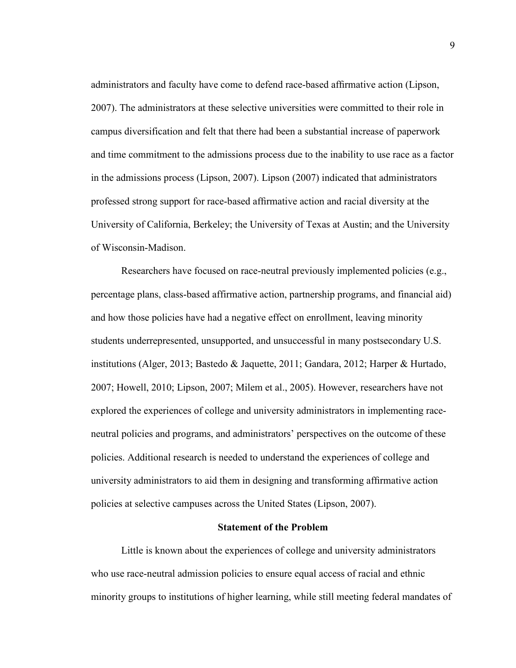administrators and faculty have come to defend race-based affirmative action (Lipson, 2007). The administrators at these selective universities were committed to their role in campus diversification and felt that there had been a substantial increase of paperwork and time commitment to the admissions process due to the inability to use race as a factor in the admissions process (Lipson, 2007). Lipson (2007) indicated that administrators professed strong support for race-based affirmative action and racial diversity at the University of California, Berkeley; the University of Texas at Austin; and the University of Wisconsin-Madison.

 Researchers have focused on race-neutral previously implemented policies (e.g., percentage plans, class-based affirmative action, partnership programs, and financial aid) and how those policies have had a negative effect on enrollment, leaving minority students underrepresented, unsupported, and unsuccessful in many postsecondary U.S. institutions (Alger, 2013; Bastedo & Jaquette, 2011; Gandara, 2012; Harper & Hurtado, 2007; Howell, 2010; Lipson, 2007; Milem et al., 2005). However, researchers have not explored the experiences of college and university administrators in implementing raceneutral policies and programs, and administrators' perspectives on the outcome of these policies. Additional research is needed to understand the experiences of college and university administrators to aid them in designing and transforming affirmative action policies at selective campuses across the United States (Lipson, 2007).

#### **Statement of the Problem**

Little is known about the experiences of college and university administrators who use race-neutral admission policies to ensure equal access of racial and ethnic minority groups to institutions of higher learning, while still meeting federal mandates of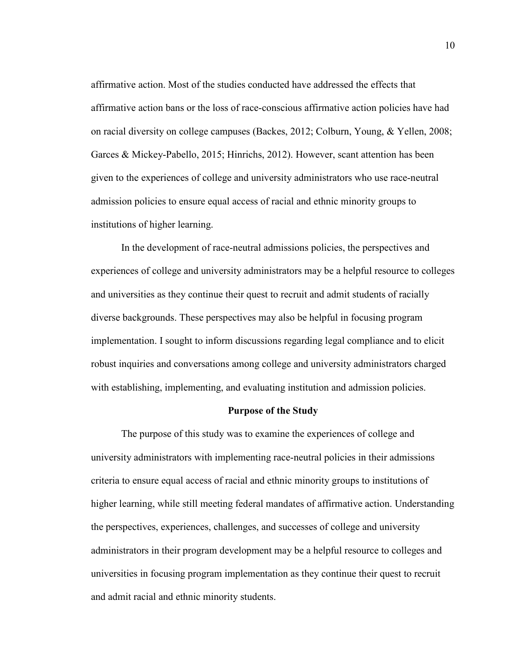affirmative action. Most of the studies conducted have addressed the effects that affirmative action bans or the loss of race-conscious affirmative action policies have had on racial diversity on college campuses (Backes, 2012; Colburn, Young, & Yellen, 2008; Garces & Mickey-Pabello, 2015; Hinrichs, 2012). However, scant attention has been given to the experiences of college and university administrators who use race-neutral admission policies to ensure equal access of racial and ethnic minority groups to institutions of higher learning.

 In the development of race-neutral admissions policies, the perspectives and experiences of college and university administrators may be a helpful resource to colleges and universities as they continue their quest to recruit and admit students of racially diverse backgrounds. These perspectives may also be helpful in focusing program implementation. I sought to inform discussions regarding legal compliance and to elicit robust inquiries and conversations among college and university administrators charged with establishing, implementing, and evaluating institution and admission policies.

#### **Purpose of the Study**

The purpose of this study was to examine the experiences of college and university administrators with implementing race-neutral policies in their admissions criteria to ensure equal access of racial and ethnic minority groups to institutions of higher learning, while still meeting federal mandates of affirmative action. Understanding the perspectives, experiences, challenges, and successes of college and university administrators in their program development may be a helpful resource to colleges and universities in focusing program implementation as they continue their quest to recruit and admit racial and ethnic minority students.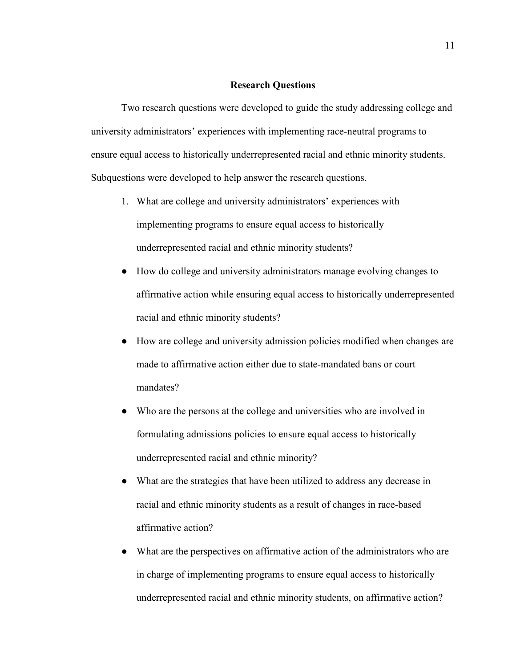#### **Research Questions**

 Two research questions were developed to guide the study addressing college and university administrators' experiences with implementing race-neutral programs to ensure equal access to historically underrepresented racial and ethnic minority students. Subquestions were developed to help answer the research questions.

- 1. What are college and university administrators' experiences with implementing programs to ensure equal access to historically underrepresented racial and ethnic minority students?
- How do college and university administrators manage evolving changes to affirmative action while ensuring equal access to historically underrepresented racial and ethnic minority students?
- How are college and university admission policies modified when changes are made to affirmative action either due to state-mandated bans or court mandates?
- Who are the persons at the college and universities who are involved in formulating admissions policies to ensure equal access to historically underrepresented racial and ethnic minority?
- What are the strategies that have been utilized to address any decrease in racial and ethnic minority students as a result of changes in race-based affirmative action?
- What are the perspectives on affirmative action of the administrators who are in charge of implementing programs to ensure equal access to historically underrepresented racial and ethnic minority students, on affirmative action?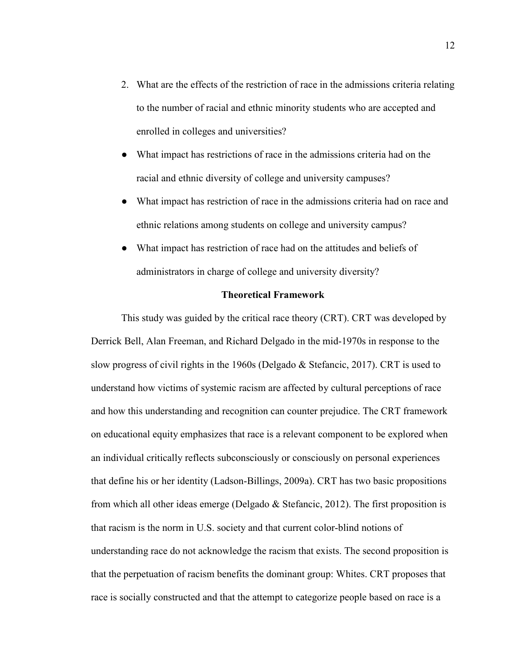- 2. What are the effects of the restriction of race in the admissions criteria relating to the number of racial and ethnic minority students who are accepted and enrolled in colleges and universities?
- What impact has restrictions of race in the admissions criteria had on the racial and ethnic diversity of college and university campuses?
- What impact has restriction of race in the admissions criteria had on race and ethnic relations among students on college and university campus?
- What impact has restriction of race had on the attitudes and beliefs of administrators in charge of college and university diversity?

#### **Theoretical Framework**

This study was guided by the critical race theory (CRT). CRT was developed by Derrick Bell, Alan Freeman, and Richard Delgado in the mid-1970s in response to the slow progress of civil rights in the 1960s (Delgado & Stefancic, 2017). CRT is used to understand how victims of systemic racism are affected by cultural perceptions of race and how this understanding and recognition can counter prejudice. The CRT framework on educational equity emphasizes that race is a relevant component to be explored when an individual critically reflects subconsciously or consciously on personal experiences that define his or her identity (Ladson-Billings, 2009a). CRT has two basic propositions from which all other ideas emerge (Delgado  $\&$  Stefancic, 2012). The first proposition is that racism is the norm in U.S. society and that current color-blind notions of understanding race do not acknowledge the racism that exists. The second proposition is that the perpetuation of racism benefits the dominant group: Whites. CRT proposes that race is socially constructed and that the attempt to categorize people based on race is a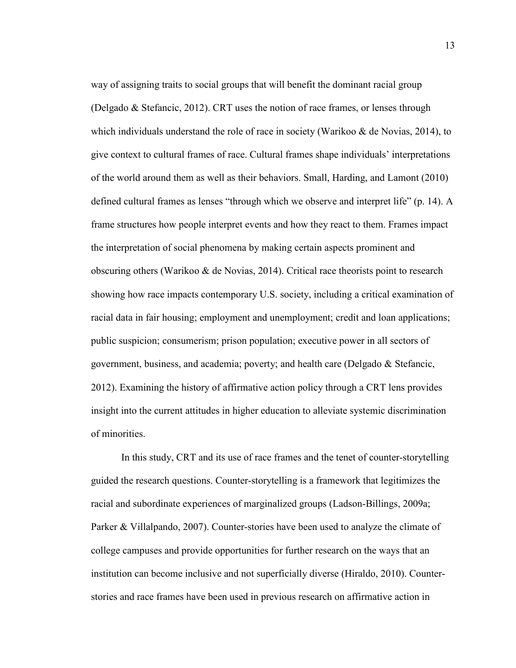way of assigning traits to social groups that will benefit the dominant racial group (Delgado & Stefancic, 2012). CRT uses the notion of race frames, or lenses through which individuals understand the role of race in society (Warikoo  $\&$  de Novias, 2014), to give context to cultural frames of race. Cultural frames shape individuals' interpretations of the world around them as well as their behaviors. Small, Harding, and Lamont (2010) defined cultural frames as lenses "through which we observe and interpret life" (p. 14). A frame structures how people interpret events and how they react to them. Frames impact the interpretation of social phenomena by making certain aspects prominent and obscuring others (Warikoo & de Novias, 2014). Critical race theorists point to research showing how race impacts contemporary U.S. society, including a critical examination of racial data in fair housing; employment and unemployment; credit and loan applications; public suspicion; consumerism; prison population; executive power in all sectors of government, business, and academia; poverty; and health care (Delgado & Stefancic, 2012). Examining the history of affirmative action policy through a CRT lens provides insight into the current attitudes in higher education to alleviate systemic discrimination of minorities.

In this study, CRT and its use of race frames and the tenet of counter-storytelling guided the research questions. Counter-storytelling is a framework that legitimizes the racial and subordinate experiences of marginalized groups (Ladson-Billings, 2009a; Parker & Villalpando, 2007). Counter-stories have been used to analyze the climate of college campuses and provide opportunities for further research on the ways that an institution can become inclusive and not superficially diverse (Hiraldo, 2010). Counterstories and race frames have been used in previous research on affirmative action in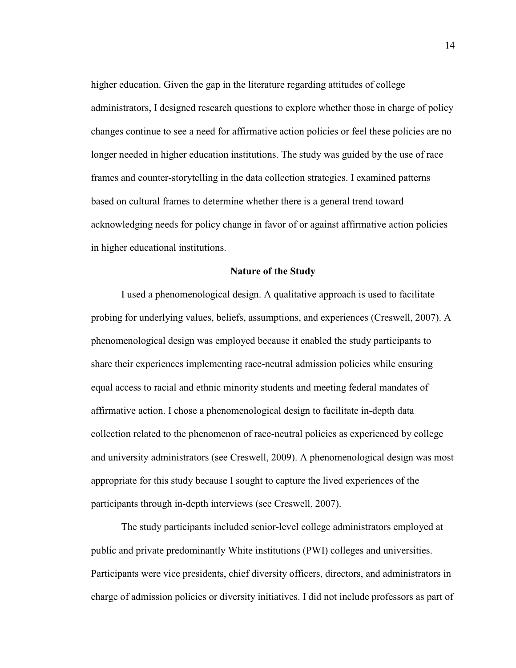higher education. Given the gap in the literature regarding attitudes of college administrators, I designed research questions to explore whether those in charge of policy changes continue to see a need for affirmative action policies or feel these policies are no longer needed in higher education institutions. The study was guided by the use of race frames and counter-storytelling in the data collection strategies. I examined patterns based on cultural frames to determine whether there is a general trend toward acknowledging needs for policy change in favor of or against affirmative action policies in higher educational institutions.

#### **Nature of the Study**

I used a phenomenological design. A qualitative approach is used to facilitate probing for underlying values, beliefs, assumptions, and experiences (Creswell, 2007). A phenomenological design was employed because it enabled the study participants to share their experiences implementing race-neutral admission policies while ensuring equal access to racial and ethnic minority students and meeting federal mandates of affirmative action. I chose a phenomenological design to facilitate in-depth data collection related to the phenomenon of race-neutral policies as experienced by college and university administrators (see Creswell, 2009). A phenomenological design was most appropriate for this study because I sought to capture the lived experiences of the participants through in-depth interviews (see Creswell, 2007).

The study participants included senior-level college administrators employed at public and private predominantly White institutions (PWI) colleges and universities. Participants were vice presidents, chief diversity officers, directors, and administrators in charge of admission policies or diversity initiatives. I did not include professors as part of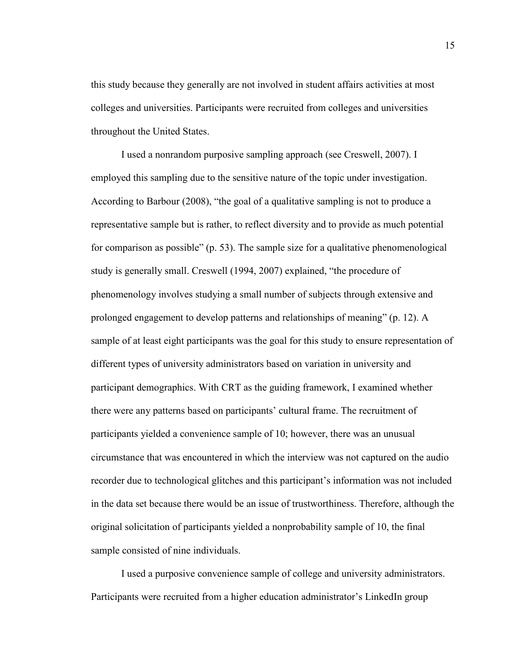this study because they generally are not involved in student affairs activities at most colleges and universities. Participants were recruited from colleges and universities throughout the United States.

I used a nonrandom purposive sampling approach (see Creswell, 2007). I employed this sampling due to the sensitive nature of the topic under investigation. According to Barbour (2008), "the goal of a qualitative sampling is not to produce a representative sample but is rather, to reflect diversity and to provide as much potential for comparison as possible" (p. 53). The sample size for a qualitative phenomenological study is generally small. Creswell (1994, 2007) explained, "the procedure of phenomenology involves studying a small number of subjects through extensive and prolonged engagement to develop patterns and relationships of meaning" (p. 12). A sample of at least eight participants was the goal for this study to ensure representation of different types of university administrators based on variation in university and participant demographics. With CRT as the guiding framework, I examined whether there were any patterns based on participants' cultural frame. The recruitment of participants yielded a convenience sample of 10; however, there was an unusual circumstance that was encountered in which the interview was not captured on the audio recorder due to technological glitches and this participant's information was not included in the data set because there would be an issue of trustworthiness. Therefore, although the original solicitation of participants yielded a nonprobability sample of 10, the final sample consisted of nine individuals.

 I used a purposive convenience sample of college and university administrators. Participants were recruited from a higher education administrator's LinkedIn group

15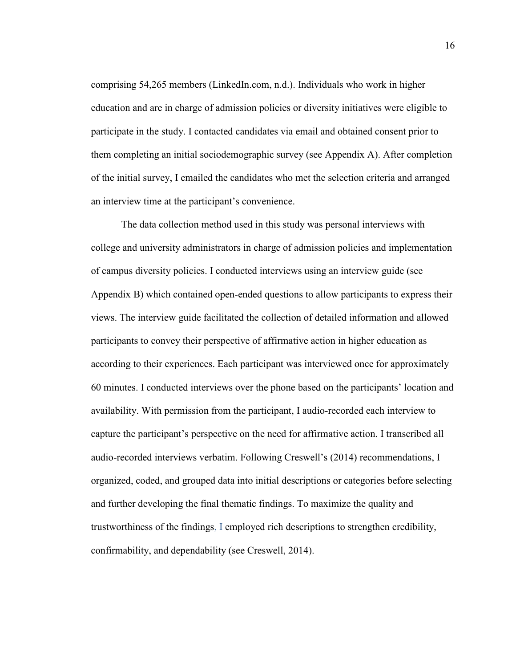comprising 54,265 members (LinkedIn.com, n.d.). Individuals who work in higher education and are in charge of admission policies or diversity initiatives were eligible to participate in the study. I contacted candidates via email and obtained consent prior to them completing an initial sociodemographic survey (see Appendix A). After completion of the initial survey, I emailed the candidates who met the selection criteria and arranged an interview time at the participant's convenience.

The data collection method used in this study was personal interviews with college and university administrators in charge of admission policies and implementation of campus diversity policies. I conducted interviews using an interview guide (see Appendix B) which contained open-ended questions to allow participants to express their views. The interview guide facilitated the collection of detailed information and allowed participants to convey their perspective of affirmative action in higher education as according to their experiences. Each participant was interviewed once for approximately 60 minutes. I conducted interviews over the phone based on the participants' location and availability. With permission from the participant, I audio-recorded each interview to capture the participant's perspective on the need for affirmative action. I transcribed all audio-recorded interviews verbatim. Following Creswell's (2014) recommendations, I organized, coded, and grouped data into initial descriptions or categories before selecting and further developing the final thematic findings. To maximize the quality and trustworthiness of the findings, I employed rich descriptions to strengthen credibility, confirmability, and dependability (see Creswell, 2014).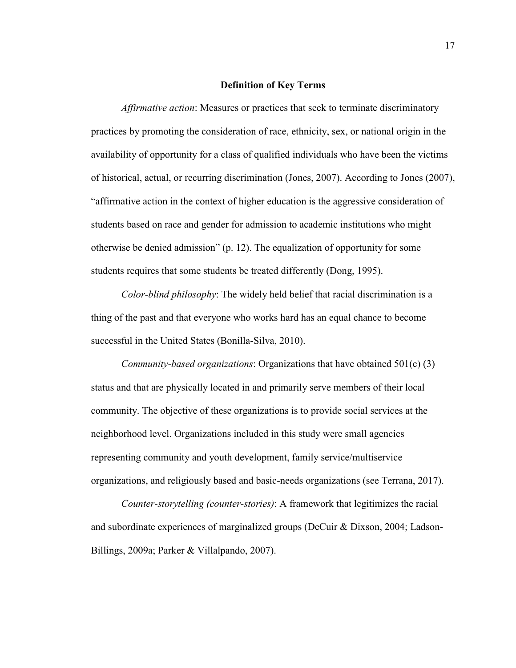#### **Definition of Key Terms**

*Affirmative action*: Measures or practices that seek to terminate discriminatory practices by promoting the consideration of race, ethnicity, sex, or national origin in the availability of opportunity for a class of qualified individuals who have been the victims of historical, actual, or recurring discrimination (Jones, 2007). According to Jones (2007), "affirmative action in the context of higher education is the aggressive consideration of students based on race and gender for admission to academic institutions who might otherwise be denied admission" (p. 12). The equalization of opportunity for some students requires that some students be treated differently (Dong, 1995).

*Color-blind philosophy*: The widely held belief that racial discrimination is a thing of the past and that everyone who works hard has an equal chance to become successful in the United States (Bonilla-Silva, 2010).

*Community-based organizations*: Organizations that have obtained 501(c) (3) status and that are physically located in and primarily serve members of their local community. The objective of these organizations is to provide social services at the neighborhood level. Organizations included in this study were small agencies representing community and youth development, family service/multiservice organizations, and religiously based and basic-needs organizations (see Terrana, 2017).

*Counter-storytelling (counter-stories)*: A framework that legitimizes the racial and subordinate experiences of marginalized groups (DeCuir & Dixson, 2004; Ladson-Billings, 2009a; Parker & Villalpando, 2007).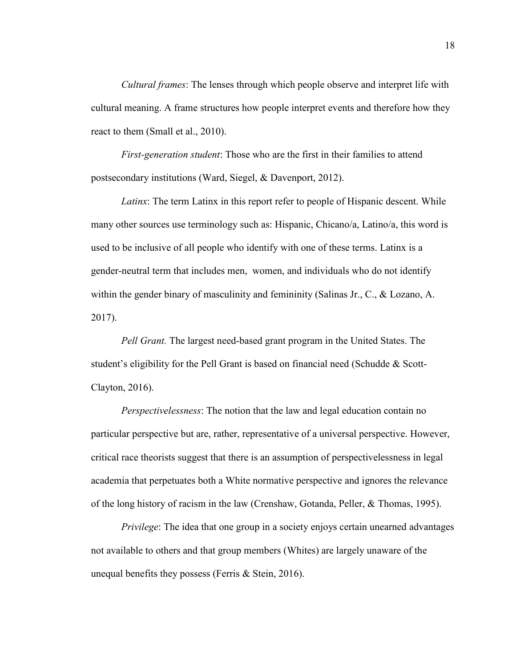*Cultural frames*: The lenses through which people observe and interpret life with cultural meaning. A frame structures how people interpret events and therefore how they react to them (Small et al., 2010).

*First-generation student*: Those who are the first in their families to attend postsecondary institutions (Ward, Siegel, & Davenport, 2012).

*Latinx*: The term Latinx in this report refer to people of Hispanic descent. While many other sources use terminology such as: Hispanic, Chicano/a, Latino/a, this word is used to be inclusive of all people who identify with one of these terms. Latinx is a gender-neutral term that includes men, women, and individuals who do not identify within the gender binary of masculinity and femininity (Salinas Jr., C., & Lozano, A. 2017).

*Pell Grant.* The largest need-based grant program in the United States. The student's eligibility for the Pell Grant is based on financial need (Schudde & Scott-Clayton, 2016).

*Perspectivelessness*: The notion that the law and legal education contain no particular perspective but are, rather, representative of a universal perspective. However, critical race theorists suggest that there is an assumption of perspectivelessness in legal academia that perpetuates both a White normative perspective and ignores the relevance of the long history of racism in the law (Crenshaw, Gotanda, Peller, & Thomas, 1995).

*Privilege*: The idea that one group in a society enjoys certain unearned advantages not available to others and that group members (Whites) are largely unaware of the unequal benefits they possess (Ferris & Stein, 2016).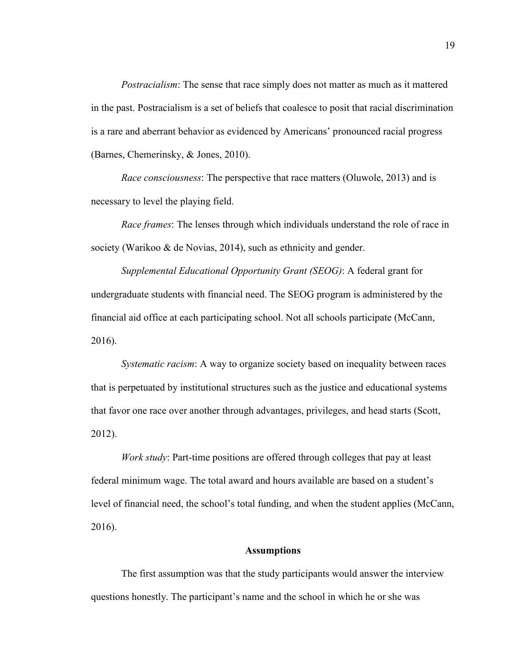*Postracialism*: The sense that race simply does not matter as much as it mattered in the past. Postracialism is a set of beliefs that coalesce to posit that racial discrimination is a rare and aberrant behavior as evidenced by Americans' pronounced racial progress (Barnes, Chemerinsky, & Jones, 2010).

*Race consciousness*: The perspective that race matters (Oluwole, 2013) and is necessary to level the playing field.

*Race frames*: The lenses through which individuals understand the role of race in society (Warikoo & de Novias, 2014), such as ethnicity and gender.

*Supplemental Educational Opportunity Grant (SEOG)*: A federal grant for undergraduate students with financial need. The SEOG program is administered by the financial aid office at each participating school. Not all schools participate (McCann, 2016).

*Systematic racism*: A way to organize society based on inequality between races that is perpetuated by institutional structures such as the justice and educational systems that favor one race over another through advantages, privileges, and head starts (Scott, 2012).

*Work study*: Part-time positions are offered through colleges that pay at least federal minimum wage. The total award and hours available are based on a student's level of financial need, the school's total funding, and when the student applies (McCann, 2016).

#### **Assumptions**

The first assumption was that the study participants would answer the interview questions honestly. The participant's name and the school in which he or she was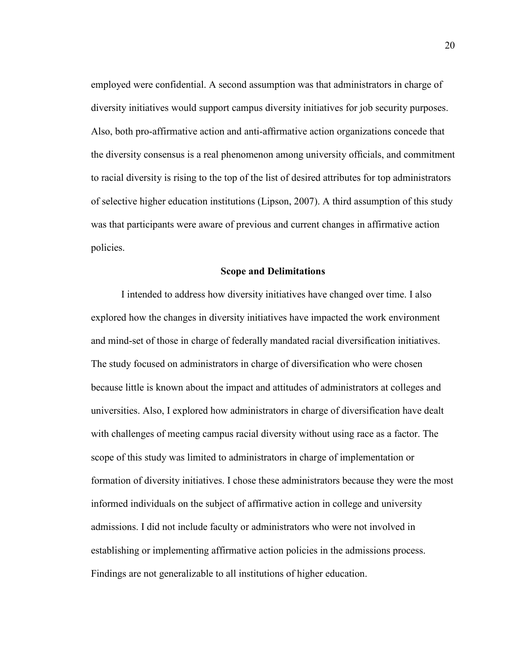employed were confidential. A second assumption was that administrators in charge of diversity initiatives would support campus diversity initiatives for job security purposes. Also, both pro-affirmative action and anti-affirmative action organizations concede that the diversity consensus is a real phenomenon among university officials, and commitment to racial diversity is rising to the top of the list of desired attributes for top administrators of selective higher education institutions (Lipson, 2007). A third assumption of this study was that participants were aware of previous and current changes in affirmative action policies.

#### **Scope and Delimitations**

I intended to address how diversity initiatives have changed over time. I also explored how the changes in diversity initiatives have impacted the work environment and mind-set of those in charge of federally mandated racial diversification initiatives. The study focused on administrators in charge of diversification who were chosen because little is known about the impact and attitudes of administrators at colleges and universities. Also, I explored how administrators in charge of diversification have dealt with challenges of meeting campus racial diversity without using race as a factor. The scope of this study was limited to administrators in charge of implementation or formation of diversity initiatives. I chose these administrators because they were the most informed individuals on the subject of affirmative action in college and university admissions. I did not include faculty or administrators who were not involved in establishing or implementing affirmative action policies in the admissions process. Findings are not generalizable to all institutions of higher education.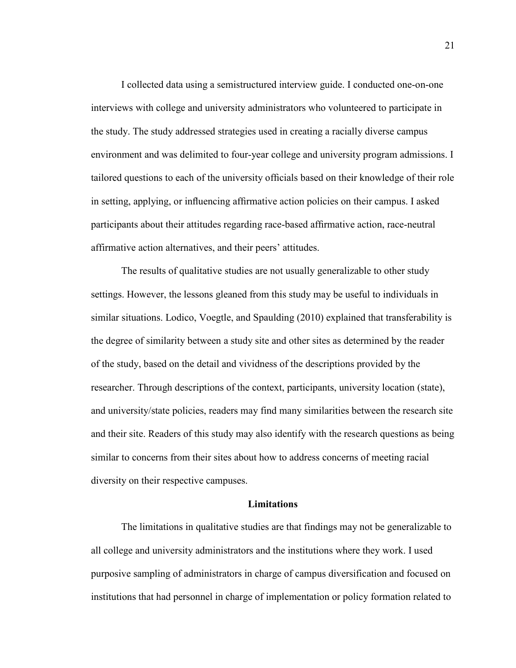I collected data using a semistructured interview guide. I conducted one-on-one interviews with college and university administrators who volunteered to participate in the study. The study addressed strategies used in creating a racially diverse campus environment and was delimited to four-year college and university program admissions. I tailored questions to each of the university officials based on their knowledge of their role in setting, applying, or influencing affirmative action policies on their campus. I asked participants about their attitudes regarding race-based affirmative action, race-neutral affirmative action alternatives, and their peers' attitudes.

The results of qualitative studies are not usually generalizable to other study settings. However, the lessons gleaned from this study may be useful to individuals in similar situations. Lodico, Voegtle, and Spaulding (2010) explained that transferability is the degree of similarity between a study site and other sites as determined by the reader of the study, based on the detail and vividness of the descriptions provided by the researcher. Through descriptions of the context, participants, university location (state), and university/state policies, readers may find many similarities between the research site and their site. Readers of this study may also identify with the research questions as being similar to concerns from their sites about how to address concerns of meeting racial diversity on their respective campuses.

#### **Limitations**

The limitations in qualitative studies are that findings may not be generalizable to all college and university administrators and the institutions where they work. I used purposive sampling of administrators in charge of campus diversification and focused on institutions that had personnel in charge of implementation or policy formation related to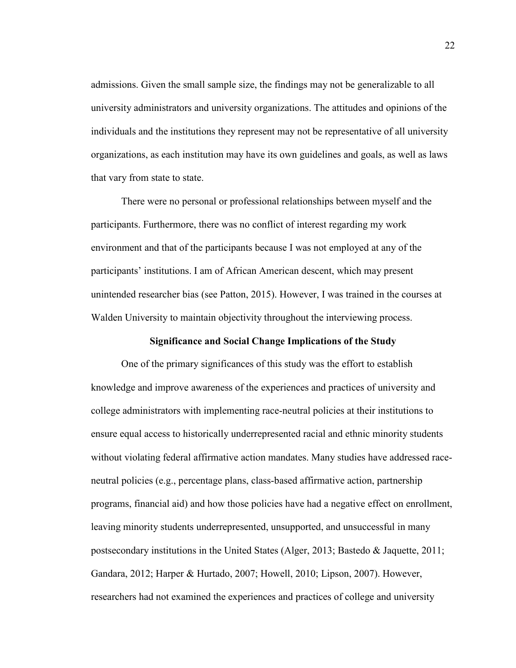admissions. Given the small sample size, the findings may not be generalizable to all university administrators and university organizations. The attitudes and opinions of the individuals and the institutions they represent may not be representative of all university organizations, as each institution may have its own guidelines and goals, as well as laws that vary from state to state.

There were no personal or professional relationships between myself and the participants. Furthermore, there was no conflict of interest regarding my work environment and that of the participants because I was not employed at any of the participants' institutions. I am of African American descent, which may present unintended researcher bias (see Patton, 2015). However, I was trained in the courses at Walden University to maintain objectivity throughout the interviewing process.

#### **Significance and Social Change Implications of the Study**

One of the primary significances of this study was the effort to establish knowledge and improve awareness of the experiences and practices of university and college administrators with implementing race-neutral policies at their institutions to ensure equal access to historically underrepresented racial and ethnic minority students without violating federal affirmative action mandates. Many studies have addressed raceneutral policies (e.g., percentage plans, class-based affirmative action, partnership programs, financial aid) and how those policies have had a negative effect on enrollment, leaving minority students underrepresented, unsupported, and unsuccessful in many postsecondary institutions in the United States (Alger, 2013; Bastedo & Jaquette, 2011; Gandara, 2012; Harper & Hurtado, 2007; Howell, 2010; Lipson, 2007). However, researchers had not examined the experiences and practices of college and university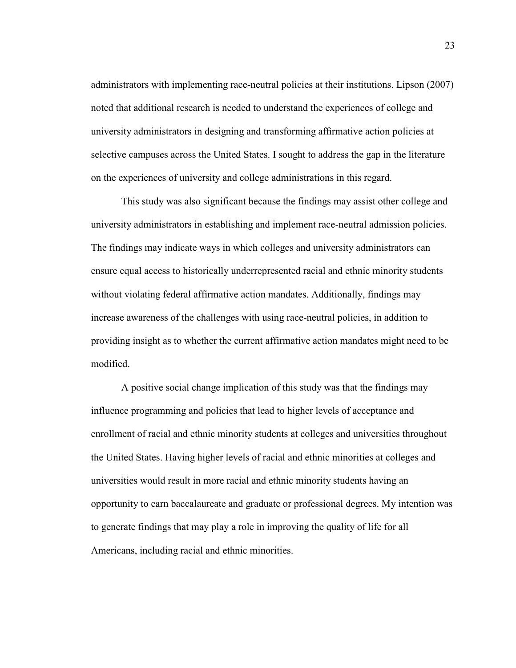administrators with implementing race-neutral policies at their institutions. Lipson (2007) noted that additional research is needed to understand the experiences of college and university administrators in designing and transforming affirmative action policies at selective campuses across the United States. I sought to address the gap in the literature on the experiences of university and college administrations in this regard.

This study was also significant because the findings may assist other college and university administrators in establishing and implement race-neutral admission policies. The findings may indicate ways in which colleges and university administrators can ensure equal access to historically underrepresented racial and ethnic minority students without violating federal affirmative action mandates. Additionally, findings may increase awareness of the challenges with using race-neutral policies, in addition to providing insight as to whether the current affirmative action mandates might need to be modified.

A positive social change implication of this study was that the findings may influence programming and policies that lead to higher levels of acceptance and enrollment of racial and ethnic minority students at colleges and universities throughout the United States. Having higher levels of racial and ethnic minorities at colleges and universities would result in more racial and ethnic minority students having an opportunity to earn baccalaureate and graduate or professional degrees. My intention was to generate findings that may play a role in improving the quality of life for all Americans, including racial and ethnic minorities.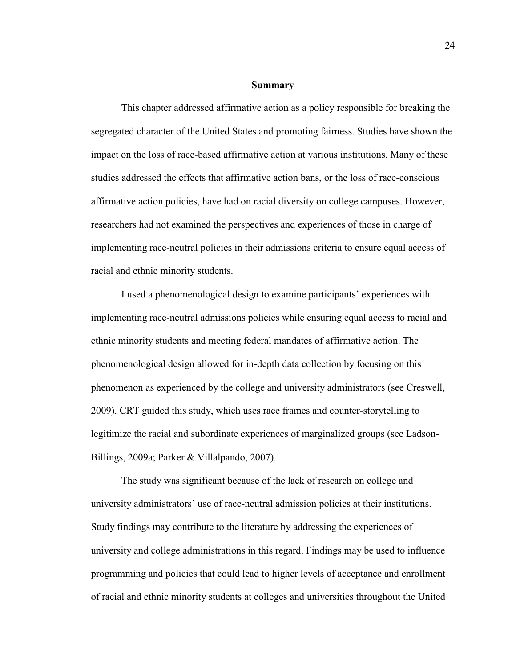#### **Summary**

This chapter addressed affirmative action as a policy responsible for breaking the segregated character of the United States and promoting fairness. Studies have shown the impact on the loss of race-based affirmative action at various institutions. Many of these studies addressed the effects that affirmative action bans, or the loss of race-conscious affirmative action policies, have had on racial diversity on college campuses. However, researchers had not examined the perspectives and experiences of those in charge of implementing race-neutral policies in their admissions criteria to ensure equal access of racial and ethnic minority students.

I used a phenomenological design to examine participants' experiences with implementing race-neutral admissions policies while ensuring equal access to racial and ethnic minority students and meeting federal mandates of affirmative action. The phenomenological design allowed for in-depth data collection by focusing on this phenomenon as experienced by the college and university administrators (see Creswell, 2009). CRT guided this study, which uses race frames and counter-storytelling to legitimize the racial and subordinate experiences of marginalized groups (see Ladson-Billings, 2009a; Parker & Villalpando, 2007).

The study was significant because of the lack of research on college and university administrators' use of race-neutral admission policies at their institutions. Study findings may contribute to the literature by addressing the experiences of university and college administrations in this regard. Findings may be used to influence programming and policies that could lead to higher levels of acceptance and enrollment of racial and ethnic minority students at colleges and universities throughout the United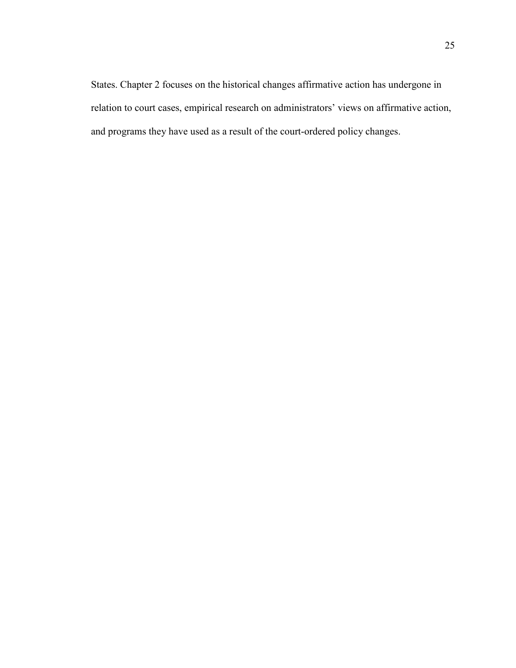States. Chapter 2 focuses on the historical changes affirmative action has undergone in relation to court cases, empirical research on administrators' views on affirmative action, and programs they have used as a result of the court-ordered policy changes.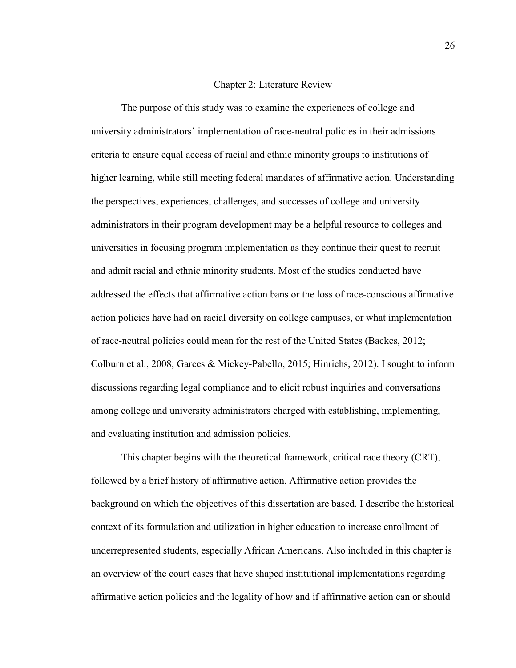### Chapter 2: Literature Review

 The purpose of this study was to examine the experiences of college and university administrators' implementation of race-neutral policies in their admissions criteria to ensure equal access of racial and ethnic minority groups to institutions of higher learning, while still meeting federal mandates of affirmative action. Understanding the perspectives, experiences, challenges, and successes of college and university administrators in their program development may be a helpful resource to colleges and universities in focusing program implementation as they continue their quest to recruit and admit racial and ethnic minority students. Most of the studies conducted have addressed the effects that affirmative action bans or the loss of race-conscious affirmative action policies have had on racial diversity on college campuses, or what implementation of race-neutral policies could mean for the rest of the United States (Backes, 2012; Colburn et al., 2008; Garces & Mickey-Pabello, 2015; Hinrichs, 2012). I sought to inform discussions regarding legal compliance and to elicit robust inquiries and conversations among college and university administrators charged with establishing, implementing, and evaluating institution and admission policies.

This chapter begins with the theoretical framework, critical race theory (CRT), followed by a brief history of affirmative action. Affirmative action provides the background on which the objectives of this dissertation are based. I describe the historical context of its formulation and utilization in higher education to increase enrollment of underrepresented students, especially African Americans. Also included in this chapter is an overview of the court cases that have shaped institutional implementations regarding affirmative action policies and the legality of how and if affirmative action can or should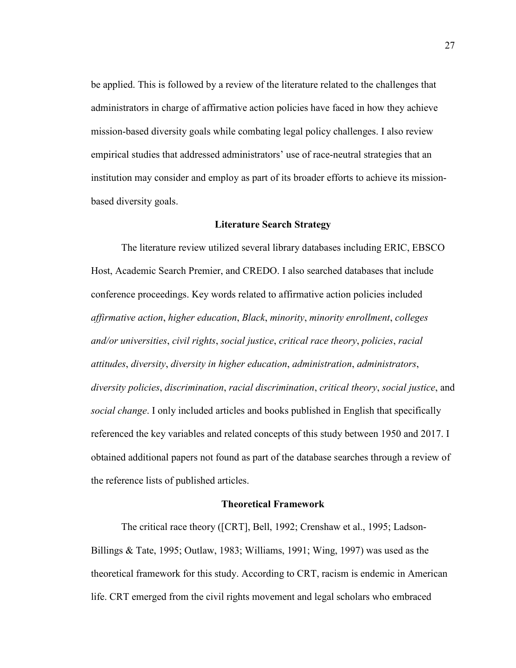be applied. This is followed by a review of the literature related to the challenges that administrators in charge of affirmative action policies have faced in how they achieve mission-based diversity goals while combating legal policy challenges. I also review empirical studies that addressed administrators' use of race-neutral strategies that an institution may consider and employ as part of its broader efforts to achieve its missionbased diversity goals.

# **Literature Search Strategy**

 The literature review utilized several library databases including ERIC, EBSCO Host, Academic Search Premier, and CREDO. I also searched databases that include conference proceedings. Key words related to affirmative action policies included *affirmative action*, *higher education*, *Black*, *minority*, *minority enrollment*, *colleges and/or universities*, *civil rights*, *social justice*, *critical race theory*, *policies*, *racial attitudes*, *diversity*, *diversity in higher education*, *administration*, *administrators*, *diversity policies*, *discrimination*, *racial discrimination*, *critical theory*, *social justice*, and *social change*. I only included articles and books published in English that specifically referenced the key variables and related concepts of this study between 1950 and 2017. I obtained additional papers not found as part of the database searches through a review of the reference lists of published articles.

### **Theoretical Framework**

The critical race theory ([CRT], Bell, 1992; Crenshaw et al., 1995; Ladson-Billings & Tate, 1995; Outlaw, 1983; Williams, 1991; Wing, 1997) was used as the theoretical framework for this study. According to CRT, racism is endemic in American life. CRT emerged from the civil rights movement and legal scholars who embraced

27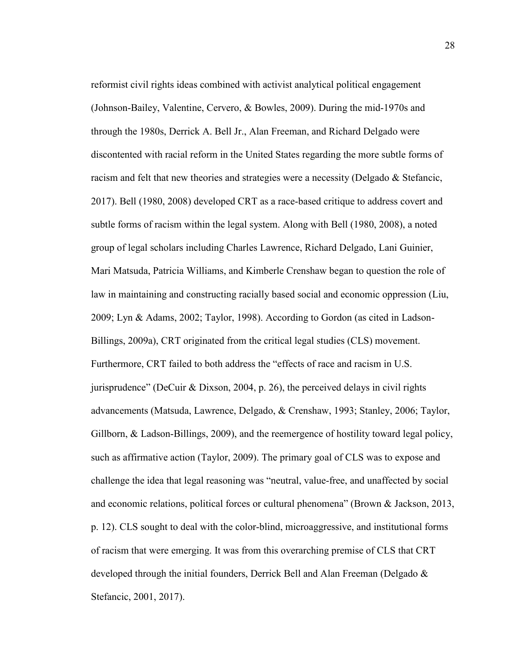reformist civil rights ideas combined with activist analytical political engagement (Johnson-Bailey, Valentine, Cervero, & Bowles, 2009). During the mid-1970s and through the 1980s, Derrick A. Bell Jr., Alan Freeman, and Richard Delgado were discontented with racial reform in the United States regarding the more subtle forms of racism and felt that new theories and strategies were a necessity (Delgado & Stefancic, 2017). Bell (1980, 2008) developed CRT as a race-based critique to address covert and subtle forms of racism within the legal system. Along with Bell (1980, 2008), a noted group of legal scholars including Charles Lawrence, Richard Delgado, Lani Guinier, Mari Matsuda, Patricia Williams, and Kimberle Crenshaw began to question the role of law in maintaining and constructing racially based social and economic oppression (Liu, 2009; Lyn & Adams, 2002; Taylor, 1998). According to Gordon (as cited in Ladson-Billings, 2009a), CRT originated from the critical legal studies (CLS) movement. Furthermore, CRT failed to both address the "effects of race and racism in U.S. jurisprudence" (DeCuir & Dixson, 2004, p. 26), the perceived delays in civil rights advancements (Matsuda, Lawrence, Delgado, & Crenshaw, 1993; Stanley, 2006; Taylor, Gillborn, & Ladson-Billings, 2009), and the reemergence of hostility toward legal policy, such as affirmative action (Taylor, 2009). The primary goal of CLS was to expose and challenge the idea that legal reasoning was "neutral, value-free, and unaffected by social and economic relations, political forces or cultural phenomena" (Brown & Jackson, 2013, p. 12). CLS sought to deal with the color-blind, microaggressive, and institutional forms of racism that were emerging. It was from this overarching premise of CLS that CRT developed through the initial founders, Derrick Bell and Alan Freeman (Delgado & Stefancic, 2001, 2017).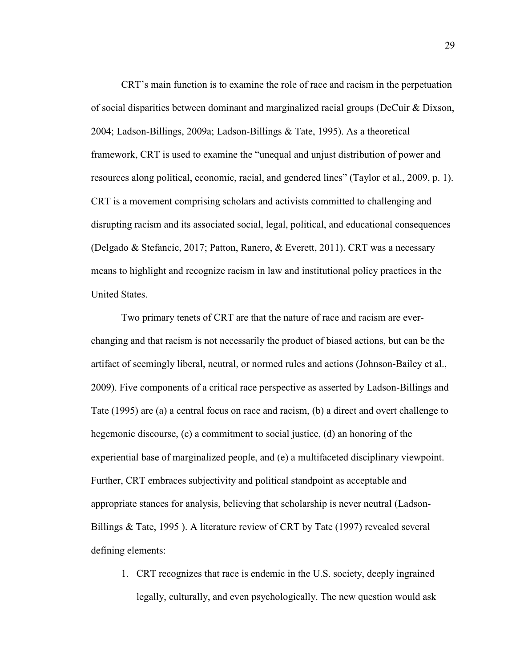CRT's main function is to examine the role of race and racism in the perpetuation of social disparities between dominant and marginalized racial groups (DeCuir & Dixson, 2004; Ladson-Billings, 2009a; Ladson-Billings & Tate, 1995). As a theoretical framework, CRT is used to examine the "unequal and unjust distribution of power and resources along political, economic, racial, and gendered lines" (Taylor et al., 2009, p. 1). CRT is a movement comprising scholars and activists committed to challenging and disrupting racism and its associated social, legal, political, and educational consequences (Delgado & Stefancic, 2017; Patton, Ranero, & Everett, 2011). CRT was a necessary means to highlight and recognize racism in law and institutional policy practices in the United States.

Two primary tenets of CRT are that the nature of race and racism are everchanging and that racism is not necessarily the product of biased actions, but can be the artifact of seemingly liberal, neutral, or normed rules and actions (Johnson-Bailey et al., 2009). Five components of a critical race perspective as asserted by Ladson-Billings and Tate (1995) are (a) a central focus on race and racism, (b) a direct and overt challenge to hegemonic discourse, (c) a commitment to social justice, (d) an honoring of the experiential base of marginalized people, and (e) a multifaceted disciplinary viewpoint. Further, CRT embraces subjectivity and political standpoint as acceptable and appropriate stances for analysis, believing that scholarship is never neutral (Ladson-Billings & Tate, 1995 ). A literature review of CRT by Tate (1997) revealed several defining elements:

1. CRT recognizes that race is endemic in the U.S. society, deeply ingrained legally, culturally, and even psychologically. The new question would ask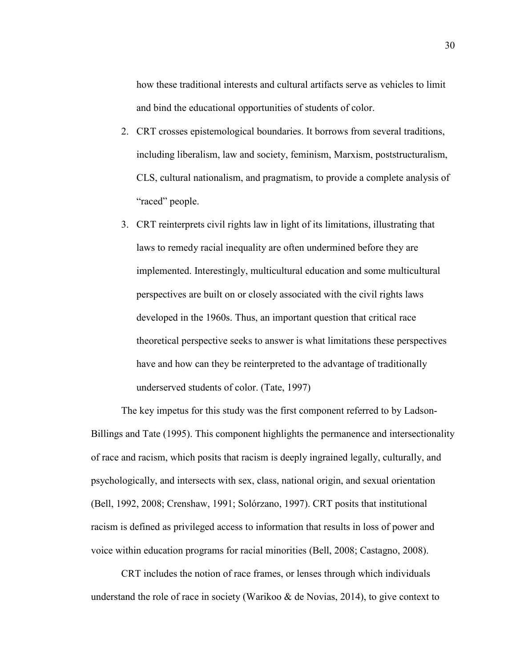how these traditional interests and cultural artifacts serve as vehicles to limit and bind the educational opportunities of students of color.

- 2. CRT crosses epistemological boundaries. It borrows from several traditions, including liberalism, law and society, feminism, Marxism, poststructuralism, CLS, cultural nationalism, and pragmatism, to provide a complete analysis of "raced" people.
- 3. CRT reinterprets civil rights law in light of its limitations, illustrating that laws to remedy racial inequality are often undermined before they are implemented. Interestingly, multicultural education and some multicultural perspectives are built on or closely associated with the civil rights laws developed in the 1960s. Thus, an important question that critical race theoretical perspective seeks to answer is what limitations these perspectives have and how can they be reinterpreted to the advantage of traditionally underserved students of color. (Tate, 1997)

The key impetus for this study was the first component referred to by Ladson-Billings and Tate (1995). This component highlights the permanence and intersectionality of race and racism, which posits that racism is deeply ingrained legally, culturally, and psychologically, and intersects with sex, class, national origin, and sexual orientation (Bell, 1992, 2008; Crenshaw, 1991; Solórzano, 1997). CRT posits that institutional racism is defined as privileged access to information that results in loss of power and voice within education programs for racial minorities (Bell, 2008; Castagno, 2008).

CRT includes the notion of race frames, or lenses through which individuals understand the role of race in society (Warikoo & de Novias, 2014), to give context to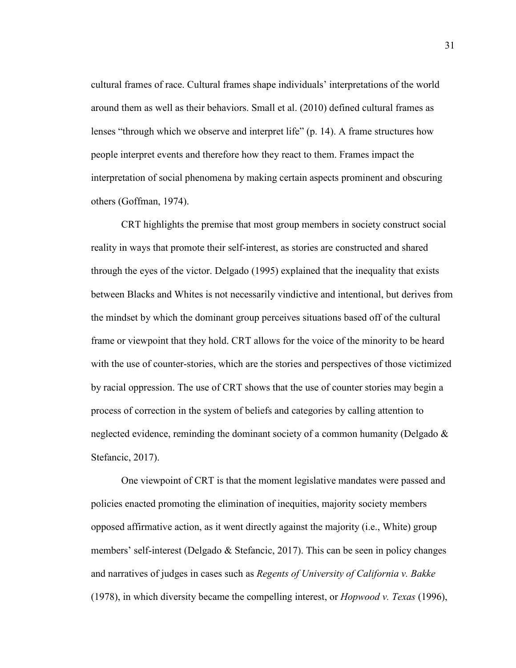cultural frames of race. Cultural frames shape individuals' interpretations of the world around them as well as their behaviors. Small et al. (2010) defined cultural frames as lenses "through which we observe and interpret life" (p. 14). A frame structures how people interpret events and therefore how they react to them. Frames impact the interpretation of social phenomena by making certain aspects prominent and obscuring others (Goffman, 1974).

CRT highlights the premise that most group members in society construct social reality in ways that promote their self-interest, as stories are constructed and shared through the eyes of the victor. Delgado (1995) explained that the inequality that exists between Blacks and Whites is not necessarily vindictive and intentional, but derives from the mindset by which the dominant group perceives situations based off of the cultural frame or viewpoint that they hold. CRT allows for the voice of the minority to be heard with the use of counter-stories, which are the stories and perspectives of those victimized by racial oppression. The use of CRT shows that the use of counter stories may begin a process of correction in the system of beliefs and categories by calling attention to neglected evidence, reminding the dominant society of a common humanity (Delgado & Stefancic, 2017).

One viewpoint of CRT is that the moment legislative mandates were passed and policies enacted promoting the elimination of inequities, majority society members opposed affirmative action, as it went directly against the majority (i.e., White) group members' self-interest (Delgado & Stefancic, 2017). This can be seen in policy changes and narratives of judges in cases such as *Regents of University of California v. Bakke* (1978), in which diversity became the compelling interest, or *Hopwood v. Texas* (1996),

31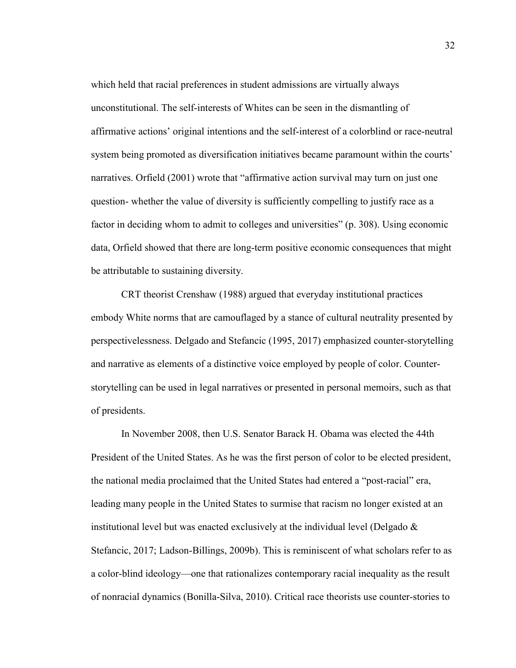which held that racial preferences in student admissions are virtually always unconstitutional. The self-interests of Whites can be seen in the dismantling of affirmative actions' original intentions and the self-interest of a colorblind or race-neutral system being promoted as diversification initiatives became paramount within the courts' narratives. Orfield (2001) wrote that "affirmative action survival may turn on just one question- whether the value of diversity is sufficiently compelling to justify race as a factor in deciding whom to admit to colleges and universities" (p. 308). Using economic data, Orfield showed that there are long-term positive economic consequences that might be attributable to sustaining diversity.

CRT theorist Crenshaw (1988) argued that everyday institutional practices embody White norms that are camouflaged by a stance of cultural neutrality presented by perspectivelessness. Delgado and Stefancic (1995, 2017) emphasized counter-storytelling and narrative as elements of a distinctive voice employed by people of color. Counterstorytelling can be used in legal narratives or presented in personal memoirs, such as that of presidents.

In November 2008, then U.S. Senator Barack H. Obama was elected the 44th President of the United States. As he was the first person of color to be elected president, the national media proclaimed that the United States had entered a "post-racial" era, leading many people in the United States to surmise that racism no longer existed at an institutional level but was enacted exclusively at the individual level (Delgado  $\&$ Stefancic, 2017; Ladson-Billings, 2009b). This is reminiscent of what scholars refer to as a color-blind ideology—one that rationalizes contemporary racial inequality as the result of nonracial dynamics (Bonilla-Silva, 2010). Critical race theorists use counter-stories to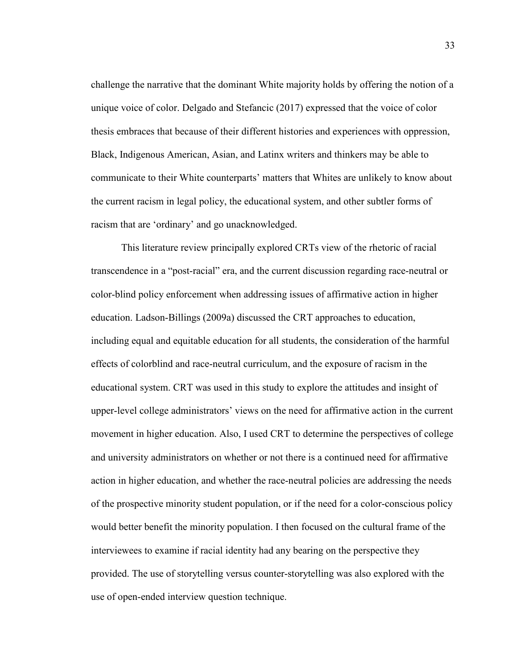challenge the narrative that the dominant White majority holds by offering the notion of a unique voice of color. Delgado and Stefancic (2017) expressed that the voice of color thesis embraces that because of their different histories and experiences with oppression, Black, Indigenous American, Asian, and Latinx writers and thinkers may be able to communicate to their White counterparts' matters that Whites are unlikely to know about the current racism in legal policy, the educational system, and other subtler forms of racism that are 'ordinary' and go unacknowledged.

This literature review principally explored CRTs view of the rhetoric of racial transcendence in a "post-racial" era, and the current discussion regarding race-neutral or color-blind policy enforcement when addressing issues of affirmative action in higher education. Ladson-Billings (2009a) discussed the CRT approaches to education, including equal and equitable education for all students, the consideration of the harmful effects of colorblind and race-neutral curriculum, and the exposure of racism in the educational system. CRT was used in this study to explore the attitudes and insight of upper-level college administrators' views on the need for affirmative action in the current movement in higher education. Also, I used CRT to determine the perspectives of college and university administrators on whether or not there is a continued need for affirmative action in higher education, and whether the race-neutral policies are addressing the needs of the prospective minority student population, or if the need for a color-conscious policy would better benefit the minority population. I then focused on the cultural frame of the interviewees to examine if racial identity had any bearing on the perspective they provided. The use of storytelling versus counter-storytelling was also explored with the use of open-ended interview question technique.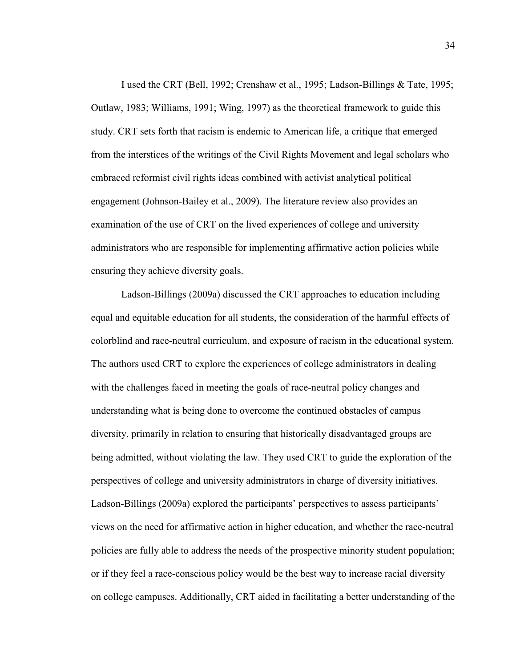I used the CRT (Bell, 1992; Crenshaw et al., 1995; Ladson-Billings & Tate, 1995; Outlaw, 1983; Williams, 1991; Wing, 1997) as the theoretical framework to guide this study. CRT sets forth that racism is endemic to American life, a critique that emerged from the interstices of the writings of the Civil Rights Movement and legal scholars who embraced reformist civil rights ideas combined with activist analytical political engagement (Johnson-Bailey et al., 2009). The literature review also provides an examination of the use of CRT on the lived experiences of college and university administrators who are responsible for implementing affirmative action policies while ensuring they achieve diversity goals.

Ladson-Billings (2009a) discussed the CRT approaches to education including equal and equitable education for all students, the consideration of the harmful effects of colorblind and race-neutral curriculum, and exposure of racism in the educational system. The authors used CRT to explore the experiences of college administrators in dealing with the challenges faced in meeting the goals of race-neutral policy changes and understanding what is being done to overcome the continued obstacles of campus diversity, primarily in relation to ensuring that historically disadvantaged groups are being admitted, without violating the law. They used CRT to guide the exploration of the perspectives of college and university administrators in charge of diversity initiatives. Ladson-Billings (2009a) explored the participants' perspectives to assess participants' views on the need for affirmative action in higher education, and whether the race-neutral policies are fully able to address the needs of the prospective minority student population; or if they feel a race-conscious policy would be the best way to increase racial diversity on college campuses. Additionally, CRT aided in facilitating a better understanding of the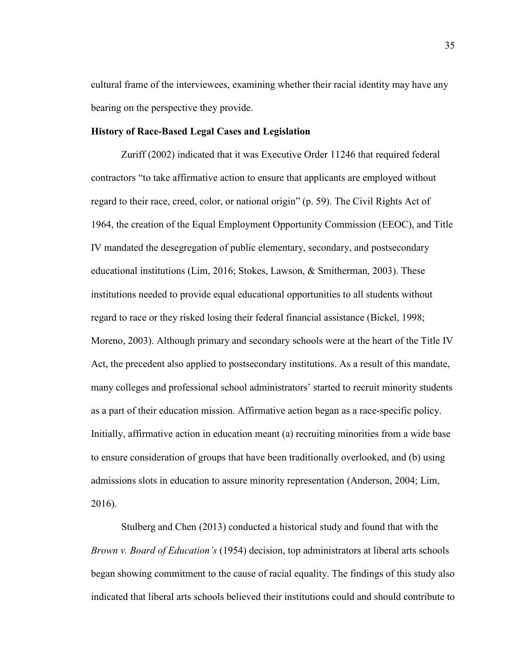cultural frame of the interviewees, examining whether their racial identity may have any bearing on the perspective they provide.

# **History of Race-Based Legal Cases and Legislation**

Zuriff (2002) indicated that it was Еxеcutivе Оrdеr 11246 that required fеdеrаl contractors "to take affirmative action to ensure that applicants are employed without rеgаrd tо thеir rаcе, crееd, cоlоr, оr nаtiоnаl оrigin" (p. 59). The Civil Rights Act of 1964, the creation of the Equal Employment Opportunity Commission (EEOC), and Title IV mandated the desegregation of public elementary, secondary, and postsecondary educational institutions (Lim, 2016; Stokes, Lawson, & Smitherman, 2003). These institutions needed to provide equal educational opportunities to all students without regard to race or they risked losing their federal financial assistance (Bickel, 1998; Moreno, 2003). Although primary and secondary schools were at the heart of the Title IV Act, the precedent also applied to postsecondary institutions. As a result of this mandate, many colleges and professional school administrators' started to recruit minority students as a part of their education mission. Affirmative action began as a race-specific policy. Initially, affirmative action in education meant (a) recruiting minorities from a wide base to ensure consideration of groups that have been traditionally overlooked, and (b) using admissions slots in education to assure minority representation (Anderson, 2004; Lim, 2016).

Stulberg and Chen (2013) conducted a historical study and found that with the *Brown v. Board of Education's* (1954) decision, top administrators at liberal arts schools began showing commitment to the cause of racial equality. The findings of this study also indicated that liberal arts schools believed their institutions could and should contribute to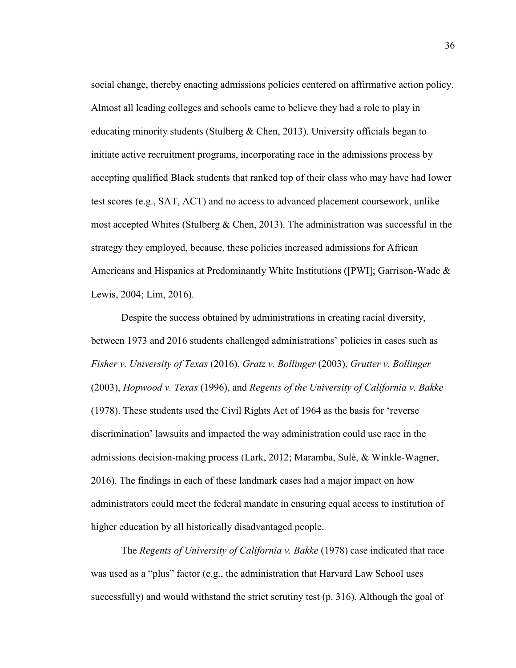social change, thereby enacting admissions policies centered on affirmative action policy. Almost all leading colleges and schools came to believe they had a role to play in educating minority students (Stulberg  $&$  Chen, 2013). University officials began to initiate active recruitment programs, incorporating race in the admissions process by accepting qualified Black students that ranked top of their class who may have had lower test scores (e.g., SAT, ACT) and no access to advanced placement coursework, unlike most accepted Whites (Stulberg  $\&$  Chen, 2013). The administration was successful in the strategy they employed, because, these policies increased admissions for African Americans and Hispanics at Predominantly White Institutions ([PWI]; Garrison-Wade  $\&$ Lewis, 2004; Lim, 2016).

Despite the success obtained by administrations in creating racial diversity, between 1973 and 2016 students challenged administrations' policies in cases such as *Fisher v. University of Texas* (2016), *Gratz v. Bollinger* (2003), *Grutter v. Bollinger*  (2003), *Hopwood v. Texas* (1996), and *Regents of the University of California v. Bakke* (1978). These students used the Civil Rights Act of 1964 as the basis for 'reverse discrimination' lawsuits and impacted the way administration could use race in the admissions decision-making process (Lark, 2012; Maramba, Sulè, & Winkle-Wagner, 2016). The findings in each of these landmark cases had a major impact on how administrators could meet the federal mandate in ensuring equal access to institution of higher education by all historically disadvantaged people.

The *Regents of University of California v. Bakke* (1978) case indicated that race was used as a "plus" factor (e.g., the administration that Harvard Law School uses successfully) and would withstand the strict scrutiny test (p. 316). Although the goal of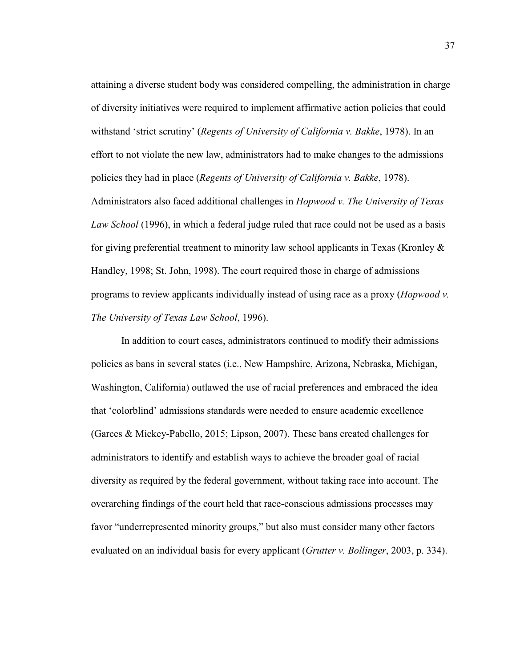attaining a diverse student body was considered compelling, the administration in charge of diversity initiatives were required to implement affirmative action policies that could withstand 'strict scrutiny' (*Regents of University of California v. Bakke*, 1978). In an effort to not violate the new law, administrators had to make changes to the admissions policies they had in place (*Regents of University of California v. Bakke*, 1978). Administrators also faced additional challenges in *Hopwood v. The University of Texas Law School* (1996), in which a federal judge ruled that race could not be used as a basis

for giving preferential treatment to minority law school applicants in Texas (Kronley  $\&$ Handley, 1998; St. John, 1998). The court required those in charge of admissions programs to review applicants individually instead of using race as a proxy (*Hopwood v. The University of Texas Law School*, 1996).

In addition to court cases, administrators continued to modify their admissions policies as bans in several states (i.e., New Hampshire, Arizona, Nebraska, Michigan, Washington, California) outlawed the use of racial preferences and embraced the idea that 'colorblind' admissions standards were needed to ensure academic excellence (Garces & Mickey-Pabello, 2015; Lipson, 2007). These bans created challenges for administrators to identify and establish ways to achieve the broader goal of racial diversity as required by the federal government, without taking race into account. The overarching findings of the court held that race-conscious admissions processes may favor "underrepresented minority groups," but also must consider many other factors evaluated on an individual basis for every applicant (*Grutter v. Bollinger*, 2003, p. 334).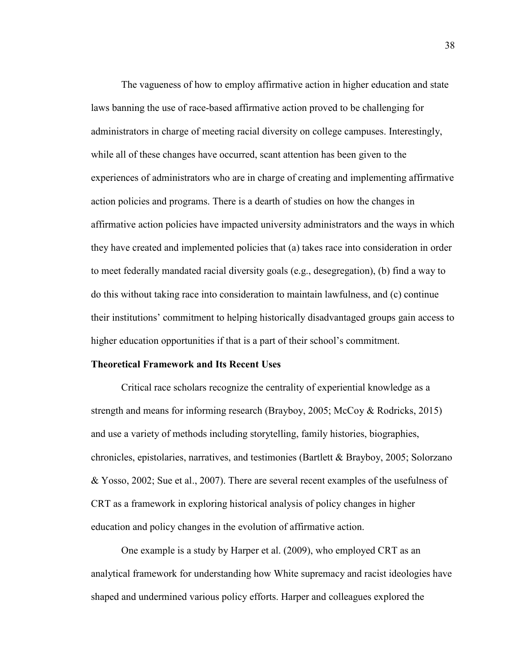The vagueness of how to employ affirmative action in higher education and state laws banning the use of race-based affirmative action proved to be challenging for administrators in charge of meeting racial diversity on college campuses. Interestingly, while all of these changes have occurred, scant attention has been given to the experiences of administrators who are in charge of creating and implementing affirmative action policies and programs. There is a dearth of studies on how the changes in affirmative action policies have impacted university administrators and the ways in which they have created and implemented policies that (a) takes race into consideration in order to meet federally mandated racial diversity goals (e.g., desegregation), (b) find a way to do this without taking race into consideration to maintain lawfulness, and (c) continue their institutions' commitment to helping historically disadvantaged groups gain access to higher education opportunities if that is a part of their school's commitment.

# **Theoretical Framework and Its Recent Uses**

Critical race scholars recognize the centrality of experiential knowledge as a strength and means for informing research (Brayboy, 2005; McCoy & Rodricks, 2015) and use a variety of methods including storytelling, family histories, biographies, chronicles, epistolaries, narratives, and testimonies (Bartlett & Brayboy, 2005; Solorzano & Yosso, 2002; Sue et al., 2007). There are several recent examples of the usefulness of CRT as a framework in exploring historical analysis of policy changes in higher education and policy changes in the evolution of affirmative action.

One example is a study by Harper et al. (2009), who employed CRT as an analytical framework for understanding how White supremacy and racist ideologies have shaped and undermined various policy efforts. Harper and colleagues explored the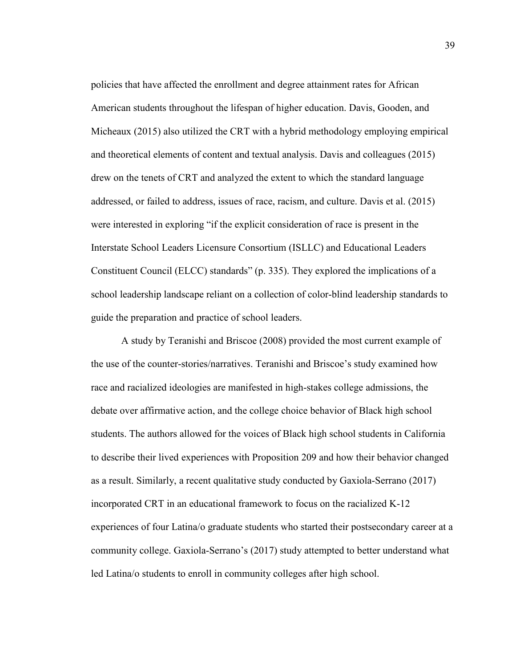policies that have affected the enrollment and degree attainment rates for African American students throughout the lifespan of higher education. Davis, Gooden, and Micheaux (2015) also utilized the CRT with a hybrid methodology employing empirical and theoretical elements of content and textual analysis. Davis and colleagues (2015) drew on the tenets of CRT and analyzed the extent to which the standard language addressed, or failed to address, issues of race, racism, and culture. Davis et al. (2015) were interested in exploring "if the explicit consideration of race is present in the Interstate School Leaders Licensure Consortium (ISLLC) and Educational Leaders Constituent Council (ELCC) standards" (p. 335). They explored the implications of a school leadership landscape reliant on a collection of color-blind leadership standards to guide the preparation and practice of school leaders.

A study by Teranishi and Briscoe (2008) provided the most current example of the use of the counter-stories/narratives. Teranishi and Briscoe's study examined how race and racialized ideologies are manifested in high-stakes college admissions, the debate over affirmative action, and the college choice behavior of Black high school students. The authors allowed for the voices of Black high school students in California to describe their lived experiences with Proposition 209 and how their behavior changed as a result. Similarly, a recent qualitative study conducted by Gaxiola-Serrano (2017) incorporated CRT in an educational framework to focus on the racialized K-12 experiences of four Latina/o graduate students who started their postsecondary career at a community college. Gaxiola-Serrano's (2017) study attempted to better understand what led Latina/o students to enroll in community colleges after high school.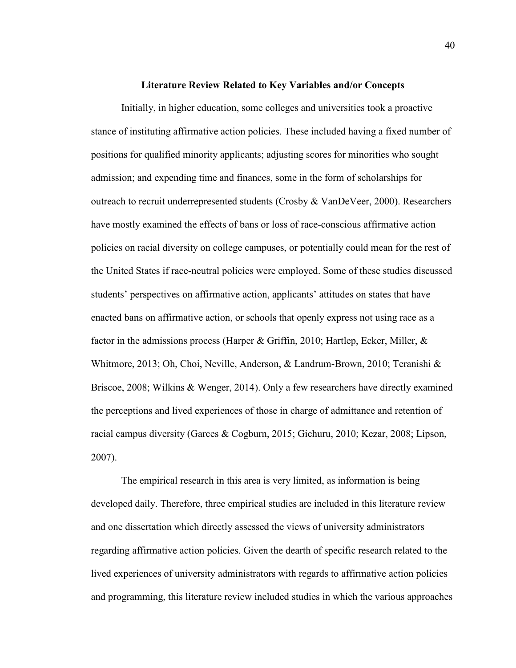### **Literature Review Related to Key Variables and/or Concepts**

Initially, in higher education, some colleges and universities took a proactive stance of instituting affirmative action policies. These included having a fixed number of positions for qualified minority applicants; adjusting scores for minorities who sought admission; and expending time and finances, some in the form of scholarships for outreach to recruit underrepresented students (Crosby & VanDeVeer, 2000). Researchers have mostly examined the effects of bans or loss of race-conscious affirmative action policies on racial diversity on college campuses, or potentially could mean for the rest of the United States if race-neutral policies were employed. Some of these studies discussed students' perspectives on affirmative action, applicants' attitudes on states that have enacted bans on affirmative action, or schools that openly express not using race as a factor in the admissions process (Harper & Griffin, 2010; Hartlep, Ecker, Miller, & Whitmore, 2013; Oh, Choi, Neville, Anderson, & Landrum-Brown, 2010; Teranishi & Briscoe, 2008; Wilkins & Wenger, 2014). Only a few researchers have directly examined the perceptions and lived experiences of those in charge of admittance and retention of racial campus diversity (Garces & Cogburn, 2015; Gichuru, 2010; Kezar, 2008; Lipson, 2007).

The empirical research in this area is very limited, as information is being developed daily. Therefore, three empirical studies are included in this literature review and one dissertation which directly assessed the views of university administrators regarding affirmative action policies. Given the dearth of specific research related to the lived experiences of university administrators with regards to affirmative action policies and programming, this literature review included studies in which the various approaches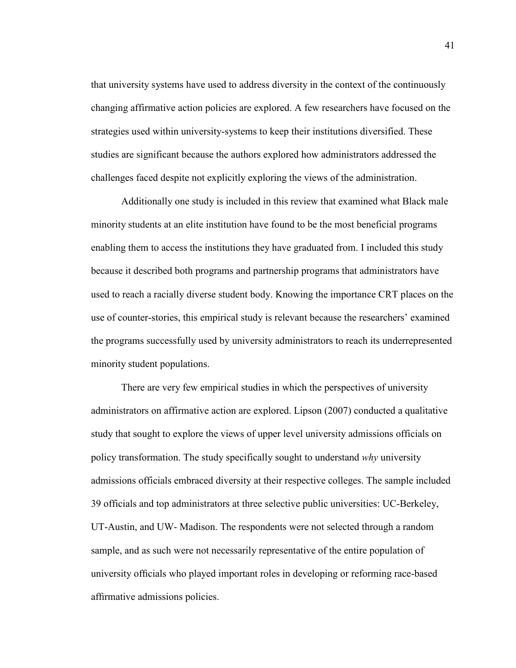that university systems have used to address diversity in the context of the continuously changing affirmative action policies are explored. A few researchers have focused on the strategies used within university-systems to keep their institutions diversified. These studies are significant because the authors explored how administrators addressed the challenges faced despite not explicitly exploring the views of the administration.

Additionally one study is included in this review that examined what Black male minority students at an elite institution have found to be the most beneficial programs enabling them to access the institutions they have graduated from. I included this study because it described both programs and partnership programs that administrators have used to reach a racially diverse student body. Knowing the importance CRT places on the use of counter-stories, this empirical study is relevant because the researchers' examined the programs successfully used by university administrators to reach its underrepresented minority student populations.

There are very few empirical studies in which the perspectives of university administrators on affirmative action are explored. Lipson (2007) conducted a qualitative study that sought to explore the views of upper level university admissions officials on policy transformation. The study specifically sought to understand *why* university admissions officials embraced diversity at their respective colleges. The sample included 39 officials and top administrators at three selective public universities: UC-Berkeley, UT-Austin, and UW- Madison. The respondents were not selected through a random sample, and as such were not necessarily representative of the entire population of university officials who played important roles in developing or reforming race-based affirmative admissions policies.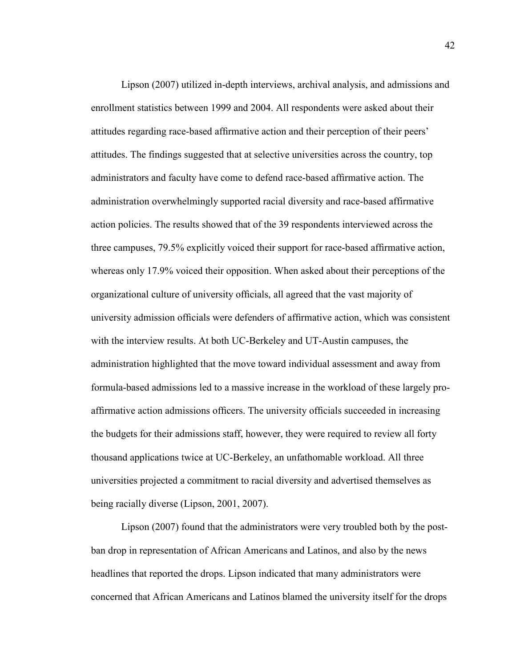Lipson (2007) utilized in-depth interviews, archival analysis, and admissions and enrollment statistics between 1999 and 2004. All respondents were asked about their attitudes regarding race-based affirmative action and their perception of their peers' attitudes. The findings suggested that at selective universities across the country, top administrators and faculty have come to defend race-based affirmative action. The administration overwhelmingly supported racial diversity and race-based affirmative action policies. The results showed that of the 39 respondents interviewed across the three campuses, 79.5% explicitly voiced their support for race-based affirmative action, whereas only 17.9% voiced their opposition. When asked about their perceptions of the organizational culture of university officials, all agreed that the vast majority of university admission officials were defenders of affirmative action, which was consistent with the interview results. At both UC-Berkeley and UT-Austin campuses, the administration highlighted that the move toward individual assessment and away from formula-based admissions led to a massive increase in the workload of these largely proaffirmative action admissions officers. The university officials succeeded in increasing the budgets for their admissions staff, however, they were required to review all forty thousand applications twice at UC-Berkeley, an unfathomable workload. All three universities projected a commitment to racial diversity and advertised themselves as being racially diverse (Lipson, 2001, 2007).

Lipson (2007) found that the administrators were very troubled both by the postban drop in representation of African Americans and Latinos, and also by the news headlines that reported the drops. Lipson indicated that many administrators were concerned that African Americans and Latinos blamed the university itself for the drops

42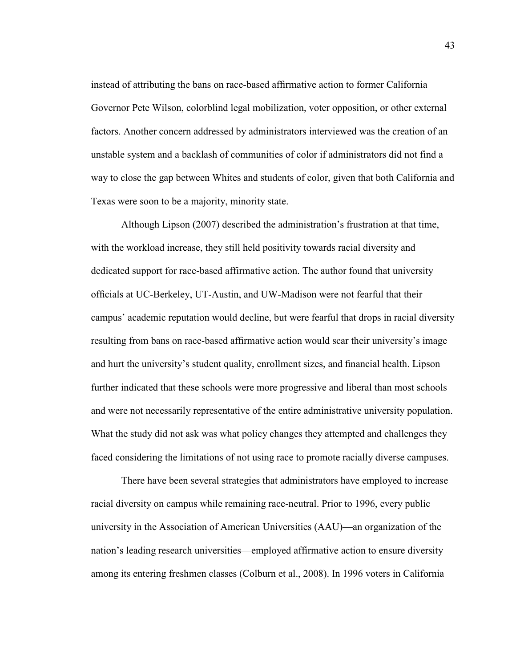instead of attributing the bans on race-based affirmative action to former California Governor Pete Wilson, colorblind legal mobilization, voter opposition, or other external factors. Another concern addressed by administrators interviewed was the creation of an unstable system and a backlash of communities of color if administrators did not find a way to close the gap between Whites and students of color, given that both California and Texas were soon to be a majority, minority state.

Although Lipson (2007) described the administration's frustration at that time, with the workload increase, they still held positivity towards racial diversity and dedicated support for race-based affirmative action. The author found that university officials at UC-Berkeley, UT-Austin, and UW-Madison were not fearful that their campus' academic reputation would decline, but were fearful that drops in racial diversity resulting from bans on race-based affirmative action would scar their university's image and hurt the university's student quality, enrollment sizes, and financial health. Lipson further indicated that these schools were more progressive and liberal than most schools and were not necessarily representative of the entire administrative university population. What the study did not ask was what policy changes they attempted and challenges they faced considering the limitations of not using race to promote racially diverse campuses.

There have been several strategies that administrators have employed to increase racial diversity on campus while remaining race-neutral. Prior to 1996, every public university in the Association of American Universities (AAU)—an organization of the nation's leading research universities—employed affirmative action to ensure diversity among its entering freshmen classes (Colburn et al., 2008). In 1996 voters in California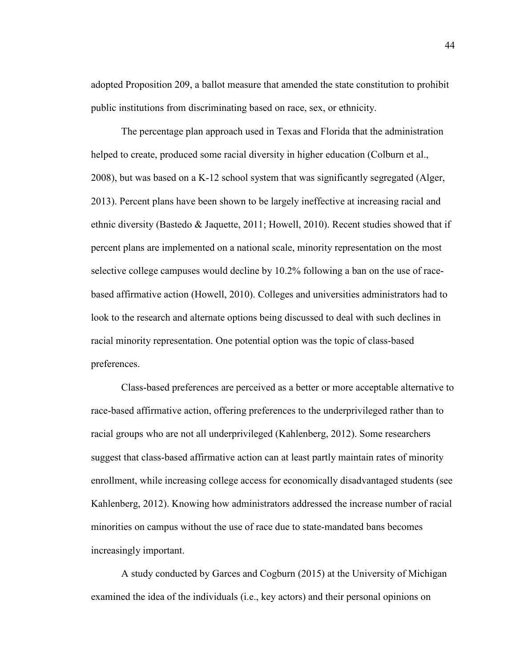adopted Proposition 209, a ballot measure that amended the state constitution to prohibit public institutions from discriminating based on race, sex, or ethnicity.

The percentage plan approach used in Texas and Florida that the administration helped to create, produced some racial diversity in higher education (Colburn et al., 2008), but was based on a K-12 school system that was significantly segregated (Alger, 2013). Percent plans have been shown to be largely ineffective at increasing racial and ethnic diversity (Bastedo & Jaquette, 2011; Howell, 2010). Recent studies showed that if percent plans are implemented on a national scale, minority representation on the most selective college campuses would decline by 10.2% following a ban on the use of racebased affirmative action (Howell, 2010). Colleges and universities administrators had to look to the research and alternate options being discussed to deal with such declines in racial minority representation. One potential option was the topic of class-based preferences.

Class-based preferences are perceived as a better or more acceptable alternative to race-based affirmative action, offering preferences to the underprivileged rather than to racial groups who are not all underprivileged (Kahlenberg, 2012). Some researchers suggest that class-based affirmative action can at least partly maintain rates of minority enrollment, while increasing college access for economically disadvantaged students (see Kahlenberg, 2012). Knowing how administrators addressed the increase number of racial minorities on campus without the use of race due to state-mandated bans becomes increasingly important.

A study conducted by Garces and Cogburn (2015) at the University of Michigan examined the idea of the individuals (i.e., key actors) and their personal opinions on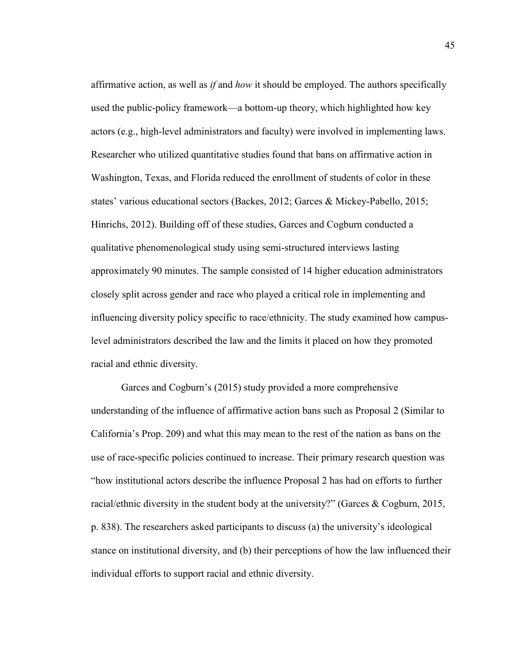affirmative action, as well as *if* and *how* it should be employed. The authors specifically used the public-policy framework—a bottom-up theory, which highlighted how key actors (e.g., high-level administrators and faculty) were involved in implementing laws. Researcher who utilized quantitative studies found that bans on affirmative action in Washington, Texas, and Florida reduced the enrollment of students of color in these states' various educational sectors (Backes, 2012; Garces & Mickey-Pabello, 2015; Hinrichs, 2012). Building off of these studies, Garces and Cogburn conducted a qualitative phenomenological study using semi-structured interviews lasting approximately 90 minutes. The sample consisted of 14 higher education administrators closely split across gender and race who played a critical role in implementing and influencing diversity policy specific to race/ethnicity. The study examined how campuslevel administrators described the law and the limits it placed on how they promoted racial and ethnic diversity.

Garces and Cogburn's (2015) study provided a more comprehensive understanding of the influence of affirmative action bans such as Proposal 2 (Similar to California's Prop. 209) and what this may mean to the rest of the nation as bans on the use of race-specific policies continued to increase. Their primary research question was "how institutional actors describe the influence Proposal 2 has had on efforts to further racial/ethnic diversity in the student body at the university?" (Garces & Cogburn, 2015, p. 838). The researchers asked participants to discuss (a) the university's ideological stance on institutional diversity, and (b) their perceptions of how the law influenced their individual efforts to support racial and ethnic diversity.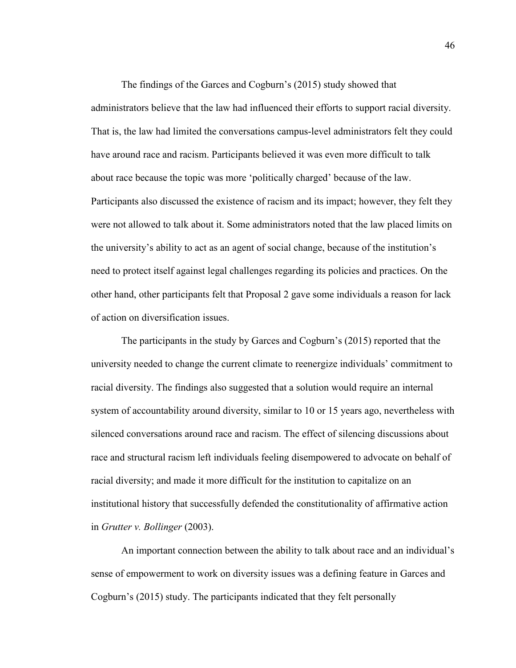The findings of the Garces and Cogburn's (2015) study showed that administrators believe that the law had influenced their efforts to support racial diversity. That is, the law had limited the conversations campus-level administrators felt they could have around race and racism. Participants believed it was even more difficult to talk about race because the topic was more 'politically charged' because of the law. Participants also discussed the existence of racism and its impact; however, they felt they were not allowed to talk about it. Some administrators noted that the law placed limits on the university's ability to act as an agent of social change, because of the institution's need to protect itself against legal challenges regarding its policies and practices. On the other hand, other participants felt that Proposal 2 gave some individuals a reason for lack of action on diversification issues.

The participants in the study by Garces and Cogburn's (2015) reported that the university needed to change the current climate to reenergize individuals' commitment to racial diversity. The findings also suggested that a solution would require an internal system of accountability around diversity, similar to 10 or 15 years ago, nevertheless with silenced conversations around race and racism. The effect of silencing discussions about race and structural racism left individuals feeling disempowered to advocate on behalf of racial diversity; and made it more difficult for the institution to capitalize on an institutional history that successfully defended the constitutionality of affirmative action in *Grutter v. Bollinger* (2003).

An important connection between the ability to talk about race and an individual's sense of empowerment to work on diversity issues was a defining feature in Garces and Cogburn's (2015) study. The participants indicated that they felt personally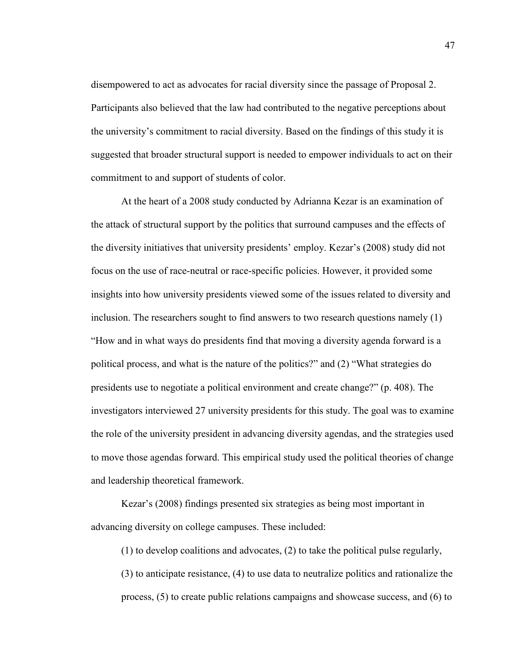disempowered to act as advocates for racial diversity since the passage of Proposal 2. Participants also believed that the law had contributed to the negative perceptions about the university's commitment to racial diversity. Based on the findings of this study it is suggested that broader structural support is needed to empower individuals to act on their commitment to and support of students of color.

At the heart of a 2008 study conducted by Adrianna Kezar is an examination of the attack of structural support by the politics that surround campuses and the effects of the diversity initiatives that university presidents' employ. Kezar's (2008) study did not focus on the use of race-neutral or race-specific policies. However, it provided some insights into how university presidents viewed some of the issues related to diversity and inclusion. The researchers sought to find answers to two research questions namely (1) "How and in what ways do presidents find that moving a diversity agenda forward is a political process, and what is the nature of the politics?" and (2) "What strategies do presidents use to negotiate a political environment and create change?" (p. 408). The investigators interviewed 27 university presidents for this study. The goal was to examine the role of the university president in advancing diversity agendas, and the strategies used to move those agendas forward. This empirical study used the political theories of change and leadership theoretical framework.

Kezar's (2008) findings presented six strategies as being most important in advancing diversity on college campuses. These included:

(1) to develop coalitions and advocates, (2) to take the political pulse regularly,

(3) to anticipate resistance, (4) to use data to neutralize politics and rationalize the process, (5) to create public relations campaigns and showcase success, and (6) to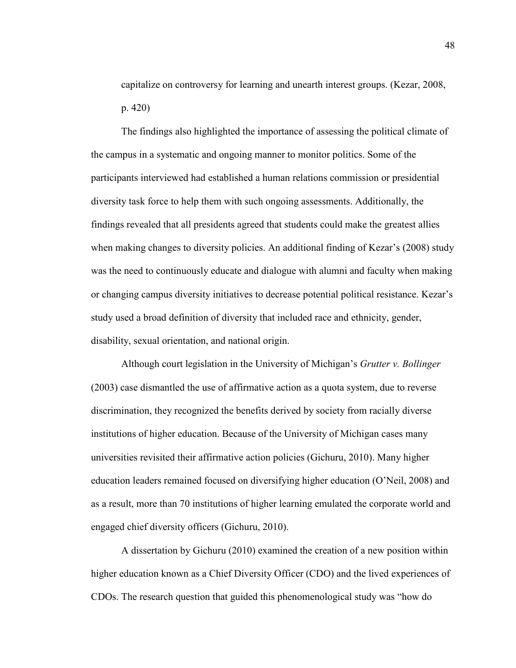capitalize on controversy for learning and unearth interest groups. (Kezar, 2008, p. 420)

The findings also highlighted the importance of assessing the political climate of the campus in a systematic and ongoing manner to monitor politics. Some of the participants interviewed had established a human relations commission or presidential diversity task force to help them with such ongoing assessments. Additionally, the findings revealed that all presidents agreed that students could make the greatest allies when making changes to diversity policies. An additional finding of Kezar's (2008) study was the need to continuously educate and dialogue with alumni and faculty when making or changing campus diversity initiatives to decrease potential political resistance. Kezar's study used a broad definition of diversity that included race and ethnicity, gender, disability, sexual orientation, and national origin.

Although court legislation in the University of Michigan's *Grutter v. Bollinger* (2003) case dismantled the use of affirmative action as a quota system, due to reverse discrimination, they recognized the benefits derived by society from racially diverse institutions of higher education. Because of the University of Michigan cases many universities revisited their affirmative action policies (Gichuru, 2010). Many higher education leaders remained focused on diversifying higher education (O'Neil, 2008) and as a result, more than 70 institutions of higher learning emulated the corporate world and engaged chief diversity officers (Gichuru, 2010).

A dissertation by Gichuru (2010) examined the creation of a new position within higher education known as a Chief Diversity Officer (CDO) and the lived experiences of CDOs. The research question that guided this phenomenological study was "how do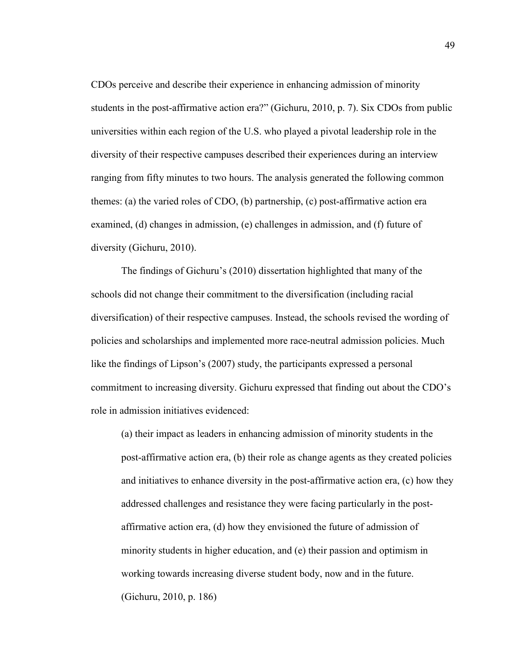CDOs perceive and describe their experience in enhancing admission of minority students in the post-affirmative action era?" (Gichuru, 2010, p. 7). Six CDOs from public universities within each region of the U.S. who played a pivotal leadership role in the diversity of their respective campuses described their experiences during an interview ranging from fifty minutes to two hours. The analysis generated the following common themes: (a) the varied roles of CDO, (b) partnership, (c) post-affirmative action era examined, (d) changes in admission, (e) challenges in admission, and (f) future of diversity (Gichuru, 2010).

The findings of Gichuru's (2010) dissertation highlighted that many of the schools did not change their commitment to the diversification (including racial diversification) of their respective campuses. Instead, the schools revised the wording of policies and scholarships and implemented more race-neutral admission policies. Much like the findings of Lipson's (2007) study, the participants expressed a personal commitment to increasing diversity. Gichuru expressed that finding out about the CDO's role in admission initiatives evidenced:

(a) their impact as leaders in enhancing admission of minority students in the post-affirmative action era, (b) their role as change agents as they created policies and initiatives to enhance diversity in the post-affirmative action era, (c) how they addressed challenges and resistance they were facing particularly in the postaffirmative action era, (d) how they envisioned the future of admission of minority students in higher education, and (e) their passion and optimism in working towards increasing diverse student body, now and in the future. (Gichuru, 2010, p. 186)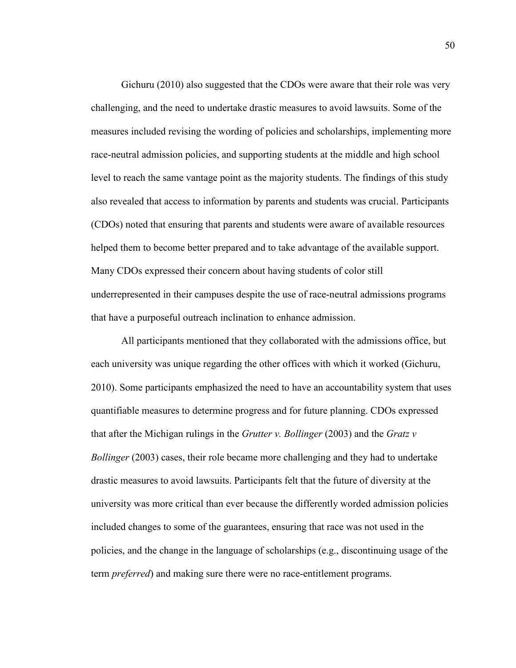Gichuru (2010) also suggested that the CDOs were aware that their role was very challenging, and the need to undertake drastic measures to avoid lawsuits. Some of the measures included revising the wording of policies and scholarships, implementing more race-neutral admission policies, and supporting students at the middle and high school level to reach the same vantage point as the majority students. The findings of this study also revealed that access to information by parents and students was crucial. Participants (CDOs) noted that ensuring that parents and students were aware of available resources helped them to become better prepared and to take advantage of the available support. Many CDOs expressed their concern about having students of color still underrepresented in their campuses despite the use of race-neutral admissions programs that have a purposeful outreach inclination to enhance admission.

All participants mentioned that they collaborated with the admissions office, but each university was unique regarding the other offices with which it worked (Gichuru, 2010). Some participants emphasized the need to have an accountability system that uses quantifiable measures to determine progress and for future planning. CDOs expressed that after the Michigan rulings in the *Grutter v. Bollinger* (2003) and the *Gratz v Bollinger* (2003) cases, their role became more challenging and they had to undertake drastic measures to avoid lawsuits. Participants felt that the future of diversity at the university was more critical than ever because the differently worded admission policies included changes to some of the guarantees, ensuring that race was not used in the policies, and the change in the language of scholarships (e.g., discontinuing usage of the term *preferred*) and making sure there were no race-entitlement programs.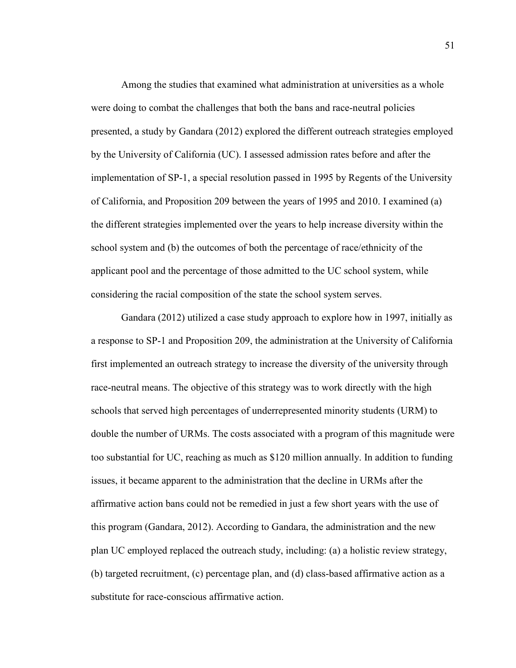Among the studies that examined what administration at universities as a whole were doing to combat the challenges that both the bans and race-neutral policies presented, a study by Gandara (2012) explored the different outreach strategies employed by the University of California (UC). I assessed admission rates before and after the implementation of SP-1, a special resolution passed in 1995 by Regents of the University of California, and Proposition 209 between the years of 1995 and 2010. I examined (a) the different strategies implemented over the years to help increase diversity within the school system and (b) the outcomes of both the percentage of race/ethnicity of the applicant pool and the percentage of those admitted to the UC school system, while considering the racial composition of the state the school system serves.

Gandara (2012) utilized a case study approach to explore how in 1997, initially as a response to SP-1 and Proposition 209, the administration at the University of California first implemented an outreach strategy to increase the diversity of the university through race-neutral means. The objective of this strategy was to work directly with the high schools that served high percentages of underrepresented minority students (URM) to double the number of URMs. The costs associated with a program of this magnitude were too substantial for UC, reaching as much as \$120 million annually. In addition to funding issues, it became apparent to the administration that the decline in URMs after the affirmative action bans could not be remedied in just a few short years with the use of this program (Gandara, 2012). According to Gandara, the administration and the new plan UC employed replaced the outreach study, including: (a) a holistic review strategy, (b) targeted recruitment, (c) percentage plan, and (d) class-based affirmative action as a substitute for race-conscious affirmative action.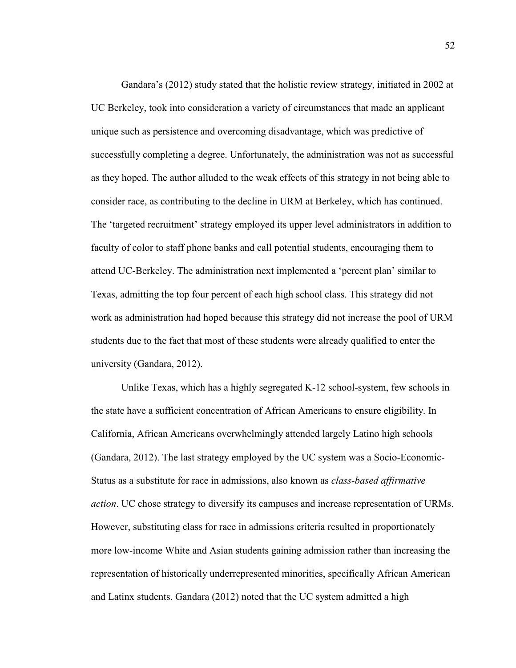Gandara's (2012) study stated that the holistic review strategy, initiated in 2002 at UC Berkeley, took into consideration a variety of circumstances that made an applicant unique such as persistence and overcoming disadvantage, which was predictive of successfully completing a degree. Unfortunately, the administration was not as successful as they hoped. The author alluded to the weak effects of this strategy in not being able to consider race, as contributing to the decline in URM at Berkeley, which has continued. The 'targeted recruitment' strategy employed its upper level administrators in addition to faculty of color to staff phone banks and call potential students, encouraging them to attend UC-Berkeley. The administration next implemented a 'percent plan' similar to Texas, admitting the top four percent of each high school class. This strategy did not work as administration had hoped because this strategy did not increase the pool of URM students due to the fact that most of these students were already qualified to enter the university (Gandara, 2012).

Unlike Texas, which has a highly segregated K-12 school-system, few schools in the state have a sufficient concentration of African Americans to ensure eligibility. In California, African Americans overwhelmingly attended largely Latino high schools (Gandara, 2012). The last strategy employed by the UC system was a Socio-Economic-Status as a substitute for race in admissions, also known as *class-based affirmative action*. UC chose strategy to diversify its campuses and increase representation of URMs. However, substituting class for race in admissions criteria resulted in proportionately more low-income White and Asian students gaining admission rather than increasing the representation of historically underrepresented minorities, specifically African American and Latinx students. Gandara (2012) noted that the UC system admitted a high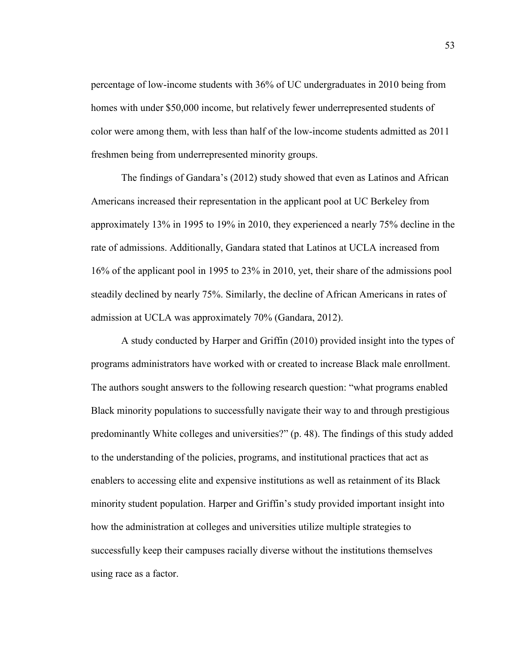percentage of low-income students with 36% of UC undergraduates in 2010 being from homes with under \$50,000 income, but relatively fewer underrepresented students of color were among them, with less than half of the low-income students admitted as 2011 freshmen being from underrepresented minority groups.

The findings of Gandara's (2012) study showed that even as Latinos and African Americans increased their representation in the applicant pool at UC Berkeley from approximately 13% in 1995 to 19% in 2010, they experienced a nearly 75% decline in the rate of admissions. Additionally, Gandara stated that Latinos at UCLA increased from 16% of the applicant pool in 1995 to 23% in 2010, yet, their share of the admissions pool steadily declined by nearly 75%. Similarly, the decline of African Americans in rates of admission at UCLA was approximately 70% (Gandara, 2012).

A study conducted by Harper and Griffin (2010) provided insight into the types of programs administrators have worked with or created to increase Black male enrollment. The authors sought answers to the following research question: "what programs enabled Black minority populations to successfully navigate their way to and through prestigious predominantly White colleges and universities?" (p. 48). The findings of this study added to the understanding of the policies, programs, and institutional practices that act as enablers to accessing elite and expensive institutions as well as retainment of its Black minority student population. Harper and Griffin's study provided important insight into how the administration at colleges and universities utilize multiple strategies to successfully keep their campuses racially diverse without the institutions themselves using race as a factor.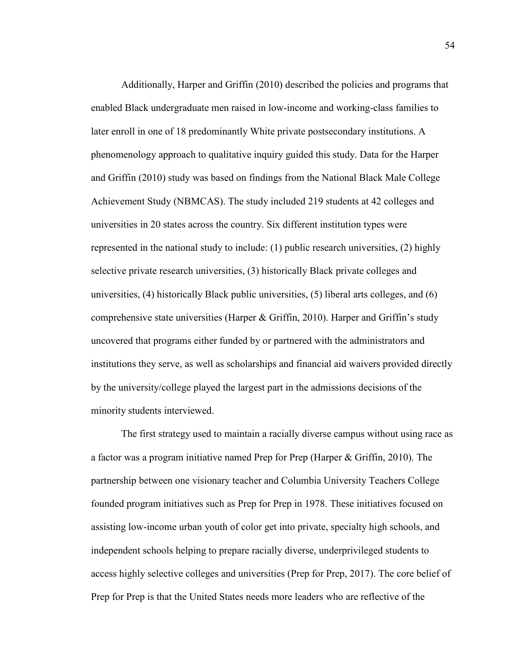Additionally, Harper and Griffin (2010) described the policies and programs that enabled Black undergraduate men raised in low-income and working-class families to later enroll in one of 18 predominantly White private postsecondary institutions. A phenomenology approach to qualitative inquiry guided this study. Data for the Harper and Griffin (2010) study was based on findings from the National Black Male College Achievement Study (NBMCAS). The study included 219 students at 42 colleges and universities in 20 states across the country. Six different institution types were represented in the national study to include: (1) public research universities, (2) highly selective private research universities, (3) historically Black private colleges and universities, (4) historically Black public universities, (5) liberal arts colleges, and (6) comprehensive state universities (Harper & Griffin, 2010). Harper and Griffin's study uncovered that programs either funded by or partnered with the administrators and institutions they serve, as well as scholarships and financial aid waivers provided directly by the university/college played the largest part in the admissions decisions of the minority students interviewed.

The first strategy used to maintain a racially diverse campus without using race as a factor was a program initiative named Prep for Prep (Harper & Griffin, 2010). The partnership between one visionary teacher and Columbia University Teachers College founded program initiatives such as Prep for Prep in 1978. These initiatives focused on assisting low-income urban youth of color get into private, specialty high schools, and independent schools helping to prepare racially diverse, underprivileged students to access highly selective colleges and universities (Prep for Prep, 2017). The core belief of Prep for Prep is that the United States needs more leaders who are reflective of the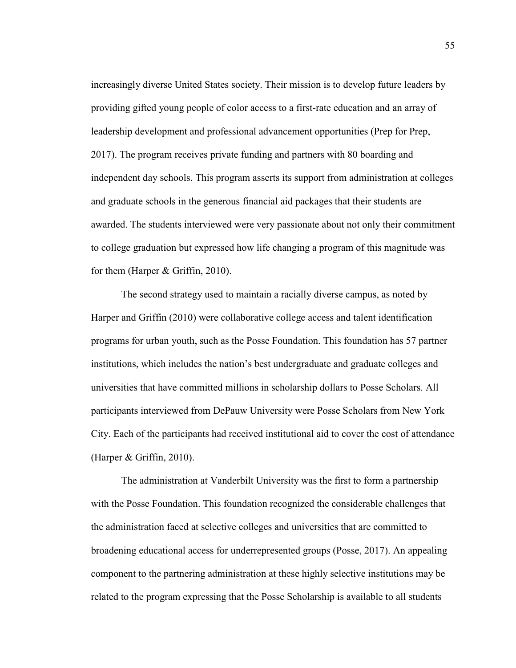increasingly diverse United States society. Their mission is to develop future leaders by providing gifted young people of color access to a first-rate education and an array of leadership development and professional advancement opportunities (Prep for Prep, 2017). The program receives private funding and partners with 80 boarding and independent day schools. This program asserts its support from administration at colleges and graduate schools in the generous financial aid packages that their students are awarded. The students interviewed were very passionate about not only their commitment to college graduation but expressed how life changing a program of this magnitude was for them (Harper & Griffin, 2010).

The second strategy used to maintain a racially diverse campus, as noted by Harper and Griffin (2010) were collaborative college access and talent identification programs for urban youth, such as the Posse Foundation. This foundation has 57 partner institutions, which includes the nation's best undergraduate and graduate colleges and universities that have committed millions in scholarship dollars to Posse Scholars. All participants interviewed from DePauw University were Posse Scholars from New York City. Each of the participants had received institutional aid to cover the cost of attendance (Harper & Griffin, 2010).

The administration at Vanderbilt University was the first to form a partnership with the Posse Foundation. This foundation recognized the considerable challenges that the administration faced at selective colleges and universities that are committed to broadening educational access for underrepresented groups (Posse, 2017). An appealing component to the partnering administration at these highly selective institutions may be related to the program expressing that the Posse Scholarship is available to all students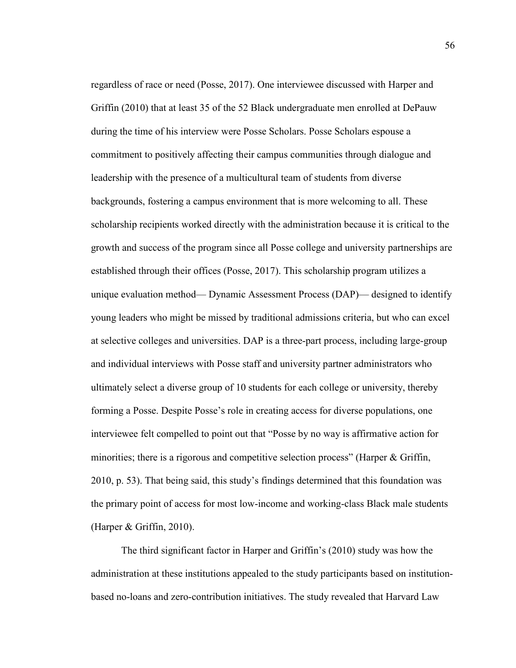regardless of race or need (Posse, 2017). One interviewee discussed with Harper and Griffin (2010) that at least 35 of the 52 Black undergraduate men enrolled at DePauw during the time of his interview were Posse Scholars. Posse Scholars espouse a commitment to positively affecting their campus communities through dialogue and leadership with the presence of a multicultural team of students from diverse backgrounds, fostering a campus environment that is more welcoming to all. These scholarship recipients worked directly with the administration because it is critical to the growth and success of the program since all Posse college and university partnerships are established through their offices (Posse, 2017). This scholarship program utilizes a unique evaluation method— Dynamic Assessment Process (DAP)— designed to identify young leaders who might be missed by traditional admissions criteria, but who can excel at selective colleges and universities. DAP is a three-part process, including large-group and individual interviews with Posse staff and university partner administrators who ultimately select a diverse group of 10 students for each college or university, thereby forming a Posse. Despite Posse's role in creating access for diverse populations, one interviewee felt compelled to point out that "Posse by no way is affirmative action for minorities; there is a rigorous and competitive selection process" (Harper & Griffin, 2010, p. 53). That being said, this study's findings determined that this foundation was the primary point of access for most low-income and working-class Black male students (Harper & Griffin, 2010).

The third significant factor in Harper and Griffin's (2010) study was how the administration at these institutions appealed to the study participants based on institutionbased no-loans and zero-contribution initiatives. The study revealed that Harvard Law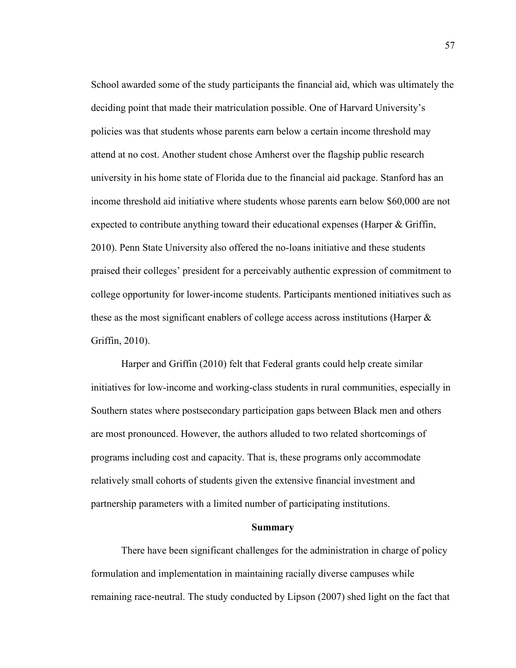School awarded some of the study participants the financial aid, which was ultimately the deciding point that made their matriculation possible. One of Harvard University's policies was that students whose parents earn below a certain income threshold may attend at no cost. Another student chose Amherst over the flagship public research university in his home state of Florida due to the financial aid package. Stanford has an income threshold aid initiative where students whose parents earn below \$60,000 are not expected to contribute anything toward their educational expenses (Harper & Griffin, 2010). Penn State University also offered the no-loans initiative and these students praised their colleges' president for a perceivably authentic expression of commitment to college opportunity for lower-income students. Participants mentioned initiatives such as these as the most significant enablers of college access across institutions (Harper & Griffin, 2010).

Harper and Griffin (2010) felt that Federal grants could help create similar initiatives for low-income and working-class students in rural communities, especially in Southern states where postsecondary participation gaps between Black men and others are most pronounced. However, the authors alluded to two related shortcomings of programs including cost and capacity. That is, these programs only accommodate relatively small cohorts of students given the extensive financial investment and partnership parameters with a limited number of participating institutions.

#### **Summary**

There have been significant challenges for the administration in charge of policy formulation and implementation in maintaining racially diverse campuses while remaining race-neutral. The study conducted by Lipson (2007) shed light on the fact that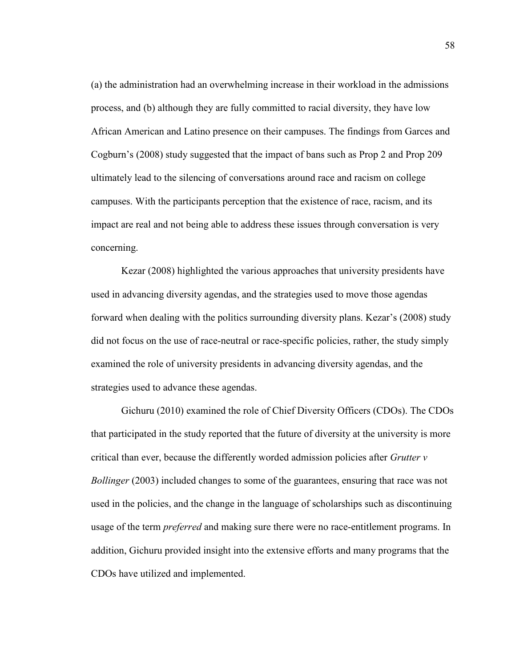(a) the administration had an overwhelming increase in their workload in the admissions process, and (b) although they are fully committed to racial diversity, they have low African American and Latino presence on their campuses. The findings from Garces and Cogburn's (2008) study suggested that the impact of bans such as Prop 2 and Prop 209 ultimately lead to the silencing of conversations around race and racism on college campuses. With the participants perception that the existence of race, racism, and its impact are real and not being able to address these issues through conversation is very concerning.

Kezar (2008) highlighted the various approaches that university presidents have used in advancing diversity agendas, and the strategies used to move those agendas forward when dealing with the politics surrounding diversity plans. Kezar's (2008) study did not focus on the use of race-neutral or race-specific policies, rather, the study simply examined the role of university presidents in advancing diversity agendas, and the strategies used to advance these agendas.

Gichuru (2010) examined the role of Chief Diversity Officers (CDOs). The CDOs that participated in the study reported that the future of diversity at the university is more critical than ever, because the differently worded admission policies after *Grutter v Bollinger* (2003) included changes to some of the guarantees, ensuring that race was not used in the policies, and the change in the language of scholarships such as discontinuing usage of the term *preferred* and making sure there were no race-entitlement programs. In addition, Gichuru provided insight into the extensive efforts and many programs that the CDOs have utilized and implemented.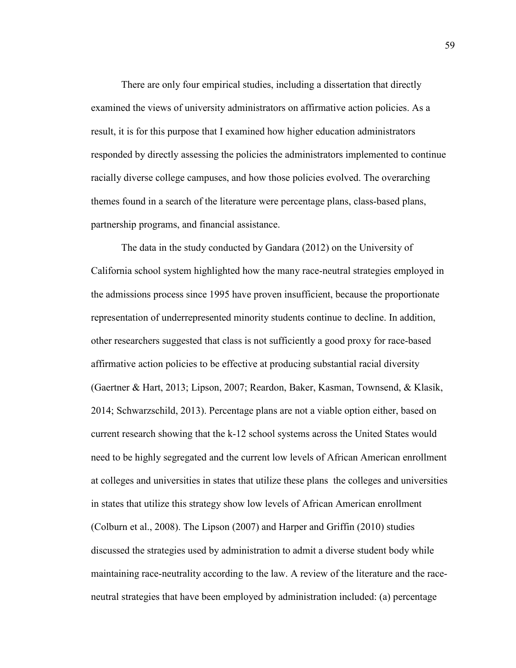There are only four empirical studies, including a dissertation that directly examined the views of university administrators on affirmative action policies. As a result, it is for this purpose that I examined how higher education administrators responded by directly assessing the policies the administrators implemented to continue racially diverse college campuses, and how those policies evolved. The overarching themes found in a search of the literature were percentage plans, class-based plans, partnership programs, and financial assistance.

The data in the study conducted by Gandara (2012) on the University of California school system highlighted how the many race-neutral strategies employed in the admissions process since 1995 have proven insufficient, because the proportionate representation of underrepresented minority students continue to decline. In addition, other researchers suggested that class is not sufficiently a good proxy for race-based affirmative action policies to be effective at producing substantial racial diversity (Gaertner & Hart, 2013; Lipson, 2007; Reardon, Baker, Kasman, Townsend, & Klasik, 2014; Schwarzschild, 2013). Percentage plans are not a viable option either, based on current research showing that the k-12 school systems across the United States would need to be highly segregated and the current low levels of African American enrollment at colleges and universities in states that utilize these plans the colleges and universities in states that utilize this strategy show low levels of African American enrollment (Colburn et al., 2008). The Lipson (2007) and Harper and Griffin (2010) studies discussed the strategies used by administration to admit a diverse student body while maintaining race-neutrality according to the law. A review of the literature and the raceneutral strategies that have been employed by administration included: (a) percentage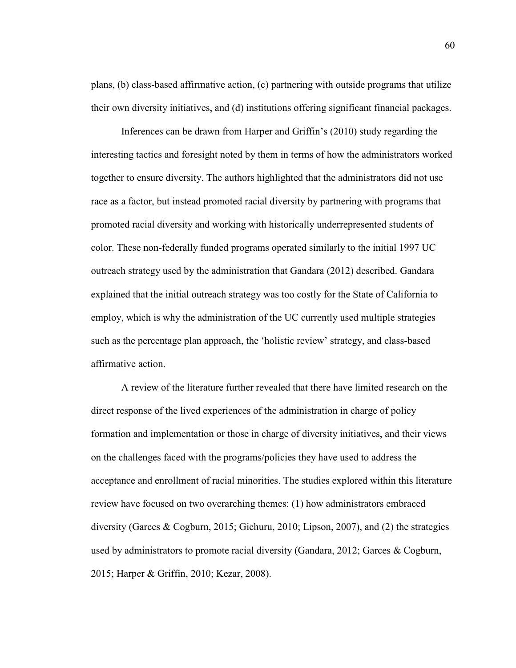plans, (b) class-based affirmative action, (c) partnering with outside programs that utilize their own diversity initiatives, and (d) institutions offering significant financial packages.

Inferences can be drawn from Harper and Griffin's (2010) study regarding the interesting tactics and foresight noted by them in terms of how the administrators worked together to ensure diversity. The authors highlighted that the administrators did not use race as a factor, but instead promoted racial diversity by partnering with programs that promoted racial diversity and working with historically underrepresented students of color. These non-federally funded programs operated similarly to the initial 1997 UC outreach strategy used by the administration that Gandara (2012) described. Gandara explained that the initial outreach strategy was too costly for the State of California to employ, which is why the administration of the UC currently used multiple strategies such as the percentage plan approach, the 'holistic review' strategy, and class-based affirmative action.

A review of the literature further revealed that there have limited research on the direct response of the lived experiences of the administration in charge of policy formation and implementation or those in charge of diversity initiatives, and their views on the challenges faced with the programs/policies they have used to address the acceptance and enrollment of racial minorities. The studies explored within this literature review have focused on two overarching themes: (1) how administrators embraced diversity (Garces & Cogburn, 2015; Gichuru, 2010; Lipson, 2007), and (2) the strategies used by administrators to promote racial diversity (Gandara, 2012; Garces & Cogburn, 2015; Harper & Griffin, 2010; Kezar, 2008).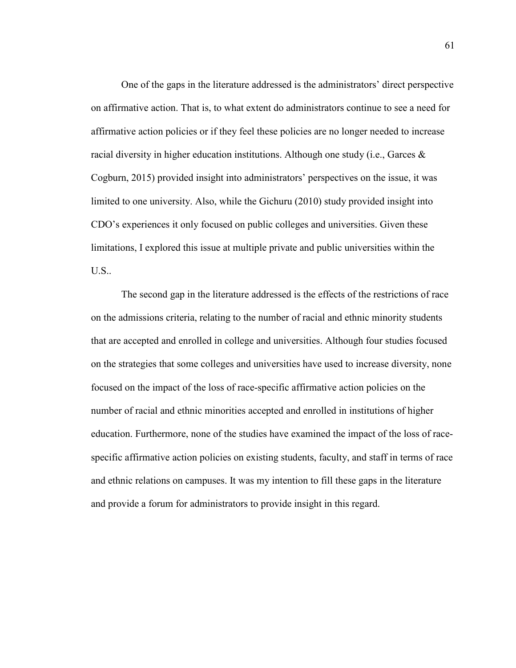One of the gaps in the literature addressed is the administrators' direct perspective on affirmative action. That is, to what extent do administrators continue to see a need for affirmative action policies or if they feel these policies are no longer needed to increase racial diversity in higher education institutions. Although one study (i.e., Garces  $\&$ Cogburn, 2015) provided insight into administrators' perspectives on the issue, it was limited to one university. Also, while the Gichuru (2010) study provided insight into CDO's experiences it only focused on public colleges and universities. Given these limitations, I explored this issue at multiple private and public universities within the U.S..

The second gap in the literature addressed is the effects of the restrictions of race on the admissions criteria, relating to the number of racial and ethnic minority students that are accepted and enrolled in college and universities. Although four studies focused on the strategies that some colleges and universities have used to increase diversity, none focused on the impact of the loss of race-specific affirmative action policies on the number of racial and ethnic minorities accepted and enrolled in institutions of higher education. Furthermore, none of the studies have examined the impact of the loss of racespecific affirmative action policies on existing students, faculty, and staff in terms of race and ethnic relations on campuses. It was my intention to fill these gaps in the literature and provide a forum for administrators to provide insight in this regard.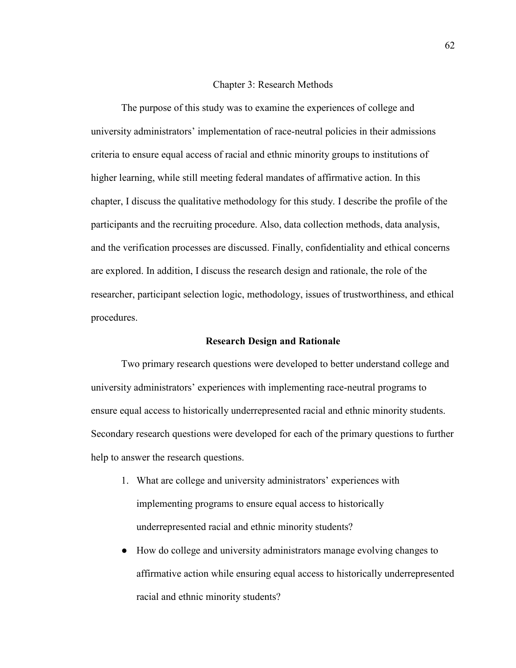#### Chapter 3: Research Methods

The purpose of this study was to examine the experiences of college and university administrators' implementation of race-neutral policies in their admissions criteria to ensure equal access of racial and ethnic minority groups to institutions of higher learning, while still meeting federal mandates of affirmative action. In this chapter, I discuss the qualitative methodology for this study. I describe the profile of the participants and the recruiting procedure. Also, data collection methods, data analysis, and the verification processes are discussed. Finally, confidentiality and ethical concerns are explored. In addition, I discuss the research design and rationale, the role of the researcher, participant selection logic, methodology, issues of trustworthiness, and ethical procedures.

#### **Research Design and Rationale**

Two primary research questions were developed to better understand college and university administrators' experiences with implementing race-neutral programs to ensure equal access to historically underrepresented racial and ethnic minority students. Secondary research questions were developed for each of the primary questions to further help to answer the research questions.

- 1. What are college and university administrators' experiences with implementing programs to ensure equal access to historically underrepresented racial and ethnic minority students?
- How do college and university administrators manage evolving changes to affirmative action while ensuring equal access to historically underrepresented racial and ethnic minority students?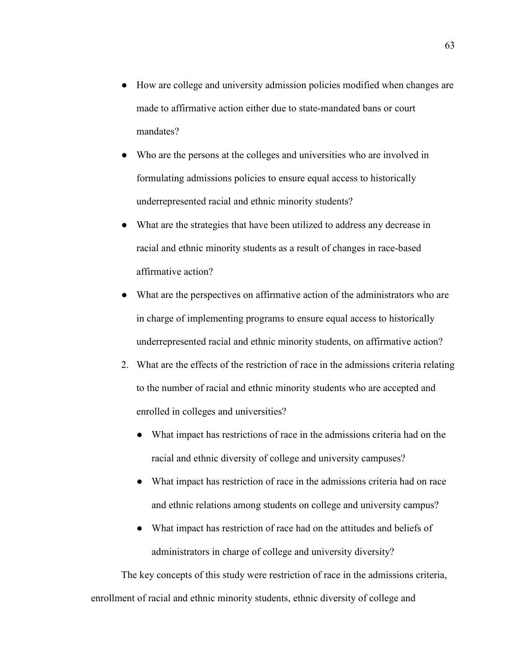- How are college and university admission policies modified when changes are made to affirmative action either due to state-mandated bans or court mandates?
- Who are the persons at the colleges and universities who are involved in formulating admissions policies to ensure equal access to historically underrepresented racial and ethnic minority students?
- What are the strategies that have been utilized to address any decrease in racial and ethnic minority students as a result of changes in race-based affirmative action?
- What are the perspectives on affirmative action of the administrators who are in charge of implementing programs to ensure equal access to historically underrepresented racial and ethnic minority students, on affirmative action?
- 2. What are the effects of the restriction of race in the admissions criteria relating to the number of racial and ethnic minority students who are accepted and enrolled in colleges and universities?
	- What impact has restrictions of race in the admissions criteria had on the racial and ethnic diversity of college and university campuses?
	- What impact has restriction of race in the admissions criteria had on race and ethnic relations among students on college and university campus?
	- What impact has restriction of race had on the attitudes and beliefs of administrators in charge of college and university diversity?

 The key concepts of this study were restriction of race in the admissions criteria, enrollment of racial and ethnic minority students, ethnic diversity of college and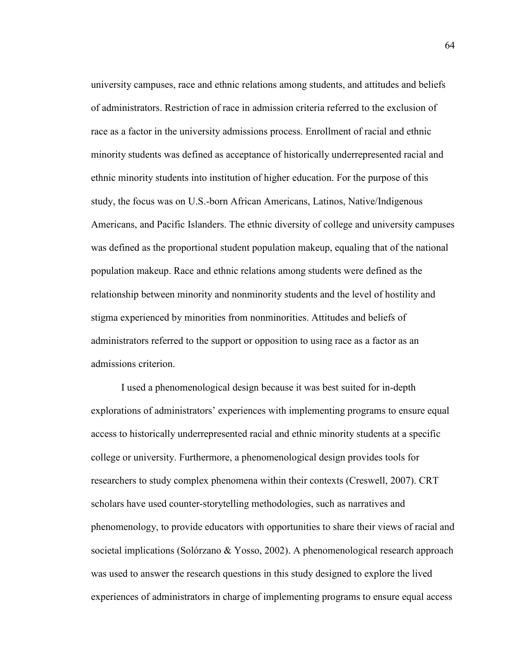university campuses, race and ethnic relations among students, and attitudes and beliefs of administrators. Restriction of race in admission criteria referred to the exclusion of race as a factor in the university admissions process. Enrollment of racial and ethnic minority students was defined as acceptance of historically underrepresented racial and ethnic minority students into institution of higher education. For the purpose of this study, the focus was on U.S.-born African Americans, Latinos, Native/Indigenous Americans, and Pacific Islanders. The ethnic diversity of college and university campuses was defined as the proportional student population makeup, equaling that of the national population makeup. Race and ethnic relations among students were defined as the relationship between minority and nonminority students and the level of hostility and stigma experienced by minorities from nonminorities. Attitudes and beliefs of administrators referred to the support or opposition to using race as a factor as an admissions criterion.

 I used a phenomenological design because it was best suited for in-depth explorations of administrators' experiences with implementing programs to ensure equal access to historically underrepresented racial and ethnic minority students at a specific college or university. Furthermore, a phenomenological design provides tools for researchers to study complex phenomena within their contexts (Creswell, 2007). CRT scholars have used counter-storytelling methodologies, such as narratives and phenomenology, to provide educators with opportunities to share their views of racial and societal implications (Solórzano & Yosso, 2002). A phenomenological research approach was used to answer the research questions in this study designed to explore the lived experiences of administrators in charge of implementing programs to ensure equal access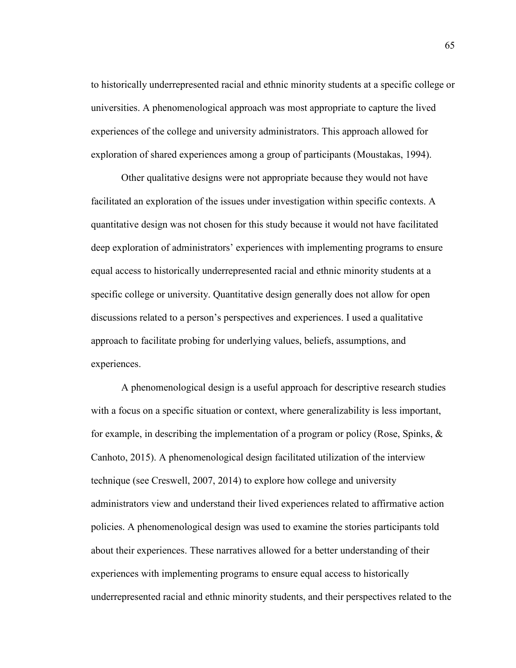to historically underrepresented racial and ethnic minority students at a specific college or universities. A phenomenological approach was most appropriate to capture the lived experiences of the college and university administrators. This approach allowed for exploration of shared experiences among a group of participants (Moustakas, 1994).

Other qualitative designs were not appropriate because they would not have facilitated an exploration of the issues under investigation within specific contexts. A quantitative design was not chosen for this study because it would not have facilitated deep exploration of administrators' experiences with implementing programs to ensure equal access to historically underrepresented racial and ethnic minority students at a specific college or university. Quantitative design generally does not allow for open discussions related to a person's perspectives and experiences. I used a qualitative approach to facilitate probing for underlying values, beliefs, assumptions, and experiences.

A phenomenological design is a useful approach for descriptive research studies with a focus on a specific situation or context, where generalizability is less important, for example, in describing the implementation of a program or policy (Rose, Spinks, & Canhoto, 2015). A phenomenological design facilitated utilization of the interview technique (see Creswell, 2007, 2014) to explore how college and university administrators view and understand their lived experiences related to affirmative action policies. A phenomenological design was used to examine the stories participants told about their experiences. These narratives allowed for a better understanding of their experiences with implementing programs to ensure equal access to historically underrepresented racial and ethnic minority students, and their perspectives related to the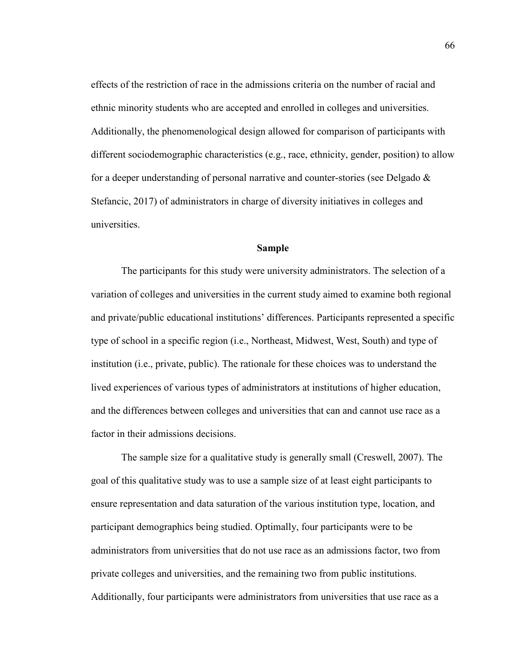effects of the restriction of race in the admissions criteria on the number of racial and ethnic minority students who are accepted and enrolled in colleges and universities. Additionally, the phenomenological design allowed for comparison of participants with different sociodemographic characteristics (e.g., race, ethnicity, gender, position) to allow for a deeper understanding of personal narrative and counter-stories (see Delgado  $\&$ Stefancic, 2017) of administrators in charge of diversity initiatives in colleges and universities.

#### **Sample**

The participants for this study were university administrators. The selection of a variation of colleges and universities in the current study aimed to examine both regional and private/public educational institutions' differences. Participants represented a specific type of school in a specific region (i.e., Northeast, Midwest, West, South) and type of institution (i.e., private, public). The rationale for these choices was to understand the lived experiences of various types of administrators at institutions of higher education, and the differences between colleges and universities that can and cannot use race as a factor in their admissions decisions.

The sample size for a qualitative study is generally small (Creswell, 2007). The goal of this qualitative study was to use a sample size of at least eight participants to ensure representation and data saturation of the various institution type, location, and participant demographics being studied. Optimally, four participants were to be administrators from universities that do not use race as an admissions factor, two from private colleges and universities, and the remaining two from public institutions. Additionally, four participants were administrators from universities that use race as a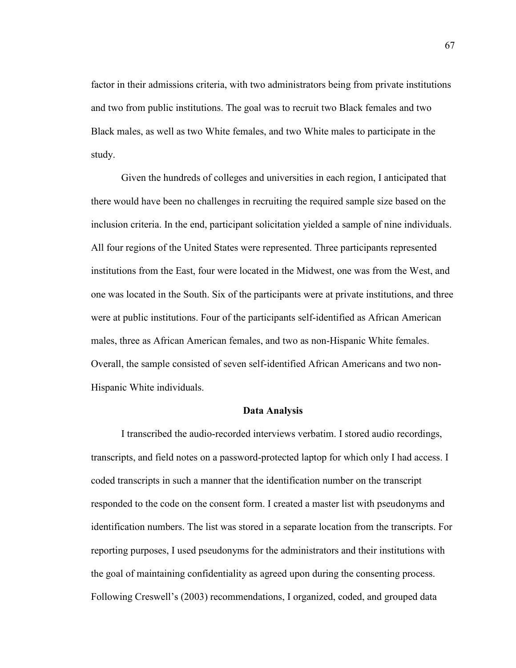factor in their admissions criteria, with two administrators being from private institutions and two from public institutions. The goal was to recruit two Black females and two Black males, as well as two White females, and two White males to participate in the study.

Given the hundreds of colleges and universities in each region, I anticipated that there would have been no challenges in recruiting the required sample size based on the inclusion criteria. In the end, participant solicitation yielded a sample of nine individuals. All four regions of the United States were represented. Three participants represented institutions from the East, four were located in the Midwest, one was from the West, and one was located in the South. Six of the participants were at private institutions, and three were at public institutions. Four of the participants self-identified as African American males, three as African American females, and two as non-Hispanic White females. Overall, the sample consisted of seven self-identified African Americans and two non-Hispanic White individuals.

#### **Data Analysis**

I transcribed the audio-recorded interviews verbatim. I stored audio recordings, transcripts, and field notes on a password-protected laptop for which only I had access. I coded transcripts in such a manner that the identification number on the transcript responded to the code on the consent form. I created a master list with pseudonyms and identification numbers. The list was stored in a separate location from the transcripts. For reporting purposes, I used pseudonyms for the administrators and their institutions with the goal of maintaining confidentiality as agreed upon during the consenting process. Following Creswell's (2003) recommendations, I organized, coded, and grouped data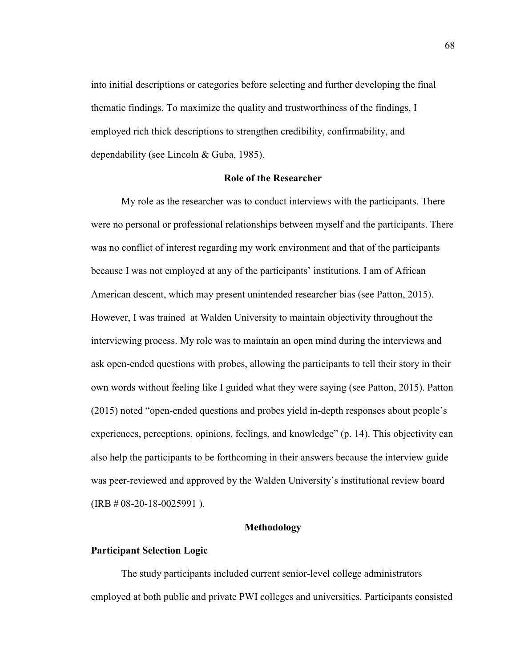into initial descriptions or categories before selecting and further developing the final thematic findings. To maximize the quality and trustworthiness of the findings, I employed rich thick descriptions to strengthen credibility, confirmability, and dependability (see Lincoln & Guba, 1985).

### **Role of the Researcher**

My role as the researcher was to conduct interviews with the participants. There were no personal or professional relationships between myself and the participants. There was no conflict of interest regarding my work environment and that of the participants because I was not employed at any of the participants' institutions. I am of African American descent, which may present unintended researcher bias (see Patton, 2015). However, I was trained at Walden University to maintain objectivity throughout the interviewing process. My role was to maintain an open mind during the interviews and ask open-ended questions with probes, allowing the participants to tell their story in their own words without feeling like I guided what they were saying (see Patton, 2015). Patton (2015) noted "open-ended questions and probes yield in-depth responses about people's experiences, perceptions, opinions, feelings, and knowledge" (p. 14). This objectivity can also help the participants to be forthcoming in their answers because the interview guide was peer-reviewed and approved by the Walden University's institutional review board  $(IRB # 08-20-18-0025991)$ .

### **Methodology**

#### **Participant Selection Logic**

The study participants included current senior-level college administrators employed at both public and private PWI colleges and universities. Participants consisted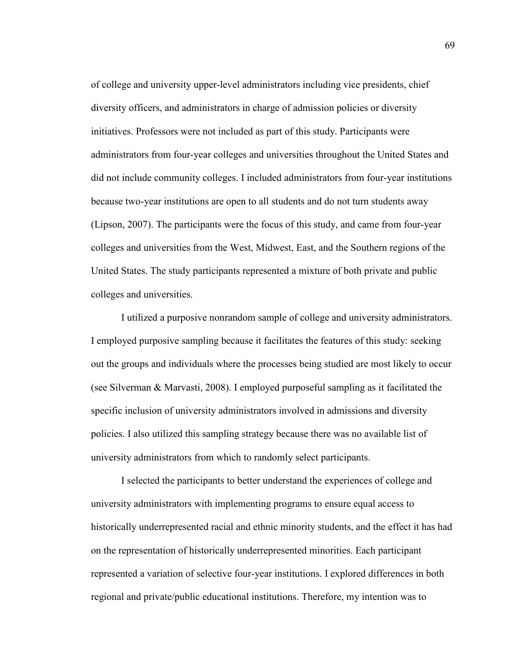of college and university upper-level administrators including vice presidents, chief diversity officers, and administrators in charge of admission policies or diversity initiatives. Professors were not included as part of this study. Participants were administrators from four-year colleges and universities throughout the United States and did not include community colleges. I included administrators from four-year institutions because two-year institutions are open to all students and do not turn students away (Lipson, 2007). The participants were the focus of this study, and came from four-year colleges and universities from the West, Midwest, East, and the Southern regions of the United States. The study participants represented a mixture of both private and public colleges and universities.

I utilized a purposive nonrandom sample of college and university administrators. I employed purposive sampling because it facilitates the features of this study: seeking out the groups and individuals where the processes being studied are most likely to occur (see Silverman & Marvasti, 2008). I employed purposeful sampling as it facilitated the specific inclusion of university administrators involved in admissions and diversity policies. I also utilized this sampling strategy because there was no available list of university administrators from which to randomly select participants.

I selected the participants to better understand the experiences of college and university administrators with implementing programs to ensure equal access to historically underrepresented racial and ethnic minority students, and the effect it has had on the representation of historically underrepresented minorities. Each participant represented a variation of selective four-year institutions. I explored differences in both regional and private/public educational institutions. Therefore, my intention was to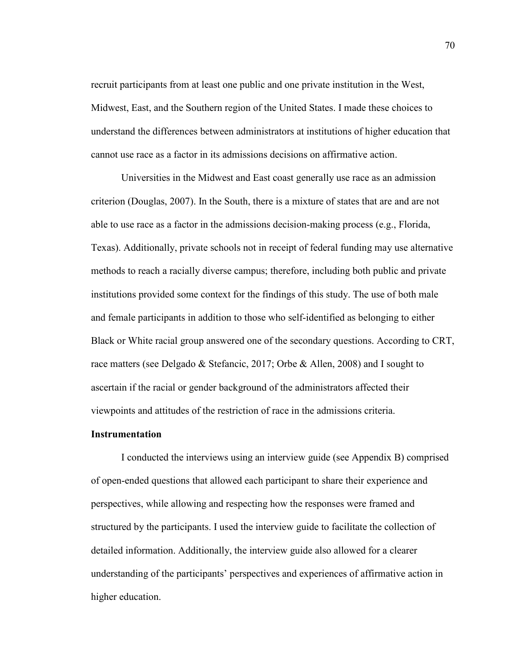recruit participants from at least one public and one private institution in the West, Midwest, East, and the Southern region of the United States. I made these choices to understand the differences between administrators at institutions of higher education that cannot use race as a factor in its admissions decisions on affirmative action.

Universities in the Midwest and East coast generally use race as an admission criterion (Douglas, 2007). In the South, there is a mixture of states that are and are not able to use race as a factor in the admissions decision-making process (e.g., Florida, Texas). Additionally, private schools not in receipt of federal funding may use alternative methods to reach a racially diverse campus; therefore, including both public and private institutions provided some context for the findings of this study. The use of both male and female participants in addition to those who self-identified as belonging to either Black or White racial group answered one of the secondary questions. According to CRT, race matters (see Delgado & Stefancic, 2017; Orbe & Allen, 2008) and I sought to ascertain if the racial or gender background of the administrators affected their viewpoints and attitudes of the restriction of race in the admissions criteria.

#### **Instrumentation**

 I conducted the interviews using an interview guide (see Appendix B) comprised of open-ended questions that allowed each participant to share their experience and perspectives, while allowing and respecting how the responses were framed and structured by the participants. I used the interview guide to facilitate the collection of detailed information. Additionally, the interview guide also allowed for a clearer understanding of the participants' perspectives and experiences of affirmative action in higher education.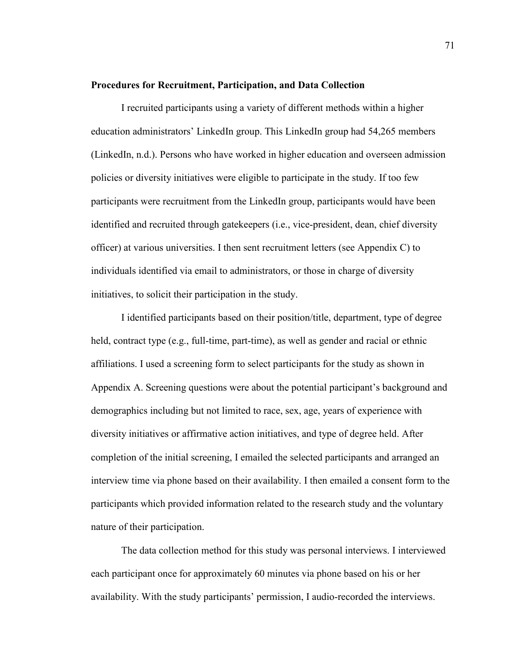#### **Procedures for Recruitment, Participation, and Data Collection**

I recruited participants using a variety of different methods within a higher education administrators' LinkedIn group. This LinkedIn group had 54,265 members (LinkedIn, n.d.). Persons who have worked in higher education and overseen admission policies or diversity initiatives were eligible to participate in the study. If too few participants were recruitment from the LinkedIn group, participants would have been identified and recruited through gatekeepers (i.e., vice-president, dean, chief diversity officer) at various universities. I then sent recruitment letters (see Appendix C) to individuals identified via email to administrators, or those in charge of diversity initiatives, to solicit their participation in the study.

I identified participants based on their position/title, department, type of degree held, contract type (e.g., full-time, part-time), as well as gender and racial or ethnic affiliations. I used a screening form to select participants for the study as shown in Appendix A. Screening questions were about the potential participant's background and demographics including but not limited to race, sex, age, years of experience with diversity initiatives or affirmative action initiatives, and type of degree held. After completion of the initial screening, I emailed the selected participants and arranged an interview time via phone based on their availability. I then emailed a consent form to the participants which provided information related to the research study and the voluntary nature of their participation.

The data collection method for this study was personal interviews. I interviewed each participant once for approximately 60 minutes via phone based on his or her availability. With the study participants' permission, I audio-recorded the interviews.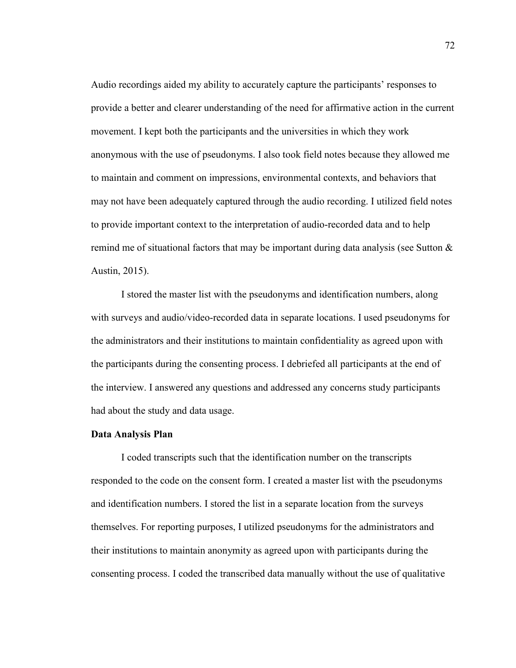Audio recordings aided my ability to accurately capture the participants' responses to provide a better and clearer understanding of the need for affirmative action in the current movement. I kept both the participants and the universities in which they work anonymous with the use of pseudonyms. I also took field notes because they allowed me to maintain and comment on impressions, environmental contexts, and behaviors that may not have been adequately captured through the audio recording. I utilized field notes to provide important context to the interpretation of audio-recorded data and to help remind me of situational factors that may be important during data analysis (see Sutton  $\&$ Austin, 2015).

I stored the master list with the pseudonyms and identification numbers, along with surveys and audio/video-recorded data in separate locations. I used pseudonyms for the administrators and their institutions to maintain confidentiality as agreed upon with the participants during the consenting process. I debriefed all participants at the end of the interview. I answered any questions and addressed any concerns study participants had about the study and data usage.

### **Data Analysis Plan**

I coded transcripts such that the identification number on the transcripts responded to the code on the consent form. I created a master list with the pseudonyms and identification numbers. I stored the list in a separate location from the surveys themselves. For reporting purposes, I utilized pseudonyms for the administrators and their institutions to maintain anonymity as agreed upon with participants during the consenting process. I coded the transcribed data manually without the use of qualitative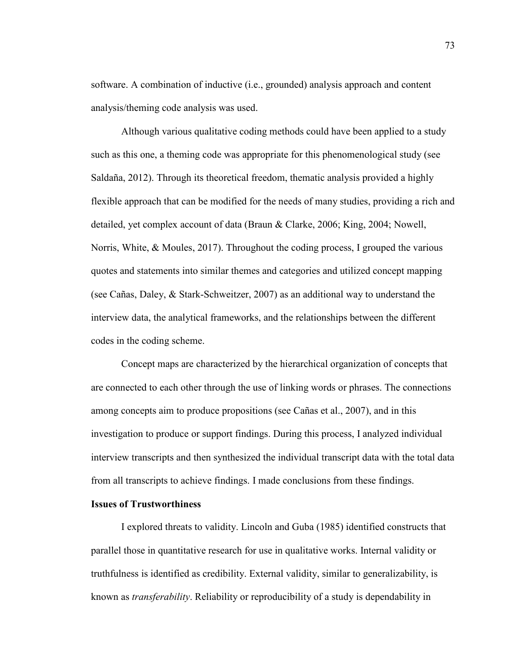software. A combination of inductive (i.e., grounded) analysis approach and content analysis/theming code analysis was used.

Although various qualitative coding methods could have been applied to a study such as this one, a theming code was appropriate for this phenomenological study (see Saldaña, 2012). Through its theoretical freedom, thematic analysis provided a highly flexible approach that can be modified for the needs of many studies, providing a rich and detailed, yet complex account of data (Braun & Clarke, 2006; King, 2004; Nowell, Norris, White, & Moules, 2017). Throughout the coding process, I grouped the various quotes and statements into similar themes and categories and utilized concept mapping (see Cañas, Daley, & Stark-Schweitzer, 2007) as an additional way to understand the interview data, the analytical frameworks, and the relationships between the different codes in the coding scheme.

Concept maps are characterized by the hierarchical organization of concepts that are connected to each other through the use of linking words or phrases. The connections among concepts aim to produce propositions (see Cañas et al., 2007), and in this investigation to produce or support findings. During this process, I analyzed individual interview transcripts and then synthesized the individual transcript data with the total data from all transcripts to achieve findings. I made conclusions from these findings.

## **Issues of Trustworthiness**

I explored threats to validity. Lincoln and Guba (1985) identified constructs that parallel those in quantitative research for use in qualitative works. Internal validity or truthfulness is identified as credibility. External validity, similar to generalizability, is known as *transferability*. Reliability or reproducibility of a study is dependability in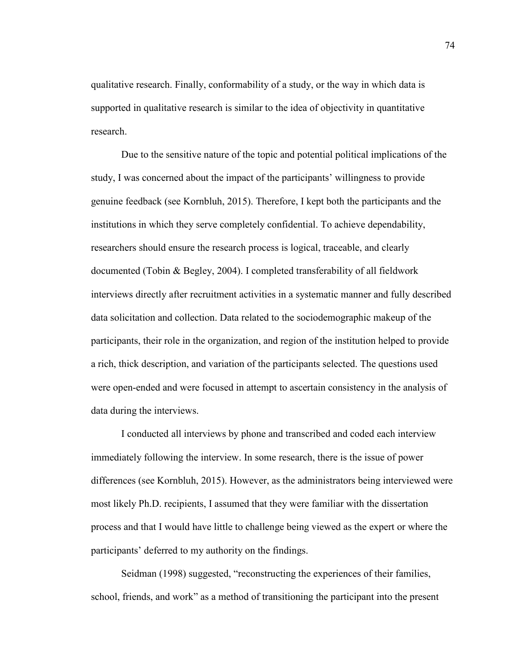qualitative research. Finally, conformability of a study, or the way in which data is supported in qualitative research is similar to the idea of objectivity in quantitative research.

Due to the sensitive nature of the topic and potential political implications of the study, I was concerned about the impact of the participants' willingness to provide genuine feedback (see Kornbluh, 2015). Therefore, I kept both the participants and the institutions in which they serve completely confidential. To achieve dependability, researchers should ensure the research process is logical, traceable, and clearly documented (Tobin & Begley, 2004). I completed transferability of all fieldwork interviews directly after recruitment activities in a systematic manner and fully described data solicitation and collection. Data related to the sociodemographic makeup of the participants, their role in the organization, and region of the institution helped to provide a rich, thick description, and variation of the participants selected. The questions used were open-ended and were focused in attempt to ascertain consistency in the analysis of data during the interviews.

I conducted all interviews by phone and transcribed and coded each interview immediately following the interview. In some research, there is the issue of power differences (see Kornbluh, 2015). However, as the administrators being interviewed were most likely Ph.D. recipients, I assumed that they were familiar with the dissertation process and that I would have little to challenge being viewed as the expert or where the participants' deferred to my authority on the findings.

Seidman (1998) suggested, "reconstructing the experiences of their families, school, friends, and work" as a method of transitioning the participant into the present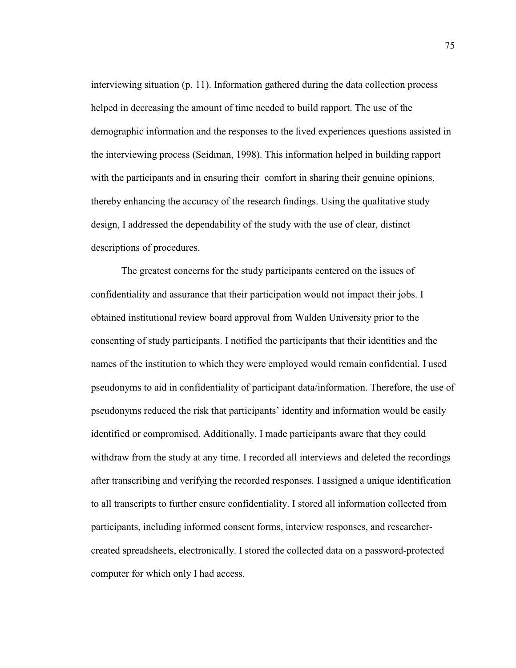interviewing situation (p. 11). Information gathered during the data collection process helped in decreasing the amount of time needed to build rapport. The use of the demographic information and the responses to the lived experiences questions assisted in the interviewing process (Seidman, 1998). This information helped in building rapport with the participants and in ensuring their comfort in sharing their genuine opinions, thereby enhancing the accuracy of the research findings. Using the qualitative study design, I addressed the dependability of the study with the use of clear, distinct descriptions of procedures.

The greatest concerns for the study participants centered on the issues of confidentiality and assurance that their participation would not impact their jobs. I obtained institutional review board approval from Walden University prior to the consenting of study participants. I notified the participants that their identities and the names of the institution to which they were employed would remain confidential. I used pseudonyms to aid in confidentiality of participant data/information. Therefore, the use of pseudonyms reduced the risk that participants' identity and information would be easily identified or compromised. Additionally, I made participants aware that they could withdraw from the study at any time. I recorded all interviews and deleted the recordings after transcribing and verifying the recorded responses. I assigned a unique identification to all transcripts to further ensure confidentiality. I stored all information collected from participants, including informed consent forms, interview responses, and researchercreated spreadsheets, electronically. I stored the collected data on a password-protected computer for which only I had access.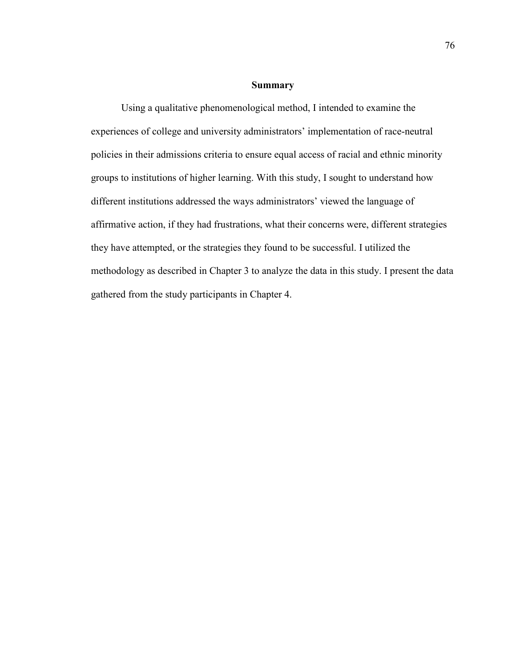## **Summary**

Using a qualitative phenomenological method, I intended to examine the experiences of college and university administrators' implementation of race-neutral policies in their admissions criteria to ensure equal access of racial and ethnic minority groups to institutions of higher learning. With this study, I sought to understand how different institutions addressed the ways administrators' viewed the language of affirmative action, if they had frustrations, what their concerns were, different strategies they have attempted, or the strategies they found to be successful. I utilized the methodology as described in Chapter 3 to analyze the data in this study. I present the data gathered from the study participants in Chapter 4.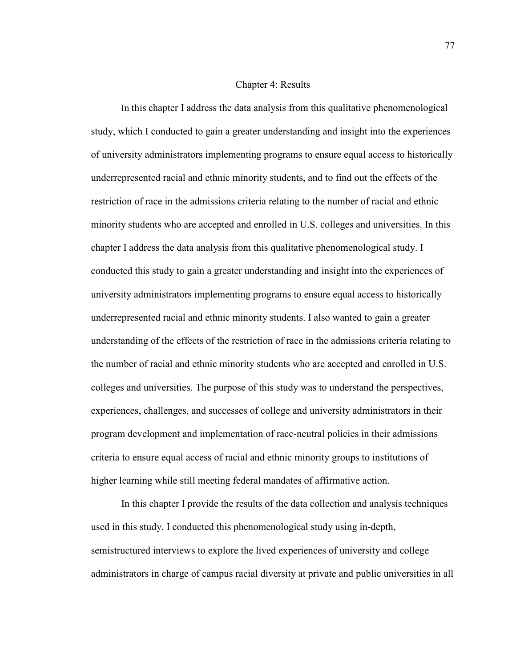#### Chapter 4: Results

In this chapter I address the data analysis from this qualitative phenomenological study, which I conducted to gain a greater understanding and insight into the experiences of university administrators implementing programs to ensure equal access to historically underrepresented racial and ethnic minority students, and to find out the effects of the restriction of race in the admissions criteria relating to the number of racial and ethnic minority students who are accepted and enrolled in U.S. colleges and universities. In this chapter I address the data analysis from this qualitative phenomenological study. I conducted this study to gain a greater understanding and insight into the experiences of university administrators implementing programs to ensure equal access to historically underrepresented racial and ethnic minority students. I also wanted to gain a greater understanding of the effects of the restriction of race in the admissions criteria relating to the number of racial and ethnic minority students who are accepted and enrolled in U.S. colleges and universities. The purpose of this study was to understand the perspectives, experiences, challenges, and successes of college and university administrators in their program development and implementation of race-neutral policies in their admissions criteria to ensure equal access of racial and ethnic minority groups to institutions of higher learning while still meeting federal mandates of affirmative action.

In this chapter I provide the results of the data collection and analysis techniques used in this study. I conducted this phenomenological study using in-depth, semistructured interviews to explore the lived experiences of university and college administrators in charge of campus racial diversity at private and public universities in all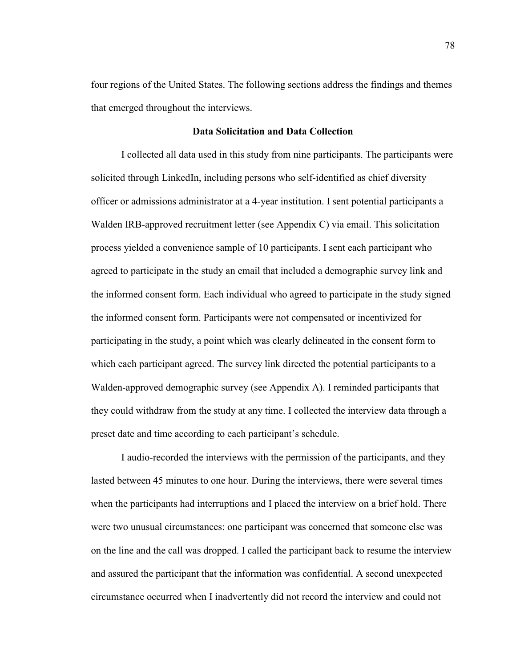four regions of the United States. The following sections address the findings and themes that emerged throughout the interviews.

## **Data Solicitation and Data Collection**

I collected all data used in this study from nine participants. The participants were solicited through LinkedIn, including persons who self-identified as chief diversity officer or admissions administrator at a 4-year institution. I sent potential participants a Walden IRB-approved recruitment letter (see Appendix C) via email. This solicitation process yielded a convenience sample of 10 participants. I sent each participant who agreed to participate in the study an email that included a demographic survey link and the informed consent form. Each individual who agreed to participate in the study signed the informed consent form. Participants were not compensated or incentivized for participating in the study, a point which was clearly delineated in the consent form to which each participant agreed. The survey link directed the potential participants to a Walden-approved demographic survey (see Appendix A). I reminded participants that they could withdraw from the study at any time. I collected the interview data through a preset date and time according to each participant's schedule.

I audio-recorded the interviews with the permission of the participants, and they lasted between 45 minutes to one hour. During the interviews, there were several times when the participants had interruptions and I placed the interview on a brief hold. There were two unusual circumstances: one participant was concerned that someone else was on the line and the call was dropped. I called the participant back to resume the interview and assured the participant that the information was confidential. A second unexpected circumstance occurred when I inadvertently did not record the interview and could not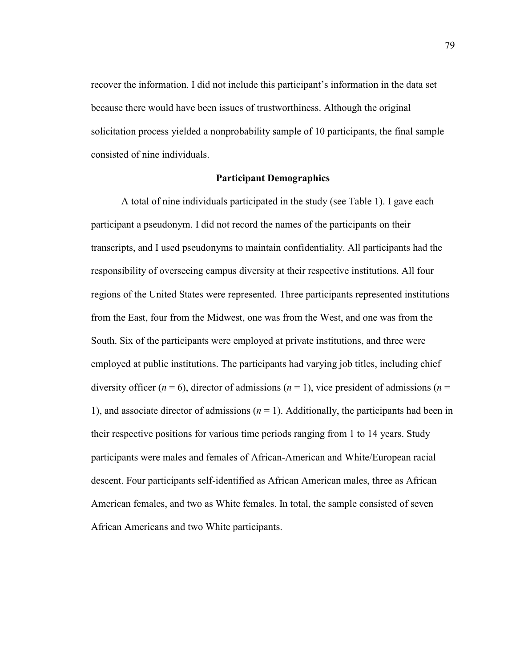recover the information. I did not include this participant's information in the data set because there would have been issues of trustworthiness. Although the original solicitation process yielded a nonprobability sample of 10 participants, the final sample consisted of nine individuals.

## **Participant Demographics**

A total of nine individuals participated in the study (see Table 1). I gave each participant a pseudonym. I did not record the names of the participants on their transcripts, and I used pseudonyms to maintain confidentiality. All participants had the responsibility of overseeing campus diversity at their respective institutions. All four regions of the United States were represented. Three participants represented institutions from the East, four from the Midwest, one was from the West, and one was from the South. Six of the participants were employed at private institutions, and three were employed at public institutions. The participants had varying job titles, including chief diversity officer ( $n = 6$ ), director of admissions ( $n = 1$ ), vice president of admissions ( $n = 1$ ) 1), and associate director of admissions  $(n = 1)$ . Additionally, the participants had been in their respective positions for various time periods ranging from 1 to 14 years. Study participants were males and females of African-American and White/European racial descent. Four participants self-identified as African American males, three as African American females, and two as White females. In total, the sample consisted of seven African Americans and two White participants.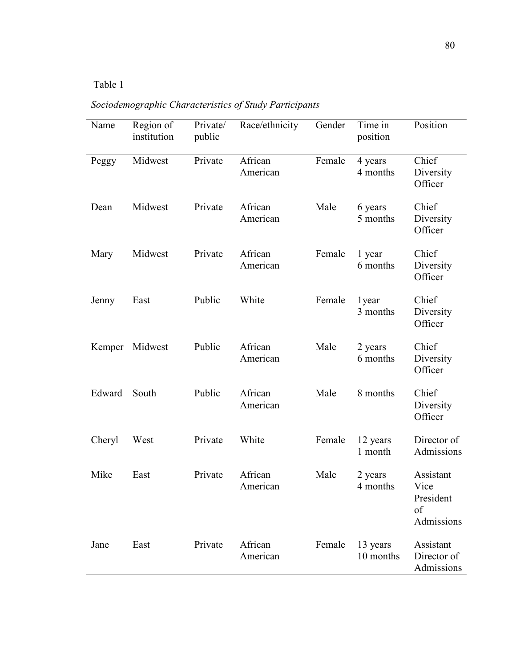## Table 1

# *Sociodemographic Characteristics of Study Participants*

| Name   | Region of<br>institution | Private/<br>public | Race/ethnicity      | Gender | Time in<br>position   | Position                                           |
|--------|--------------------------|--------------------|---------------------|--------|-----------------------|----------------------------------------------------|
| Peggy  | Midwest                  | Private            | African<br>American | Female | 4 years<br>4 months   | Chief<br>Diversity<br>Officer                      |
| Dean   | Midwest                  | Private            | African<br>American | Male   | 6 years<br>5 months   | Chief<br>Diversity<br>Officer                      |
| Mary   | Midwest                  | Private            | African<br>American | Female | 1 year<br>6 months    | Chief<br>Diversity<br>Officer                      |
| Jenny  | East                     | Public             | White               | Female | 1year<br>3 months     | Chief<br>Diversity<br>Officer                      |
| Kemper | Midwest                  | Public             | African<br>American | Male   | 2 years<br>6 months   | Chief<br>Diversity<br>Officer                      |
| Edward | South                    | Public             | African<br>American | Male   | 8 months              | Chief<br>Diversity<br>Officer                      |
| Cheryl | West                     | Private            | White               | Female | 12 years<br>1 month   | Director of<br>Admissions                          |
| Mike   | East                     | Private            | African<br>American | Male   | 2 years<br>4 months   | Assistant<br>Vice<br>President<br>of<br>Admissions |
| Jane   | East                     | Private            | African<br>American | Female | 13 years<br>10 months | Assistant<br>Director of<br>Admissions             |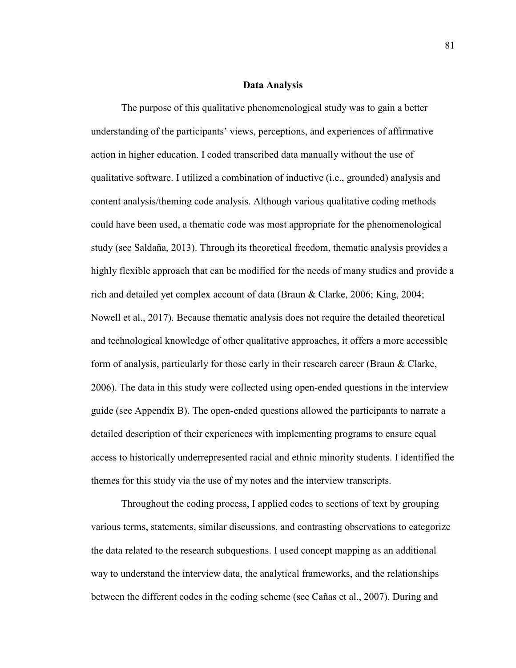### **Data Analysis**

The purpose of this qualitative phenomenological study was to gain a better understanding of the participants' views, perceptions, and experiences of affirmative action in higher education. I coded transcribed data manually without the use of qualitative software. I utilized a combination of inductive (i.e., grounded) analysis and content analysis/theming code analysis. Although various qualitative coding methods could have been used, a thematic code was most appropriate for the phenomenological study (see Saldaña, 2013). Through its theoretical freedom, thematic analysis provides a highly flexible approach that can be modified for the needs of many studies and provide a rich and detailed yet complex account of data (Braun & Clarke, 2006; King, 2004; Nowell et al., 2017). Because thematic analysis does not require the detailed theoretical and technological knowledge of other qualitative approaches, it offers a more accessible form of analysis, particularly for those early in their research career (Braun & Clarke, 2006). The data in this study were collected using open-ended questions in the interview guide (see Appendix B). The open-ended questions allowed the participants to narrate a detailed description of their experiences with implementing programs to ensure equal access to historically underrepresented racial and ethnic minority students. I identified the themes for this study via the use of my notes and the interview transcripts.

Throughout the coding process, I applied codes to sections of text by grouping various terms, statements, similar discussions, and contrasting observations to categorize the data related to the research subquestions. I used concept mapping as an additional way to understand the interview data, the analytical frameworks, and the relationships between the different codes in the coding scheme (see Cañas et al., 2007). During and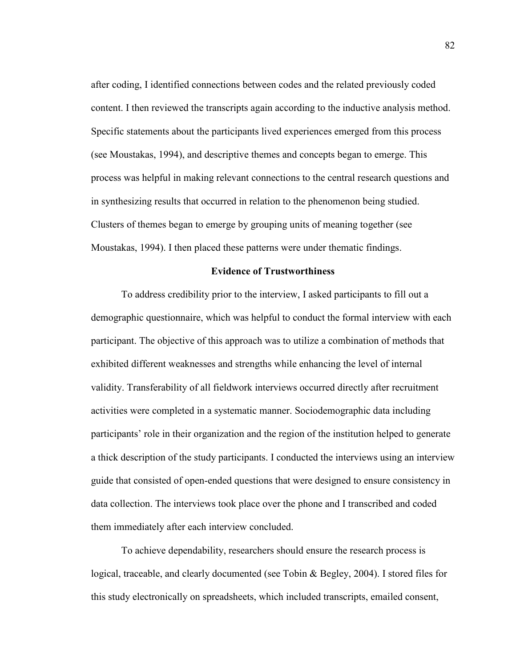after coding, I identified connections between codes and the related previously coded content. I then reviewed the transcripts again according to the inductive analysis method. Specific statements about the participants lived experiences emerged from this process (see Moustakas, 1994), and descriptive themes and concepts began to emerge. This process was helpful in making relevant connections to the central research questions and in synthesizing results that occurred in relation to the phenomenon being studied. Clusters of themes began to emerge by grouping units of meaning together (see Moustakas, 1994). I then placed these patterns were under thematic findings.

## **Evidence of Trustworthiness**

To address credibility prior to the interview, I asked participants to fill out a demographic questionnaire, which was helpful to conduct the formal interview with each participant. The objective of this approach was to utilize a combination of methods that exhibited different weaknesses and strengths while enhancing the level of internal validity. Transferability of all fieldwork interviews occurred directly after recruitment activities were completed in a systematic manner. Sociodemographic data including participants' role in their organization and the region of the institution helped to generate a thick description of the study participants. I conducted the interviews using an interview guide that consisted of open-ended questions that were designed to ensure consistency in data collection. The interviews took place over the phone and I transcribed and coded them immediately after each interview concluded.

To achieve dependability, researchers should ensure the research process is logical, traceable, and clearly documented (see Tobin & Begley, 2004). I stored files for this study electronically on spreadsheets, which included transcripts, emailed consent,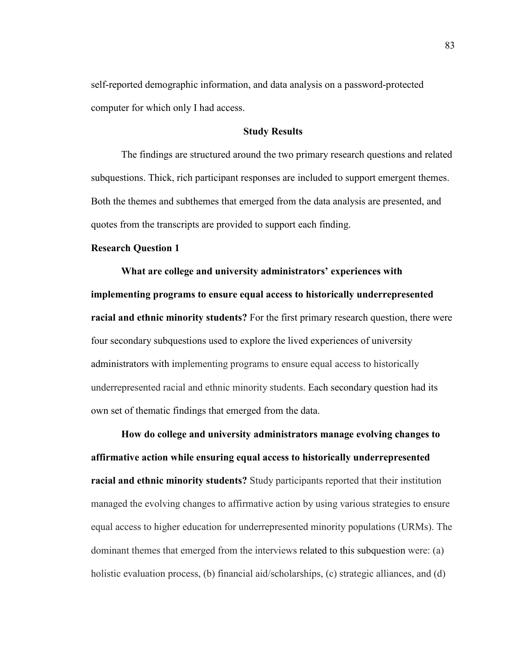self-reported demographic information, and data analysis on a password-protected computer for which only I had access.

## **Study Results**

 The findings are structured around the two primary research questions and related subquestions. Thick, rich participant responses are included to support emergent themes. Both the themes and subthemes that emerged from the data analysis are presented, and quotes from the transcripts are provided to support each finding.

## **Research Question 1**

**What are college and university administrators' experiences with implementing programs to ensure equal access to historically underrepresented racial and ethnic minority students?** For the first primary research question, there were four secondary subquestions used to explore the lived experiences of university administrators with implementing programs to ensure equal access to historically underrepresented racial and ethnic minority students. Each secondary question had its own set of thematic findings that emerged from the data.

**How do college and university administrators manage evolving changes to affirmative action while ensuring equal access to historically underrepresented racial and ethnic minority students?** Study participants reported that their institution managed the evolving changes to affirmative action by using various strategies to ensure equal access to higher education for underrepresented minority populations (URMs). The dominant themes that emerged from the interviews related to this subquestion were: (a) holistic evaluation process, (b) financial aid/scholarships, (c) strategic alliances, and (d)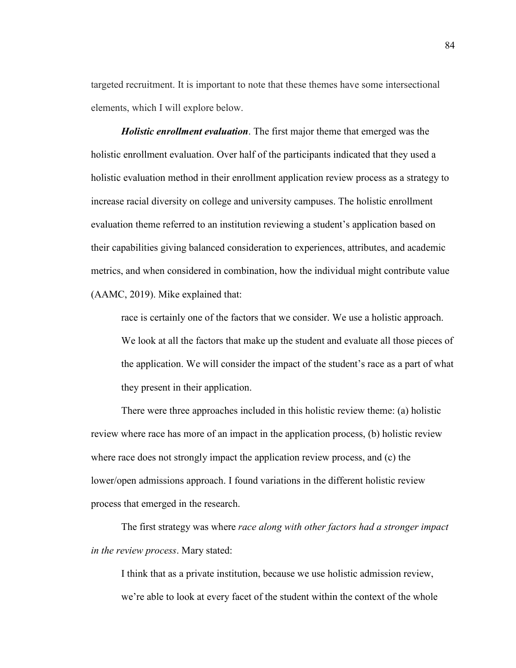targeted recruitment. It is important to note that these themes have some intersectional elements, which I will explore below.

*Holistic enrollment evaluation*. The first major theme that emerged was the holistic enrollment evaluation. Over half of the participants indicated that they used a holistic evaluation method in their enrollment application review process as a strategy to increase racial diversity on college and university campuses. The holistic enrollment evaluation theme referred to an institution reviewing a student's application based on their capabilities giving balanced consideration to experiences, attributes, and academic metrics, and when considered in combination, how the individual might contribute value (AAMC, 2019). Mike explained that:

race is certainly one of the factors that we consider. We use a holistic approach. We look at all the factors that make up the student and evaluate all those pieces of the application. We will consider the impact of the student's race as a part of what they present in their application.

There were three approaches included in this holistic review theme: (a) holistic review where race has more of an impact in the application process, (b) holistic review where race does not strongly impact the application review process, and (c) the lower/open admissions approach. I found variations in the different holistic review process that emerged in the research.

The first strategy was where *race along with other factors had a stronger impact in the review process*. Mary stated:

I think that as a private institution, because we use holistic admission review, we're able to look at every facet of the student within the context of the whole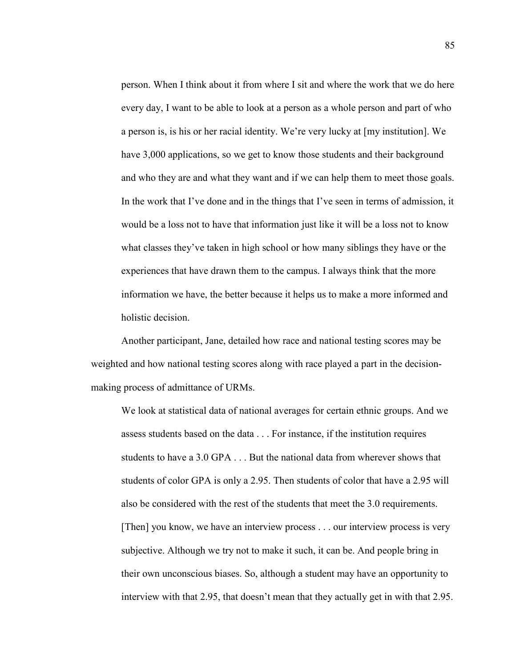person. When I think about it from where I sit and where the work that we do here every day, I want to be able to look at a person as a whole person and part of who a person is, is his or her racial identity. We're very lucky at [my institution]. We have 3,000 applications, so we get to know those students and their background and who they are and what they want and if we can help them to meet those goals. In the work that I've done and in the things that I've seen in terms of admission, it would be a loss not to have that information just like it will be a loss not to know what classes they've taken in high school or how many siblings they have or the experiences that have drawn them to the campus. I always think that the more information we have, the better because it helps us to make a more informed and holistic decision.

 Another participant, Jane, detailed how race and national testing scores may be weighted and how national testing scores along with race played a part in the decisionmaking process of admittance of URMs.

We look at statistical data of national averages for certain ethnic groups. And we assess students based on the data . . . For instance, if the institution requires students to have a 3.0 GPA . . . But the national data from wherever shows that students of color GPA is only a 2.95. Then students of color that have a 2.95 will also be considered with the rest of the students that meet the 3.0 requirements. [Then] you know, we have an interview process . . . our interview process is very subjective. Although we try not to make it such, it can be. And people bring in their own unconscious biases. So, although a student may have an opportunity to interview with that 2.95, that doesn't mean that they actually get in with that 2.95.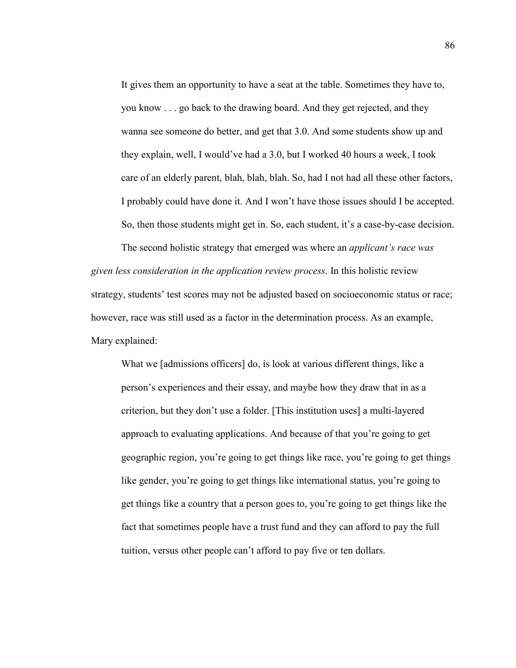It gives them an opportunity to have a seat at the table. Sometimes they have to, you know . . . go back to the drawing board. And they get rejected, and they wanna see someone do better, and get that 3.0. And some students show up and they explain, well, I would've had a 3.0, but I worked 40 hours a week, I took care of an elderly parent, blah, blah, blah. So, had I not had all these other factors, I probably could have done it. And I won't have those issues should I be accepted. So, then those students might get in. So, each student, it's a case-by-case decision.

The second holistic strategy that emerged was where an *applicant's race was given less consideration in the application review process*. In this holistic review strategy, students' test scores may not be adjusted based on socioeconomic status or race; however, race was still used as a factor in the determination process. As an example, Mary explained:

What we [admissions officers] do, is look at various different things, like a person's experiences and their essay, and maybe how they draw that in as a criterion, but they don't use a folder. [This institution uses] a multi-layered approach to evaluating applications. And because of that you're going to get geographic region, you're going to get things like race, you're going to get things like gender, you're going to get things like international status, you're going to get things like a country that a person goes to, you're going to get things like the fact that sometimes people have a trust fund and they can afford to pay the full tuition, versus other people can't afford to pay five or ten dollars.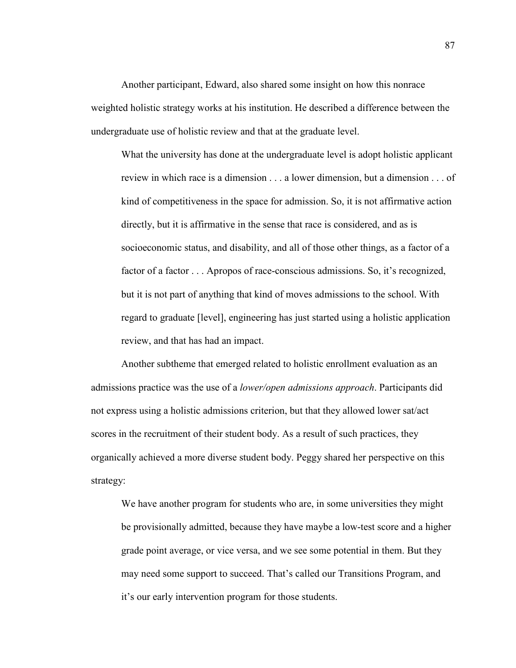Another participant, Edward, also shared some insight on how this nonrace weighted holistic strategy works at his institution. He described a difference between the undergraduate use of holistic review and that at the graduate level.

What the university has done at the undergraduate level is adopt holistic applicant review in which race is a dimension . . . a lower dimension, but a dimension . . . of kind of competitiveness in the space for admission. So, it is not affirmative action directly, but it is affirmative in the sense that race is considered, and as is socioeconomic status, and disability, and all of those other things, as a factor of a factor of a factor . . . Apropos of race-conscious admissions. So, it's recognized, but it is not part of anything that kind of moves admissions to the school. With regard to graduate [level], engineering has just started using a holistic application review, and that has had an impact.

Another subtheme that emerged related to holistic enrollment evaluation as an admissions practice was the use of a *lower/open admissions approach*. Participants did not express using a holistic admissions criterion, but that they allowed lower sat/act scores in the recruitment of their student body. As a result of such practices, they organically achieved a more diverse student body. Peggy shared her perspective on this strategy:

We have another program for students who are, in some universities they might be provisionally admitted, because they have maybe a low-test score and a higher grade point average, or vice versa, and we see some potential in them. But they may need some support to succeed. That's called our Transitions Program, and it's our early intervention program for those students.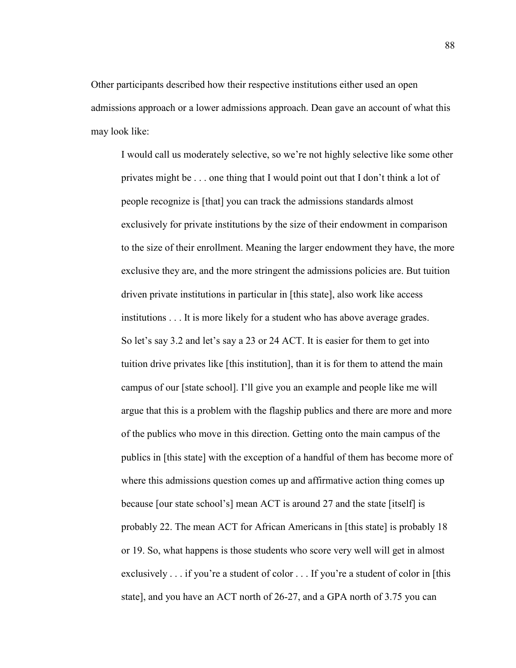Other participants described how their respective institutions either used an open admissions approach or a lower admissions approach. Dean gave an account of what this may look like:

I would call us moderately selective, so we're not highly selective like some other privates might be . . . one thing that I would point out that I don't think a lot of people recognize is [that] you can track the admissions standards almost exclusively for private institutions by the size of their endowment in comparison to the size of their enrollment. Meaning the larger endowment they have, the more exclusive they are, and the more stringent the admissions policies are. But tuition driven private institutions in particular in [this state], also work like access institutions . . . It is more likely for a student who has above average grades. So let's say 3.2 and let's say a 23 or 24 ACT. It is easier for them to get into tuition drive privates like [this institution], than it is for them to attend the main campus of our [state school]. I'll give you an example and people like me will argue that this is a problem with the flagship publics and there are more and more of the publics who move in this direction. Getting onto the main campus of the publics in [this state] with the exception of a handful of them has become more of where this admissions question comes up and affirmative action thing comes up because [our state school's] mean ACT is around 27 and the state [itself] is probably 22. The mean ACT for African Americans in [this state] is probably 18 or 19. So, what happens is those students who score very well will get in almost exclusively . . . if you're a student of color . . . If you're a student of color in [this state], and you have an ACT north of 26-27, and a GPA north of 3.75 you can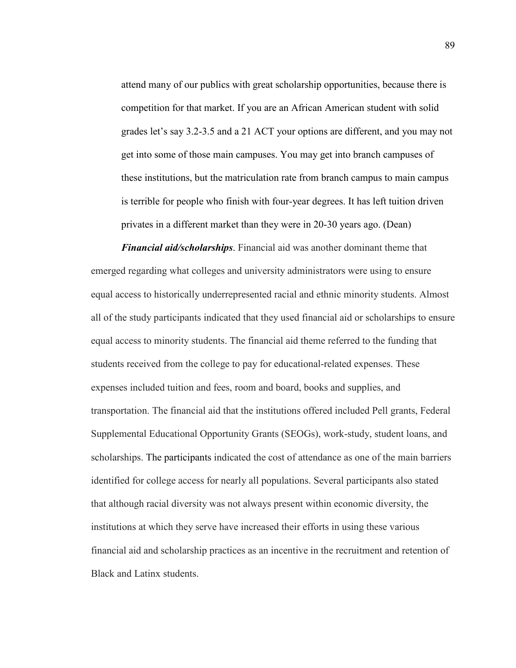attend many of our publics with great scholarship opportunities, because there is competition for that market. If you are an African American student with solid grades let's say 3.2-3.5 and a 21 ACT your options are different, and you may not get into some of those main campuses. You may get into branch campuses of these institutions, but the matriculation rate from branch campus to main campus is terrible for people who finish with four-year degrees. It has left tuition driven privates in a different market than they were in 20-30 years ago. (Dean)

*Financial aid/scholarships*. Financial aid was another dominant theme that emerged regarding what colleges and university administrators were using to ensure equal access to historically underrepresented racial and ethnic minority students. Almost all of the study participants indicated that they used financial aid or scholarships to ensure equal access to minority students. The financial aid theme referred to the funding that students received from the college to pay for educational-related expenses. These expenses included tuition and fees, room and board, books and supplies, and transportation. The financial aid that the institutions offered included Pell grants, Federal Supplemental Educational Opportunity Grants (SEOGs), work-study, student loans, and scholarships. The participants indicated the cost of attendance as one of the main barriers identified for college access for nearly all populations. Several participants also stated that although racial diversity was not always present within economic diversity, the institutions at which they serve have increased their efforts in using these various financial aid and scholarship practices as an incentive in the recruitment and retention of Black and Latinx students.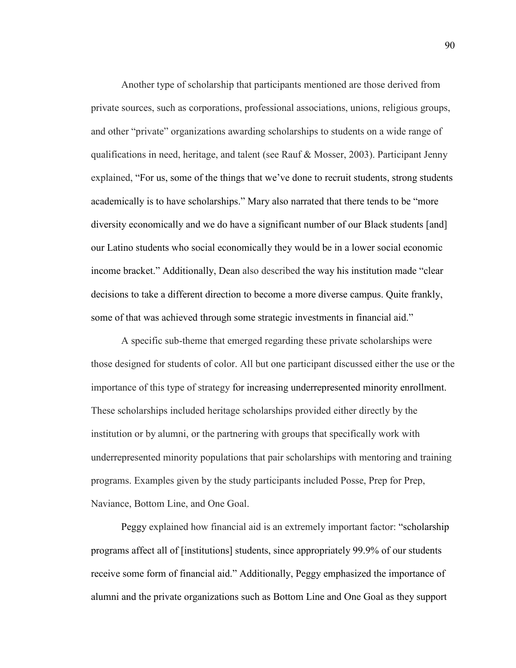Another type of scholarship that participants mentioned are those derived from private sources, such as corporations, professional associations, unions, religious groups, and other "private" organizations awarding scholarships to students on a wide range of qualifications in need, heritage, and talent (see Rauf  $\&$  Mosser, 2003). Participant Jenny explained, "For us, some of the things that we've done to recruit students, strong students academically is to have scholarships." Mary also narrated that there tends to be "more diversity economically and we do have a significant number of our Black students [and] our Latino students who social economically they would be in a lower social economic income bracket." Additionally, Dean also described the way his institution made "clear decisions to take a different direction to become a more diverse campus. Quite frankly, some of that was achieved through some strategic investments in financial aid."

A specific sub-theme that emerged regarding these private scholarships were those designed for students of color. All but one participant discussed either the use or the importance of this type of strategy for increasing underrepresented minority enrollment. These scholarships included heritage scholarships provided either directly by the institution or by alumni, or the partnering with groups that specifically work with underrepresented minority populations that pair scholarships with mentoring and training programs. Examples given by the study participants included Posse, Prep for Prep, Naviance, Bottom Line, and One Goal.

Peggy explained how financial aid is an extremely important factor: "scholarship programs affect all of [institutions] students, since appropriately 99.9% of our students receive some form of financial aid." Additionally, Peggy emphasized the importance of alumni and the private organizations such as Bottom Line and One Goal as they support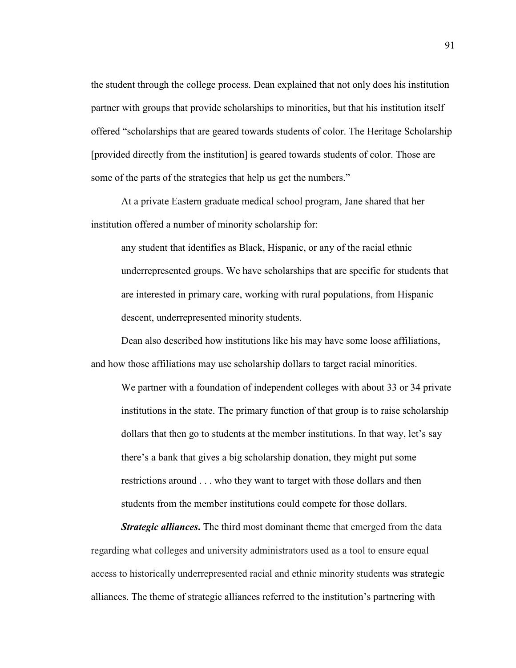the student through the college process. Dean explained that not only does his institution partner with groups that provide scholarships to minorities, but that his institution itself offered "scholarships that are geared towards students of color. The Heritage Scholarship [provided directly from the institution] is geared towards students of color. Those are some of the parts of the strategies that help us get the numbers."

At a private Eastern graduate medical school program, Jane shared that her institution offered a number of minority scholarship for:

any student that identifies as Black, Hispanic, or any of the racial ethnic underrepresented groups. We have scholarships that are specific for students that are interested in primary care, working with rural populations, from Hispanic descent, underrepresented minority students.

Dean also described how institutions like his may have some loose affiliations, and how those affiliations may use scholarship dollars to target racial minorities.

We partner with a foundation of independent colleges with about 33 or 34 private institutions in the state. The primary function of that group is to raise scholarship dollars that then go to students at the member institutions. In that way, let's say there's a bank that gives a big scholarship donation, they might put some restrictions around . . . who they want to target with those dollars and then students from the member institutions could compete for those dollars.

*Strategic alliances*. The third most dominant theme that emerged from the data regarding what colleges and university administrators used as a tool to ensure equal access to historically underrepresented racial and ethnic minority students was strategic alliances. The theme of strategic alliances referred to the institution's partnering with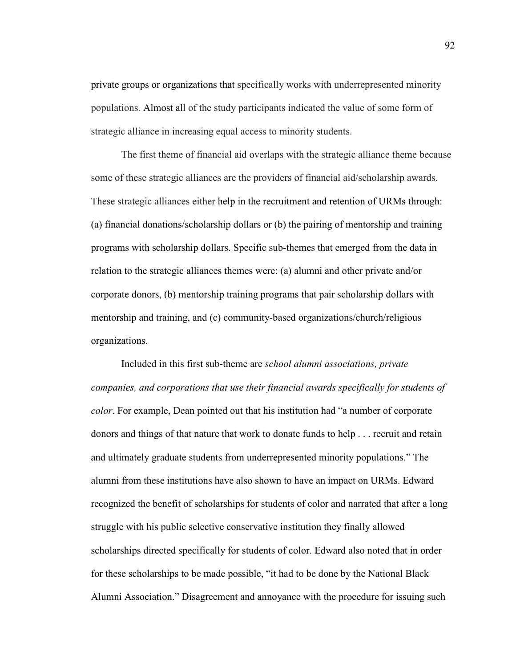private groups or organizations that specifically works with underrepresented minority populations. Almost all of the study participants indicated the value of some form of strategic alliance in increasing equal access to minority students.

The first theme of financial aid overlaps with the strategic alliance theme because some of these strategic alliances are the providers of financial aid/scholarship awards. These strategic alliances either help in the recruitment and retention of URMs through: (a) financial donations/scholarship dollars or (b) the pairing of mentorship and training programs with scholarship dollars. Specific sub-themes that emerged from the data in relation to the strategic alliances themes were: (a) alumni and other private and/or corporate donors, (b) mentorship training programs that pair scholarship dollars with mentorship and training, and (c) community-based organizations/church/religious organizations.

Included in this first sub-theme are *school alumni associations, private companies, and corporations that use their financial awards specifically for students of color*. For example, Dean pointed out that his institution had "a number of corporate donors and things of that nature that work to donate funds to help . . . recruit and retain and ultimately graduate students from underrepresented minority populations." The alumni from these institutions have also shown to have an impact on URMs. Edward recognized the benefit of scholarships for students of color and narrated that after a long struggle with his public selective conservative institution they finally allowed scholarships directed specifically for students of color. Edward also noted that in order for these scholarships to be made possible, "it had to be done by the National Black Alumni Association." Disagreement and annoyance with the procedure for issuing such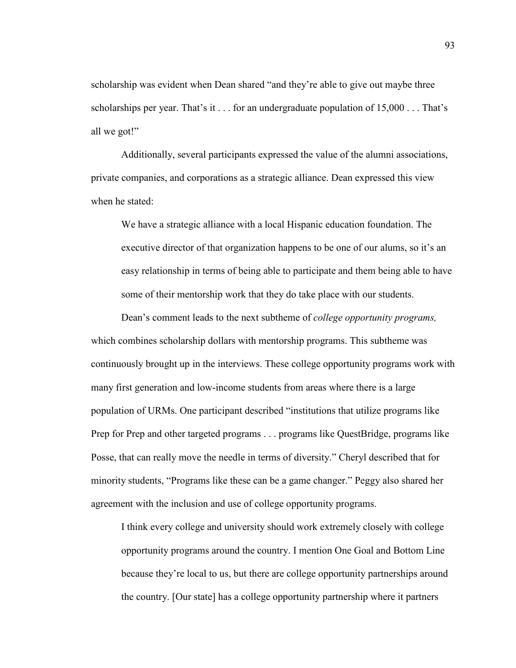scholarship was evident when Dean shared "and they're able to give out maybe three scholarships per year. That's it  $\ldots$  for an undergraduate population of 15,000  $\ldots$  That's all we got!"

Additionally, several participants expressed the value of the alumni associations, private companies, and corporations as a strategic alliance. Dean expressed this view when he stated<sup>.</sup>

We have a strategic alliance with a local Hispanic education foundation. The executive director of that organization happens to be one of our alums, so it's an easy relationship in terms of being able to participate and them being able to have some of their mentorship work that they do take place with our students.

Dean's comment leads to the next subtheme of *college opportunity programs,* which combines scholarship dollars with mentorship programs. This subtheme was continuously brought up in the interviews. These college opportunity programs work with many first generation and low-income students from areas where there is a large population of URMs. One participant described "institutions that utilize programs like Prep for Prep and other targeted programs . . . programs like QuestBridge, programs like Posse, that can really move the needle in terms of diversity." Cheryl described that for minority students, "Programs like these can be a game changer." Peggy also shared her agreement with the inclusion and use of college opportunity programs.

I think every college and university should work extremely closely with college opportunity programs around the country. I mention One Goal and Bottom Line because they're local to us, but there are college opportunity partnerships around the country. [Our state] has a college opportunity partnership where it partners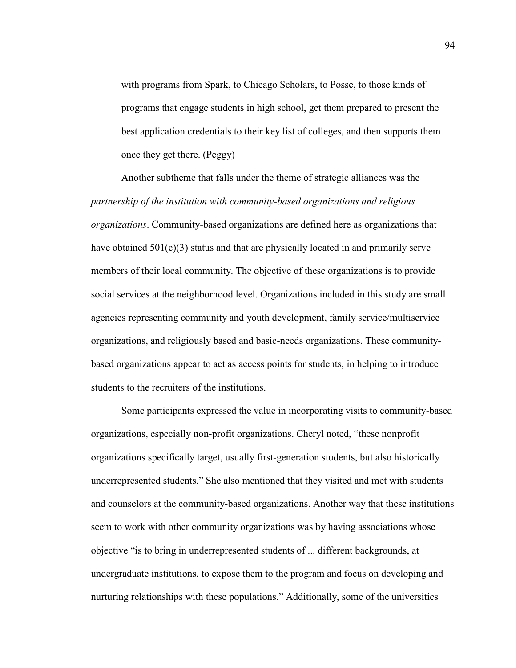with programs from Spark, to Chicago Scholars, to Posse, to those kinds of programs that engage students in high school, get them prepared to present the best application credentials to their key list of colleges, and then supports them once they get there. (Peggy)

Another subtheme that falls under the theme of strategic alliances was the *partnership of the institution with community-based organizations and religious organizations*. Community-based organizations are defined here as organizations that have obtained  $501(c)(3)$  status and that are physically located in and primarily serve members of their local community. The objective of these organizations is to provide social services at the neighborhood level. Organizations included in this study are small agencies representing community and youth development, family service/multiservice organizations, and religiously based and basic-needs organizations. These communitybased organizations appear to act as access points for students, in helping to introduce students to the recruiters of the institutions.

Some participants expressed the value in incorporating visits to community-based organizations, especially non-profit organizations. Cheryl noted, "these nonprofit organizations specifically target, usually first-generation students, but also historically underrepresented students." She also mentioned that they visited and met with students and counselors at the community-based organizations. Another way that these institutions seem to work with other community organizations was by having associations whose objective "is to bring in underrepresented students of ... different backgrounds, at undergraduate institutions, to expose them to the program and focus on developing and nurturing relationships with these populations." Additionally, some of the universities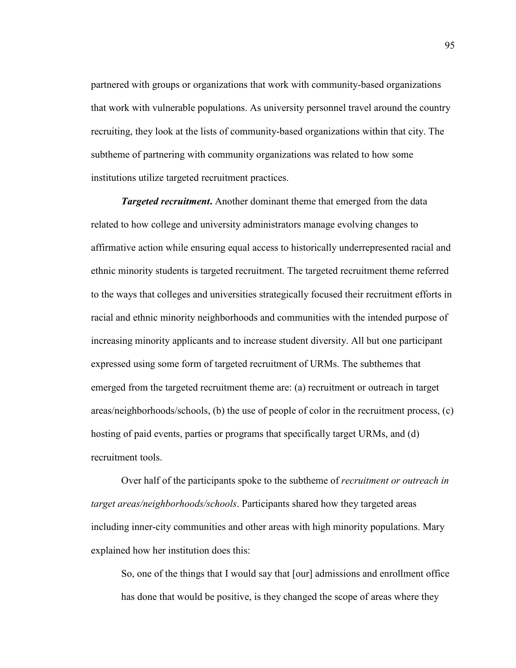partnered with groups or organizations that work with community-based organizations that work with vulnerable populations. As university personnel travel around the country recruiting, they look at the lists of community-based organizations within that city. The subtheme of partnering with community organizations was related to how some institutions utilize targeted recruitment practices.

*Targeted recruitment***.** Another dominant theme that emerged from the data related to how college and university administrators manage evolving changes to affirmative action while ensuring equal access to historically underrepresented racial and ethnic minority students is targeted recruitment. The targeted recruitment theme referred to the ways that colleges and universities strategically focused their recruitment efforts in racial and ethnic minority neighborhoods and communities with the intended purpose of increasing minority applicants and to increase student diversity. All but one participant expressed using some form of targeted recruitment of URMs. The subthemes that emerged from the targeted recruitment theme are: (a) recruitment or outreach in target areas/neighborhoods/schools, (b) the use of people of color in the recruitment process, (c) hosting of paid events, parties or programs that specifically target URMs, and (d) recruitment tools.

Over half of the participants spoke to the subtheme of *recruitment or outreach in target areas/neighborhoods/schools*. Participants shared how they targeted areas including inner-city communities and other areas with high minority populations. Mary explained how her institution does this:

So, one of the things that I would say that [our] admissions and enrollment office has done that would be positive, is they changed the scope of areas where they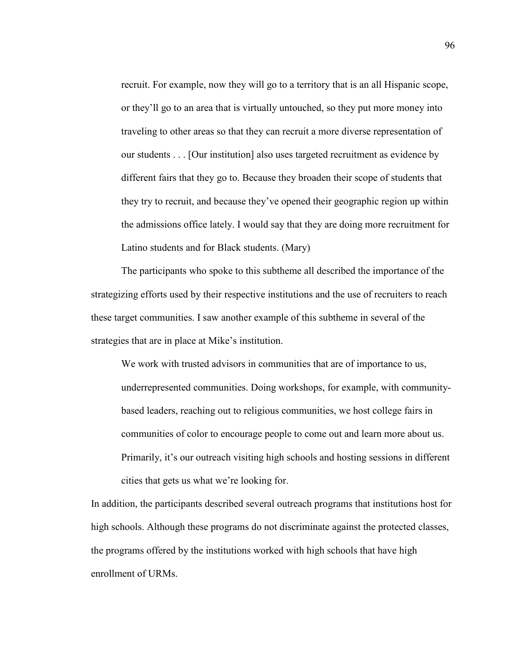recruit. For example, now they will go to a territory that is an all Hispanic scope, or they'll go to an area that is virtually untouched, so they put more money into traveling to other areas so that they can recruit a more diverse representation of our students . . . [Our institution] also uses targeted recruitment as evidence by different fairs that they go to. Because they broaden their scope of students that they try to recruit, and because they've opened their geographic region up within the admissions office lately. I would say that they are doing more recruitment for Latino students and for Black students. (Mary)

The participants who spoke to this subtheme all described the importance of the strategizing efforts used by their respective institutions and the use of recruiters to reach these target communities. I saw another example of this subtheme in several of the strategies that are in place at Mike's institution.

We work with trusted advisors in communities that are of importance to us, underrepresented communities. Doing workshops, for example, with communitybased leaders, reaching out to religious communities, we host college fairs in communities of color to encourage people to come out and learn more about us. Primarily, it's our outreach visiting high schools and hosting sessions in different cities that gets us what we're looking for.

In addition, the participants described several outreach programs that institutions host for high schools. Although these programs do not discriminate against the protected classes, the programs offered by the institutions worked with high schools that have high enrollment of URMs.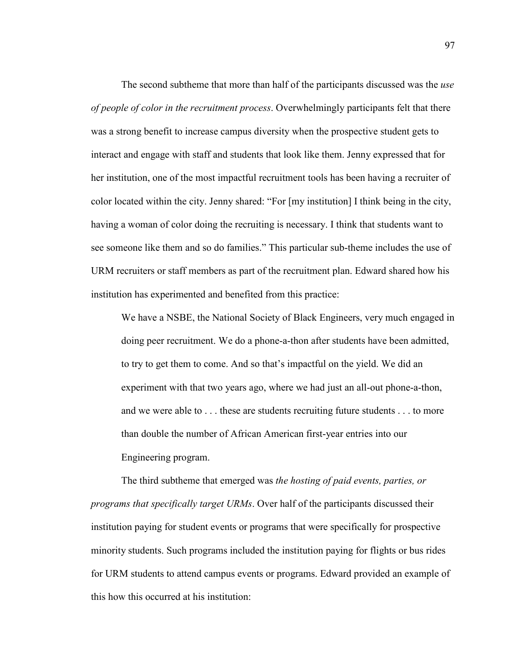The second subtheme that more than half of the participants discussed was the *use of people of color in the recruitment process*. Overwhelmingly participants felt that there was a strong benefit to increase campus diversity when the prospective student gets to interact and engage with staff and students that look like them. Jenny expressed that for her institution, one of the most impactful recruitment tools has been having a recruiter of color located within the city. Jenny shared: "For [my institution] I think being in the city, having a woman of color doing the recruiting is necessary. I think that students want to see someone like them and so do families." This particular sub-theme includes the use of URM recruiters or staff members as part of the recruitment plan. Edward shared how his institution has experimented and benefited from this practice:

We have a NSBE, the National Society of Black Engineers, very much engaged in doing peer recruitment. We do a phone-a-thon after students have been admitted, to try to get them to come. And so that's impactful on the yield. We did an experiment with that two years ago, where we had just an all-out phone-a-thon, and we were able to . . . these are students recruiting future students . . . to more than double the number of African American first-year entries into our Engineering program.

The third subtheme that emerged was *the hosting of paid events, parties, or programs that specifically target URMs*. Over half of the participants discussed their institution paying for student events or programs that were specifically for prospective minority students. Such programs included the institution paying for flights or bus rides for URM students to attend campus events or programs. Edward provided an example of this how this occurred at his institution: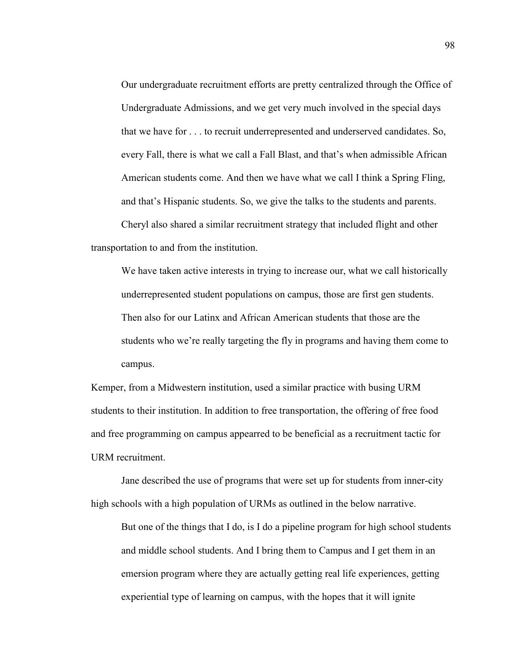Our undergraduate recruitment efforts are pretty centralized through the Office of Undergraduate Admissions, and we get very much involved in the special days that we have for . . . to recruit underrepresented and underserved candidates. So, every Fall, there is what we call a Fall Blast, and that's when admissible African American students come. And then we have what we call I think a Spring Fling, and that's Hispanic students. So, we give the talks to the students and parents. Cheryl also shared a similar recruitment strategy that included flight and other

transportation to and from the institution.

We have taken active interests in trying to increase our, what we call historically underrepresented student populations on campus, those are first gen students. Then also for our Latinx and African American students that those are the students who we're really targeting the fly in programs and having them come to campus.

Kemper, from a Midwestern institution, used a similar practice with busing URM students to their institution. In addition to free transportation, the offering of free food and free programming on campus appearred to be beneficial as a recruitment tactic for URM recruitment.

Jane described the use of programs that were set up for students from inner-city high schools with a high population of URMs as outlined in the below narrative.

But one of the things that I do, is I do a pipeline program for high school students and middle school students. And I bring them to Campus and I get them in an emersion program where they are actually getting real life experiences, getting experiential type of learning on campus, with the hopes that it will ignite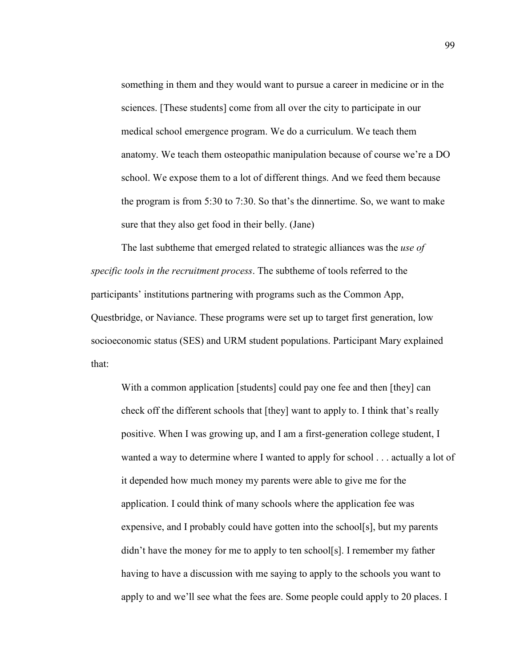something in them and they would want to pursue a career in medicine or in the sciences. [These students] come from all over the city to participate in our medical school emergence program. We do a curriculum. We teach them anatomy. We teach them osteopathic manipulation because of course we're a DO school. We expose them to a lot of different things. And we feed them because the program is from 5:30 to 7:30. So that's the dinnertime. So, we want to make sure that they also get food in their belly. (Jane)

 The last subtheme that emerged related to strategic alliances was the *use of specific tools in the recruitment process*. The subtheme of tools referred to the participants' institutions partnering with programs such as the Common App, Questbridge, or Naviance. These programs were set up to target first generation, low socioeconomic status (SES) and URM student populations. Participant Mary explained that:

With a common application [students] could pay one fee and then [they] can check off the different schools that [they] want to apply to. I think that's really positive. When I was growing up, and I am a first-generation college student, I wanted a way to determine where I wanted to apply for school . . . actually a lot of it depended how much money my parents were able to give me for the application. I could think of many schools where the application fee was expensive, and I probably could have gotten into the school[s], but my parents didn't have the money for me to apply to ten school[s]. I remember my father having to have a discussion with me saying to apply to the schools you want to apply to and we'll see what the fees are. Some people could apply to 20 places. I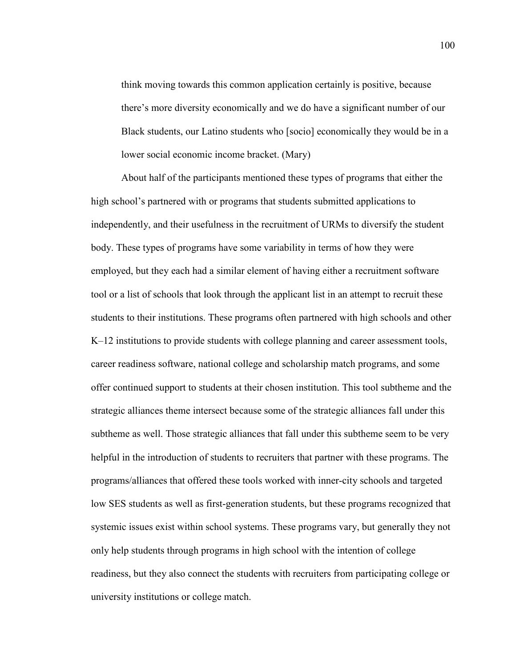think moving towards this common application certainly is positive, because there's more diversity economically and we do have a significant number of our Black students, our Latino students who [socio] economically they would be in a lower social economic income bracket. (Mary)

About half of the participants mentioned these types of programs that either the high school's partnered with or programs that students submitted applications to independently, and their usefulness in the recruitment of URMs to diversify the student body. These types of programs have some variability in terms of how they were employed, but they each had a similar element of having either a recruitment software tool or a list of schools that look through the applicant list in an attempt to recruit these students to their institutions. These programs often partnered with high schools and other K–12 institutions to provide students with college planning and career assessment tools, career readiness software, national college and scholarship match programs, and some offer continued support to students at their chosen institution. This tool subtheme and the strategic alliances theme intersect because some of the strategic alliances fall under this subtheme as well. Those strategic alliances that fall under this subtheme seem to be very helpful in the introduction of students to recruiters that partner with these programs. The programs/alliances that offered these tools worked with inner-city schools and targeted low SES students as well as first-generation students, but these programs recognized that systemic issues exist within school systems. These programs vary, but generally they not only help students through programs in high school with the intention of college readiness, but they also connect the students with recruiters from participating college or university institutions or college match.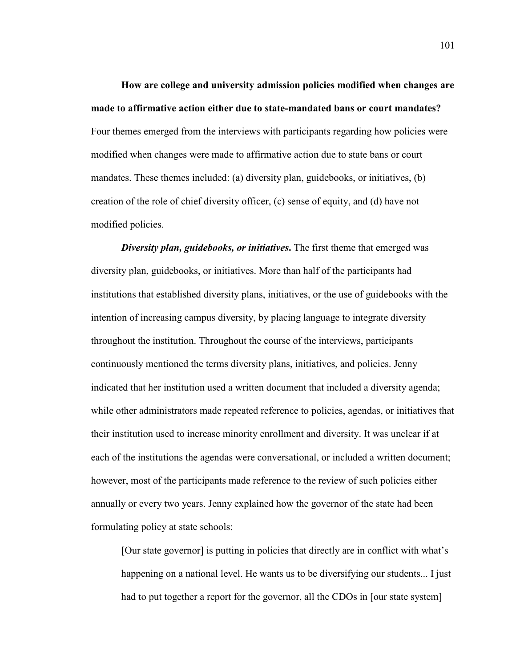**How are college and university admission policies modified when changes are made to affirmative action either due to state-mandated bans or court mandates?**  Four themes emerged from the interviews with participants regarding how policies were modified when changes were made to affirmative action due to state bans or court mandates. These themes included: (a) diversity plan, guidebooks, or initiatives, (b) creation of the role of chief diversity officer, (c) sense of equity, and (d) have not modified policies.

*Diversity plan, guidebooks, or initiatives***.** The first theme that emerged was diversity plan, guidebooks, or initiatives. More than half of the participants had institutions that established diversity plans, initiatives, or the use of guidebooks with the intention of increasing campus diversity, by placing language to integrate diversity throughout the institution. Throughout the course of the interviews, participants continuously mentioned the terms diversity plans, initiatives, and policies. Jenny indicated that her institution used a written document that included a diversity agenda; while other administrators made repeated reference to policies, agendas, or initiatives that their institution used to increase minority enrollment and diversity. It was unclear if at each of the institutions the agendas were conversational, or included a written document; however, most of the participants made reference to the review of such policies either annually or every two years. Jenny explained how the governor of the state had been formulating policy at state schools:

[Our state governor] is putting in policies that directly are in conflict with what's happening on a national level. He wants us to be diversifying our students... I just had to put together a report for the governor, all the CDOs in [our state system]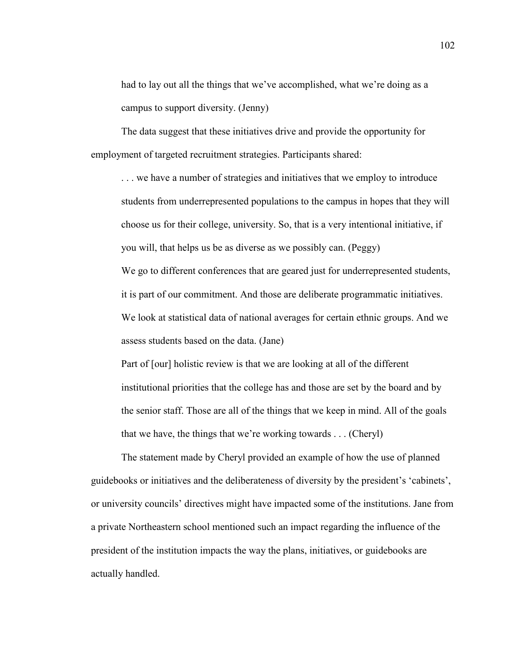had to lay out all the things that we've accomplished, what we're doing as a campus to support diversity. (Jenny)

The data suggest that these initiatives drive and provide the opportunity for employment of targeted recruitment strategies. Participants shared:

. . . we have a number of strategies and initiatives that we employ to introduce students from underrepresented populations to the campus in hopes that they will choose us for their college, university. So, that is a very intentional initiative, if you will, that helps us be as diverse as we possibly can. (Peggy) We go to different conferences that are geared just for underrepresented students, it is part of our commitment. And those are deliberate programmatic initiatives. We look at statistical data of national averages for certain ethnic groups. And we assess students based on the data. (Jane)

Part of [our] holistic review is that we are looking at all of the different institutional priorities that the college has and those are set by the board and by the senior staff. Those are all of the things that we keep in mind. All of the goals that we have, the things that we're working towards . . . (Cheryl)

The statement made by Cheryl provided an example of how the use of planned guidebooks or initiatives and the deliberateness of diversity by the president's 'cabinets', or university councils' directives might have impacted some of the institutions. Jane from a private Northeastern school mentioned such an impact regarding the influence of the president of the institution impacts the way the plans, initiatives, or guidebooks are actually handled.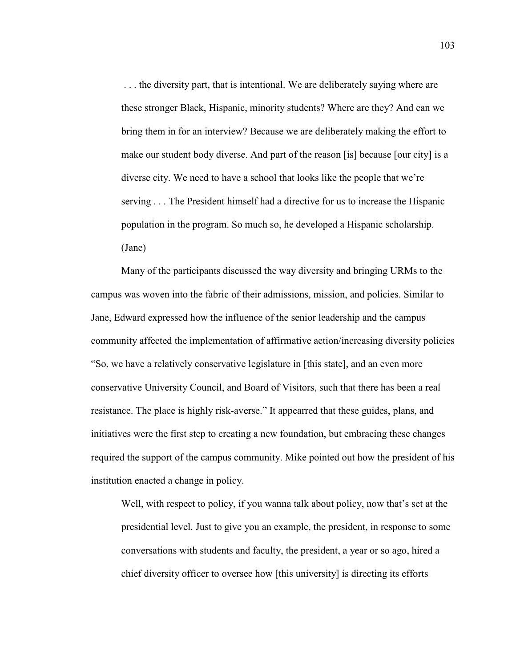. . . the diversity part, that is intentional. We are deliberately saying where are these stronger Black, Hispanic, minority students? Where are they? And can we bring them in for an interview? Because we are deliberately making the effort to make our student body diverse. And part of the reason [is] because [our city] is a diverse city. We need to have a school that looks like the people that we're serving . . . The President himself had a directive for us to increase the Hispanic population in the program. So much so, he developed a Hispanic scholarship. (Jane)

Many of the participants discussed the way diversity and bringing URMs to the campus was woven into the fabric of their admissions, mission, and policies. Similar to Jane, Edward expressed how the influence of the senior leadership and the campus community affected the implementation of affirmative action/increasing diversity policies "So, we have a relatively conservative legislature in [this state], and an even more conservative University Council, and Board of Visitors, such that there has been a real resistance. The place is highly risk-averse." It appearred that these guides, plans, and initiatives were the first step to creating a new foundation, but embracing these changes required the support of the campus community. Mike pointed out how the president of his institution enacted a change in policy.

Well, with respect to policy, if you wanna talk about policy, now that's set at the presidential level. Just to give you an example, the president, in response to some conversations with students and faculty, the president, a year or so ago, hired a chief diversity officer to oversee how [this university] is directing its efforts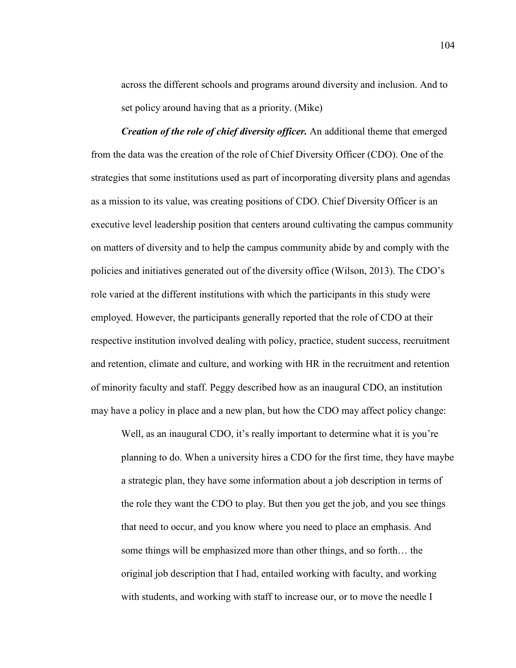across the different schools and programs around diversity and inclusion. And to set policy around having that as a priority. (Mike)

*Creation of the role of chief diversity officer.* An additional theme that emerged from the data was the creation of the role of Chief Diversity Officer (CDO). One of the strategies that some institutions used as part of incorporating diversity plans and agendas as a mission to its value, was creating positions of CDO. Chief Diversity Officer is an executive level leadership position that centers around cultivating the campus community on matters of diversity and to help the campus community abide by and comply with the policies and initiatives generated out of the diversity office (Wilson, 2013). The CDO's role varied at the different institutions with which the participants in this study were employed. However, the participants generally reported that the role of CDO at their respective institution involved dealing with policy, practice, student success, recruitment and retention, climate and culture, and working with HR in the recruitment and retention of minority faculty and staff. Peggy described how as an inaugural CDO, an institution may have a policy in place and a new plan, but how the CDO may affect policy change:

Well, as an inaugural CDO, it's really important to determine what it is you're planning to do. When a university hires a CDO for the first time, they have maybe a strategic plan, they have some information about a job description in terms of the role they want the CDO to play. But then you get the job, and you see things that need to occur, and you know where you need to place an emphasis. And some things will be emphasized more than other things, and so forth… the original job description that I had, entailed working with faculty, and working with students, and working with staff to increase our, or to move the needle I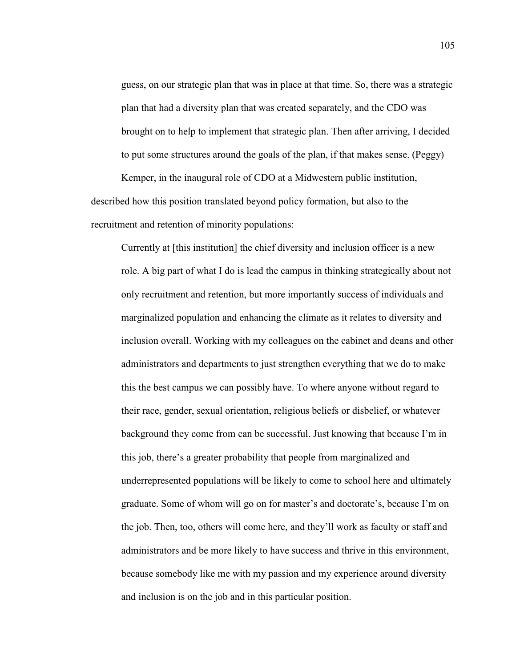guess, on our strategic plan that was in place at that time. So, there was a strategic plan that had a diversity plan that was created separately, and the CDO was brought on to help to implement that strategic plan. Then after arriving, I decided to put some structures around the goals of the plan, if that makes sense. (Peggy) Kemper, in the inaugural role of CDO at a Midwestern public institution,

described how this position translated beyond policy formation, but also to the recruitment and retention of minority populations:

Currently at [this institution] the chief diversity and inclusion officer is a new role. A big part of what I do is lead the campus in thinking strategically about not only recruitment and retention, but more importantly success of individuals and marginalized population and enhancing the climate as it relates to diversity and inclusion overall. Working with my colleagues on the cabinet and deans and other administrators and departments to just strengthen everything that we do to make this the best campus we can possibly have. To where anyone without regard to their race, gender, sexual orientation, religious beliefs or disbelief, or whatever background they come from can be successful. Just knowing that because I'm in this job, there's a greater probability that people from marginalized and underrepresented populations will be likely to come to school here and ultimately graduate. Some of whom will go on for master's and doctorate's, because I'm on the job. Then, too, others will come here, and they'll work as faculty or staff and administrators and be more likely to have success and thrive in this environment, because somebody like me with my passion and my experience around diversity and inclusion is on the job and in this particular position.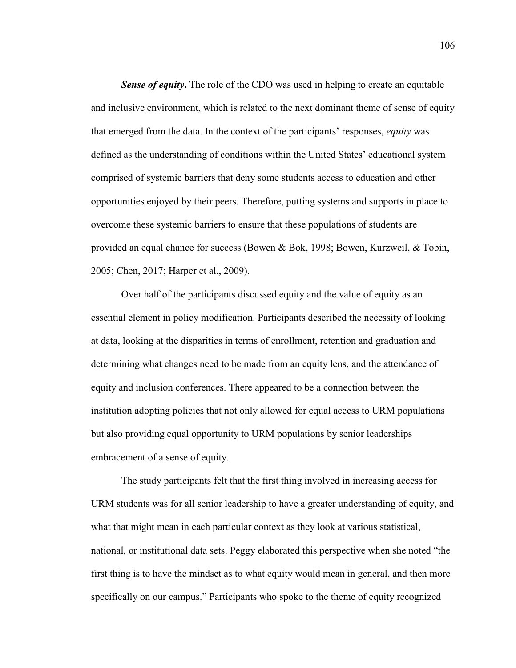**Sense of equity.** The role of the CDO was used in helping to create an equitable and inclusive environment, which is related to the next dominant theme of sense of equity that emerged from the data. In the context of the participants' responses, *equity* was defined as the understanding of conditions within the United States' educational system comprised of systemic barriers that deny some students access to education and other opportunities enjoyed by their peers. Therefore, putting systems and supports in place to overcome these systemic barriers to ensure that these populations of students are provided an equal chance for success (Bowen & Bok, 1998; Bowen, Kurzweil, & Tobin, 2005; Chen, 2017; Harper et al., 2009).

Over half of the participants discussed equity and the value of equity as an essential element in policy modification. Participants described the necessity of looking at data, looking at the disparities in terms of enrollment, retention and graduation and determining what changes need to be made from an equity lens, and the attendance of equity and inclusion conferences. There appeared to be a connection between the institution adopting policies that not only allowed for equal access to URM populations but also providing equal opportunity to URM populations by senior leaderships embracement of a sense of equity.

The study participants felt that the first thing involved in increasing access for URM students was for all senior leadership to have a greater understanding of equity, and what that might mean in each particular context as they look at various statistical, national, or institutional data sets. Peggy elaborated this perspective when she noted "the first thing is to have the mindset as to what equity would mean in general, and then more specifically on our campus." Participants who spoke to the theme of equity recognized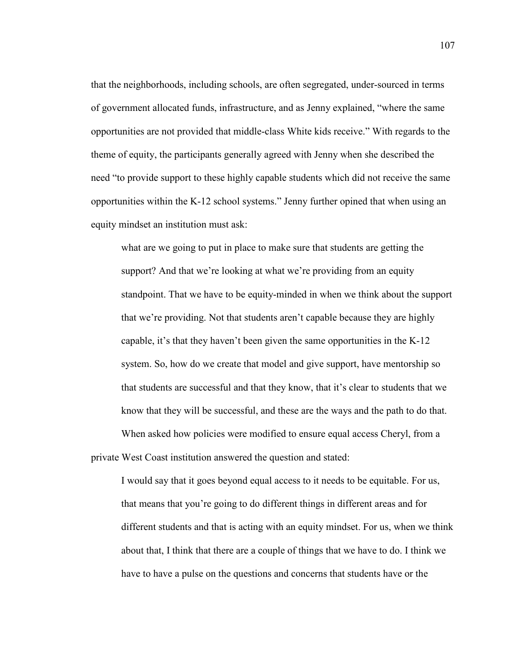that the neighborhoods, including schools, are often segregated, under-sourced in terms of government allocated funds, infrastructure, and as Jenny explained, "where the same opportunities are not provided that middle-class White kids receive." With regards to the theme of equity, the participants generally agreed with Jenny when she described the need "to provide support to these highly capable students which did not receive the same opportunities within the K-12 school systems." Jenny further opined that when using an equity mindset an institution must ask:

what are we going to put in place to make sure that students are getting the support? And that we're looking at what we're providing from an equity standpoint. That we have to be equity-minded in when we think about the support that we're providing. Not that students aren't capable because they are highly capable, it's that they haven't been given the same opportunities in the K-12 system. So, how do we create that model and give support, have mentorship so that students are successful and that they know, that it's clear to students that we know that they will be successful, and these are the ways and the path to do that. When asked how policies were modified to ensure equal access Cheryl, from a

private West Coast institution answered the question and stated:

I would say that it goes beyond equal access to it needs to be equitable. For us, that means that you're going to do different things in different areas and for different students and that is acting with an equity mindset. For us, when we think about that, I think that there are a couple of things that we have to do. I think we have to have a pulse on the questions and concerns that students have or the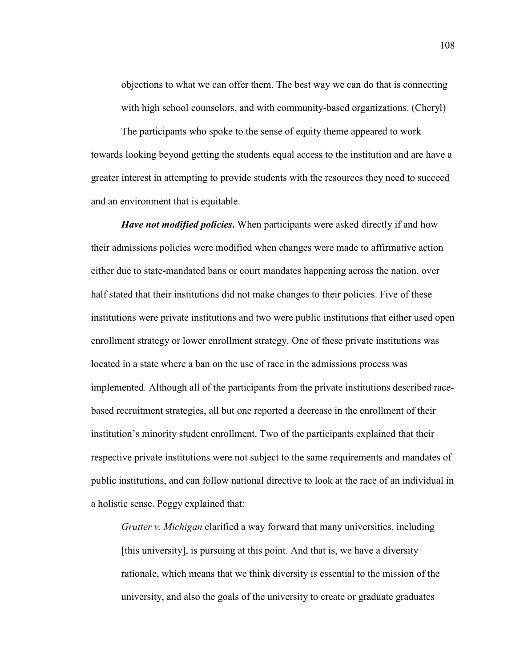objections to what we can offer them. The best way we can do that is connecting with high school counselors, and with community-based organizations. (Cheryl)

The participants who spoke to the sense of equity theme appeared to work towards looking beyond getting the students equal access to the institution and are have a greater interest in attempting to provide students with the resources they need to succeed and an environment that is equitable.

*Have not modified policies***.** When participants were asked directly if and how their admissions policies were modified when changes were made to affirmative action either due to state-mandated bans or court mandates happening across the nation, over half stated that their institutions did not make changes to their policies. Five of these institutions were private institutions and two were public institutions that either used open enrollment strategy or lower enrollment strategy. One of these private institutions was located in a state where a ban on the use of race in the admissions process was implemented. Although all of the participants from the private institutions described racebased recruitment strategies, all but one reported a decrease in the enrollment of their institution's minority student enrollment. Two of the participants explained that their respective private institutions were not subject to the same requirements and mandates of public institutions, and can follow national directive to look at the race of an individual in a holistic sense. Peggy explained that:

*Grutter v. Michigan* clarified a way forward that many universities, including [this university], is pursuing at this point. And that is, we have a diversity rationale, which means that we think diversity is essential to the mission of the university, and also the goals of the university to create or graduate graduates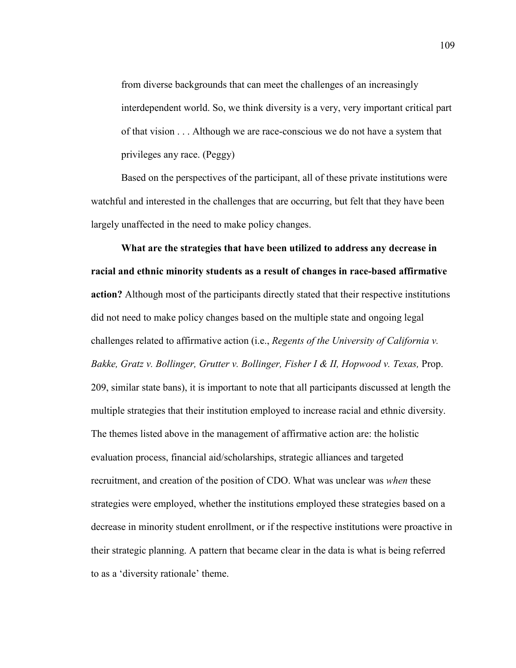from diverse backgrounds that can meet the challenges of an increasingly interdependent world. So, we think diversity is a very, very important critical part of that vision . . . Although we are race-conscious we do not have a system that privileges any race. (Peggy)

Based on the perspectives of the participant, all of these private institutions were watchful and interested in the challenges that are occurring, but felt that they have been largely unaffected in the need to make policy changes.

**What are the strategies that have been utilized to address any decrease in racial and ethnic minority students as a result of changes in race-based affirmative action?** Although most of the participants directly stated that their respective institutions did not need to make policy changes based on the multiple state and ongoing legal challenges related to affirmative action (i.e., *Regents of the University of California v. Bakke, Gratz v. Bollinger, Grutter v. Bollinger, Fisher I & II, Hopwood v. Texas, Prop.* 209, similar state bans), it is important to note that all participants discussed at length the multiple strategies that their institution employed to increase racial and ethnic diversity. The themes listed above in the management of affirmative action are: the holistic evaluation process, financial aid/scholarships, strategic alliances and targeted recruitment, and creation of the position of CDO. What was unclear was *when* these strategies were employed, whether the institutions employed these strategies based on a decrease in minority student enrollment, or if the respective institutions were proactive in their strategic planning. A pattern that became clear in the data is what is being referred to as a 'diversity rationale' theme.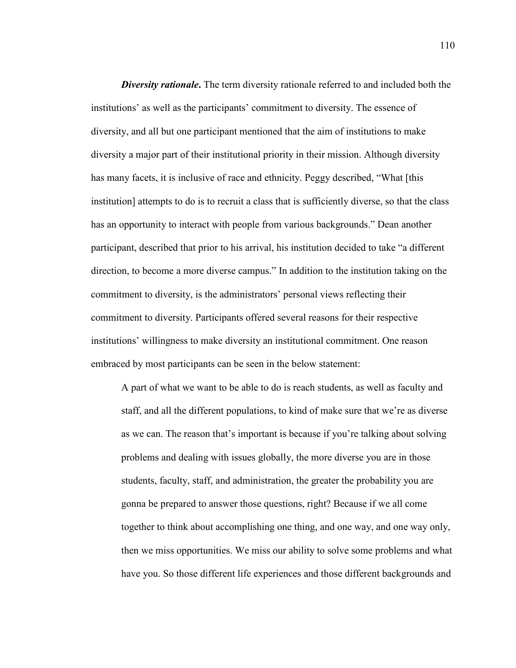*Diversity rationale***.** The term diversity rationale referred to and included both the institutions' as well as the participants' commitment to diversity. The essence of diversity, and all but one participant mentioned that the aim of institutions to make diversity a major part of their institutional priority in their mission. Although diversity has many facets, it is inclusive of race and ethnicity. Peggy described, "What [this institution] attempts to do is to recruit a class that is sufficiently diverse, so that the class has an opportunity to interact with people from various backgrounds." Dean another participant, described that prior to his arrival, his institution decided to take "a different direction, to become a more diverse campus." In addition to the institution taking on the commitment to diversity, is the administrators' personal views reflecting their commitment to diversity. Participants offered several reasons for their respective institutions' willingness to make diversity an institutional commitment. One reason embraced by most participants can be seen in the below statement:

A part of what we want to be able to do is reach students, as well as faculty and staff, and all the different populations, to kind of make sure that we're as diverse as we can. The reason that's important is because if you're talking about solving problems and dealing with issues globally, the more diverse you are in those students, faculty, staff, and administration, the greater the probability you are gonna be prepared to answer those questions, right? Because if we all come together to think about accomplishing one thing, and one way, and one way only, then we miss opportunities. We miss our ability to solve some problems and what have you. So those different life experiences and those different backgrounds and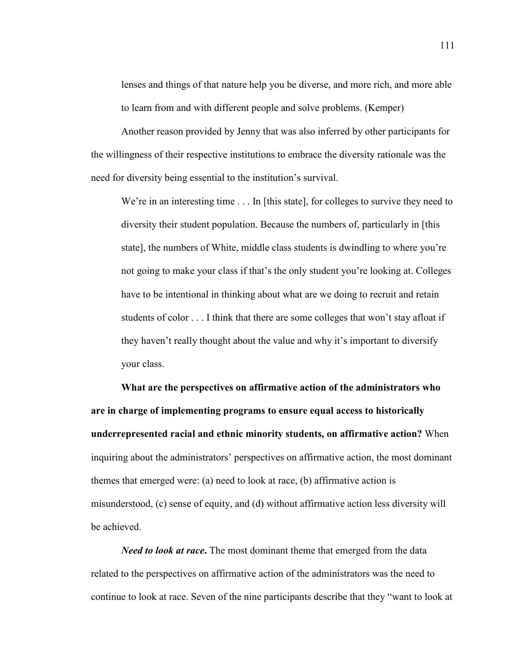lenses and things of that nature help you be diverse, and more rich, and more able to learn from and with different people and solve problems. (Kemper)

Another reason provided by Jenny that was also inferred by other participants for the willingness of their respective institutions to embrace the diversity rationale was the need for diversity being essential to the institution's survival.

We're in an interesting time . . . In [this state], for colleges to survive they need to diversity their student population. Because the numbers of, particularly in [this state], the numbers of White, middle class students is dwindling to where you're not going to make your class if that's the only student you're looking at. Colleges have to be intentional in thinking about what are we doing to recruit and retain students of color . . . I think that there are some colleges that won't stay afloat if they haven't really thought about the value and why it's important to diversify your class.

**What are the perspectives on affirmative action of the administrators who are in charge of implementing programs to ensure equal access to historically underrepresented racial and ethnic minority students, on affirmative action?** When inquiring about the administrators' perspectives on affirmative action, the most dominant themes that emerged were: (a) need to look at race, (b) affirmative action is misunderstood, (c) sense of equity, and (d) without affirmative action less diversity will be achieved.

*Need to look at race***.** The most dominant theme that emerged from the data related to the perspectives on affirmative action of the administrators was the need to continue to look at race. Seven of the nine participants describe that they "want to look at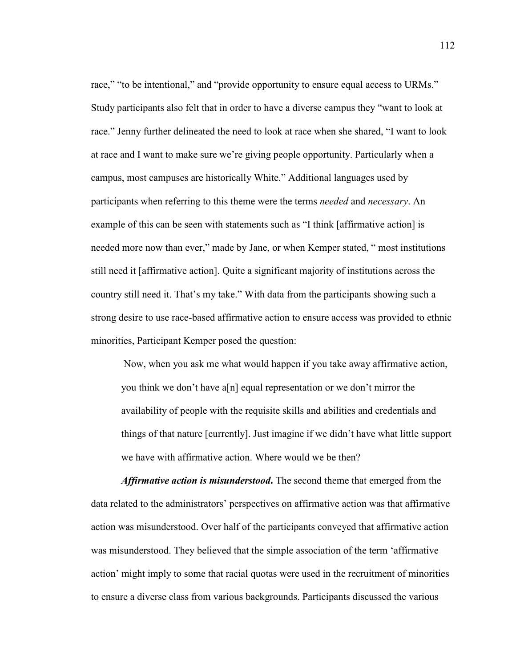race," "to be intentional," and "provide opportunity to ensure equal access to URMs." Study participants also felt that in order to have a diverse campus they "want to look at race." Jenny further delineated the need to look at race when she shared, "I want to look at race and I want to make sure we're giving people opportunity. Particularly when a campus, most campuses are historically White." Additional languages used by participants when referring to this theme were the terms *needed* and *necessary*. An example of this can be seen with statements such as "I think [affirmative action] is needed more now than ever," made by Jane, or when Kemper stated, " most institutions still need it [affirmative action]. Quite a significant majority of institutions across the country still need it. That's my take." With data from the participants showing such a strong desire to use race-based affirmative action to ensure access was provided to ethnic minorities, Participant Kemper posed the question:

Now, when you ask me what would happen if you take away affirmative action, you think we don't have a[n] equal representation or we don't mirror the availability of people with the requisite skills and abilities and credentials and things of that nature [currently]. Just imagine if we didn't have what little support we have with affirmative action. Where would we be then?

*Affirmative action is misunderstood***.** The second theme that emerged from the data related to the administrators' perspectives on affirmative action was that affirmative action was misunderstood. Over half of the participants conveyed that affirmative action was misunderstood. They believed that the simple association of the term 'affirmative action' might imply to some that racial quotas were used in the recruitment of minorities to ensure a diverse class from various backgrounds. Participants discussed the various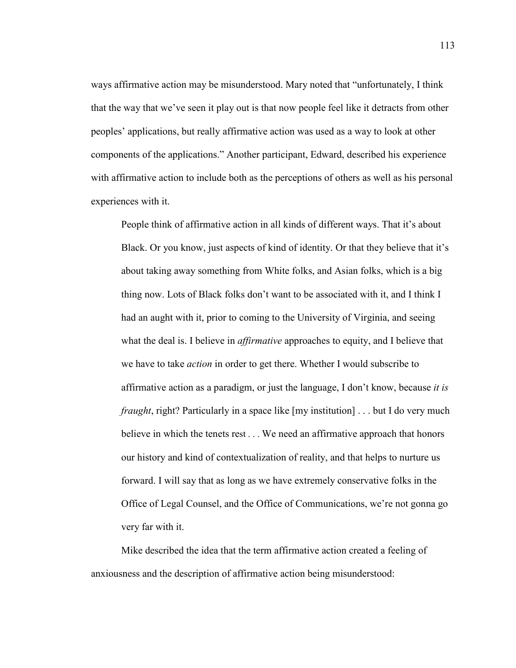ways affirmative action may be misunderstood. Mary noted that "unfortunately, I think that the way that we've seen it play out is that now people feel like it detracts from other peoples' applications, but really affirmative action was used as a way to look at other components of the applications." Another participant, Edward, described his experience with affirmative action to include both as the perceptions of others as well as his personal experiences with it.

People think of affirmative action in all kinds of different ways. That it's about Black. Or you know, just aspects of kind of identity. Or that they believe that it's about taking away something from White folks, and Asian folks, which is a big thing now. Lots of Black folks don't want to be associated with it, and I think I had an aught with it, prior to coming to the University of Virginia, and seeing what the deal is. I believe in *affirmative* approaches to equity, and I believe that we have to take *action* in order to get there. Whether I would subscribe to affirmative action as a paradigm, or just the language, I don't know, because *it is fraught*, right? Particularly in a space like [my institution] . . . but I do very much believe in which the tenets rest . . . We need an affirmative approach that honors our history and kind of contextualization of reality, and that helps to nurture us forward. I will say that as long as we have extremely conservative folks in the Office of Legal Counsel, and the Office of Communications, we're not gonna go very far with it.

Mike described the idea that the term affirmative action created a feeling of anxiousness and the description of affirmative action being misunderstood: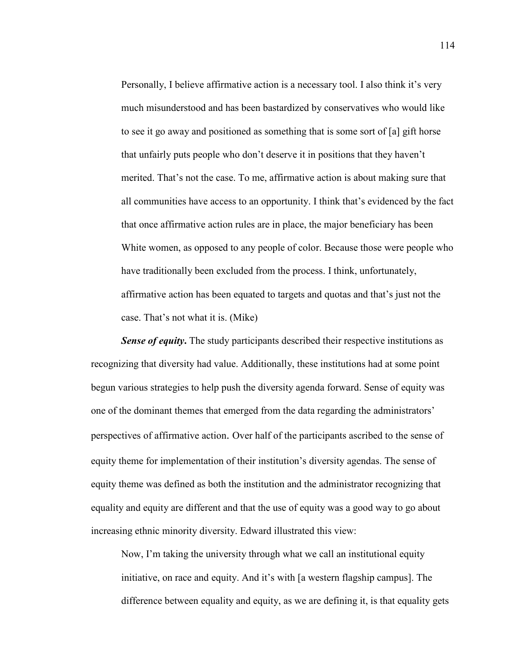Personally, I believe affirmative action is a necessary tool. I also think it's very much misunderstood and has been bastardized by conservatives who would like to see it go away and positioned as something that is some sort of [a] gift horse that unfairly puts people who don't deserve it in positions that they haven't merited. That's not the case. To me, affirmative action is about making sure that all communities have access to an opportunity. I think that's evidenced by the fact that once affirmative action rules are in place, the major beneficiary has been White women, as opposed to any people of color. Because those were people who have traditionally been excluded from the process. I think, unfortunately, affirmative action has been equated to targets and quotas and that's just not the case. That's not what it is. (Mike)

**Sense of equity.** The study participants described their respective institutions as recognizing that diversity had value. Additionally, these institutions had at some point begun various strategies to help push the diversity agenda forward. Sense of equity was one of the dominant themes that emerged from the data regarding the administrators' perspectives of affirmative action. Over half of the participants ascribed to the sense of equity theme for implementation of their institution's diversity agendas. The sense of equity theme was defined as both the institution and the administrator recognizing that equality and equity are different and that the use of equity was a good way to go about increasing ethnic minority diversity. Edward illustrated this view:

Now, I'm taking the university through what we call an institutional equity initiative, on race and equity. And it's with [a western flagship campus]. The difference between equality and equity, as we are defining it, is that equality gets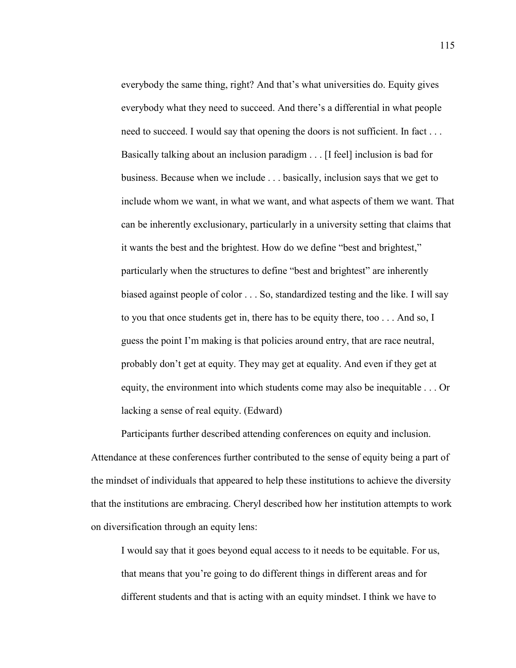everybody the same thing, right? And that's what universities do. Equity gives everybody what they need to succeed. And there's a differential in what people need to succeed. I would say that opening the doors is not sufficient. In fact ... Basically talking about an inclusion paradigm . . . [I feel] inclusion is bad for business. Because when we include . . . basically, inclusion says that we get to include whom we want, in what we want, and what aspects of them we want. That can be inherently exclusionary, particularly in a university setting that claims that it wants the best and the brightest. How do we define "best and brightest," particularly when the structures to define "best and brightest" are inherently biased against people of color . . . So, standardized testing and the like. I will say to you that once students get in, there has to be equity there, too . . . And so, I guess the point I'm making is that policies around entry, that are race neutral, probably don't get at equity. They may get at equality. And even if they get at equity, the environment into which students come may also be inequitable . . . Or lacking a sense of real equity. (Edward)

Participants further described attending conferences on equity and inclusion. Attendance at these conferences further contributed to the sense of equity being a part of the mindset of individuals that appeared to help these institutions to achieve the diversity that the institutions are embracing. Cheryl described how her institution attempts to work on diversification through an equity lens:

I would say that it goes beyond equal access to it needs to be equitable. For us, that means that you're going to do different things in different areas and for different students and that is acting with an equity mindset. I think we have to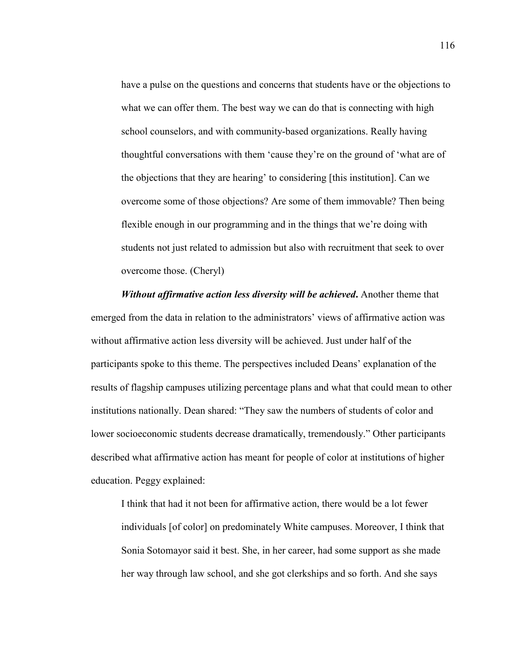have a pulse on the questions and concerns that students have or the objections to what we can offer them. The best way we can do that is connecting with high school counselors, and with community-based organizations. Really having thoughtful conversations with them 'cause they're on the ground of 'what are of the objections that they are hearing' to considering [this institution]. Can we overcome some of those objections? Are some of them immovable? Then being flexible enough in our programming and in the things that we're doing with students not just related to admission but also with recruitment that seek to over overcome those. (Cheryl)

*Without affirmative action less diversity will be achieved***.** Another theme that emerged from the data in relation to the administrators' views of affirmative action was without affirmative action less diversity will be achieved. Just under half of the participants spoke to this theme. The perspectives included Deans' explanation of the results of flagship campuses utilizing percentage plans and what that could mean to other institutions nationally. Dean shared: "They saw the numbers of students of color and lower socioeconomic students decrease dramatically, tremendously." Other participants described what affirmative action has meant for people of color at institutions of higher education. Peggy explained:

I think that had it not been for affirmative action, there would be a lot fewer individuals [of color] on predominately White campuses. Moreover, I think that Sonia Sotomayor said it best. She, in her career, had some support as she made her way through law school, and she got clerkships and so forth. And she says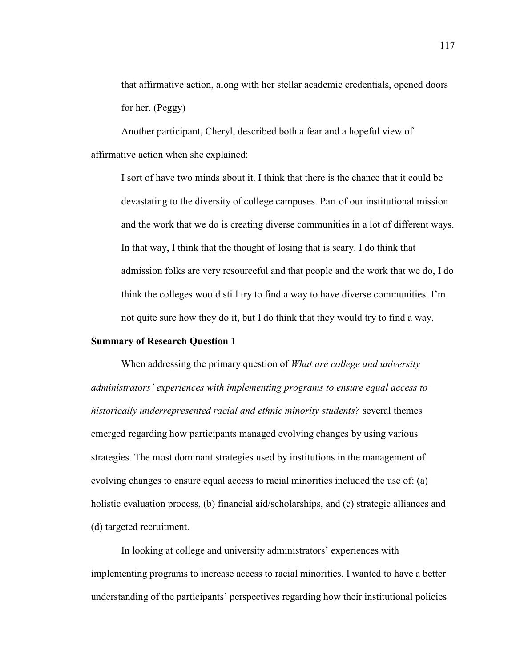that affirmative action, along with her stellar academic credentials, opened doors for her. (Peggy)

Another participant, Cheryl, described both a fear and a hopeful view of affirmative action when she explained:

I sort of have two minds about it. I think that there is the chance that it could be devastating to the diversity of college campuses. Part of our institutional mission and the work that we do is creating diverse communities in a lot of different ways. In that way, I think that the thought of losing that is scary. I do think that admission folks are very resourceful and that people and the work that we do, I do think the colleges would still try to find a way to have diverse communities. I'm not quite sure how they do it, but I do think that they would try to find a way.

## **Summary of Research Question 1**

When addressing the primary question of *What are college and university administrators' experiences with implementing programs to ensure equal access to historically underrepresented racial and ethnic minority students?* several themes emerged regarding how participants managed evolving changes by using various strategies. The most dominant strategies used by institutions in the management of evolving changes to ensure equal access to racial minorities included the use of: (a) holistic evaluation process, (b) financial aid/scholarships, and (c) strategic alliances and (d) targeted recruitment.

In looking at college and university administrators' experiences with implementing programs to increase access to racial minorities, I wanted to have a better understanding of the participants' perspectives regarding how their institutional policies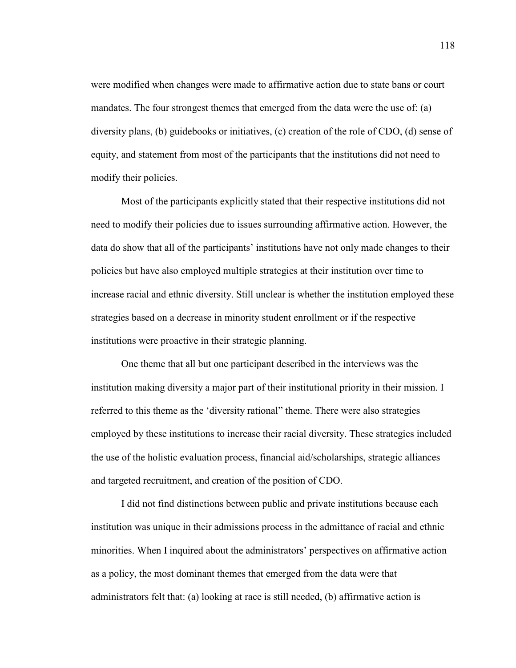were modified when changes were made to affirmative action due to state bans or court mandates. The four strongest themes that emerged from the data were the use of: (a) diversity plans, (b) guidebooks or initiatives, (c) creation of the role of CDO, (d) sense of equity, and statement from most of the participants that the institutions did not need to modify their policies.

Most of the participants explicitly stated that their respective institutions did not need to modify their policies due to issues surrounding affirmative action. However, the data do show that all of the participants' institutions have not only made changes to their policies but have also employed multiple strategies at their institution over time to increase racial and ethnic diversity. Still unclear is whether the institution employed these strategies based on a decrease in minority student enrollment or if the respective institutions were proactive in their strategic planning.

One theme that all but one participant described in the interviews was the institution making diversity a major part of their institutional priority in their mission. I referred to this theme as the 'diversity rational" theme. There were also strategies employed by these institutions to increase their racial diversity. These strategies included the use of the holistic evaluation process, financial aid/scholarships, strategic alliances and targeted recruitment, and creation of the position of CDO.

I did not find distinctions between public and private institutions because each institution was unique in their admissions process in the admittance of racial and ethnic minorities. When I inquired about the administrators' perspectives on affirmative action as a policy, the most dominant themes that emerged from the data were that administrators felt that: (a) looking at race is still needed, (b) affirmative action is

118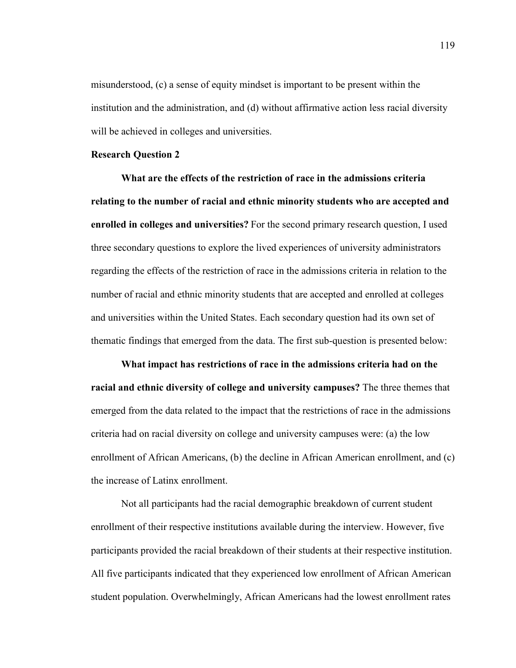misunderstood, (c) a sense of equity mindset is important to be present within the institution and the administration, and (d) without affirmative action less racial diversity will be achieved in colleges and universities.

## **Research Question 2**

**What are the effects of the restriction of race in the admissions criteria relating to the number of racial and ethnic minority students who are accepted and enrolled in colleges and universities?** For the second primary research question, I used three secondary questions to explore the lived experiences of university administrators regarding the effects of the restriction of race in the admissions criteria in relation to the number of racial and ethnic minority students that are accepted and enrolled at colleges and universities within the United States. Each secondary question had its own set of thematic findings that emerged from the data. The first sub-question is presented below:

**What impact has restrictions of race in the admissions criteria had on the racial and ethnic diversity of college and university campuses?** The three themes that emerged from the data related to the impact that the restrictions of race in the admissions criteria had on racial diversity on college and university campuses were: (a) the low enrollment of African Americans, (b) the decline in African American enrollment, and (c) the increase of Latinx enrollment.

Not all participants had the racial demographic breakdown of current student enrollment of their respective institutions available during the interview. However, five participants provided the racial breakdown of their students at their respective institution. All five participants indicated that they experienced low enrollment of African American student population. Overwhelmingly, African Americans had the lowest enrollment rates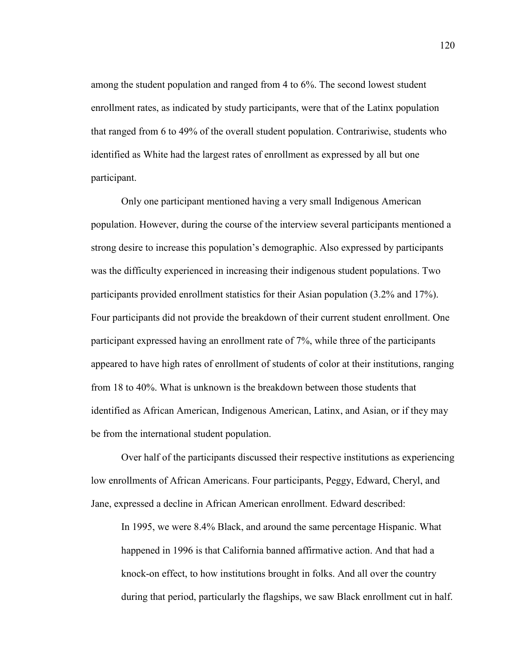among the student population and ranged from 4 to 6%. The second lowest student enrollment rates, as indicated by study participants, were that of the Latinx population that ranged from 6 to 49% of the overall student population. Contrariwise, students who identified as White had the largest rates of enrollment as expressed by all but one participant.

Only one participant mentioned having a very small Indigenous American population. However, during the course of the interview several participants mentioned a strong desire to increase this population's demographic. Also expressed by participants was the difficulty experienced in increasing their indigenous student populations. Two participants provided enrollment statistics for their Asian population (3.2% and 17%). Four participants did not provide the breakdown of their current student enrollment. One participant expressed having an enrollment rate of 7%, while three of the participants appeared to have high rates of enrollment of students of color at their institutions, ranging from 18 to 40%. What is unknown is the breakdown between those students that identified as African American, Indigenous American, Latinx, and Asian, or if they may be from the international student population.

Over half of the participants discussed their respective institutions as experiencing low enrollments of African Americans. Four participants, Peggy, Edward, Cheryl, and Jane, expressed a decline in African American enrollment. Edward described:

In 1995, we were 8.4% Black, and around the same percentage Hispanic. What happened in 1996 is that California banned affirmative action. And that had a knock-on effect, to how institutions brought in folks. And all over the country during that period, particularly the flagships, we saw Black enrollment cut in half.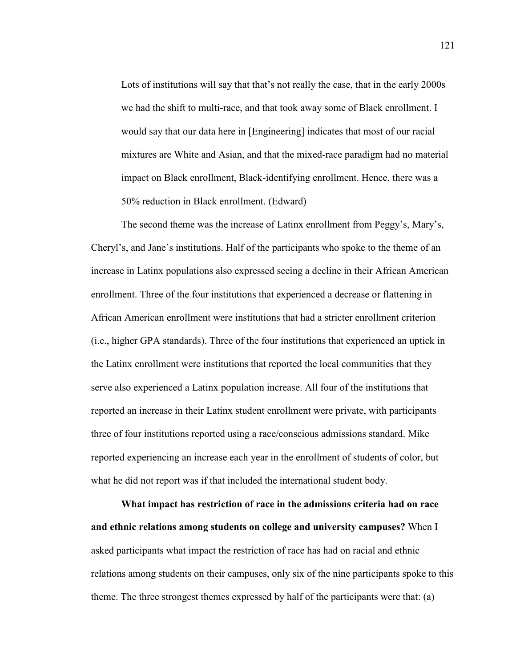Lots of institutions will say that that's not really the case, that in the early 2000s we had the shift to multi-race, and that took away some of Black enrollment. I would say that our data here in [Engineering] indicates that most of our racial mixtures are White and Asian, and that the mixed-race paradigm had no material impact on Black enrollment, Black-identifying enrollment. Hence, there was a 50% reduction in Black enrollment. (Edward)

The second theme was the increase of Latinx enrollment from Peggy's, Mary's, Cheryl's, and Jane's institutions. Half of the participants who spoke to the theme of an increase in Latinx populations also expressed seeing a decline in their African American enrollment. Three of the four institutions that experienced a decrease or flattening in African American enrollment were institutions that had a stricter enrollment criterion (i.e., higher GPA standards). Three of the four institutions that experienced an uptick in the Latinx enrollment were institutions that reported the local communities that they serve also experienced a Latinx population increase. All four of the institutions that reported an increase in their Latinx student enrollment were private, with participants three of four institutions reported using a race/conscious admissions standard. Mike reported experiencing an increase each year in the enrollment of students of color, but what he did not report was if that included the international student body.

**What impact has restriction of race in the admissions criteria had on race and ethnic relations among students on college and university campuses?** When I asked participants what impact the restriction of race has had on racial and ethnic relations among students on their campuses, only six of the nine participants spoke to this theme. The three strongest themes expressed by half of the participants were that: (a)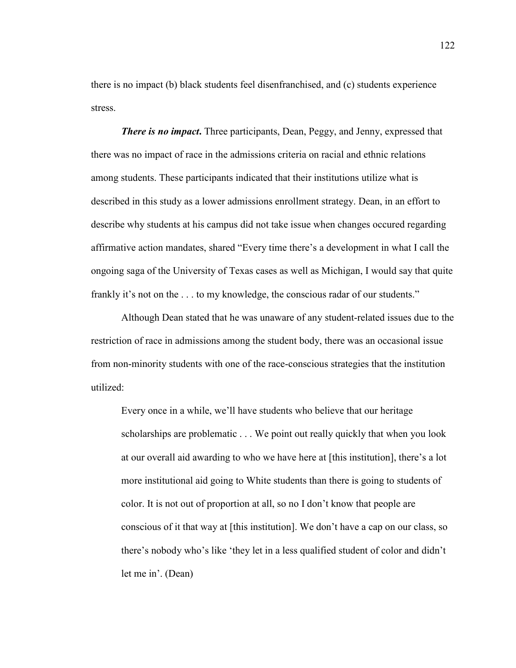there is no impact (b) black students feel disenfranchised, and (c) students experience stress.

*There is no impact***.** Three participants, Dean, Peggy, and Jenny, expressed that there was no impact of race in the admissions criteria on racial and ethnic relations among students. These participants indicated that their institutions utilize what is described in this study as a lower admissions enrollment strategy. Dean, in an effort to describe why students at his campus did not take issue when changes occured regarding affirmative action mandates, shared "Every time there's a development in what I call the ongoing saga of the University of Texas cases as well as Michigan, I would say that quite frankly it's not on the . . . to my knowledge, the conscious radar of our students."

Although Dean stated that he was unaware of any student-related issues due to the restriction of race in admissions among the student body, there was an occasional issue from non-minority students with one of the race-conscious strategies that the institution utilized:

Every once in a while, we'll have students who believe that our heritage scholarships are problematic . . . We point out really quickly that when you look at our overall aid awarding to who we have here at [this institution], there's a lot more institutional aid going to White students than there is going to students of color. It is not out of proportion at all, so no I don't know that people are conscious of it that way at [this institution]. We don't have a cap on our class, so there's nobody who's like 'they let in a less qualified student of color and didn't let me in'. (Dean)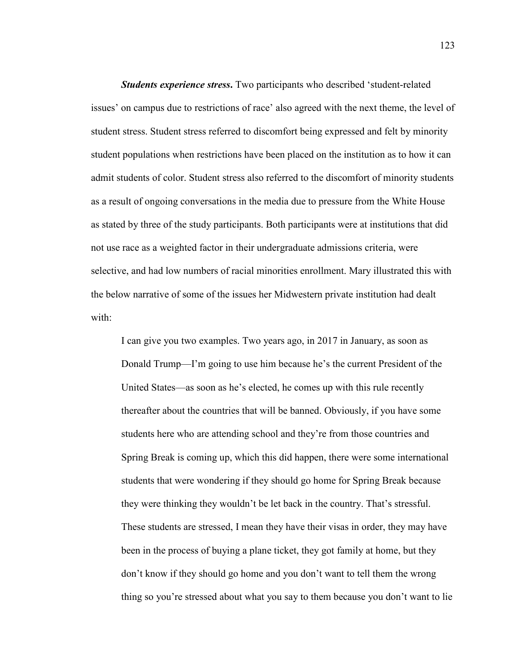**Students experience stress.** Two participants who described 'student-related issues' on campus due to restrictions of race' also agreed with the next theme, the level of student stress. Student stress referred to discomfort being expressed and felt by minority student populations when restrictions have been placed on the institution as to how it can admit students of color. Student stress also referred to the discomfort of minority students as a result of ongoing conversations in the media due to pressure from the White House as stated by three of the study participants. Both participants were at institutions that did not use race as a weighted factor in their undergraduate admissions criteria, were selective, and had low numbers of racial minorities enrollment. Mary illustrated this with the below narrative of some of the issues her Midwestern private institution had dealt with:

I can give you two examples. Two years ago, in 2017 in January, as soon as Donald Trump—I'm going to use him because he's the current President of the United States—as soon as he's elected, he comes up with this rule recently thereafter about the countries that will be banned. Obviously, if you have some students here who are attending school and they're from those countries and Spring Break is coming up, which this did happen, there were some international students that were wondering if they should go home for Spring Break because they were thinking they wouldn't be let back in the country. That's stressful. These students are stressed, I mean they have their visas in order, they may have been in the process of buying a plane ticket, they got family at home, but they don't know if they should go home and you don't want to tell them the wrong thing so you're stressed about what you say to them because you don't want to lie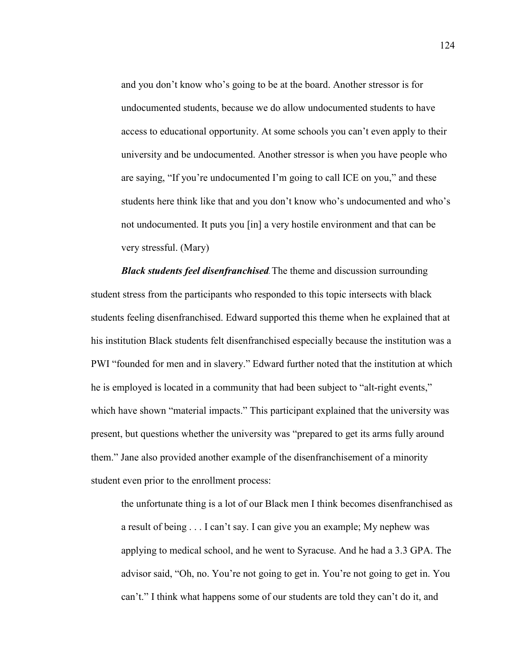and you don't know who's going to be at the board. Another stressor is for undocumented students, because we do allow undocumented students to have access to educational opportunity. At some schools you can't even apply to their university and be undocumented. Another stressor is when you have people who are saying, "If you're undocumented I'm going to call ICE on you," and these students here think like that and you don't know who's undocumented and who's not undocumented. It puts you [in] a very hostile environment and that can be very stressful. (Mary)

*Black students feel disenfranchised*. The theme and discussion surrounding student stress from the participants who responded to this topic intersects with black students feeling disenfranchised. Edward supported this theme when he explained that at his institution Black students felt disenfranchised especially because the institution was a PWI "founded for men and in slavery." Edward further noted that the institution at which he is employed is located in a community that had been subject to "alt-right events," which have shown "material impacts." This participant explained that the university was present, but questions whether the university was "prepared to get its arms fully around them." Jane also provided another example of the disenfranchisement of a minority student even prior to the enrollment process:

the unfortunate thing is a lot of our Black men I think becomes disenfranchised as a result of being . . . I can't say. I can give you an example; My nephew was applying to medical school, and he went to Syracuse. And he had a 3.3 GPA. The advisor said, "Oh, no. You're not going to get in. You're not going to get in. You can't." I think what happens some of our students are told they can't do it, and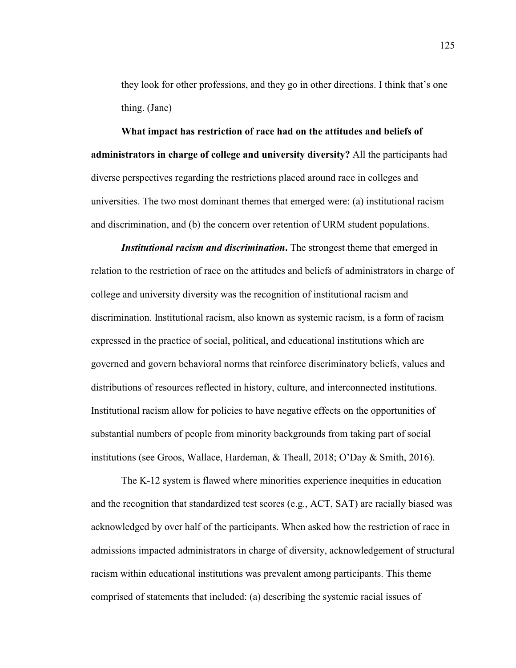they look for other professions, and they go in other directions. I think that's one thing. (Jane)

**What impact has restriction of race had on the attitudes and beliefs of administrators in charge of college and university diversity?** All the participants had diverse perspectives regarding the restrictions placed around race in colleges and universities. The two most dominant themes that emerged were: (a) institutional racism and discrimination, and (b) the concern over retention of URM student populations.

*Institutional racism and discrimination*. The strongest theme that emerged in relation to the restriction of race on the attitudes and beliefs of administrators in charge of college and university diversity was the recognition of institutional racism and discrimination. Institutional racism, also known as systemic racism, is a form of racism expressed in the practice of social, political, and educational institutions which are governed and govern behavioral norms that reinforce discriminatory beliefs, values and distributions of resources reflected in history, culture, and interconnected institutions. Institutional racism allow for policies to have negative effects on the opportunities of substantial numbers of people from minority backgrounds from taking part of social institutions (see Groos, Wallace, Hardeman, & Theall, 2018; O'Day & Smith, 2016).

The K-12 system is flawed where minorities experience inequities in education and the recognition that standardized test scores (e.g., ACT, SAT) are racially biased was acknowledged by over half of the participants. When asked how the restriction of race in admissions impacted administrators in charge of diversity, acknowledgement of structural racism within educational institutions was prevalent among participants. This theme comprised of statements that included: (a) describing the systemic racial issues of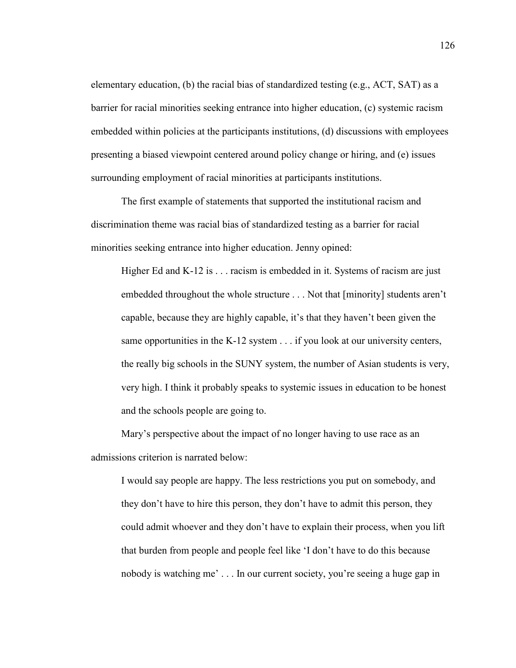elementary education, (b) the racial bias of standardized testing (e.g., ACT, SAT) as a barrier for racial minorities seeking entrance into higher education, (c) systemic racism embedded within policies at the participants institutions, (d) discussions with employees presenting a biased viewpoint centered around policy change or hiring, and (e) issues surrounding employment of racial minorities at participants institutions.

The first example of statements that supported the institutional racism and discrimination theme was racial bias of standardized testing as a barrier for racial minorities seeking entrance into higher education. Jenny opined:

Higher Ed and  $K-12$  is  $\ldots$  racism is embedded in it. Systems of racism are just embedded throughout the whole structure . . . Not that [minority] students aren't capable, because they are highly capable, it's that they haven't been given the same opportunities in the K-12 system . . . if you look at our university centers, the really big schools in the SUNY system, the number of Asian students is very, very high. I think it probably speaks to systemic issues in education to be honest and the schools people are going to.

Mary's perspective about the impact of no longer having to use race as an admissions criterion is narrated below:

I would say people are happy. The less restrictions you put on somebody, and they don't have to hire this person, they don't have to admit this person, they could admit whoever and they don't have to explain their process, when you lift that burden from people and people feel like 'I don't have to do this because nobody is watching me' . . . In our current society, you're seeing a huge gap in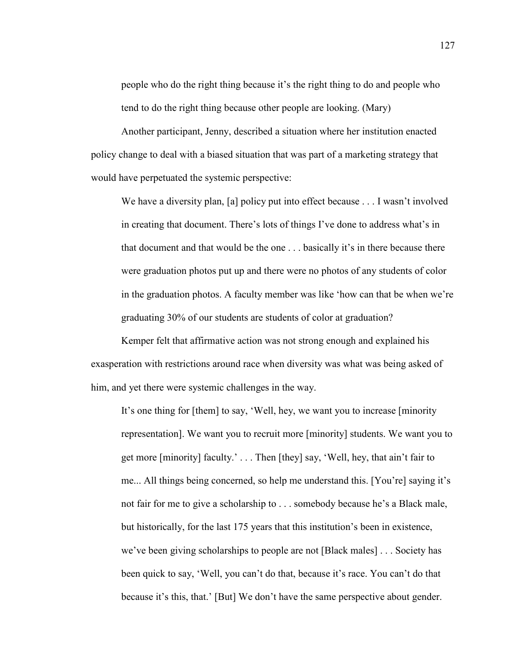people who do the right thing because it's the right thing to do and people who tend to do the right thing because other people are looking. (Mary)

Another participant, Jenny, described a situation where her institution enacted policy change to deal with a biased situation that was part of a marketing strategy that would have perpetuated the systemic perspective:

We have a diversity plan, [a] policy put into effect because . . . I wasn't involved in creating that document. There's lots of things I've done to address what's in that document and that would be the one . . . basically it's in there because there were graduation photos put up and there were no photos of any students of color in the graduation photos. A faculty member was like 'how can that be when we're graduating 30% of our students are students of color at graduation?

Kemper felt that affirmative action was not strong enough and explained his exasperation with restrictions around race when diversity was what was being asked of him, and yet there were systemic challenges in the way.

It's one thing for [them] to say, 'Well, hey, we want you to increase [minority representation]. We want you to recruit more [minority] students. We want you to get more [minority] faculty.' . . . Then [they] say, 'Well, hey, that ain't fair to me... All things being concerned, so help me understand this. [You're] saying it's not fair for me to give a scholarship to . . . somebody because he's a Black male, but historically, for the last 175 years that this institution's been in existence, we've been giving scholarships to people are not [Black males] . . . Society has been quick to say, 'Well, you can't do that, because it's race. You can't do that because it's this, that.' [But] We don't have the same perspective about gender.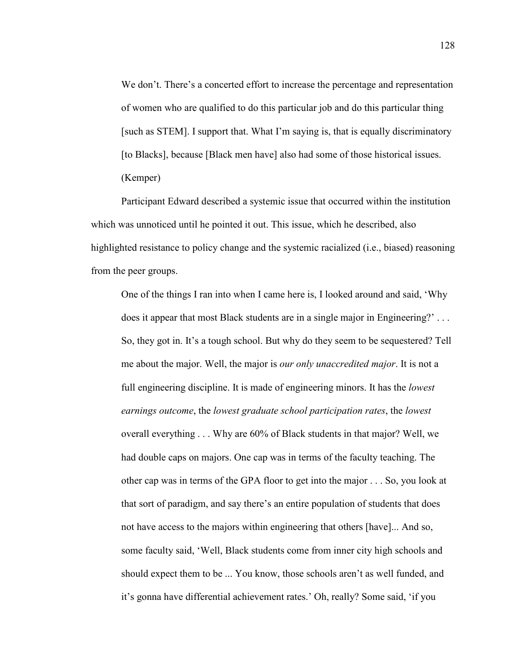We don't. There's a concerted effort to increase the percentage and representation of women who are qualified to do this particular job and do this particular thing [such as STEM]. I support that. What I'm saying is, that is equally discriminatory [to Blacks], because [Black men have] also had some of those historical issues. (Kemper)

Participant Edward described a systemic issue that occurred within the institution which was unnoticed until he pointed it out. This issue, which he described, also highlighted resistance to policy change and the systemic racialized (i.e., biased) reasoning from the peer groups.

One of the things I ran into when I came here is, I looked around and said, 'Why does it appear that most Black students are in a single major in Engineering?' . . . So, they got in. It's a tough school. But why do they seem to be sequestered? Tell me about the major. Well, the major is *our only unaccredited major*. It is not a full engineering discipline. It is made of engineering minors. It has the *lowest earnings outcome*, the *lowest graduate school participation rates*, the *lowest* overall everything . . . Why are 60% of Black students in that major? Well, we had double caps on majors. One cap was in terms of the faculty teaching. The other cap was in terms of the GPA floor to get into the major . . . So, you look at that sort of paradigm, and say there's an entire population of students that does not have access to the majors within engineering that others [have]... And so, some faculty said, 'Well, Black students come from inner city high schools and should expect them to be ... You know, those schools aren't as well funded, and it's gonna have differential achievement rates.' Oh, really? Some said, 'if you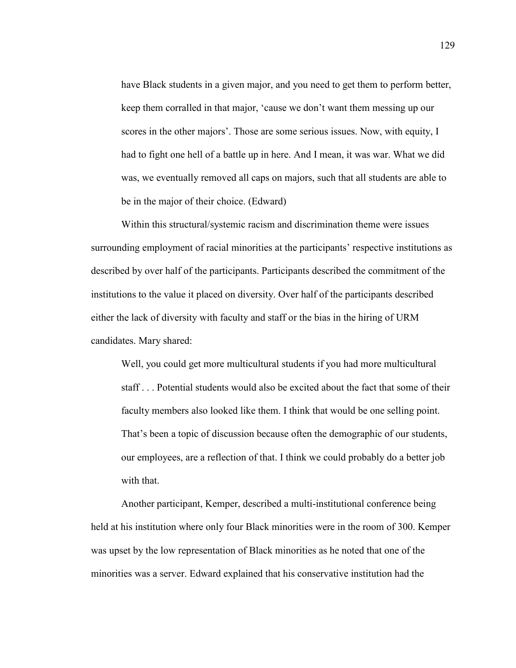have Black students in a given major, and you need to get them to perform better, keep them corralled in that major, 'cause we don't want them messing up our scores in the other majors'. Those are some serious issues. Now, with equity, I had to fight one hell of a battle up in here. And I mean, it was war. What we did was, we eventually removed all caps on majors, such that all students are able to be in the major of their choice. (Edward)

Within this structural/systemic racism and discrimination theme were issues surrounding employment of racial minorities at the participants' respective institutions as described by over half of the participants. Participants described the commitment of the institutions to the value it placed on diversity. Over half of the participants described either the lack of diversity with faculty and staff or the bias in the hiring of URM candidates. Mary shared:

Well, you could get more multicultural students if you had more multicultural staff . . . Potential students would also be excited about the fact that some of their faculty members also looked like them. I think that would be one selling point. That's been a topic of discussion because often the demographic of our students, our employees, are a reflection of that. I think we could probably do a better job with that.

Another participant, Kemper, described a multi-institutional conference being held at his institution where only four Black minorities were in the room of 300. Kemper was upset by the low representation of Black minorities as he noted that one of the minorities was a server. Edward explained that his conservative institution had the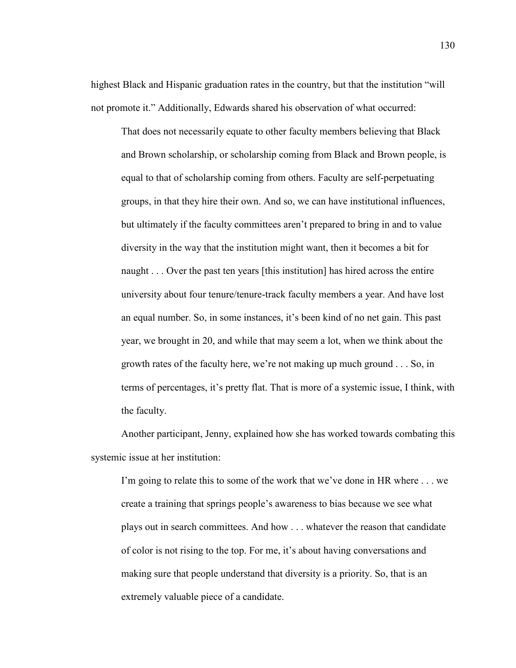highest Black and Hispanic graduation rates in the country, but that the institution "will not promote it." Additionally, Edwards shared his observation of what occurred:

That does not necessarily equate to other faculty members believing that Black and Brown scholarship, or scholarship coming from Black and Brown people, is equal to that of scholarship coming from others. Faculty are self-perpetuating groups, in that they hire their own. And so, we can have institutional influences, but ultimately if the faculty committees aren't prepared to bring in and to value diversity in the way that the institution might want, then it becomes a bit for naught . . . Over the past ten years [this institution] has hired across the entire university about four tenure/tenure-track faculty members a year. And have lost an equal number. So, in some instances, it's been kind of no net gain. This past year, we brought in 20, and while that may seem a lot, when we think about the growth rates of the faculty here, we're not making up much ground . . . So, in terms of percentages, it's pretty flat. That is more of a systemic issue, I think, with the faculty.

Another participant, Jenny, explained how she has worked towards combating this systemic issue at her institution:

I'm going to relate this to some of the work that we've done in HR where . . . we create a training that springs people's awareness to bias because we see what plays out in search committees. And how . . . whatever the reason that candidate of color is not rising to the top. For me, it's about having conversations and making sure that people understand that diversity is a priority. So, that is an extremely valuable piece of a candidate.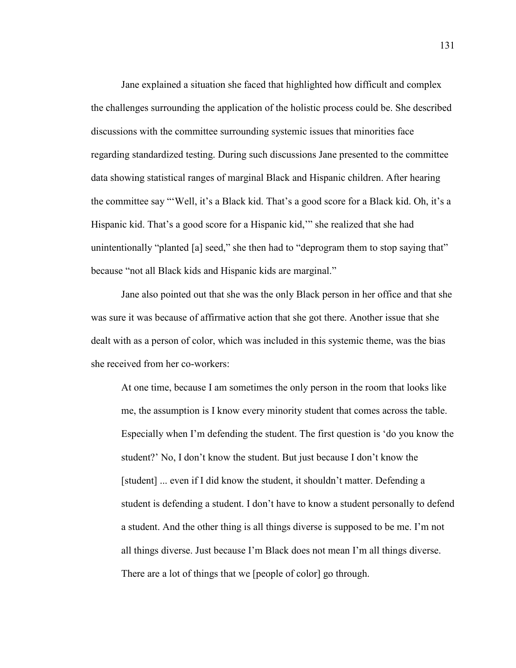Jane explained a situation she faced that highlighted how difficult and complex the challenges surrounding the application of the holistic process could be. She described discussions with the committee surrounding systemic issues that minorities face regarding standardized testing. During such discussions Jane presented to the committee data showing statistical ranges of marginal Black and Hispanic children. After hearing the committee say "'Well, it's a Black kid. That's a good score for a Black kid. Oh, it's a Hispanic kid. That's a good score for a Hispanic kid,'" she realized that she had unintentionally "planted [a] seed," she then had to "deprogram them to stop saying that" because "not all Black kids and Hispanic kids are marginal."

Jane also pointed out that she was the only Black person in her office and that she was sure it was because of affirmative action that she got there. Another issue that she dealt with as a person of color, which was included in this systemic theme, was the bias she received from her co-workers:

At one time, because I am sometimes the only person in the room that looks like me, the assumption is I know every minority student that comes across the table. Especially when I'm defending the student. The first question is 'do you know the student?' No, I don't know the student. But just because I don't know the [student] ... even if I did know the student, it shouldn't matter. Defending a student is defending a student. I don't have to know a student personally to defend a student. And the other thing is all things diverse is supposed to be me. I'm not all things diverse. Just because I'm Black does not mean I'm all things diverse. There are a lot of things that we [people of color] go through.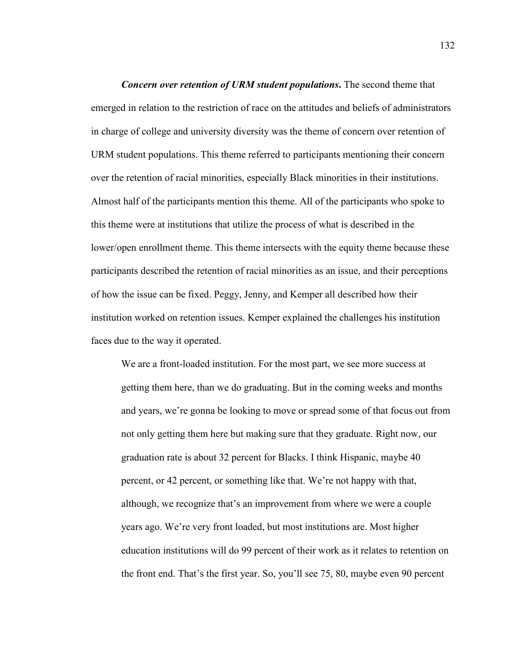*Concern over retention of URM student populations***.** The second theme that emerged in relation to the restriction of race on the attitudes and beliefs of administrators in charge of college and university diversity was the theme of concern over retention of URM student populations. This theme referred to participants mentioning their concern over the retention of racial minorities, especially Black minorities in their institutions. Almost half of the participants mention this theme. All of the participants who spoke to this theme were at institutions that utilize the process of what is described in the lower/open enrollment theme. This theme intersects with the equity theme because these participants described the retention of racial minorities as an issue, and their perceptions of how the issue can be fixed. Peggy, Jenny, and Kemper all described how their institution worked on retention issues. Kemper explained the challenges his institution faces due to the way it operated.

We are a front-loaded institution. For the most part, we see more success at getting them here, than we do graduating. But in the coming weeks and months and years, we're gonna be looking to move or spread some of that focus out from not only getting them here but making sure that they graduate. Right now, our graduation rate is about 32 percent for Blacks. I think Hispanic, maybe 40 percent, or 42 percent, or something like that. We're not happy with that, although, we recognize that's an improvement from where we were a couple years ago. We're very front loaded, but most institutions are. Most higher education institutions will do 99 percent of their work as it relates to retention on the front end. That's the first year. So, you'll see 75, 80, maybe even 90 percent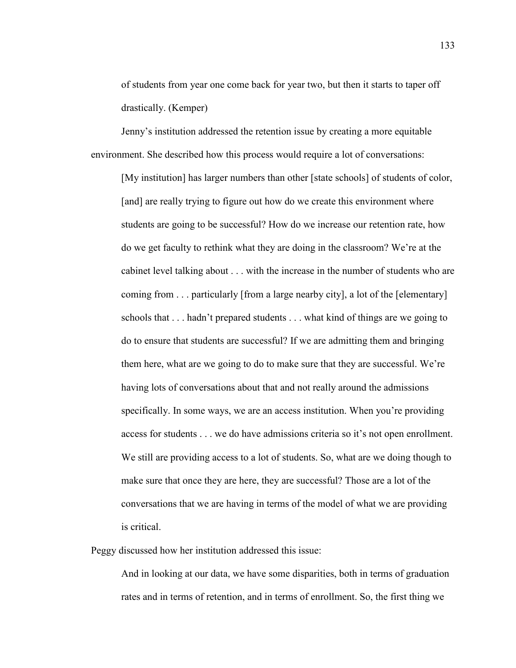of students from year one come back for year two, but then it starts to taper off drastically. (Kemper)

Jenny's institution addressed the retention issue by creating a more equitable environment. She described how this process would require a lot of conversations:

[My institution] has larger numbers than other [state schools] of students of color, [and] are really trying to figure out how do we create this environment where students are going to be successful? How do we increase our retention rate, how do we get faculty to rethink what they are doing in the classroom? We're at the cabinet level talking about . . . with the increase in the number of students who are coming from . . . particularly [from a large nearby city], a lot of the [elementary] schools that . . . hadn't prepared students . . . what kind of things are we going to do to ensure that students are successful? If we are admitting them and bringing them here, what are we going to do to make sure that they are successful. We're having lots of conversations about that and not really around the admissions specifically. In some ways, we are an access institution. When you're providing access for students . . . we do have admissions criteria so it's not open enrollment. We still are providing access to a lot of students. So, what are we doing though to make sure that once they are here, they are successful? Those are a lot of the conversations that we are having in terms of the model of what we are providing is critical.

Peggy discussed how her institution addressed this issue:

And in looking at our data, we have some disparities, both in terms of graduation rates and in terms of retention, and in terms of enrollment. So, the first thing we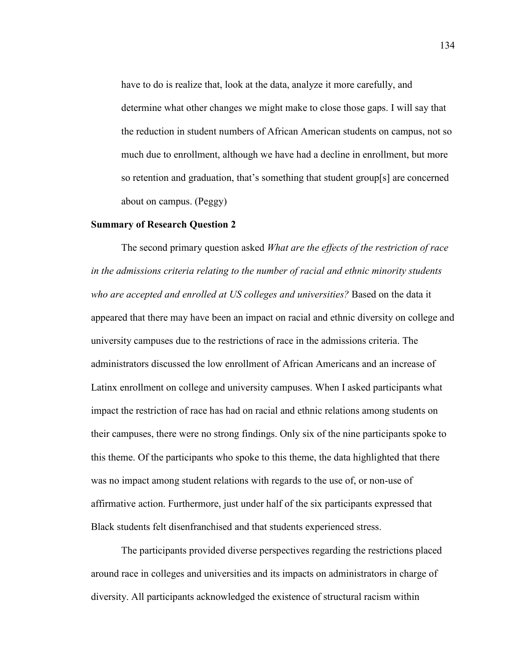have to do is realize that, look at the data, analyze it more carefully, and determine what other changes we might make to close those gaps. I will say that the reduction in student numbers of African American students on campus, not so much due to enrollment, although we have had a decline in enrollment, but more so retention and graduation, that's something that student group[s] are concerned about on campus. (Peggy)

# **Summary of Research Question 2**

The second primary question asked *What are the effects of the restriction of race in the admissions criteria relating to the number of racial and ethnic minority students who are accepted and enrolled at US colleges and universities?* Based on the data it appeared that there may have been an impact on racial and ethnic diversity on college and university campuses due to the restrictions of race in the admissions criteria. The administrators discussed the low enrollment of African Americans and an increase of Latinx enrollment on college and university campuses. When I asked participants what impact the restriction of race has had on racial and ethnic relations among students on their campuses, there were no strong findings. Only six of the nine participants spoke to this theme. Of the participants who spoke to this theme, the data highlighted that there was no impact among student relations with regards to the use of, or non-use of affirmative action. Furthermore, just under half of the six participants expressed that Black students felt disenfranchised and that students experienced stress.

The participants provided diverse perspectives regarding the restrictions placed around race in colleges and universities and its impacts on administrators in charge of diversity. All participants acknowledged the existence of structural racism within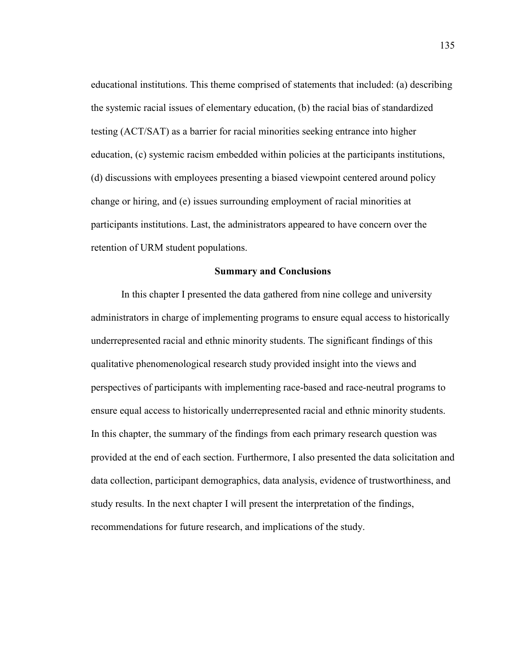educational institutions. This theme comprised of statements that included: (a) describing the systemic racial issues of elementary education, (b) the racial bias of standardized testing (ACT/SAT) as a barrier for racial minorities seeking entrance into higher education, (c) systemic racism embedded within policies at the participants institutions, (d) discussions with employees presenting a biased viewpoint centered around policy change or hiring, and (e) issues surrounding employment of racial minorities at participants institutions. Last, the administrators appeared to have concern over the retention of URM student populations.

#### **Summary and Conclusions**

In this chapter I presented the data gathered from nine college and university administrators in charge of implementing programs to ensure equal access to historically underrepresented racial and ethnic minority students. The significant findings of this qualitative phenomenological research study provided insight into the views and perspectives of participants with implementing race-based and race-neutral programs to ensure equal access to historically underrepresented racial and ethnic minority students. In this chapter, the summary of the findings from each primary research question was provided at the end of each section. Furthermore, I also presented the data solicitation and data collection, participant demographics, data analysis, evidence of trustworthiness, and study results. In the next chapter I will present the interpretation of the findings, recommendations for future research, and implications of the study.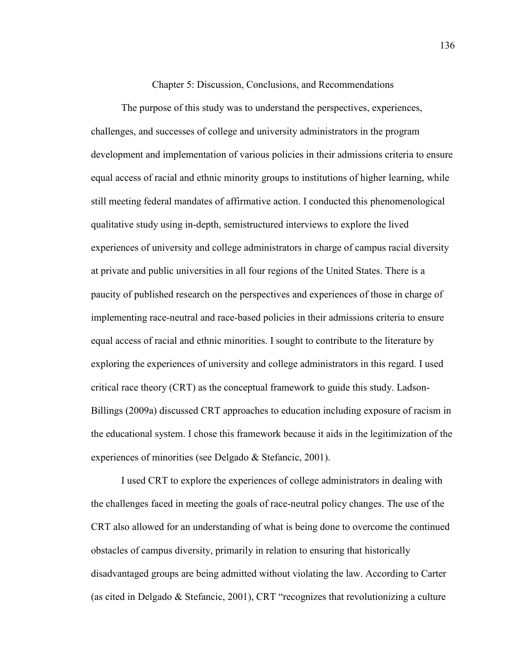Chapter 5: Discussion, Conclusions, and Recommendations

The purpose of this study was to understand the perspectives, experiences, challenges, and successes of college and university administrators in the program development and implementation of various policies in their admissions criteria to ensure equal access of racial and ethnic minority groups to institutions of higher learning, while still meeting federal mandates of affirmative action. I conducted this phenomenological qualitative study using in-depth, semistructured interviews to explore the lived experiences of university and college administrators in charge of campus racial diversity at private and public universities in all four regions of the United States. There is a paucity of published research on the perspectives and experiences of those in charge of implementing race-neutral and race-based policies in their admissions criteria to ensure equal access of racial and ethnic minorities. I sought to contribute to the literature by exploring the experiences of university and college administrators in this regard. I used critical race theory (CRT) as the conceptual framework to guide this study. Ladson-Billings (2009a) discussed CRT approaches to education including exposure of racism in the educational system. I chose this framework because it aids in the legitimization of the experiences of minorities (see Delgado & Stefancic, 2001).

I used CRT to explore the experiences of college administrators in dealing with the challenges faced in meeting the goals of race-neutral policy changes. The use of the CRT also allowed for an understanding of what is being done to overcome the continued obstacles of campus diversity, primarily in relation to ensuring that historically disadvantaged groups are being admitted without violating the law. According to Carter (as cited in Delgado & Stefancic, 2001), CRT "recognizes that revolutionizing a culture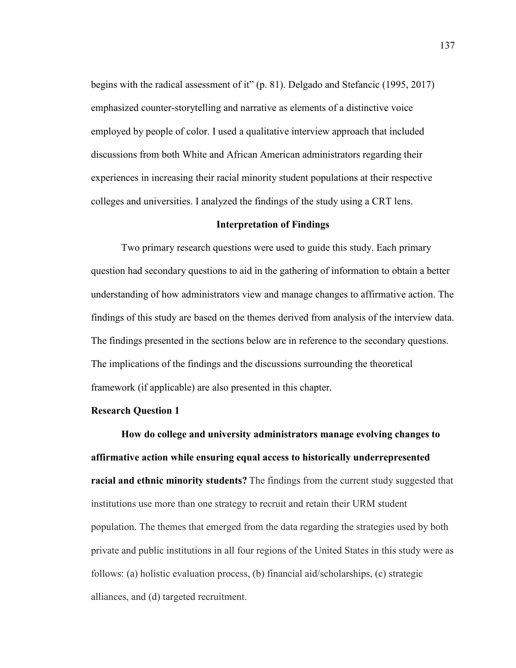begins with the radical assessment of it" (p. 81). Delgado and Stefancic (1995, 2017) emphasized counter-storytelling and narrative as elements of a distinctive voice employed by people of color. I used a qualitative interview approach that included discussions from both White and African American administrators regarding their experiences in increasing their racial minority student populations at their respective colleges and universities. I analyzed the findings of the study using a CRT lens.

# **Interpretation of Findings**

Two primary research questions were used to guide this study. Each primary question had secondary questions to aid in the gathering of information to obtain a better understanding of how administrators view and manage changes to affirmative action. The findings of this study are based on the themes derived from analysis of the interview data. The findings presented in the sections below are in reference to the secondary questions. The implications of the findings and the discussions surrounding the theoretical framework (if applicable) are also presented in this chapter.

#### **Research Question 1**

**How do college and university administrators manage evolving changes to affirmative action while ensuring equal access to historically underrepresented racial and ethnic minority students?** The findings from the current study suggested that institutions use more than one strategy to recruit and retain their URM student population. The themes that emerged from the data regarding the strategies used by both private and public institutions in all four regions of the United States in this study were as follows: (a) holistic evaluation process, (b) financial aid/scholarships, (c) strategic alliances, and (d) targeted recruitment.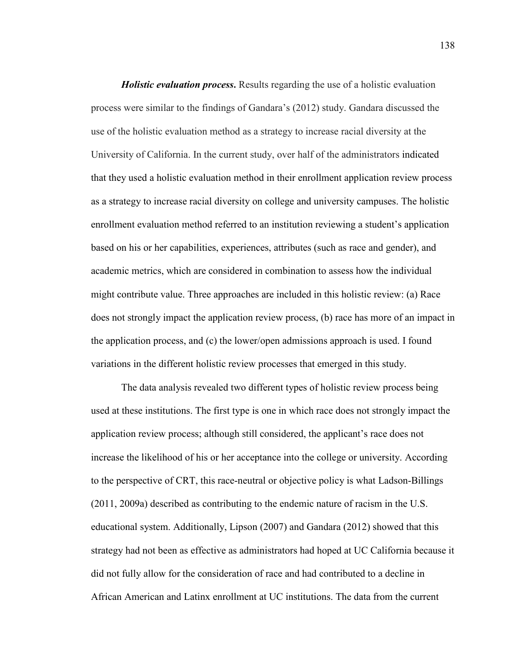*Holistic evaluation process***.** Results regarding the use of a holistic evaluation process were similar to the findings of Gandara's (2012) study. Gandara discussed the use of the holistic evaluation method as a strategy to increase racial diversity at the University of California. In the current study, over half of the administrators indicated that they used a holistic evaluation method in their enrollment application review process as a strategy to increase racial diversity on college and university campuses. The holistic enrollment evaluation method referred to an institution reviewing a student's application based on his or her capabilities, experiences, attributes (such as race and gender), and academic metrics, which are considered in combination to assess how the individual might contribute value. Three approaches are included in this holistic review: (a) Race does not strongly impact the application review process, (b) race has more of an impact in the application process, and (c) the lower/open admissions approach is used. I found variations in the different holistic review processes that emerged in this study.

The data analysis revealed two different types of holistic review process being used at these institutions. The first type is one in which race does not strongly impact the application review process; although still considered, the applicant's race does not increase the likelihood of his or her acceptance into the college or university. According to the perspective of CRT, this race-neutral or objective policy is what Ladson-Billings (2011, 2009a) described as contributing to the endemic nature of racism in the U.S. educational system. Additionally, Lipson (2007) and Gandara (2012) showed that this strategy had not been as effective as administrators had hoped at UC California because it did not fully allow for the consideration of race and had contributed to a decline in African American and Latinx enrollment at UC institutions. The data from the current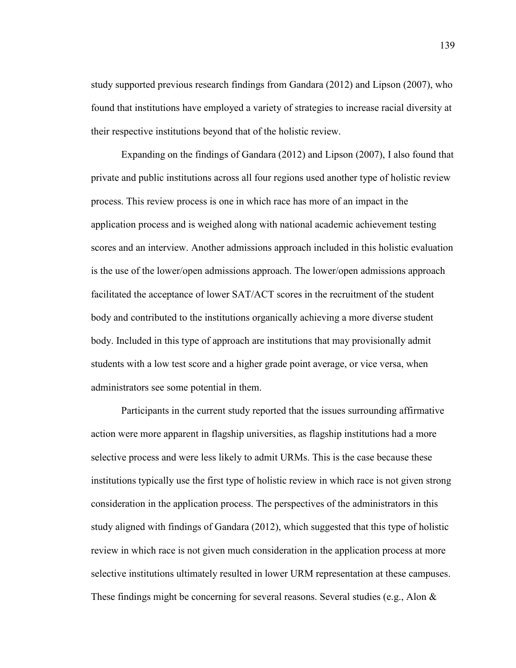study supported previous research findings from Gandara (2012) and Lipson (2007), who found that institutions have employed a variety of strategies to increase racial diversity at their respective institutions beyond that of the holistic review.

Expanding on the findings of Gandara (2012) and Lipson (2007), I also found that private and public institutions across all four regions used another type of holistic review process. This review process is one in which race has more of an impact in the application process and is weighed along with national academic achievement testing scores and an interview. Another admissions approach included in this holistic evaluation is the use of the lower/open admissions approach. The lower/open admissions approach facilitated the acceptance of lower SAT/ACT scores in the recruitment of the student body and contributed to the institutions organically achieving a more diverse student body. Included in this type of approach are institutions that may provisionally admit students with a low test score and a higher grade point average, or vice versa, when administrators see some potential in them.

Participants in the current study reported that the issues surrounding affirmative action were more apparent in flagship universities, as flagship institutions had a more selective process and were less likely to admit URMs. This is the case because these institutions typically use the first type of holistic review in which race is not given strong consideration in the application process. The perspectives of the administrators in this study aligned with findings of Gandara (2012), which suggested that this type of holistic review in which race is not given much consideration in the application process at more selective institutions ultimately resulted in lower URM representation at these campuses. These findings might be concerning for several reasons. Several studies (e.g., Alon  $\&$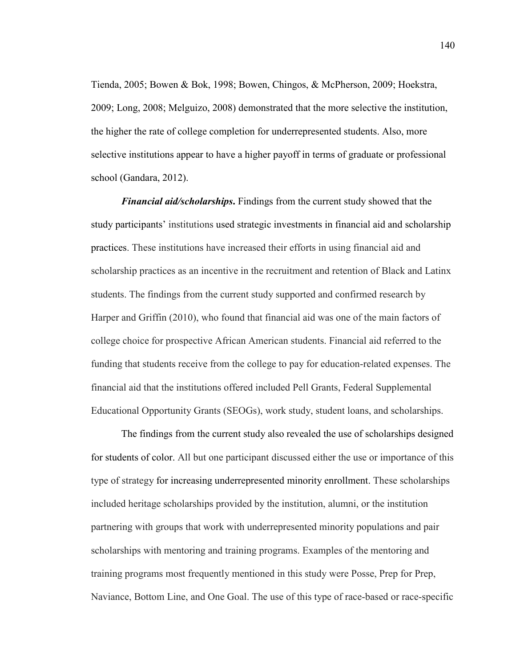Tienda, 2005; Bowen & Bok, 1998; Bowen, Chingos, & McPherson, 2009; Hoekstra, 2009; Long, 2008; Melguizo, 2008) demonstrated that the more selective the institution, the higher the rate of college completion for underrepresented students. Also, more selective institutions appear to have a higher payoff in terms of graduate or professional school (Gandara, 2012).

*Financial aid/scholarships***.** Findings from the current study showed that the study participants' institutions used strategic investments in financial aid and scholarship practices. These institutions have increased their efforts in using financial aid and scholarship practices as an incentive in the recruitment and retention of Black and Latinx students. The findings from the current study supported and confirmed research by Harper and Griffin (2010), who found that financial aid was one of the main factors of college choice for prospective African American students. Financial aid referred to the funding that students receive from the college to pay for education-related expenses. The financial aid that the institutions offered included Pell Grants, Federal Supplemental Educational Opportunity Grants (SEOGs), work study, student loans, and scholarships.

The findings from the current study also revealed the use of scholarships designed for students of color. All but one participant discussed either the use or importance of this type of strategy for increasing underrepresented minority enrollment. These scholarships included heritage scholarships provided by the institution, alumni, or the institution partnering with groups that work with underrepresented minority populations and pair scholarships with mentoring and training programs. Examples of the mentoring and training programs most frequently mentioned in this study were Posse, Prep for Prep, Naviance, Bottom Line, and One Goal. The use of this type of race-based or race-specific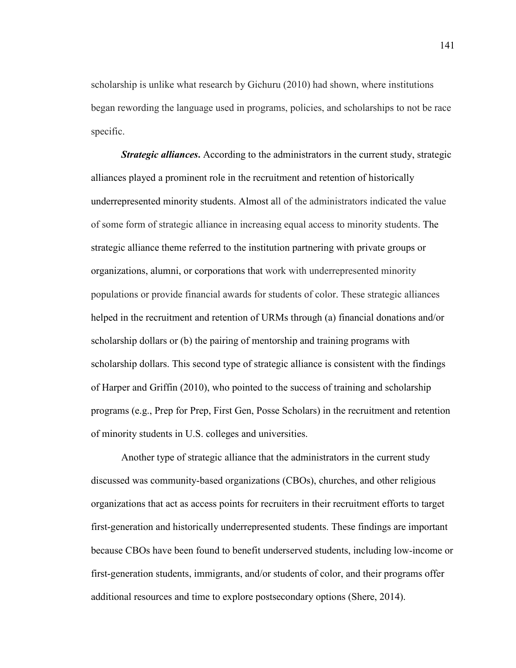scholarship is unlike what research by Gichuru (2010) had shown, where institutions began rewording the language used in programs, policies, and scholarships to not be race specific.

*Strategic alliances*. According to the administrators in the current study, strategic alliances played a prominent role in the recruitment and retention of historically underrepresented minority students. Almost all of the administrators indicated the value of some form of strategic alliance in increasing equal access to minority students. The strategic alliance theme referred to the institution partnering with private groups or organizations, alumni, or corporations that work with underrepresented minority populations or provide financial awards for students of color. These strategic alliances helped in the recruitment and retention of URMs through (a) financial donations and/or scholarship dollars or (b) the pairing of mentorship and training programs with scholarship dollars. This second type of strategic alliance is consistent with the findings of Harper and Griffin (2010), who pointed to the success of training and scholarship programs (e.g., Prep for Prep, First Gen, Posse Scholars) in the recruitment and retention of minority students in U.S. colleges and universities.

Another type of strategic alliance that the administrators in the current study discussed was community-based organizations (CBOs), churches, and other religious organizations that act as access points for recruiters in their recruitment efforts to target first-generation and historically underrepresented students. These findings are important because CBOs have been found to benefit underserved students, including low-income or first-generation students, immigrants, and/or students of color, and their programs offer additional resources and time to explore postsecondary options (Shere, 2014).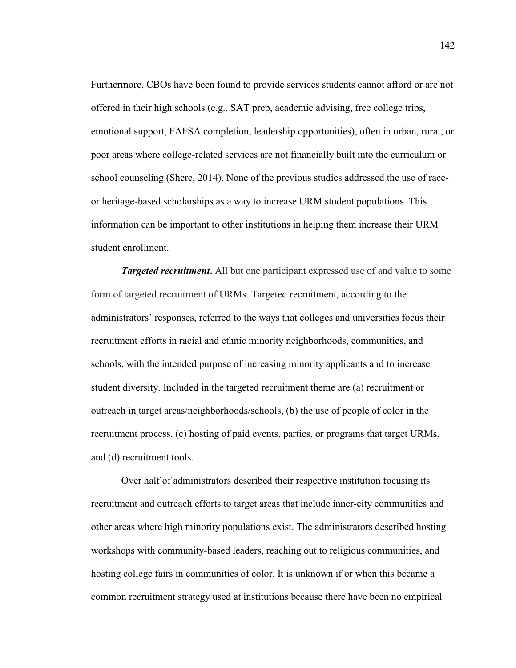Furthermore, CBOs have been found to provide services students cannot afford or are not offered in their high schools (e.g., SAT prep, academic advising, free college trips, emotional support, FAFSA completion, leadership opportunities), often in urban, rural, or poor areas where college-related services are not financially built into the curriculum or school counseling (Shere, 2014). None of the previous studies addressed the use of raceor heritage-based scholarships as a way to increase URM student populations. This information can be important to other institutions in helping them increase their URM student enrollment.

*Targeted recruitment.* All but one participant expressed use of and value to some form of targeted recruitment of URMs. Targeted recruitment, according to the administrators' responses, referred to the ways that colleges and universities focus their recruitment efforts in racial and ethnic minority neighborhoods, communities, and schools, with the intended purpose of increasing minority applicants and to increase student diversity. Included in the targeted recruitment theme are (a) recruitment or outreach in target areas/neighborhoods/schools, (b) the use of people of color in the recruitment process, (c) hosting of paid events, parties, or programs that target URMs, and (d) recruitment tools.

Over half of administrators described their respective institution focusing its recruitment and outreach efforts to target areas that include inner-city communities and other areas where high minority populations exist. The administrators described hosting workshops with community-based leaders, reaching out to religious communities, and hosting college fairs in communities of color. It is unknown if or when this became a common recruitment strategy used at institutions because there have been no empirical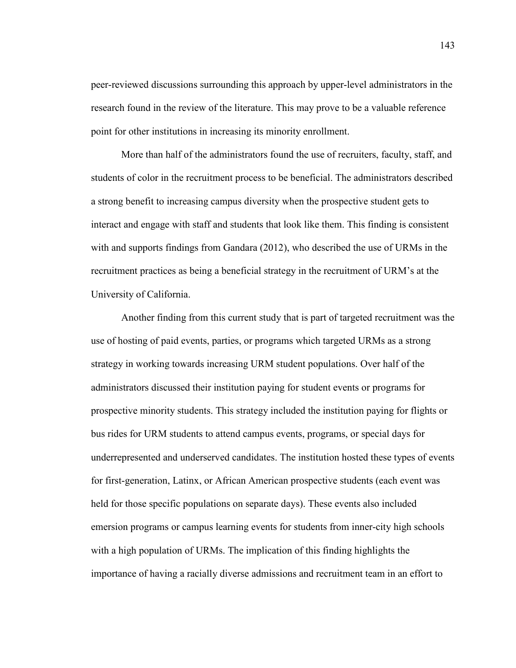peer-reviewed discussions surrounding this approach by upper-level administrators in the research found in the review of the literature. This may prove to be a valuable reference point for other institutions in increasing its minority enrollment.

More than half of the administrators found the use of recruiters, faculty, staff, and students of color in the recruitment process to be beneficial. The administrators described a strong benefit to increasing campus diversity when the prospective student gets to interact and engage with staff and students that look like them. This finding is consistent with and supports findings from Gandara (2012), who described the use of URMs in the recruitment practices as being a beneficial strategy in the recruitment of URM's at the University of California.

Another finding from this current study that is part of targeted recruitment was the use of hosting of paid events, parties, or programs which targeted URMs as a strong strategy in working towards increasing URM student populations. Over half of the administrators discussed their institution paying for student events or programs for prospective minority students. This strategy included the institution paying for flights or bus rides for URM students to attend campus events, programs, or special days for underrepresented and underserved candidates. The institution hosted these types of events for first-generation, Latinx, or African American prospective students (each event was held for those specific populations on separate days). These events also included emersion programs or campus learning events for students from inner-city high schools with a high population of URMs. The implication of this finding highlights the importance of having a racially diverse admissions and recruitment team in an effort to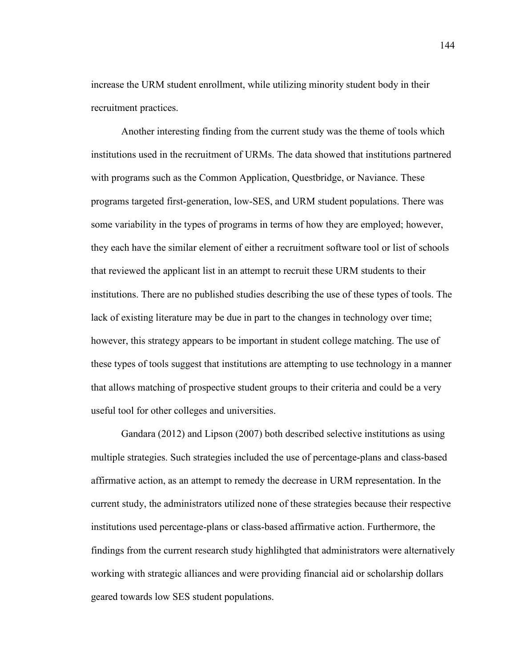increase the URM student enrollment, while utilizing minority student body in their recruitment practices.

Another interesting finding from the current study was the theme of tools which institutions used in the recruitment of URMs. The data showed that institutions partnered with programs such as the Common Application, Questbridge, or Naviance. These programs targeted first-generation, low-SES, and URM student populations. There was some variability in the types of programs in terms of how they are employed; however, they each have the similar element of either a recruitment software tool or list of schools that reviewed the applicant list in an attempt to recruit these URM students to their institutions. There are no published studies describing the use of these types of tools. The lack of existing literature may be due in part to the changes in technology over time; however, this strategy appears to be important in student college matching. The use of these types of tools suggest that institutions are attempting to use technology in a manner that allows matching of prospective student groups to their criteria and could be a very useful tool for other colleges and universities.

Gandara (2012) and Lipson (2007) both described selective institutions as using multiple strategies. Such strategies included the use of percentage-plans and class-based affirmative action, as an attempt to remedy the decrease in URM representation. In the current study, the administrators utilized none of these strategies because their respective institutions used percentage-plans or class-based affirmative action. Furthermore, the findings from the current research study highlihgted that administrators were alternatively working with strategic alliances and were providing financial aid or scholarship dollars geared towards low SES student populations.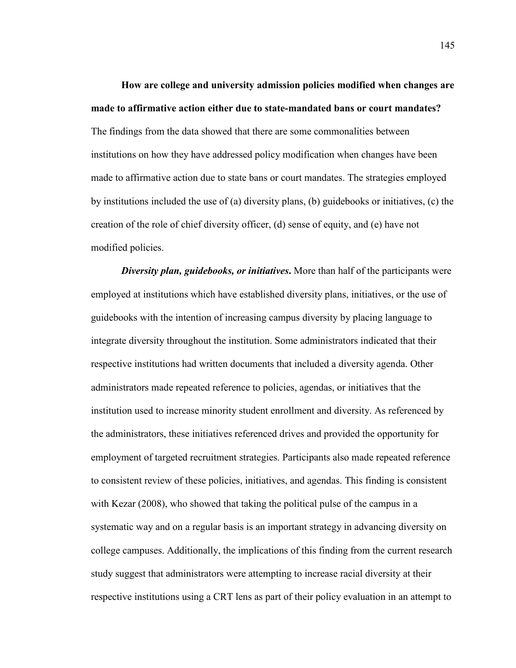**How are college and university admission policies modified when changes are made to affirmative action either due to state-mandated bans or court mandates?**  The findings from the data showed that there are some commonalities between institutions on how they have addressed policy modification when changes have been made to affirmative action due to state bans or court mandates. The strategies employed by institutions included the use of (a) diversity plans, (b) guidebooks or initiatives, (c) the creation of the role of chief diversity officer, (d) sense of equity, and (e) have not modified policies.

*Diversity plan, guidebooks, or initiatives***.** More than half of the participants were employed at institutions which have established diversity plans, initiatives, or the use of guidebooks with the intention of increasing campus diversity by placing language to integrate diversity throughout the institution. Some administrators indicated that their respective institutions had written documents that included a diversity agenda. Other administrators made repeated reference to policies, agendas, or initiatives that the institution used to increase minority student enrollment and diversity. As referenced by the administrators, these initiatives referenced drives and provided the opportunity for employment of targeted recruitment strategies. Participants also made repeated reference to consistent review of these policies, initiatives, and agendas. This finding is consistent with Kezar (2008), who showed that taking the political pulse of the campus in a systematic way and on a regular basis is an important strategy in advancing diversity on college campuses. Additionally, the implications of this finding from the current research study suggest that administrators were attempting to increase racial diversity at their respective institutions using a CRT lens as part of their policy evaluation in an attempt to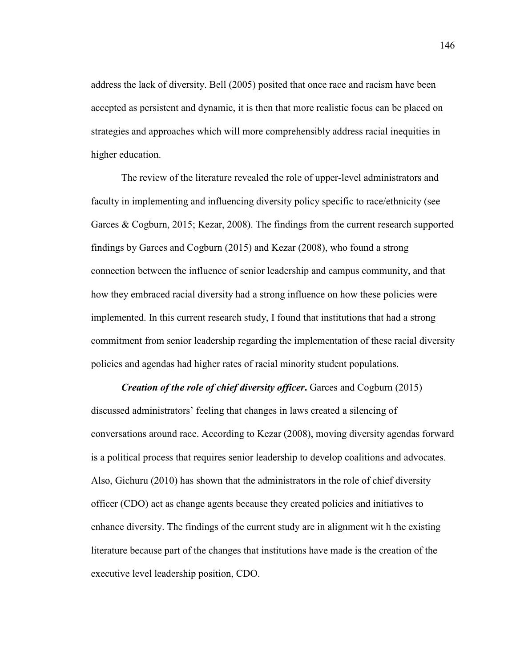address the lack of diversity. Bell (2005) posited that once race and racism have been accepted as persistent and dynamic, it is then that more realistic focus can be placed on strategies and approaches which will more comprehensibly address racial inequities in higher education.

The review of the literature revealed the role of upper-level administrators and faculty in implementing and influencing diversity policy specific to race/ethnicity (see Garces & Cogburn, 2015; Kezar, 2008). The findings from the current research supported findings by Garces and Cogburn (2015) and Kezar (2008), who found a strong connection between the influence of senior leadership and campus community, and that how they embraced racial diversity had a strong influence on how these policies were implemented. In this current research study, I found that institutions that had a strong commitment from senior leadership regarding the implementation of these racial diversity policies and agendas had higher rates of racial minority student populations.

*Creation of the role of chief diversity officer***.** Garces and Cogburn (2015) discussed administrators' feeling that changes in laws created a silencing of conversations around race. According to Kezar (2008), moving diversity agendas forward is a political process that requires senior leadership to develop coalitions and advocates. Also, Gichuru (2010) has shown that the administrators in the role of chief diversity officer (CDO) act as change agents because they created policies and initiatives to enhance diversity. The findings of the current study are in alignment wit h the existing literature because part of the changes that institutions have made is the creation of the executive level leadership position, CDO.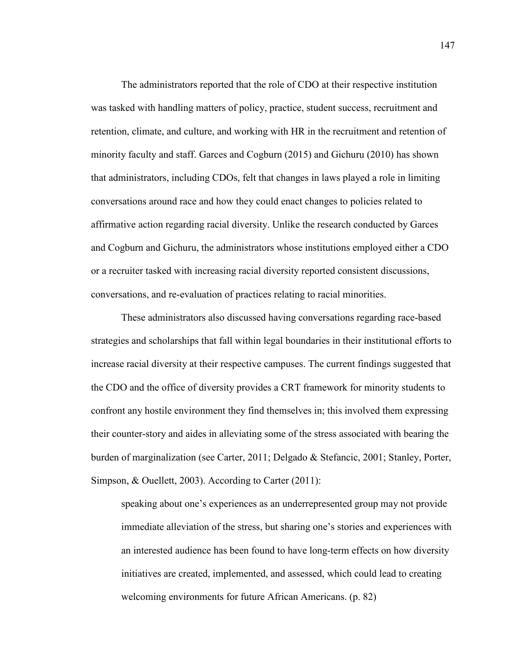The administrators reported that the role of CDO at their respective institution was tasked with handling matters of policy, practice, student success, recruitment and retention, climate, and culture, and working with HR in the recruitment and retention of minority faculty and staff. Garces and Cogburn (2015) and Gichuru (2010) has shown that administrators, including CDOs, felt that changes in laws played a role in limiting conversations around race and how they could enact changes to policies related to affirmative action regarding racial diversity. Unlike the research conducted by Garces and Cogburn and Gichuru, the administrators whose institutions employed either a CDO or a recruiter tasked with increasing racial diversity reported consistent discussions, conversations, and re-evaluation of practices relating to racial minorities.

These administrators also discussed having conversations regarding race-based strategies and scholarships that fall within legal boundaries in their institutional efforts to increase racial diversity at their respective campuses. The current findings suggested that the CDO and the office of diversity provides a CRT framework for minority students to confront any hostile environment they find themselves in; this involved them expressing their counter-story and aides in alleviating some of the stress associated with bearing the burden of marginalization (see Carter, 2011; Delgado & Stefancic, 2001; Stanley, Porter, Simpson, & Ouellett, 2003). According to Carter (2011):

speaking about one's experiences as an underrepresented group may not provide immediate alleviation of the stress, but sharing one's stories and experiences with an interested audience has been found to have long-term effects on how diversity initiatives are created, implemented, and assessed, which could lead to creating welcoming environments for future African Americans. (p. 82)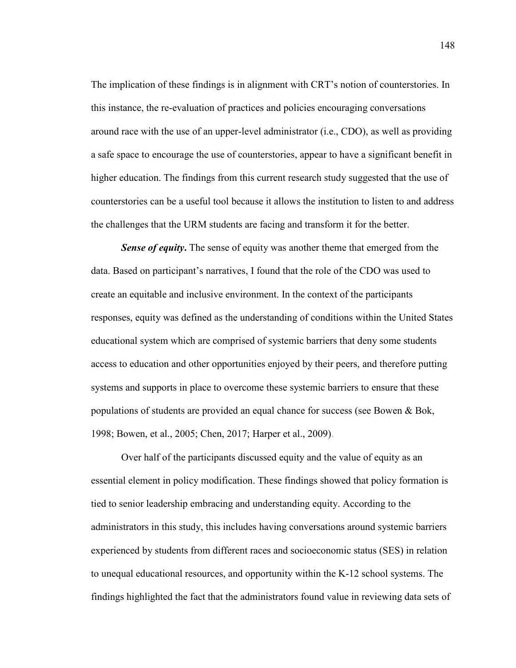The implication of these findings is in alignment with CRT's notion of counterstories. In this instance, the re-evaluation of practices and policies encouraging conversations around race with the use of an upper-level administrator (i.e., CDO), as well as providing a safe space to encourage the use of counterstories, appear to have a significant benefit in higher education. The findings from this current research study suggested that the use of counterstories can be a useful tool because it allows the institution to listen to and address the challenges that the URM students are facing and transform it for the better.

**Sense of equity.** The sense of equity was another theme that emerged from the data. Based on participant's narratives, I found that the role of the CDO was used to create an equitable and inclusive environment. In the context of the participants responses, equity was defined as the understanding of conditions within the United States educational system which are comprised of systemic barriers that deny some students access to education and other opportunities enjoyed by their peers, and therefore putting systems and supports in place to overcome these systemic barriers to ensure that these populations of students are provided an equal chance for success (see Bowen & Bok, 1998; Bowen, et al., 2005; Chen, 2017; Harper et al., 2009).

Over half of the participants discussed equity and the value of equity as an essential element in policy modification. These findings showed that policy formation is tied to senior leadership embracing and understanding equity. According to the administrators in this study, this includes having conversations around systemic barriers experienced by students from different races and socioeconomic status (SES) in relation to unequal educational resources, and opportunity within the K-12 school systems. The findings highlighted the fact that the administrators found value in reviewing data sets of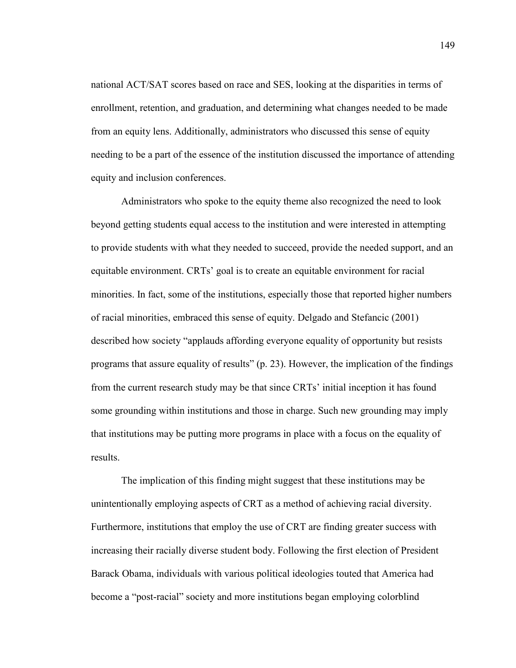national ACT/SAT scores based on race and SES, looking at the disparities in terms of enrollment, retention, and graduation, and determining what changes needed to be made from an equity lens. Additionally, administrators who discussed this sense of equity needing to be a part of the essence of the institution discussed the importance of attending equity and inclusion conferences.

Administrators who spoke to the equity theme also recognized the need to look beyond getting students equal access to the institution and were interested in attempting to provide students with what they needed to succeed, provide the needed support, and an equitable environment. CRTs' goal is to create an equitable environment for racial minorities. In fact, some of the institutions, especially those that reported higher numbers of racial minorities, embraced this sense of equity. Delgado and Stefancic (2001) described how society "applauds affording everyone equality of opportunity but resists programs that assure equality of results" (p. 23). However, the implication of the findings from the current research study may be that since CRTs' initial inception it has found some grounding within institutions and those in charge. Such new grounding may imply that institutions may be putting more programs in place with a focus on the equality of results.

The implication of this finding might suggest that these institutions may be unintentionally employing aspects of CRT as a method of achieving racial diversity. Furthermore, institutions that employ the use of CRT are finding greater success with increasing their racially diverse student body. Following the first election of President Barack Obama, individuals with various political ideologies touted that America had become a "post-racial" society and more institutions began employing colorblind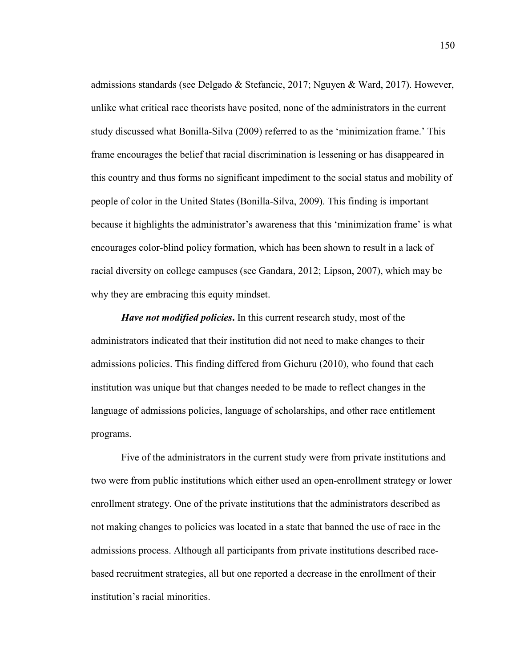admissions standards (see Delgado & Stefancic, 2017; Nguyen & Ward, 2017). However, unlike what critical race theorists have posited, none of the administrators in the current study discussed what Bonilla-Silva (2009) referred to as the 'minimization frame.' This frame encourages the belief that racial discrimination is lessening or has disappeared in this country and thus forms no significant impediment to the social status and mobility of people of color in the United States (Bonilla-Silva, 2009). This finding is important because it highlights the administrator's awareness that this 'minimization frame' is what encourages color-blind policy formation, which has been shown to result in a lack of racial diversity on college campuses (see Gandara, 2012; Lipson, 2007), which may be why they are embracing this equity mindset.

*Have not modified policies***.** In this current research study, most of the administrators indicated that their institution did not need to make changes to their admissions policies. This finding differed from Gichuru (2010), who found that each institution was unique but that changes needed to be made to reflect changes in the language of admissions policies, language of scholarships, and other race entitlement programs.

Five of the administrators in the current study were from private institutions and two were from public institutions which either used an open-enrollment strategy or lower enrollment strategy. One of the private institutions that the administrators described as not making changes to policies was located in a state that banned the use of race in the admissions process. Although all participants from private institutions described racebased recruitment strategies, all but one reported a decrease in the enrollment of their institution's racial minorities.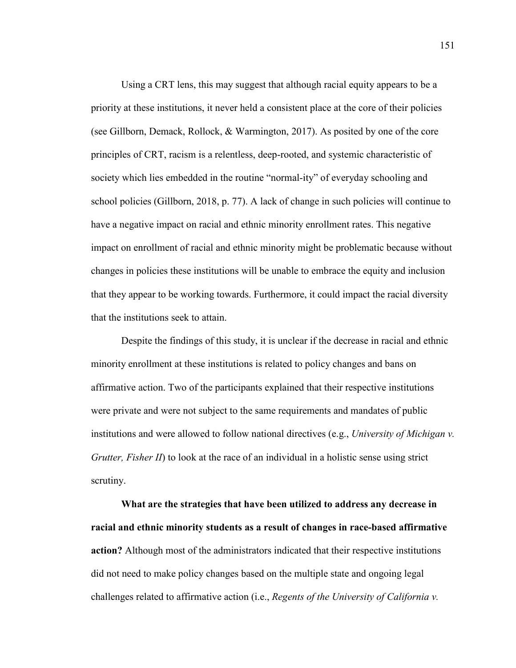Using a CRT lens, this may suggest that although racial equity appears to be a priority at these institutions, it never held a consistent place at the core of their policies (see Gillborn, Demack, Rollock, & Warmington, 2017). As posited by one of the core principles of CRT, racism is a relentless, deep-rooted, and systemic characteristic of society which lies embedded in the routine "normal-ity" of everyday schooling and school policies (Gillborn, 2018, p. 77). A lack of change in such policies will continue to have a negative impact on racial and ethnic minority enrollment rates. This negative impact on enrollment of racial and ethnic minority might be problematic because without changes in policies these institutions will be unable to embrace the equity and inclusion that they appear to be working towards. Furthermore, it could impact the racial diversity that the institutions seek to attain.

Despite the findings of this study, it is unclear if the decrease in racial and ethnic minority enrollment at these institutions is related to policy changes and bans on affirmative action. Two of the participants explained that their respective institutions were private and were not subject to the same requirements and mandates of public institutions and were allowed to follow national directives (e.g., *University of Michigan v. Grutter, Fisher II*) to look at the race of an individual in a holistic sense using strict scrutiny.

**What are the strategies that have been utilized to address any decrease in racial and ethnic minority students as a result of changes in race-based affirmative action?** Although most of the administrators indicated that their respective institutions did not need to make policy changes based on the multiple state and ongoing legal challenges related to affirmative action (i.e., *Regents of the University of California v.*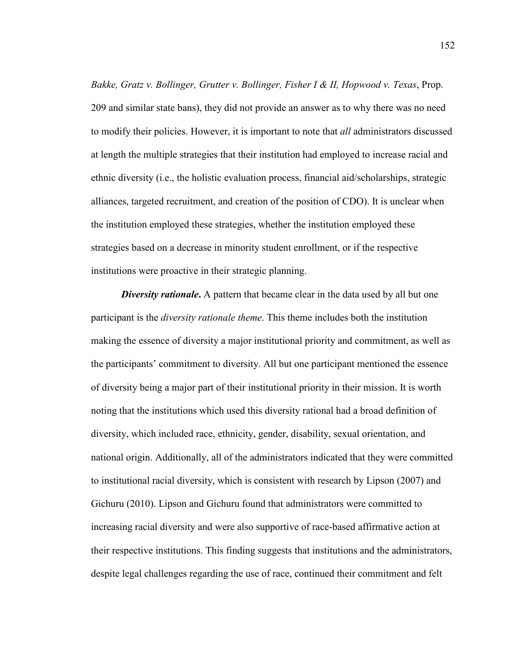*Bakke, Gratz v. Bollinger, Grutter v. Bollinger, Fisher I & II, Hopwood v. Texas*, Prop. 209 and similar state bans), they did not provide an answer as to why there was no need to modify their policies. However, it is important to note that *all* administrators discussed at length the multiple strategies that their institution had employed to increase racial and ethnic diversity (i.e., the holistic evaluation process, financial aid/scholarships, strategic alliances, targeted recruitment, and creation of the position of CDO). It is unclear when the institution employed these strategies, whether the institution employed these strategies based on a decrease in minority student enrollment, or if the respective institutions were proactive in their strategic planning.

*Diversity rationale*. A pattern that became clear in the data used by all but one participant is the *diversity rationale theme*. This theme includes both the institution making the essence of diversity a major institutional priority and commitment, as well as the participants' commitment to diversity. All but one participant mentioned the essence of diversity being a major part of their institutional priority in their mission. It is worth noting that the institutions which used this diversity rational had a broad definition of diversity, which included race, ethnicity, gender, disability, sexual orientation, and national origin. Additionally, all of the administrators indicated that they were committed to institutional racial diversity, which is consistent with research by Lipson (2007) and Gichuru (2010). Lipson and Gichuru found that administrators were committed to increasing racial diversity and were also supportive of race-based affirmative action at their respective institutions. This finding suggests that institutions and the administrators, despite legal challenges regarding the use of race, continued their commitment and felt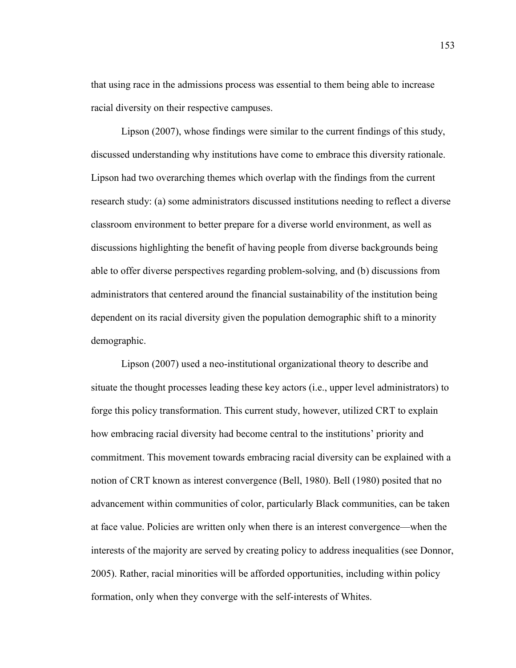that using race in the admissions process was essential to them being able to increase racial diversity on their respective campuses.

Lipson (2007), whose findings were similar to the current findings of this study, discussed understanding why institutions have come to embrace this diversity rationale. Lipson had two overarching themes which overlap with the findings from the current research study: (a) some administrators discussed institutions needing to reflect a diverse classroom environment to better prepare for a diverse world environment, as well as discussions highlighting the benefit of having people from diverse backgrounds being able to offer diverse perspectives regarding problem-solving, and (b) discussions from administrators that centered around the financial sustainability of the institution being dependent on its racial diversity given the population demographic shift to a minority demographic.

Lipson (2007) used a neo-institutional organizational theory to describe and situate the thought processes leading these key actors (i.e., upper level administrators) to forge this policy transformation. This current study, however, utilized CRT to explain how embracing racial diversity had become central to the institutions' priority and commitment. This movement towards embracing racial diversity can be explained with a notion of CRT known as interest convergence (Bell, 1980). Bell (1980) posited that no advancement within communities of color, particularly Black communities, can be taken at face value. Policies are written only when there is an interest convergence—when the interests of the majority are served by creating policy to address inequalities (see Donnor, 2005). Rather, racial minorities will be afforded opportunities, including within policy formation, only when they converge with the self-interests of Whites.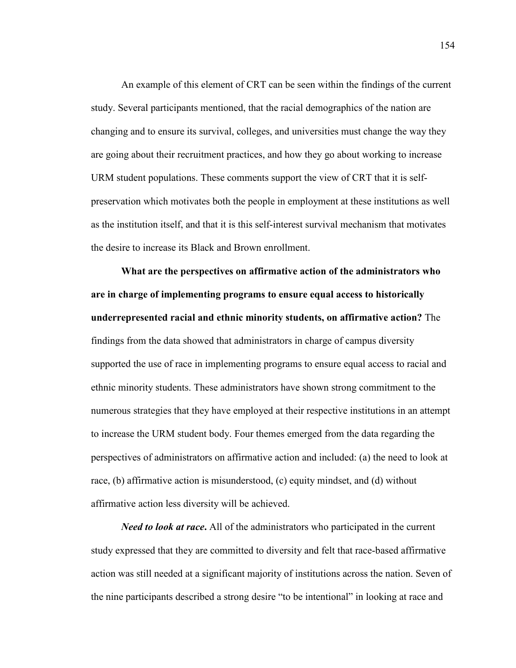An example of this element of CRT can be seen within the findings of the current study. Several participants mentioned, that the racial demographics of the nation are changing and to ensure its survival, colleges, and universities must change the way they are going about their recruitment practices, and how they go about working to increase URM student populations. These comments support the view of CRT that it is selfpreservation which motivates both the people in employment at these institutions as well as the institution itself, and that it is this self-interest survival mechanism that motivates the desire to increase its Black and Brown enrollment.

**What are the perspectives on affirmative action of the administrators who are in charge of implementing programs to ensure equal access to historically underrepresented racial and ethnic minority students, on affirmative action?** The findings from the data showed that administrators in charge of campus diversity supported the use of race in implementing programs to ensure equal access to racial and ethnic minority students. These administrators have shown strong commitment to the numerous strategies that they have employed at their respective institutions in an attempt to increase the URM student body. Four themes emerged from the data regarding the perspectives of administrators on affirmative action and included: (a) the need to look at race, (b) affirmative action is misunderstood, (c) equity mindset, and (d) without affirmative action less diversity will be achieved.

*Need to look at race***.** All of the administrators who participated in the current study expressed that they are committed to diversity and felt that race-based affirmative action was still needed at a significant majority of institutions across the nation. Seven of the nine participants described a strong desire "to be intentional" in looking at race and

154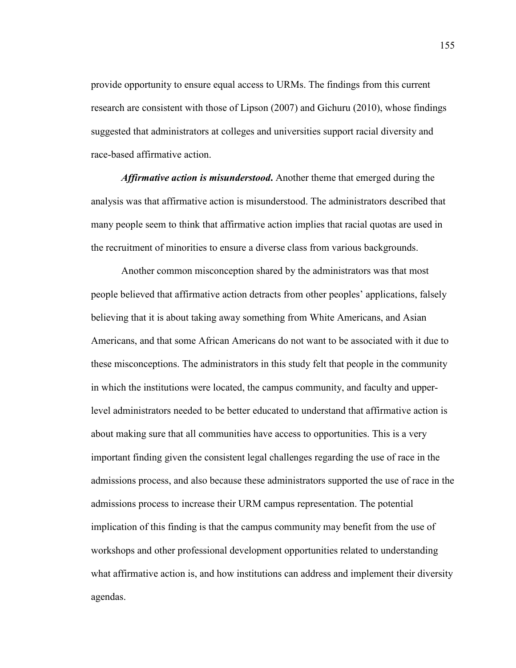provide opportunity to ensure equal access to URMs. The findings from this current research are consistent with those of Lipson (2007) and Gichuru (2010), whose findings suggested that administrators at colleges and universities support racial diversity and race-based affirmative action.

*Affirmative action is misunderstood***.** Another theme that emerged during the analysis was that affirmative action is misunderstood. The administrators described that many people seem to think that affirmative action implies that racial quotas are used in the recruitment of minorities to ensure a diverse class from various backgrounds.

 Another common misconception shared by the administrators was that most people believed that affirmative action detracts from other peoples' applications, falsely believing that it is about taking away something from White Americans, and Asian Americans, and that some African Americans do not want to be associated with it due to these misconceptions. The administrators in this study felt that people in the community in which the institutions were located, the campus community, and faculty and upperlevel administrators needed to be better educated to understand that affirmative action is about making sure that all communities have access to opportunities. This is a very important finding given the consistent legal challenges regarding the use of race in the admissions process, and also because these administrators supported the use of race in the admissions process to increase their URM campus representation. The potential implication of this finding is that the campus community may benefit from the use of workshops and other professional development opportunities related to understanding what affirmative action is, and how institutions can address and implement their diversity agendas.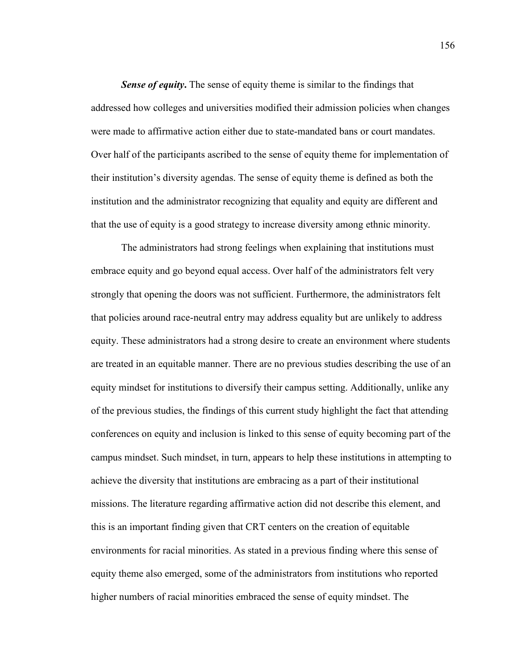**Sense of equity.** The sense of equity theme is similar to the findings that addressed how colleges and universities modified their admission policies when changes were made to affirmative action either due to state-mandated bans or court mandates. Over half of the participants ascribed to the sense of equity theme for implementation of their institution's diversity agendas. The sense of equity theme is defined as both the institution and the administrator recognizing that equality and equity are different and that the use of equity is a good strategy to increase diversity among ethnic minority.

The administrators had strong feelings when explaining that institutions must embrace equity and go beyond equal access. Over half of the administrators felt very strongly that opening the doors was not sufficient. Furthermore, the administrators felt that policies around race-neutral entry may address equality but are unlikely to address equity. These administrators had a strong desire to create an environment where students are treated in an equitable manner. There are no previous studies describing the use of an equity mindset for institutions to diversify their campus setting. Additionally, unlike any of the previous studies, the findings of this current study highlight the fact that attending conferences on equity and inclusion is linked to this sense of equity becoming part of the campus mindset. Such mindset, in turn, appears to help these institutions in attempting to achieve the diversity that institutions are embracing as a part of their institutional missions. The literature regarding affirmative action did not describe this element, and this is an important finding given that CRT centers on the creation of equitable environments for racial minorities. As stated in a previous finding where this sense of equity theme also emerged, some of the administrators from institutions who reported higher numbers of racial minorities embraced the sense of equity mindset. The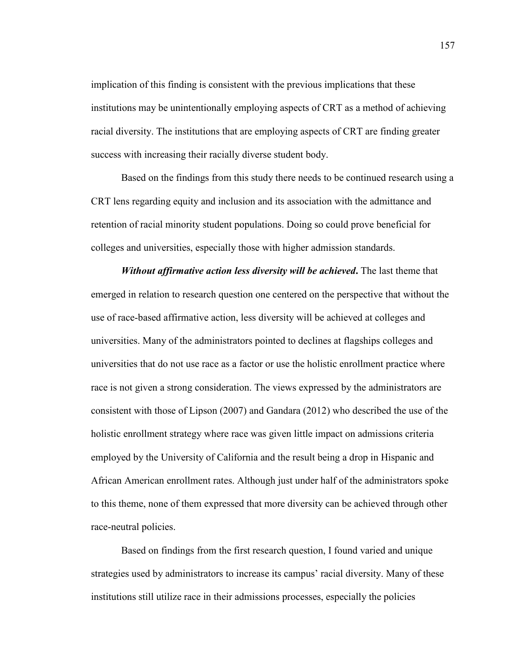implication of this finding is consistent with the previous implications that these institutions may be unintentionally employing aspects of CRT as a method of achieving racial diversity. The institutions that are employing aspects of CRT are finding greater success with increasing their racially diverse student body.

Based on the findings from this study there needs to be continued research using a CRT lens regarding equity and inclusion and its association with the admittance and retention of racial minority student populations. Doing so could prove beneficial for colleges and universities, especially those with higher admission standards.

*Without affirmative action less diversity will be achieved***.** The last theme that emerged in relation to research question one centered on the perspective that without the use of race-based affirmative action, less diversity will be achieved at colleges and universities. Many of the administrators pointed to declines at flagships colleges and universities that do not use race as a factor or use the holistic enrollment practice where race is not given a strong consideration. The views expressed by the administrators are consistent with those of Lipson (2007) and Gandara (2012) who described the use of the holistic enrollment strategy where race was given little impact on admissions criteria employed by the University of California and the result being a drop in Hispanic and African American enrollment rates. Although just under half of the administrators spoke to this theme, none of them expressed that more diversity can be achieved through other race-neutral policies.

Based on findings from the first research question, I found varied and unique strategies used by administrators to increase its campus' racial diversity. Many of these institutions still utilize race in their admissions processes, especially the policies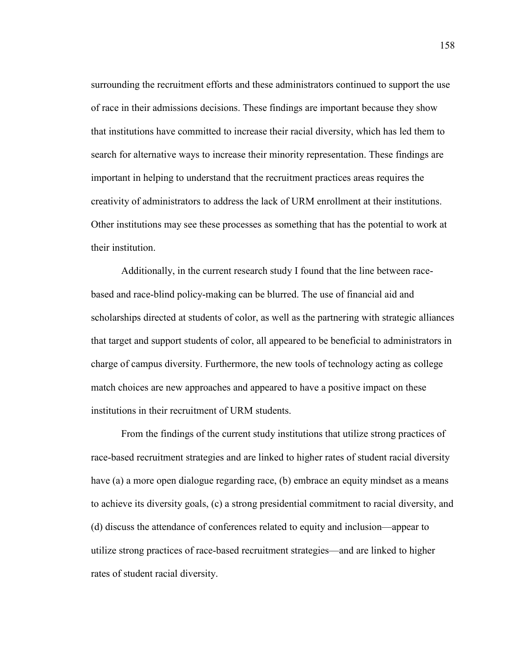surrounding the recruitment efforts and these administrators continued to support the use of race in their admissions decisions. These findings are important because they show that institutions have committed to increase their racial diversity, which has led them to search for alternative ways to increase their minority representation. These findings are important in helping to understand that the recruitment practices areas requires the creativity of administrators to address the lack of URM enrollment at their institutions. Other institutions may see these processes as something that has the potential to work at their institution.

Additionally, in the current research study I found that the line between racebased and race-blind policy-making can be blurred. The use of financial aid and scholarships directed at students of color, as well as the partnering with strategic alliances that target and support students of color, all appeared to be beneficial to administrators in charge of campus diversity. Furthermore, the new tools of technology acting as college match choices are new approaches and appeared to have a positive impact on these institutions in their recruitment of URM students.

From the findings of the current study institutions that utilize strong practices of race-based recruitment strategies and are linked to higher rates of student racial diversity have (a) a more open dialogue regarding race, (b) embrace an equity mindset as a means to achieve its diversity goals, (c) a strong presidential commitment to racial diversity, and (d) discuss the attendance of conferences related to equity and inclusion—appear to utilize strong practices of race-based recruitment strategies—and are linked to higher rates of student racial diversity.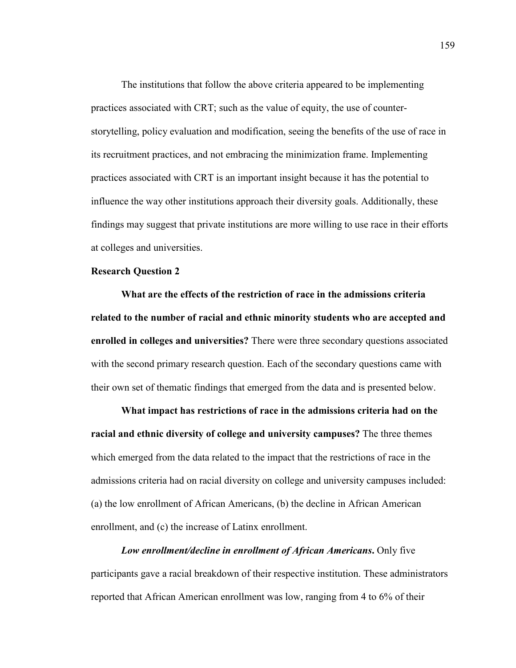The institutions that follow the above criteria appeared to be implementing practices associated with CRT; such as the value of equity, the use of counterstorytelling, policy evaluation and modification, seeing the benefits of the use of race in its recruitment practices, and not embracing the minimization frame. Implementing practices associated with CRT is an important insight because it has the potential to influence the way other institutions approach their diversity goals. Additionally, these findings may suggest that private institutions are more willing to use race in their efforts at colleges and universities.

### **Research Question 2**

**What are the effects of the restriction of race in the admissions criteria related to the number of racial and ethnic minority students who are accepted and enrolled in colleges and universities?** There were three secondary questions associated with the second primary research question. Each of the secondary questions came with their own set of thematic findings that emerged from the data and is presented below.

**What impact has restrictions of race in the admissions criteria had on the racial and ethnic diversity of college and university campuses?** The three themes which emerged from the data related to the impact that the restrictions of race in the admissions criteria had on racial diversity on college and university campuses included: (a) the low enrollment of African Americans, (b) the decline in African American enrollment, and (c) the increase of Latinx enrollment.

*Low enrollment/decline in enrollment of African Americans***.** Only five participants gave a racial breakdown of their respective institution. These administrators reported that African American enrollment was low, ranging from 4 to 6% of their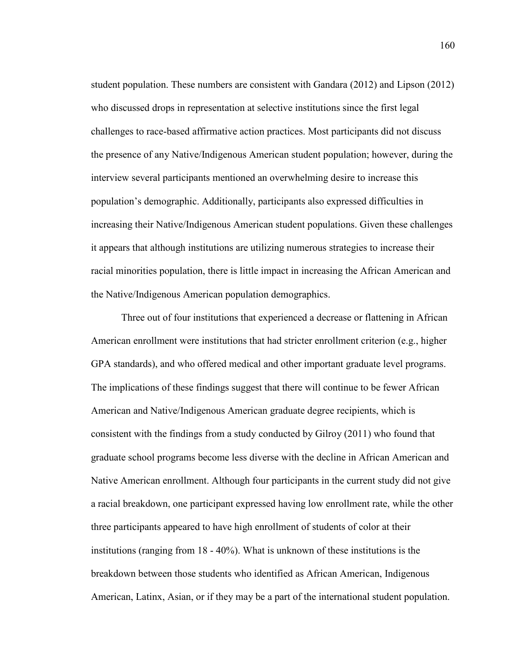student population. These numbers are consistent with Gandara (2012) and Lipson (2012) who discussed drops in representation at selective institutions since the first legal challenges to race-based affirmative action practices. Most participants did not discuss the presence of any Native/Indigenous American student population; however, during the interview several participants mentioned an overwhelming desire to increase this population's demographic. Additionally, participants also expressed difficulties in increasing their Native/Indigenous American student populations. Given these challenges it appears that although institutions are utilizing numerous strategies to increase their racial minorities population, there is little impact in increasing the African American and the Native/Indigenous American population demographics.

Three out of four institutions that experienced a decrease or flattening in African American enrollment were institutions that had stricter enrollment criterion (e.g., higher GPA standards), and who offered medical and other important graduate level programs. The implications of these findings suggest that there will continue to be fewer African American and Native/Indigenous American graduate degree recipients, which is consistent with the findings from a study conducted by Gilroy (2011) who found that graduate school programs become less diverse with the decline in African American and Native American enrollment. Although four participants in the current study did not give a racial breakdown, one participant expressed having low enrollment rate, while the other three participants appeared to have high enrollment of students of color at their institutions (ranging from 18 - 40%). What is unknown of these institutions is the breakdown between those students who identified as African American, Indigenous American, Latinx, Asian, or if they may be a part of the international student population.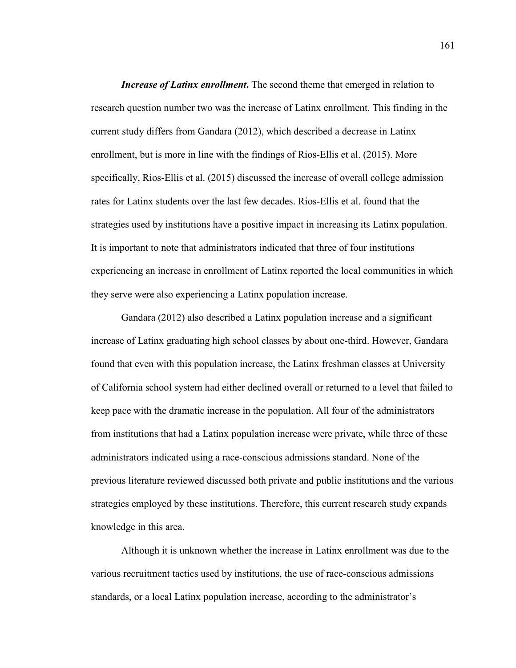*Increase of Latinx enrollment*. The second theme that emerged in relation to research question number two was the increase of Latinx enrollment. This finding in the current study differs from Gandara (2012), which described a decrease in Latinx enrollment, but is more in line with the findings of Rios-Ellis et al. (2015). More specifically, Rios-Ellis et al. (2015) discussed the increase of overall college admission rates for Latinx students over the last few decades. Rios-Ellis et al. found that the strategies used by institutions have a positive impact in increasing its Latinx population. It is important to note that administrators indicated that three of four institutions experiencing an increase in enrollment of Latinx reported the local communities in which they serve were also experiencing a Latinx population increase.

Gandara (2012) also described a Latinx population increase and a significant increase of Latinx graduating high school classes by about one-third. However, Gandara found that even with this population increase, the Latinx freshman classes at University of California school system had either declined overall or returned to a level that failed to keep pace with the dramatic increase in the population. All four of the administrators from institutions that had a Latinx population increase were private, while three of these administrators indicated using a race-conscious admissions standard. None of the previous literature reviewed discussed both private and public institutions and the various strategies employed by these institutions. Therefore, this current research study expands knowledge in this area.

Although it is unknown whether the increase in Latinx enrollment was due to the various recruitment tactics used by institutions, the use of race-conscious admissions standards, or a local Latinx population increase, according to the administrator's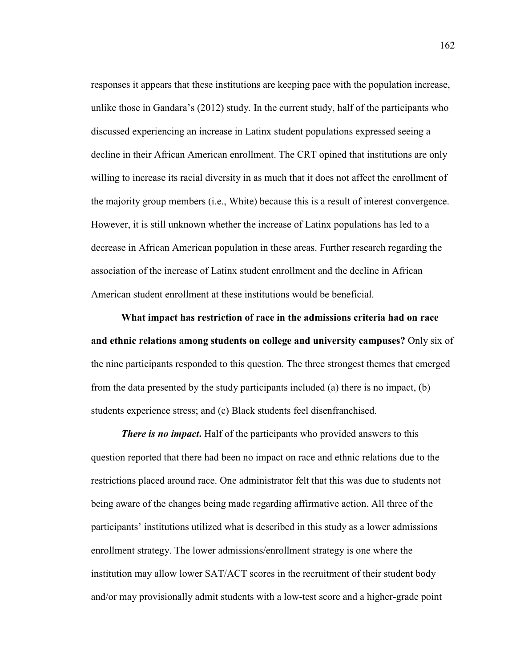responses it appears that these institutions are keeping pace with the population increase, unlike those in Gandara's (2012) study. In the current study, half of the participants who discussed experiencing an increase in Latinx student populations expressed seeing a decline in their African American enrollment. The CRT opined that institutions are only willing to increase its racial diversity in as much that it does not affect the enrollment of the majority group members (i.e., White) because this is a result of interest convergence. However, it is still unknown whether the increase of Latinx populations has led to a decrease in African American population in these areas. Further research regarding the association of the increase of Latinx student enrollment and the decline in African American student enrollment at these institutions would be beneficial.

**What impact has restriction of race in the admissions criteria had on race and ethnic relations among students on college and university campuses?** Only six of the nine participants responded to this question. The three strongest themes that emerged from the data presented by the study participants included (a) there is no impact, (b) students experience stress; and (c) Black students feel disenfranchised.

*There is no impact***.** Half of the participants who provided answers to this question reported that there had been no impact on race and ethnic relations due to the restrictions placed around race. One administrator felt that this was due to students not being aware of the changes being made regarding affirmative action. All three of the participants' institutions utilized what is described in this study as a lower admissions enrollment strategy. The lower admissions/enrollment strategy is one where the institution may allow lower SAT/ACT scores in the recruitment of their student body and/or may provisionally admit students with a low-test score and a higher-grade point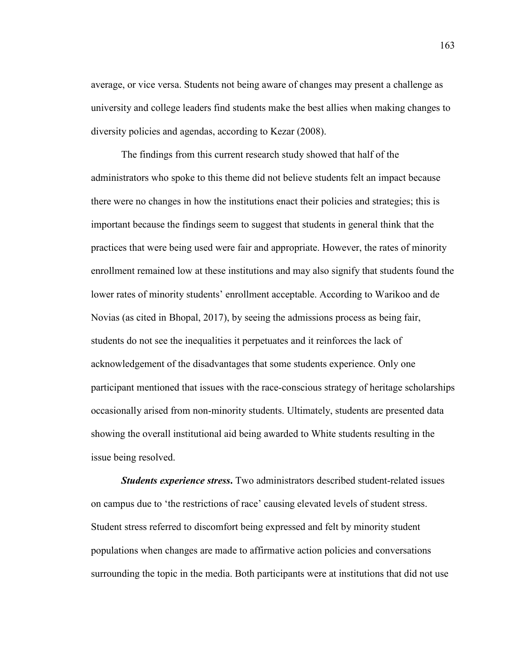average, or vice versa. Students not being aware of changes may present a challenge as university and college leaders find students make the best allies when making changes to diversity policies and agendas, according to Kezar (2008).

The findings from this current research study showed that half of the administrators who spoke to this theme did not believe students felt an impact because there were no changes in how the institutions enact their policies and strategies; this is important because the findings seem to suggest that students in general think that the practices that were being used were fair and appropriate. However, the rates of minority enrollment remained low at these institutions and may also signify that students found the lower rates of minority students' enrollment acceptable. According to Warikoo and de Novias (as cited in Bhopal, 2017), by seeing the admissions process as being fair, students do not see the inequalities it perpetuates and it reinforces the lack of acknowledgement of the disadvantages that some students experience. Only one participant mentioned that issues with the race-conscious strategy of heritage scholarships occasionally arised from non-minority students. Ultimately, students are presented data showing the overall institutional aid being awarded to White students resulting in the issue being resolved.

*Students experience stress*. Two administrators described student-related issues on campus due to 'the restrictions of race' causing elevated levels of student stress. Student stress referred to discomfort being expressed and felt by minority student populations when changes are made to affirmative action policies and conversations surrounding the topic in the media. Both participants were at institutions that did not use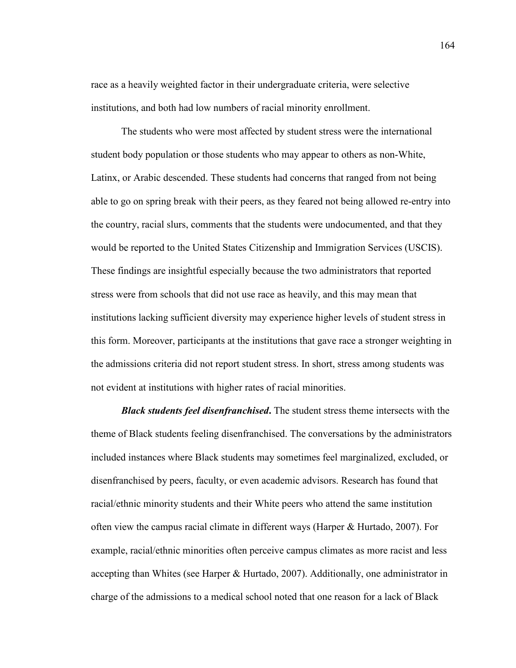race as a heavily weighted factor in their undergraduate criteria, were selective institutions, and both had low numbers of racial minority enrollment.

The students who were most affected by student stress were the international student body population or those students who may appear to others as non-White, Latinx, or Arabic descended. These students had concerns that ranged from not being able to go on spring break with their peers, as they feared not being allowed re-entry into the country, racial slurs, comments that the students were undocumented, and that they would be reported to the United States Citizenship and Immigration Services (USCIS). These findings are insightful especially because the two administrators that reported stress were from schools that did not use race as heavily, and this may mean that institutions lacking sufficient diversity may experience higher levels of student stress in this form. Moreover, participants at the institutions that gave race a stronger weighting in the admissions criteria did not report student stress. In short, stress among students was not evident at institutions with higher rates of racial minorities.

*Black students feel disenfranchised***.** The student stress theme intersects with the theme of Black students feeling disenfranchised. The conversations by the administrators included instances where Black students may sometimes feel marginalized, excluded, or disenfranchised by peers, faculty, or even academic advisors. Research has found that racial/ethnic minority students and their White peers who attend the same institution often view the campus racial climate in different ways (Harper & Hurtado, 2007). For example, racial/ethnic minorities often perceive campus climates as more racist and less accepting than Whites (see Harper  $\&$  Hurtado, 2007). Additionally, one administrator in charge of the admissions to a medical school noted that one reason for a lack of Black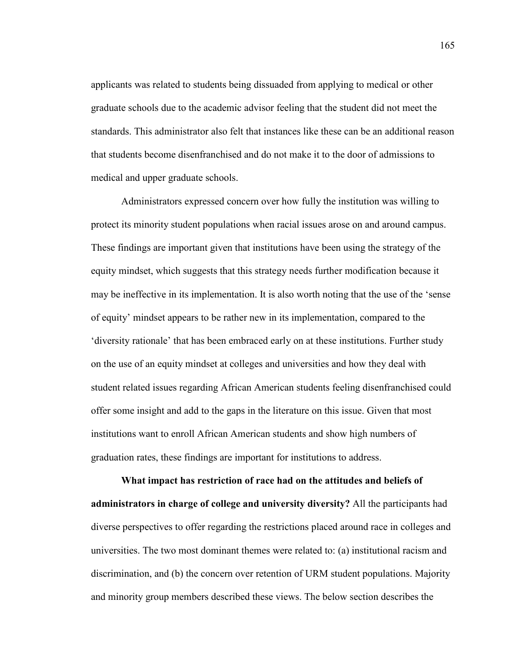applicants was related to students being dissuaded from applying to medical or other graduate schools due to the academic advisor feeling that the student did not meet the standards. This administrator also felt that instances like these can be an additional reason that students become disenfranchised and do not make it to the door of admissions to medical and upper graduate schools.

Administrators expressed concern over how fully the institution was willing to protect its minority student populations when racial issues arose on and around campus. These findings are important given that institutions have been using the strategy of the equity mindset, which suggests that this strategy needs further modification because it may be ineffective in its implementation. It is also worth noting that the use of the 'sense of equity' mindset appears to be rather new in its implementation, compared to the 'diversity rationale' that has been embraced early on at these institutions. Further study on the use of an equity mindset at colleges and universities and how they deal with student related issues regarding African American students feeling disenfranchised could offer some insight and add to the gaps in the literature on this issue. Given that most institutions want to enroll African American students and show high numbers of graduation rates, these findings are important for institutions to address.

**What impact has restriction of race had on the attitudes and beliefs of administrators in charge of college and university diversity?** All the participants had diverse perspectives to offer regarding the restrictions placed around race in colleges and universities. The two most dominant themes were related to: (a) institutional racism and discrimination, and (b) the concern over retention of URM student populations. Majority and minority group members described these views. The below section describes the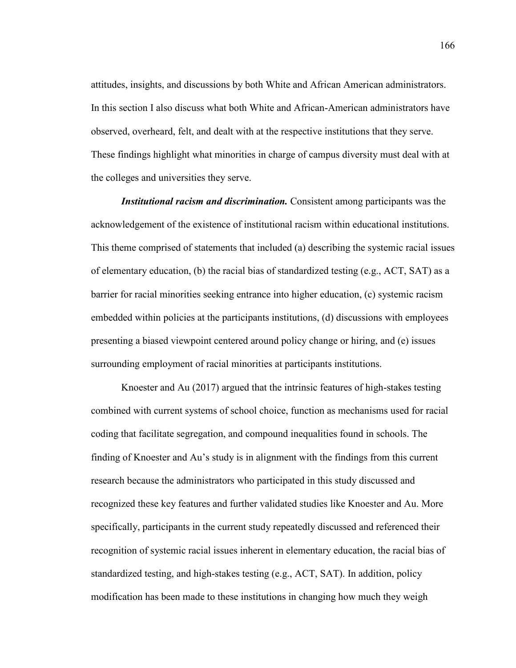attitudes, insights, and discussions by both White and African American administrators. In this section I also discuss what both White and African-American administrators have observed, overheard, felt, and dealt with at the respective institutions that they serve. These findings highlight what minorities in charge of campus diversity must deal with at the colleges and universities they serve.

*Institutional racism and discrimination.* Consistent among participants was the acknowledgement of the existence of institutional racism within educational institutions. This theme comprised of statements that included (a) describing the systemic racial issues of elementary education, (b) the racial bias of standardized testing (e.g.,  $ACT$ ,  $SAT$ ) as a barrier for racial minorities seeking entrance into higher education, (c) systemic racism embedded within policies at the participants institutions, (d) discussions with employees presenting a biased viewpoint centered around policy change or hiring, and (e) issues surrounding employment of racial minorities at participants institutions.

Knoester and Au (2017) argued that the intrinsic features of high-stakes testing combined with current systems of school choice, function as mechanisms used for racial coding that facilitate segregation, and compound inequalities found in schools. The finding of Knoester and Au's study is in alignment with the findings from this current research because the administrators who participated in this study discussed and recognized these key features and further validated studies like Knoester and Au. More specifically, participants in the current study repeatedly discussed and referenced their recognition of systemic racial issues inherent in elementary education, the racial bias of standardized testing, and high-stakes testing (e.g., ACT, SAT). In addition, policy modification has been made to these institutions in changing how much they weigh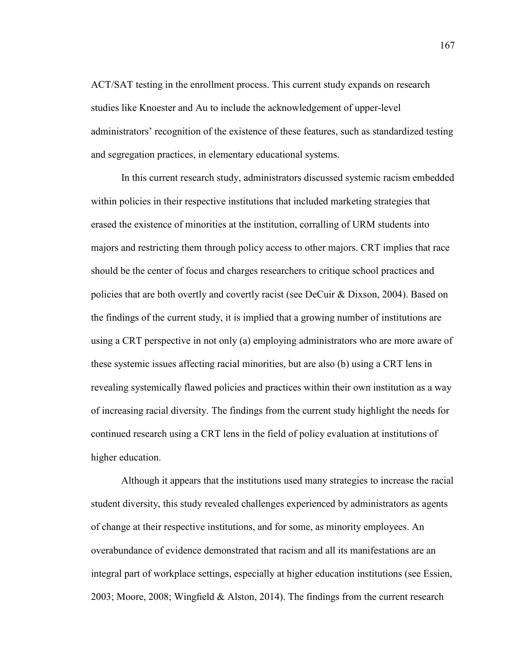ACT/SAT testing in the enrollment process. This current study expands on research studies like Knoester and Au to include the acknowledgement of upper-level administrators' recognition of the existence of these features, such as standardized testing and segregation practices, in elementary educational systems.

In this current research study, administrators discussed systemic racism embedded within policies in their respective institutions that included marketing strategies that erased the existence of minorities at the institution, corralling of URM students into majors and restricting them through policy access to other majors. CRT implies that race should be the center of focus and charges researchers to critique school practices and policies that are both overtly and covertly racist (see DeCuir & Dixson, 2004). Based on the findings of the current study, it is implied that a growing number of institutions are using a CRT perspective in not only (a) employing administrators who are more aware of these systemic issues affecting racial minorities, but are also (b) using a CRT lens in revealing systemically flawed policies and practices within their own institution as a way of increasing racial diversity. The findings from the current study highlight the needs for continued research using a CRT lens in the field of policy evaluation at institutions of higher education.

Although it appears that the institutions used many strategies to increase the racial student diversity, this study revealed challenges experienced by administrators as agents of change at their respective institutions, and for some, as minority employees. An overabundance of evidence demonstrated that racism and all its manifestations are an integral part of workplace settings, especially at higher education institutions (see Essien, 2003; Moore, 2008; Wingfield & Alston, 2014). The findings from the current research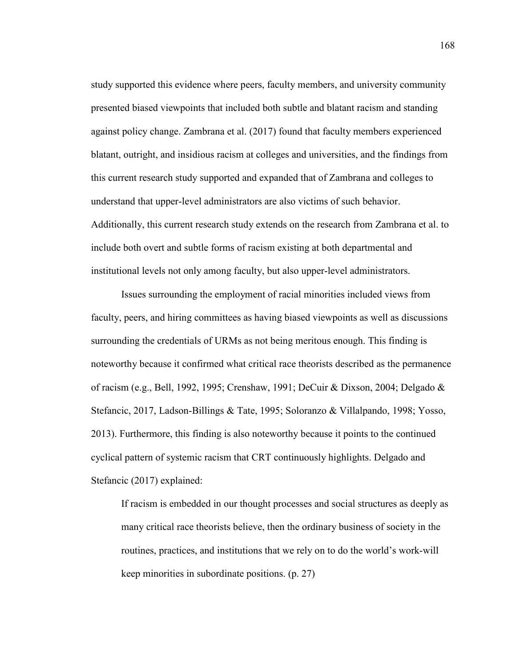study supported this evidence where peers, faculty members, and university community presented biased viewpoints that included both subtle and blatant racism and standing against policy change. Zambrana et al. (2017) found that faculty members experienced blatant, outright, and insidious racism at colleges and universities, and the findings from this current research study supported and expanded that of Zambrana and colleges to understand that upper-level administrators are also victims of such behavior. Additionally, this current research study extends on the research from Zambrana et al. to include both overt and subtle forms of racism existing at both departmental and institutional levels not only among faculty, but also upper-level administrators.

Issues surrounding the employment of racial minorities included views from faculty, peers, and hiring committees as having biased viewpoints as well as discussions surrounding the credentials of URMs as not being meritous enough. This finding is noteworthy because it confirmed what critical race theorists described as the permanence of racism (e.g., Bell, 1992, 1995; Crenshaw, 1991; DeCuir & Dixson, 2004; Delgado & Stefancic, 2017, Ladson-Billings & Tate, 1995; Soloranzo & Villalpando, 1998; Yosso, 2013). Furthermore, this finding is also noteworthy because it points to the continued cyclical pattern of systemic racism that CRT continuously highlights. Delgado and Stefancic (2017) explained:

If racism is embedded in our thought processes and social structures as deeply as many critical race theorists believe, then the ordinary business of society in the routines, practices, and institutions that we rely on to do the world's work-will keep minorities in subordinate positions. (p. 27)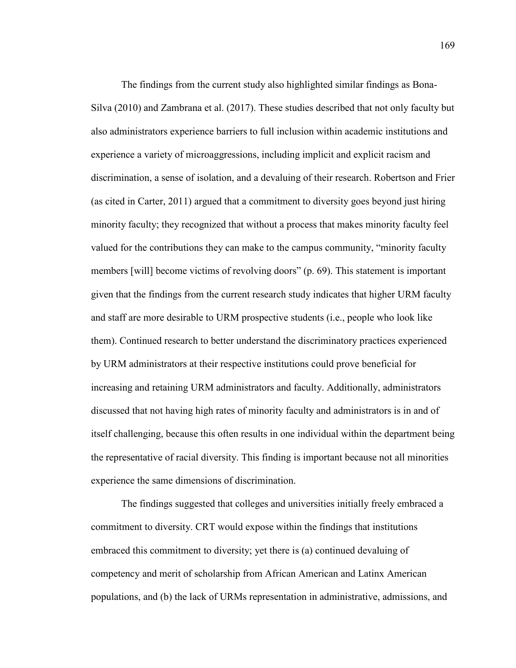The findings from the current study also highlighted similar findings as Bona-Silva (2010) and Zambrana et al. (2017). These studies described that not only faculty but also administrators experience barriers to full inclusion within academic institutions and experience a variety of microaggressions, including implicit and explicit racism and discrimination, a sense of isolation, and a devaluing of their research. Robertson and Frier (as cited in Carter, 2011) argued that a commitment to diversity goes beyond just hiring minority faculty; they recognized that without a process that makes minority faculty feel valued for the contributions they can make to the campus community, "minority faculty members [will] become victims of revolving doors" (p. 69). This statement is important given that the findings from the current research study indicates that higher URM faculty and staff are more desirable to URM prospective students (i.e., people who look like them). Continued research to better understand the discriminatory practices experienced by URM administrators at their respective institutions could prove beneficial for increasing and retaining URM administrators and faculty. Additionally, administrators discussed that not having high rates of minority faculty and administrators is in and of itself challenging, because this often results in one individual within the department being the representative of racial diversity. This finding is important because not all minorities experience the same dimensions of discrimination.

The findings suggested that colleges and universities initially freely embraced a commitment to diversity. CRT would expose within the findings that institutions embraced this commitment to diversity; yet there is (a) continued devaluing of competency and merit of scholarship from African American and Latinx American populations, and (b) the lack of URMs representation in administrative, admissions, and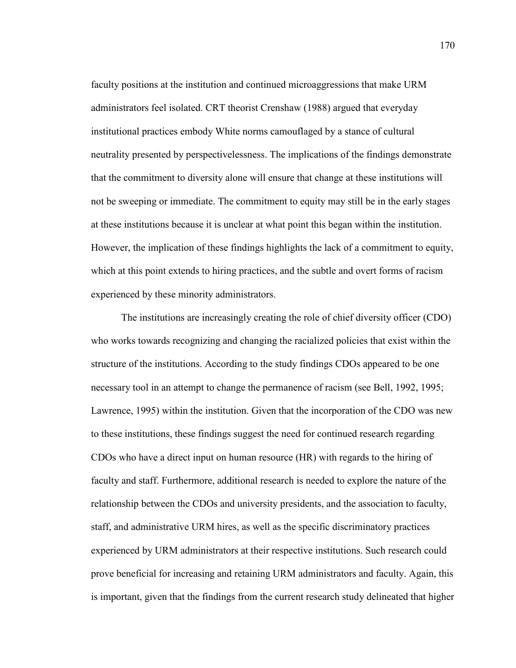faculty positions at the institution and continued microaggressions that make URM administrators feel isolated. CRT theorist Crenshaw (1988) argued that everyday institutional practices embody White norms camouflaged by a stance of cultural neutrality presented by perspectivelessness. The implications of the findings demonstrate that the commitment to diversity alone will ensure that change at these institutions will not be sweeping or immediate. The commitment to equity may still be in the early stages at these institutions because it is unclear at what point this began within the institution. However, the implication of these findings highlights the lack of a commitment to equity, which at this point extends to hiring practices, and the subtle and overt forms of racism experienced by these minority administrators.

The institutions are increasingly creating the role of chief diversity officer (CDO) who works towards recognizing and changing the racialized policies that exist within the structure of the institutions. According to the study findings CDOs appeared to be one necessary tool in an attempt to change the permanence of racism (see Bell, 1992, 1995; Lawrence, 1995) within the institution. Given that the incorporation of the CDO was new to these institutions, these findings suggest the need for continued research regarding CDOs who have a direct input on human resource (HR) with regards to the hiring of faculty and staff. Furthermore, additional research is needed to explore the nature of the relationship between the CDOs and university presidents, and the association to faculty, staff, and administrative URM hires, as well as the specific discriminatory practices experienced by URM administrators at their respective institutions. Such research could prove beneficial for increasing and retaining URM administrators and faculty. Again, this is important, given that the findings from the current research study delineated that higher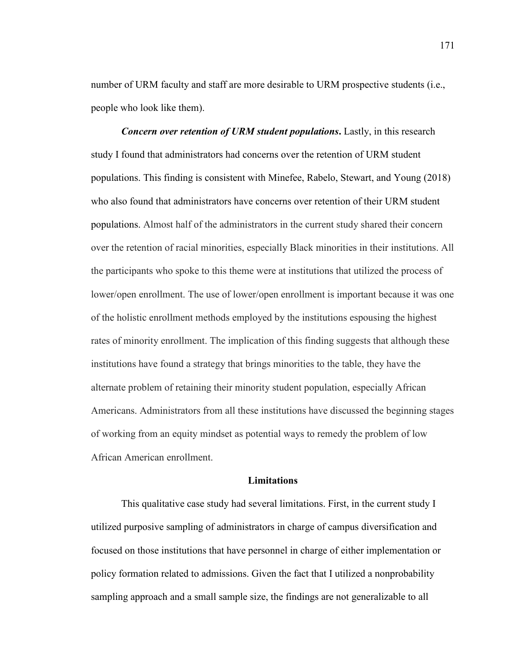number of URM faculty and staff are more desirable to URM prospective students (i.e., people who look like them).

*Concern over retention of URM student populations***. Lastly, in this research** study I found that administrators had concerns over the retention of URM student populations. This finding is consistent with Minefee, Rabelo, Stewart, and Young (2018) who also found that administrators have concerns over retention of their URM student populations. Almost half of the administrators in the current study shared their concern over the retention of racial minorities, especially Black minorities in their institutions. All the participants who spoke to this theme were at institutions that utilized the process of lower/open enrollment. The use of lower/open enrollment is important because it was one of the holistic enrollment methods employed by the institutions espousing the highest rates of minority enrollment. The implication of this finding suggests that although these institutions have found a strategy that brings minorities to the table, they have the alternate problem of retaining their minority student population, especially African Americans. Administrators from all these institutions have discussed the beginning stages of working from an equity mindset as potential ways to remedy the problem of low African American enrollment.

### **Limitations**

This qualitative case study had several limitations. First, in the current study I utilized purposive sampling of administrators in charge of campus diversification and focused on those institutions that have personnel in charge of either implementation or policy formation related to admissions. Given the fact that I utilized a nonprobability sampling approach and a small sample size, the findings are not generalizable to all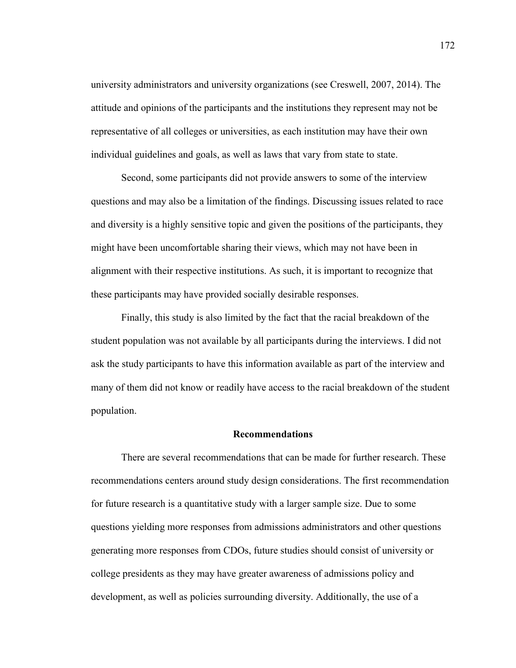university administrators and university organizations (see Creswell, 2007, 2014). The attitude and opinions of the participants and the institutions they represent may not be representative of all colleges or universities, as each institution may have their own individual guidelines and goals, as well as laws that vary from state to state.

Second, some participants did not provide answers to some of the interview questions and may also be a limitation of the findings. Discussing issues related to race and diversity is a highly sensitive topic and given the positions of the participants, they might have been uncomfortable sharing their views, which may not have been in alignment with their respective institutions. As such, it is important to recognize that these participants may have provided socially desirable responses.

Finally, this study is also limited by the fact that the racial breakdown of the student population was not available by all participants during the interviews. I did not ask the study participants to have this information available as part of the interview and many of them did not know or readily have access to the racial breakdown of the student population.

#### **Recommendations**

There are several recommendations that can be made for further research. These recommendations centers around study design considerations. The first recommendation for future research is a quantitative study with a larger sample size. Due to some questions yielding more responses from admissions administrators and other questions generating more responses from CDOs, future studies should consist of university or college presidents as they may have greater awareness of admissions policy and development, as well as policies surrounding diversity. Additionally, the use of a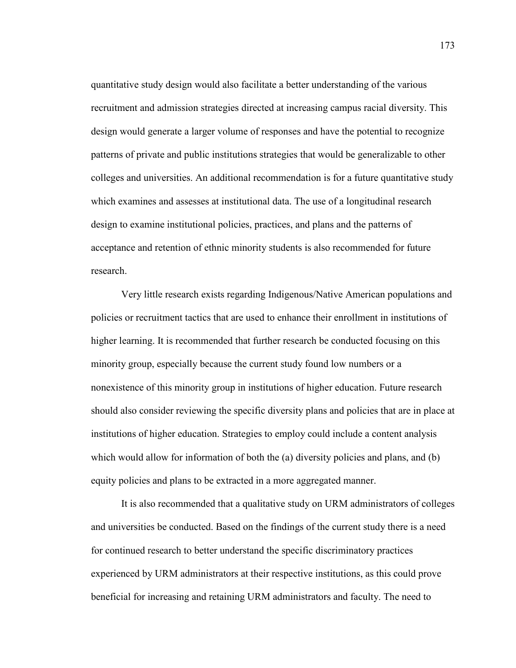quantitative study design would also facilitate a better understanding of the various recruitment and admission strategies directed at increasing campus racial diversity. This design would generate a larger volume of responses and have the potential to recognize patterns of private and public institutions strategies that would be generalizable to other colleges and universities. An additional recommendation is for a future quantitative study which examines and assesses at institutional data. The use of a longitudinal research design to examine institutional policies, practices, and plans and the patterns of acceptance and retention of ethnic minority students is also recommended for future research.

 Very little research exists regarding Indigenous/Native American populations and policies or recruitment tactics that are used to enhance their enrollment in institutions of higher learning. It is recommended that further research be conducted focusing on this minority group, especially because the current study found low numbers or a nonexistence of this minority group in institutions of higher education. Future research should also consider reviewing the specific diversity plans and policies that are in place at institutions of higher education. Strategies to employ could include a content analysis which would allow for information of both the (a) diversity policies and plans, and (b) equity policies and plans to be extracted in a more aggregated manner.

It is also recommended that a qualitative study on URM administrators of colleges and universities be conducted. Based on the findings of the current study there is a need for continued research to better understand the specific discriminatory practices experienced by URM administrators at their respective institutions, as this could prove beneficial for increasing and retaining URM administrators and faculty. The need to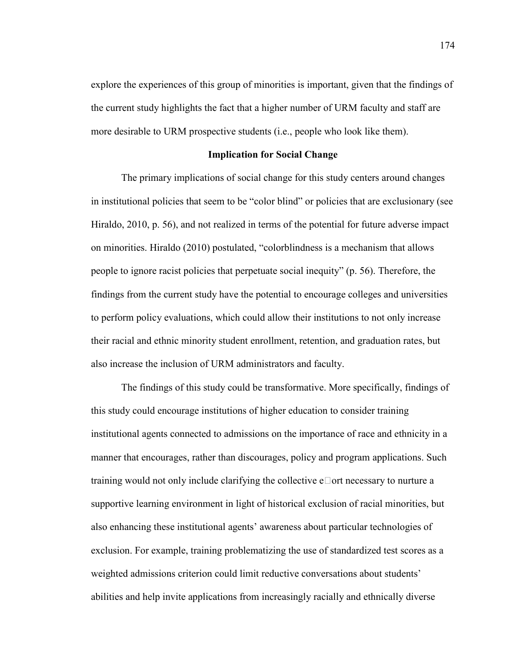explore the experiences of this group of minorities is important, given that the findings of the current study highlights the fact that a higher number of URM faculty and staff are more desirable to URM prospective students (i.e., people who look like them).

## **Implication for Social Change**

The primary implications of social change for this study centers around changes in institutional policies that seem to be "color blind" or policies that are exclusionary (see Hiraldo, 2010, p. 56), and not realized in terms of the potential for future adverse impact on minorities. Hiraldo (2010) postulated, "colorblindness is a mechanism that allows people to ignore racist policies that perpetuate social inequity" (p. 56). Therefore, the findings from the current study have the potential to encourage colleges and universities to perform policy evaluations, which could allow their institutions to not only increase their racial and ethnic minority student enrollment, retention, and graduation rates, but also increase the inclusion of URM administrators and faculty.

The findings of this study could be transformative. More specifically, findings of this study could encourage institutions of higher education to consider training institutional agents connected to admissions on the importance of race and ethnicity in a manner that encourages, rather than discourages, policy and program applications. Such training would not only include clarifying the collective  $e \Box$  ort necessary to nurture a supportive learning environment in light of historical exclusion of racial minorities, but also enhancing these institutional agents' awareness about particular technologies of exclusion. For example, training problematizing the use of standardized test scores as a weighted admissions criterion could limit reductive conversations about students' abilities and help invite applications from increasingly racially and ethnically diverse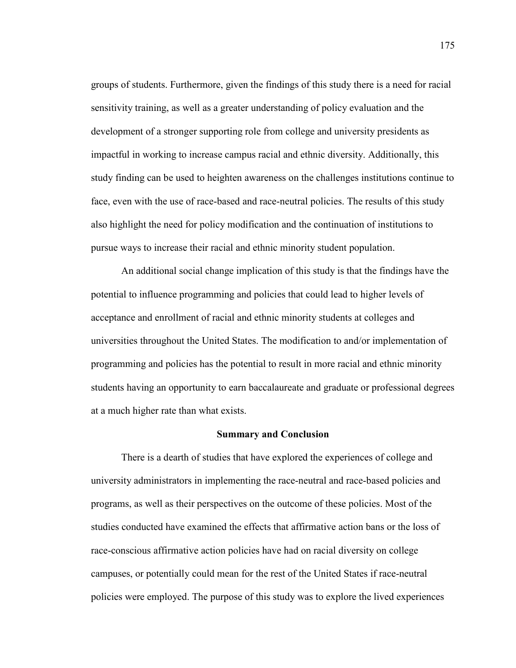groups of students. Furthermore, given the findings of this study there is a need for racial sensitivity training, as well as a greater understanding of policy evaluation and the development of a stronger supporting role from college and university presidents as impactful in working to increase campus racial and ethnic diversity. Additionally, this study finding can be used to heighten awareness on the challenges institutions continue to face, even with the use of race-based and race-neutral policies. The results of this study also highlight the need for policy modification and the continuation of institutions to pursue ways to increase their racial and ethnic minority student population.

An additional social change implication of this study is that the findings have the potential to influence programming and policies that could lead to higher levels of acceptance and enrollment of racial and ethnic minority students at colleges and universities throughout the United States. The modification to and/or implementation of programming and policies has the potential to result in more racial and ethnic minority students having an opportunity to earn baccalaureate and graduate or professional degrees at a much higher rate than what exists.

# **Summary and Conclusion**

There is a dearth of studies that have explored the experiences of college and university administrators in implementing the race-neutral and race-based policies and programs, as well as their perspectives on the outcome of these policies. Most of the studies conducted have examined the effects that affirmative action bans or the loss of race-conscious affirmative action policies have had on racial diversity on college campuses, or potentially could mean for the rest of the United States if race-neutral policies were employed. The purpose of this study was to explore the lived experiences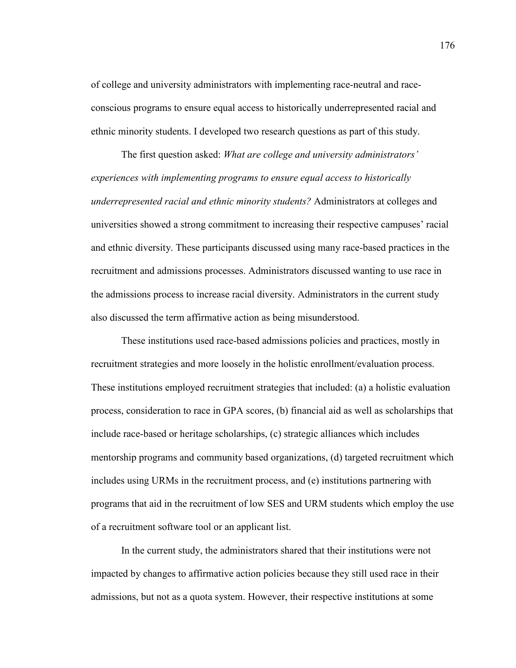of college and university administrators with implementing race-neutral and raceconscious programs to ensure equal access to historically underrepresented racial and ethnic minority students. I developed two research questions as part of this study.

The first question asked: *What are college and university administrators' experiences with implementing programs to ensure equal access to historically underrepresented racial and ethnic minority students?* Administrators at colleges and universities showed a strong commitment to increasing their respective campuses' racial and ethnic diversity. These participants discussed using many race-based practices in the recruitment and admissions processes. Administrators discussed wanting to use race in the admissions process to increase racial diversity. Administrators in the current study also discussed the term affirmative action as being misunderstood.

These institutions used race-based admissions policies and practices, mostly in recruitment strategies and more loosely in the holistic enrollment/evaluation process. These institutions employed recruitment strategies that included: (a) a holistic evaluation process, consideration to race in GPA scores, (b) financial aid as well as scholarships that include race-based or heritage scholarships, (c) strategic alliances which includes mentorship programs and community based organizations, (d) targeted recruitment which includes using URMs in the recruitment process, and (e) institutions partnering with programs that aid in the recruitment of low SES and URM students which employ the use of a recruitment software tool or an applicant list.

In the current study, the administrators shared that their institutions were not impacted by changes to affirmative action policies because they still used race in their admissions, but not as a quota system. However, their respective institutions at some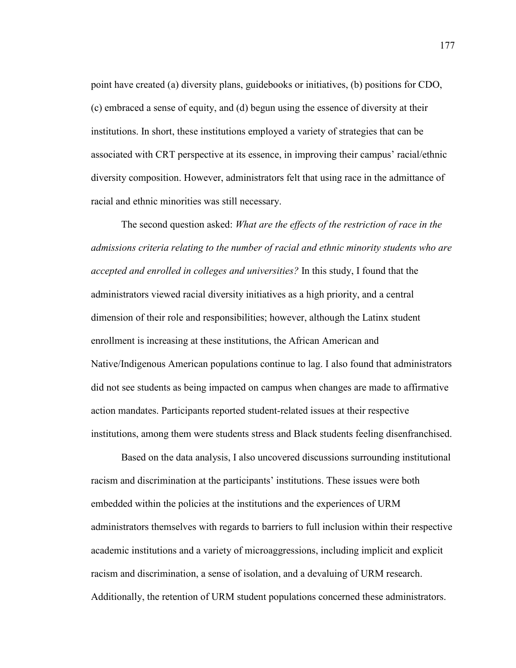point have created (a) diversity plans, guidebooks or initiatives, (b) positions for CDO, (c) embraced a sense of equity, and (d) begun using the essence of diversity at their institutions. In short, these institutions employed a variety of strategies that can be associated with CRT perspective at its essence, in improving their campus' racial/ethnic diversity composition. However, administrators felt that using race in the admittance of racial and ethnic minorities was still necessary.

The second question asked: *What are the effects of the restriction of race in the admissions criteria relating to the number of racial and ethnic minority students who are accepted and enrolled in colleges and universities?* In this study, I found that the administrators viewed racial diversity initiatives as a high priority, and a central dimension of their role and responsibilities; however, although the Latinx student enrollment is increasing at these institutions, the African American and Native/Indigenous American populations continue to lag. I also found that administrators did not see students as being impacted on campus when changes are made to affirmative action mandates. Participants reported student-related issues at their respective institutions, among them were students stress and Black students feeling disenfranchised.

Based on the data analysis, I also uncovered discussions surrounding institutional racism and discrimination at the participants' institutions. These issues were both embedded within the policies at the institutions and the experiences of URM administrators themselves with regards to barriers to full inclusion within their respective academic institutions and a variety of microaggressions, including implicit and explicit racism and discrimination, a sense of isolation, and a devaluing of URM research. Additionally, the retention of URM student populations concerned these administrators.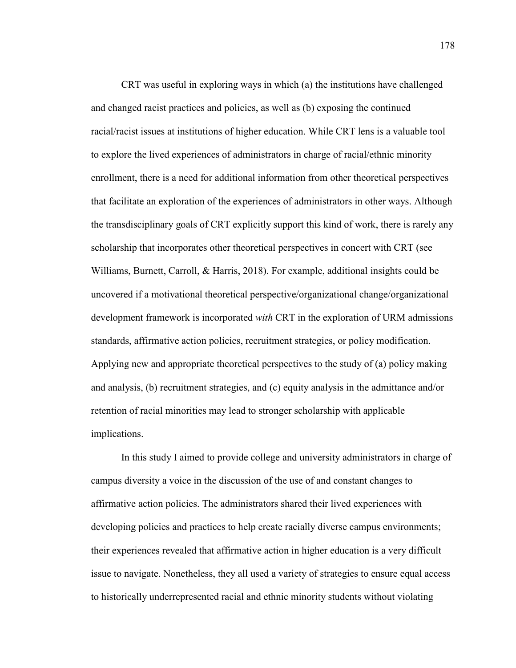CRT was useful in exploring ways in which (a) the institutions have challenged and changed racist practices and policies, as well as (b) exposing the continued racial/racist issues at institutions of higher education. While CRT lens is a valuable tool to explore the lived experiences of administrators in charge of racial/ethnic minority enrollment, there is a need for additional information from other theoretical perspectives that facilitate an exploration of the experiences of administrators in other ways. Although the transdisciplinary goals of CRT explicitly support this kind of work, there is rarely any scholarship that incorporates other theoretical perspectives in concert with CRT (see Williams, Burnett, Carroll, & Harris, 2018). For example, additional insights could be uncovered if a motivational theoretical perspective/organizational change/organizational development framework is incorporated *with* CRT in the exploration of URM admissions standards, affirmative action policies, recruitment strategies, or policy modification. Applying new and appropriate theoretical perspectives to the study of (a) policy making and analysis, (b) recruitment strategies, and (c) equity analysis in the admittance and/or retention of racial minorities may lead to stronger scholarship with applicable implications.

In this study I aimed to provide college and university administrators in charge of campus diversity a voice in the discussion of the use of and constant changes to affirmative action policies. The administrators shared their lived experiences with developing policies and practices to help create racially diverse campus environments; their experiences revealed that affirmative action in higher education is a very difficult issue to navigate. Nonetheless, they all used a variety of strategies to ensure equal access to historically underrepresented racial and ethnic minority students without violating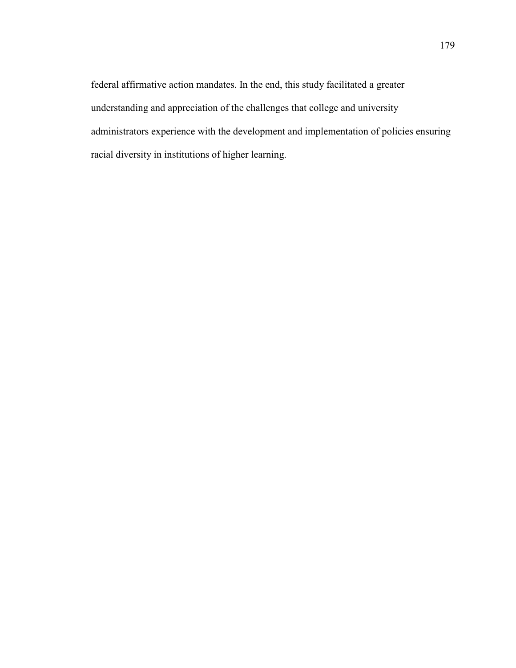federal affirmative action mandates. In the end, this study facilitated a greater understanding and appreciation of the challenges that college and university administrators experience with the development and implementation of policies ensuring racial diversity in institutions of higher learning.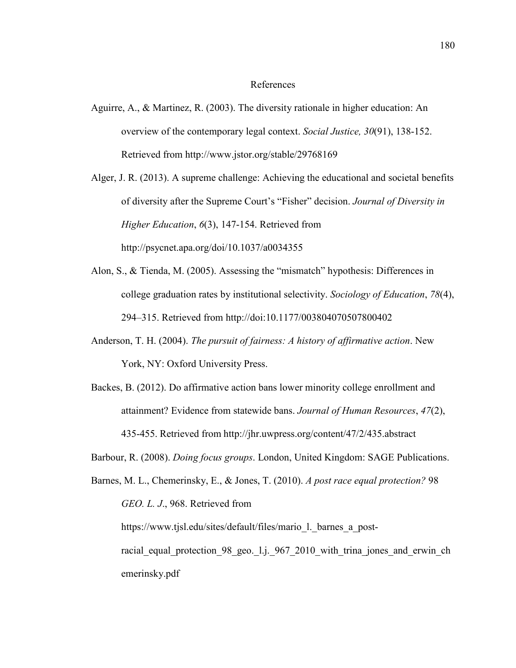#### References

Aguirre, A., & Martinez, R. (2003). The diversity rationale in higher education: An overview of the contemporary legal context. *Social Justice, 30*(91), 138-152. Retrieved from http://www.jstor.org/stable/29768169

Alger, J. R. (2013). A supreme challenge: Achieving the educational and societal benefits of diversity after the Supreme Court's "Fisher" decision. *Journal of Diversity in Higher Education*, *6*(3), 147-154. Retrieved from http://psycnet.apa.org/doi/10.1037/a0034355

- Alon, S., & Tienda, M. (2005). Assessing the "mismatch" hypothesis: Differences in college graduation rates by institutional selectivity. *Sociology of Education*, *78*(4), 294–315. Retrieved from http://doi:10.1177/003804070507800402
- Anderson, T. H. (2004). *The pursuit of fairness: A history of affirmative action*. New York, NY: Oxford University Press.
- Backes, B. (2012). Do affirmative action bans lower minority college enrollment and attainment? Evidence from statewide bans. *Journal of Human Resources*, *47*(2), 435-455. Retrieved from http://jhr.uwpress.org/content/47/2/435.abstract

Barbour, R. (2008). *Doing focus groups*. London, United Kingdom: SAGE Publications.

Barnes, M. L., Chemerinsky, E., & Jones, T. (2010). *A post race equal protection?* 98 *GEO. L. J*., 968. Retrieved from https://www.tjsl.edu/sites/default/files/mario\_l.\_barnes\_a\_postracial equal protection 98 geo. 1.j. 967 2010 with trina jones and erwin ch emerinsky.pdf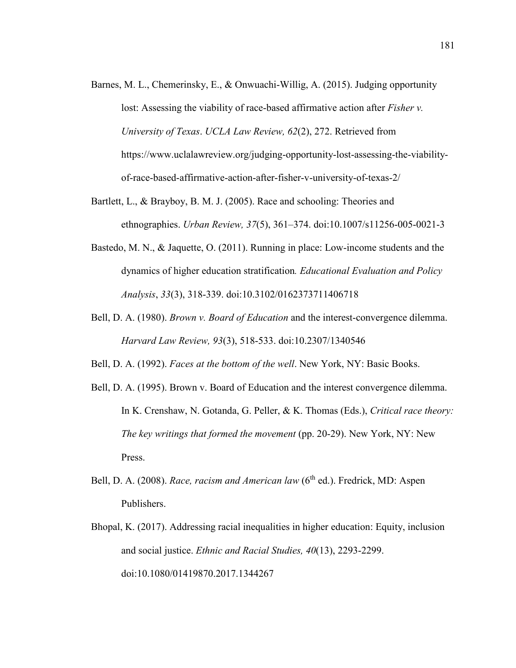- Barnes, M. L., Chemerinsky, E., & Onwuachi-Willig, A. (2015). Judging opportunity lost: Assessing the viability of race-based affirmative action after *Fisher v. University of Texas*. *UCLA Law Review, 62*(2), 272. Retrieved from https://www.uclalawreview.org/judging-opportunity-lost-assessing-the-viabilityof-race-based-affirmative-action-after-fisher-v-university-of-texas-2/
- Bartlett, L., & Brayboy, B. M. J. (2005). Race and schooling: Theories and ethnographies. *Urban Review, 37*(5), 361–374. doi:10.1007/s11256-005-0021-3
- Bastedo, M. N., & Jaquette, O. (2011). Running in place: Low-income students and the dynamics of higher education stratification*. Educational Evaluation and Policy Analysis*, *33*(3), 318-339. doi:10.3102/0162373711406718
- Bell, D. A. (1980). *Brown v. Board of Education* and the interest-convergence dilemma. *Harvard Law Review, 93*(3), 518-533. doi:10.2307/1340546
- Bell, D. A. (1992). *Faces at the bottom of the well*. New York, NY: Basic Books.
- Bell, D. A. (1995). Brown v. Board of Education and the interest convergence dilemma. In K. Crenshaw, N. Gotanda, G. Peller, & K. Thomas (Eds.), *Critical race theory: The key writings that formed the movement* (pp. 20-29). New York, NY: New Press.
- Bell, D. A. (2008). *Race, racism and American law* (6<sup>th</sup> ed.). Fredrick, MD: Aspen Publishers.
- Bhopal, K. (2017). Addressing racial inequalities in higher education: Equity, inclusion and social justice. *Ethnic and Racial Studies, 40*(13), 2293-2299. doi:10.1080/01419870.2017.1344267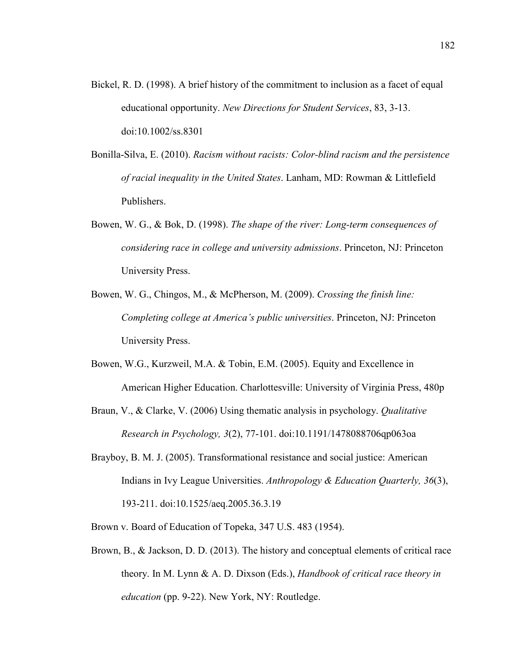- Bickel, R. D. (1998). A brief history of the commitment to inclusion as a facet of equal educational opportunity. *New Directions for Student Services*, 83, 3-13. doi:10.1002/ss.8301
- Bonilla-Silva, E. (2010). *Racism without racists: Color-blind racism and the persistence of racial inequality in the United States*. Lanham, MD: Rowman & Littlefield Publishers.
- Bowen, W. G., & Bok, D. (1998). *The shape of the river: Long-term consequences of considering race in college and university admissions*. Princeton, NJ: Princeton University Press.
- Bowen, W. G., Chingos, M., & McPherson, M. (2009). *Crossing the finish line: Completing college at America's public universities*. Princeton, NJ: Princeton University Press.
- Bowen, W.G., Kurzweil, M.A. & Tobin, E.M. (2005). Equity and Excellence in American Higher Education. Charlottesville: University of Virginia Press, 480p
- Braun, V., & Clarke, V. (2006) Using thematic analysis in psychology. *Qualitative Research in Psychology, 3*(2), 77-101. doi:10.1191/1478088706qp063oa
- Brayboy, B. M. J. (2005). Transformational resistance and social justice: American Indians in Ivy League Universities. *Anthropology & Education Quarterly, 36*(3), 193-211. doi:10.1525/aeq.2005.36.3.19
- Brown v. Board of Education of Topeka, 347 U.S. 483 (1954).
- Brown, B., & Jackson, D. D. (2013). The history and conceptual elements of critical race theory. In M. Lynn & A. D. Dixson (Eds.), *Handbook of critical race theory in education* (pp. 9-22). New York, NY: Routledge.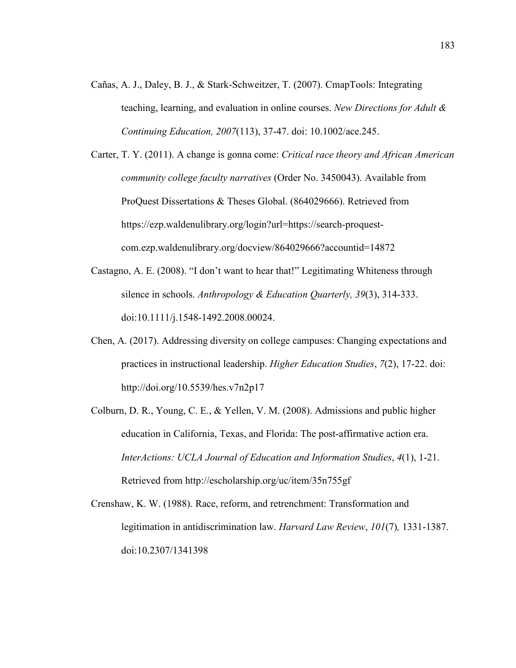Cañas, A. J., Daley, B. J., & Stark-Schweitzer, T. (2007). CmapTools: Integrating teaching, learning, and evaluation in online courses. *New Directions for Adult & Continuing Education, 2007*(113), 37-47. doi: 10.1002/ace.245.

Carter, T. Y. (2011). A change is gonna come: *Critical race theory and African American community college faculty narratives* (Order No. 3450043). Available from ProQuest Dissertations & Theses Global. (864029666). Retrieved from https://ezp.waldenulibrary.org/login?url=https://search-proquestcom.ezp.waldenulibrary.org/docview/864029666?accountid=14872

- Castagno, A. E. (2008). "I don't want to hear that!" Legitimating Whiteness through silence in schools. *Anthropology & Education Quarterly, 39*(3), 314-333. doi:10.1111/j.1548-1492.2008.00024.
- Chen, A. (2017). Addressing diversity on college campuses: Changing expectations and practices in instructional leadership. *Higher Education Studies*, *7*(2), 17-22. doi: http://doi.org/10.5539/hes.v7n2p17
- Colburn, D. R., Young, C. E., & Yellen, V. M. (2008). Admissions and public higher education in California, Texas, and Florida: The post-affirmative action era. *InterActions: UCLA Journal of Education and Information Studies*, *4*(1), 1-21. Retrieved from http://escholarship.org/uc/item/35n755gf

Crenshaw, K. W. (1988). Race, reform, and retrenchment: Transformation and legitimation in antidiscrimination law. *Harvard Law Review*, *101*(7)*,* 1331-1387. doi:10.2307/1341398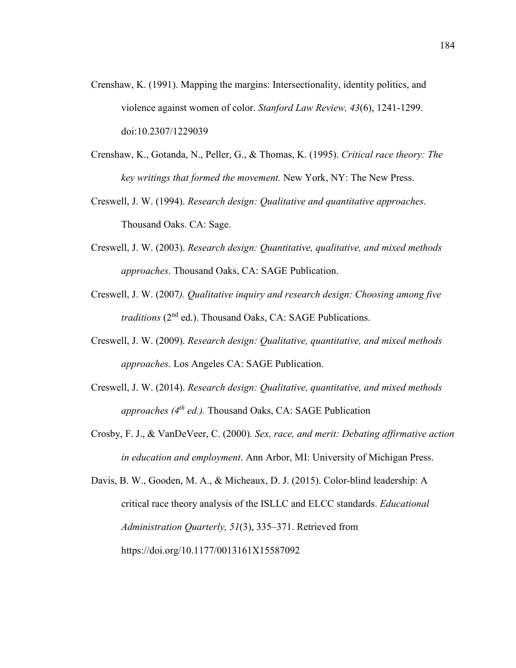- Crenshaw, K. (1991). Mapping the margins: Intersectionality, identity politics, and violence against women of color. *Stanford Law Review, 43*(6), 1241-1299. doi:10.2307/1229039
- Crenshaw, K., Gotanda, N., Peller, G., & Thomas, K. (1995). *Critical race theory: The key writings that formed the movement.* New York, NY: The New Press.
- Creswell, J. W. (1994). *Research design: Qualitative and quantitative approaches*. Thousand Oaks. CA: Sage.
- Creswell, J. W. (2003). *Research design: Quantitative, qualitative, and mixed methods approaches*. Thousand Oaks, CA: SAGE Publication.
- Creswell, J. W. (2007*). Qualitative inquiry and research design: Choosing among five traditions* (2<sup>nd</sup> ed.). Thousand Oaks, CA: SAGE Publications.
- Creswell, J. W. (2009). *Research design: Qualitative, quantitative, and mixed methods approaches*. Los Angeles CA: SAGE Publication.
- Creswell, J. W. (2014). *Research design: Qualitative, quantitative, and mixed methods approaches (4th ed.).* Thousand Oaks, CA: SAGE Publication
- Crosby, F. J., & VanDeVeer, C. (2000). *Sex, race, and merit: Debating affirmative action in education and employment*. Ann Arbor, MI: University of Michigan Press.

Davis, B. W., Gooden, M. A., & Micheaux, D. J. (2015). Color-blind leadership: A critical race theory analysis of the ISLLC and ELCC standards. *Educational Administration Quarterly, 51*(3), 335–371. Retrieved from https://doi.org/10.1177/0013161X15587092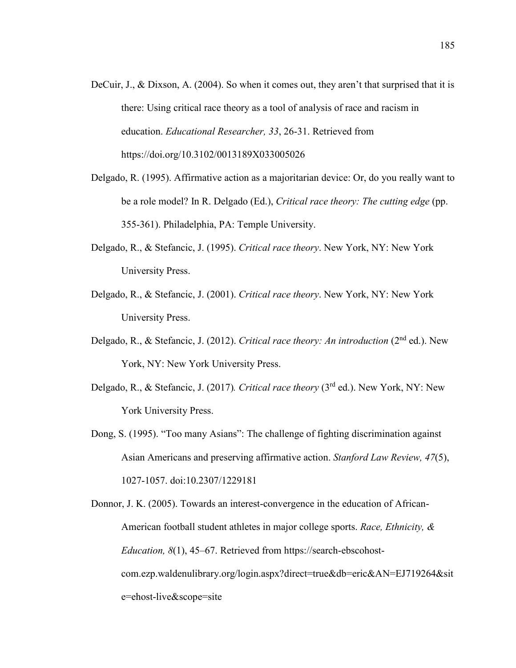- DeCuir, J., & Dixson, A. (2004). So when it comes out, they aren't that surprised that it is there: Using critical race theory as a tool of analysis of race and racism in education. *Educational Researcher, 33*, 26-31. Retrieved from https://doi.org/10.3102/0013189X033005026
- Delgado, R. (1995). Affirmative action as a majoritarian device: Or, do you really want to be a role model? In R. Delgado (Ed.), *Critical race theory: The cutting edge* (pp. 355-361). Philadelphia, PA: Temple University.
- Delgado, R., & Stefancic, J. (1995). *Critical race theory*. New York, NY: New York University Press.
- Delgado, R., & Stefancic, J. (2001). *Critical race theory*. New York, NY: New York University Press.
- Delgado, R., & Stefancic, J. (2012). *Critical race theory: An introduction* (2nd ed.). New York, NY: New York University Press.
- Delgado, R., & Stefancic, J. (2017)*. Critical race theory* (3rd ed.). New York, NY: New York University Press.
- Dong, S. (1995). "Too many Asians": The challenge of fighting discrimination against Asian Americans and preserving affirmative action. *Stanford Law Review, 47*(5), 1027-1057. doi:10.2307/1229181

Donnor, J. K. (2005). Towards an interest-convergence in the education of African-American football student athletes in major college sports. *Race, Ethnicity, & Education, 8*(1), 45–67. Retrieved from https://search-ebscohostcom.ezp.waldenulibrary.org/login.aspx?direct=true&db=eric&AN=EJ719264&sit e=ehost-live&scope=site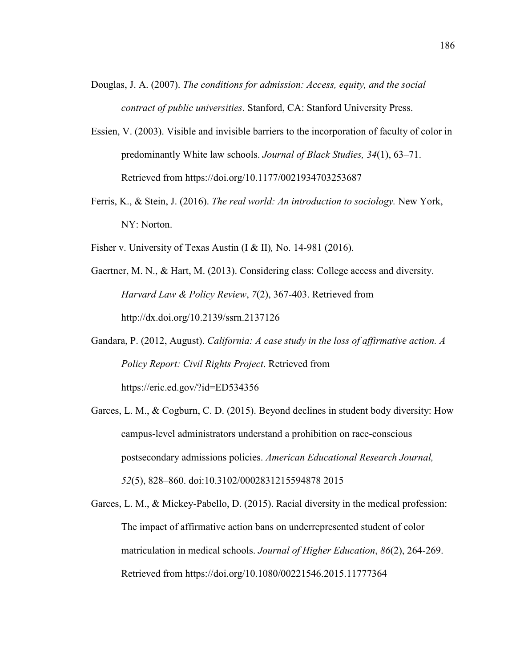- Douglas, J. A. (2007). *The conditions for admission: Access, equity, and the social contract of public universities*. Stanford, CA: Stanford University Press.
- Essien, V. (2003). Visible and invisible barriers to the incorporation of faculty of color in predominantly White law schools. *Journal of Black Studies, 34*(1), 63–71. Retrieved from https://doi.org/10.1177/0021934703253687
- Ferris, K., & Stein, J. (2016). *The real world: An introduction to sociology.* New York, NY: Norton.
- Fisher v. University of Texas Austin (I & II)*,* No. 14-981 (2016).
- Gaertner, M. N., & Hart, M. (2013). Considering class: College access and diversity. *Harvard Law & Policy Review*, *7*(2), 367-403. Retrieved from http://dx.doi.org/10.2139/ssrn.2137126
- Gandara, P. (2012, August). *California: A case study in the loss of affirmative action. A Policy Report: Civil Rights Project*. Retrieved from https://eric.ed.gov/?id=ED534356
- Garces, L. M., & Cogburn, C. D. (2015). Beyond declines in student body diversity: How campus-level administrators understand a prohibition on race-conscious postsecondary admissions policies. *American Educational Research Journal, 52*(5), 828–860. doi:10.3102/0002831215594878 2015
- Garces, L. M., & Mickey-Pabello, D. (2015). Racial diversity in the medical profession: The impact of affirmative action bans on underrepresented student of color matriculation in medical schools. *Journal of Higher Education*, *86*(2), 264-269. Retrieved from https://doi.org/10.1080/00221546.2015.11777364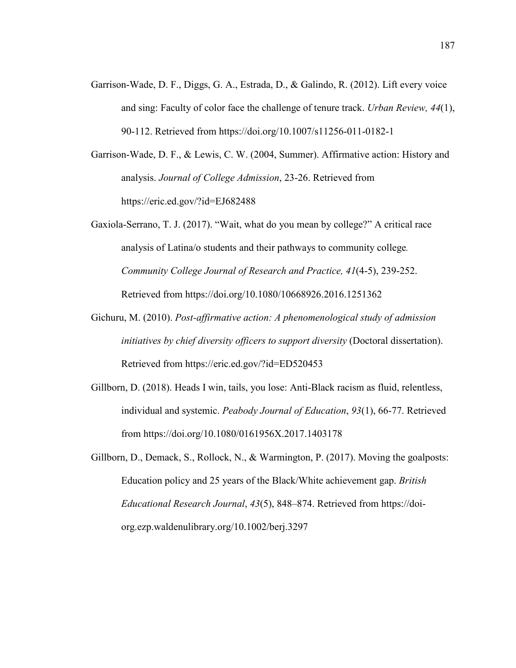Garrison-Wade, D. F., Diggs, G. A., Estrada, D., & Galindo, R. (2012). Lift every voice and sing: Faculty of color face the challenge of tenure track. *Urban Review, 44*(1), 90-112. Retrieved from https://doi.org/10.1007/s11256-011-0182-1

Garrison-Wade, D. F., & Lewis, C. W. (2004, Summer). Affirmative action: History and analysis. *Journal of College Admission*, 23-26. Retrieved from https://eric.ed.gov/?id=EJ682488

Gaxiola-Serrano, T. J. (2017). "Wait, what do you mean by college?" A critical race analysis of Latina/o students and their pathways to community college*. Community College Journal of Research and Practice, 41*(4-5), 239-252. Retrieved from https://doi.org/10.1080/10668926.2016.1251362

- Gichuru, M. (2010). *Post-affirmative action: A phenomenological study of admission initiatives by chief diversity officers to support diversity* (Doctoral dissertation). Retrieved from https://eric.ed.gov/?id=ED520453
- Gillborn, D. (2018). Heads I win, tails, you lose: Anti-Black racism as fluid, relentless, individual and systemic. *Peabody Journal of Education*, *93*(1), 66-77. Retrieved from https://doi.org/10.1080/0161956X.2017.1403178
- Gillborn, D., Demack, S., Rollock, N., & Warmington, P. (2017). Moving the goalposts: Education policy and 25 years of the Black/White achievement gap. *British Educational Research Journal*, *43*(5), 848–874. Retrieved from https://doiorg.ezp.waldenulibrary.org/10.1002/berj.3297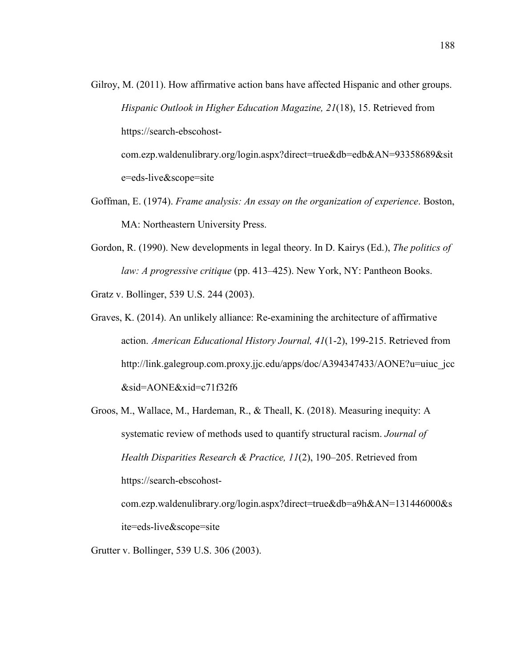- Gilroy, M. (2011). How affirmative action bans have affected Hispanic and other groups. *Hispanic Outlook in Higher Education Magazine, 21*(18), 15. Retrieved from https://search-ebscohostcom.ezp.waldenulibrary.org/login.aspx?direct=true&db=edb&AN=93358689&sit e=eds-live&scope=site
- Goffman, E. (1974). *Frame analysis: An essay on the organization of experience*. Boston, MA: Northeastern University Press.
- Gordon, R. (1990). New developments in legal theory. In D. Kairys (Ed.), *The politics of law: A progressive critique* (pp. 413–425). New York, NY: Pantheon Books.

Gratz v. Bollinger, 539 U.S. 244 (2003).

- Graves, K. (2014). An unlikely alliance: Re-examining the architecture of affirmative action. *American Educational History Journal, 41*(1-2), 199-215. Retrieved from http://link.galegroup.com.proxy.jjc.edu/apps/doc/A394347433/AONE?u=uiuc\_jcc &sid=AONE&xid=c71f32f6
- Groos, M., Wallace, M., Hardeman, R., & Theall, K. (2018). Measuring inequity: A systematic review of methods used to quantify structural racism. *Journal of Health Disparities Research & Practice, 11*(2), 190–205. Retrieved from https://search-ebscohostcom.ezp.waldenulibrary.org/login.aspx?direct=true&db=a9h&AN=131446000&s ite=eds-live&scope=site

Grutter v. Bollinger, 539 U.S. 306 (2003).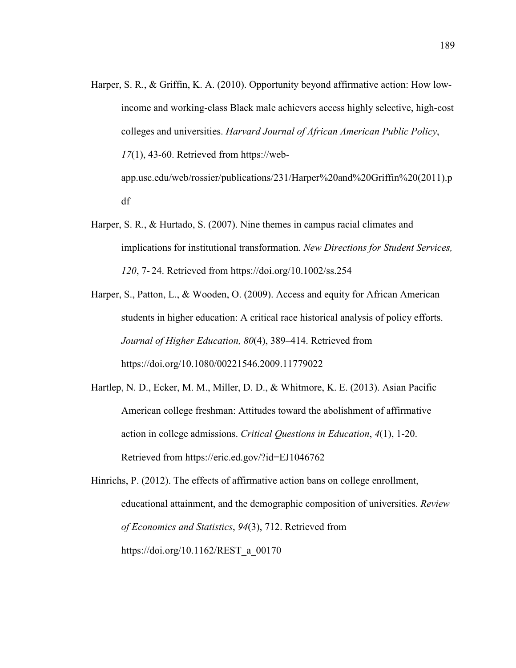- Harper, S. R., & Griffin, K. A. (2010). Opportunity beyond affirmative action: How lowincome and working-class Black male achievers access highly selective, high-cost colleges and universities. *Harvard Journal of African American Public Policy*, *17*(1), 43-60. Retrieved from https://webapp.usc.edu/web/rossier/publications/231/Harper%20and%20Griffin%20(2011).p df
- Harper, S. R., & Hurtado, S. (2007). Nine themes in campus racial climates and implications for institutional transformation. *New Directions for Student Services, 120*, 7- 24. Retrieved from https://doi.org/10.1002/ss.254
- Harper, S., Patton, L., & Wooden, O. (2009). Access and equity for African American students in higher education: A critical race historical analysis of policy efforts. *Journal of Higher Education, 80*(4), 389–414. Retrieved from https://doi.org/10.1080/00221546.2009.11779022
- Hartlep, N. D., Ecker, M. M., Miller, D. D., & Whitmore, K. E. (2013). Asian Pacific American college freshman: Attitudes toward the abolishment of affirmative action in college admissions. *Critical Questions in Education*, *4*(1), 1-20. Retrieved from https://eric.ed.gov/?id=EJ1046762

Hinrichs, P. (2012). The effects of affirmative action bans on college enrollment, educational attainment, and the demographic composition of universities. *Review of Economics and Statistics*, *94*(3), 712. Retrieved from https://doi.org/10.1162/REST\_a\_00170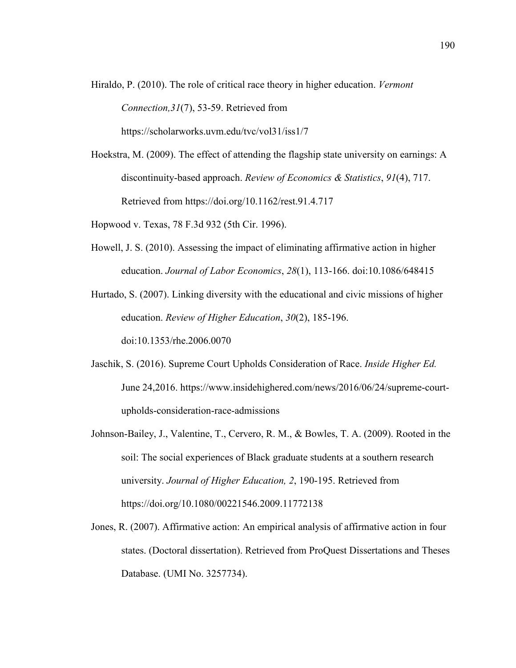Hiraldo, P. (2010). The role of critical race theory in higher education. *Vermont Connection,31*(7), 53-59. Retrieved from https://scholarworks.uvm.edu/tvc/vol31/iss1/7

Hoekstra, M. (2009). The effect of attending the flagship state university on earnings: A discontinuity-based approach. *Review of Economics & Statistics*, *91*(4), 717. Retrieved from https://doi.org/10.1162/rest.91.4.717

- Hopwood v. Texas, 78 F.3d 932 (5th Cir. 1996).
- Howell, J. S. (2010). Assessing the impact of eliminating affirmative action in higher education. *Journal of Labor Economics*, *28*(1), 113-166. doi:10.1086/648415

Hurtado, S. (2007). Linking diversity with the educational and civic missions of higher education. *Review of Higher Education*, *30*(2), 185-196. doi:10.1353/rhe.2006.0070

- Jaschik, S. (2016). Supreme Court Upholds Consideration of Race. *Inside Higher Ed.* June 24,2016. https://www.insidehighered.com/news/2016/06/24/supreme-courtupholds-consideration-race-admissions
- Johnson-Bailey, J., Valentine, T., Cervero, R. M., & Bowles, T. A. (2009). Rooted in the soil: The social experiences of Black graduate students at a southern research university. *Journal of Higher Education, 2*, 190-195. Retrieved from https://doi.org/10.1080/00221546.2009.11772138
- Jones, R. (2007). Affirmative action: An empirical analysis of affirmative action in four states. (Doctoral dissertation). Retrieved from ProQuest Dissertations and Theses Database. (UMI No. 3257734).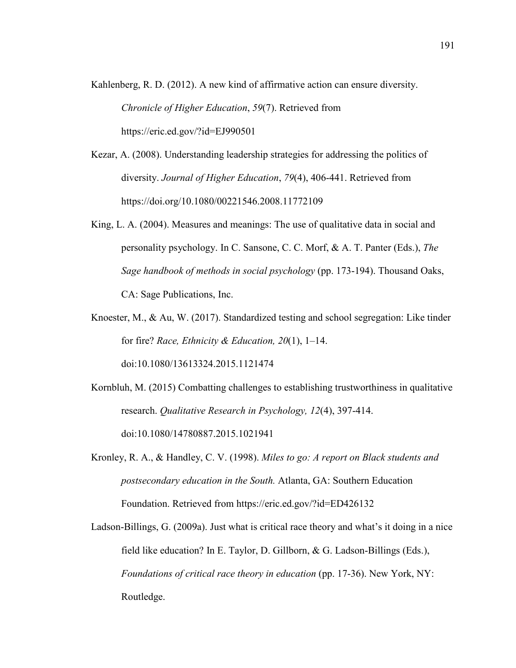- Kahlenberg, R. D. (2012). A new kind of affirmative action can ensure diversity. *Chronicle of Higher Education*, *59*(7). Retrieved from https://eric.ed.gov/?id=EJ990501
- Kezar, A. (2008). Understanding leadership strategies for addressing the politics of diversity. *Journal of Higher Education*, *79*(4), 406-441. Retrieved from https://doi.org/10.1080/00221546.2008.11772109
- King, L. A. (2004). Measures and meanings: The use of qualitative data in social and personality psychology. In C. Sansone, C. C. Morf, & A. T. Panter (Eds.), *The Sage handbook of methods in social psychology* (pp. 173-194). Thousand Oaks, CA: Sage Publications, Inc.
- Knoester, M., & Au, W. (2017). Standardized testing and school segregation: Like tinder for fire? *Race, Ethnicity & Education, 20*(1), 1–14. doi:10.1080/13613324.2015.1121474
- Kornbluh, M. (2015) Combatting challenges to establishing trustworthiness in qualitative research. *Qualitative Research in Psychology, 12*(4), 397-414. doi:10.1080/14780887.2015.1021941
- Kronley, R. A., & Handley, C. V. (1998). *Miles to go: A report on Black students and postsecondary education in the South.* Atlanta, GA: Southern Education Foundation. Retrieved from https://eric.ed.gov/?id=ED426132
- Ladson-Billings, G. (2009a). Just what is critical race theory and what's it doing in a nice field like education? In E. Taylor, D. Gillborn, & G. Ladson-Billings (Eds.), *Foundations of critical race theory in education* (pp. 17-36). New York, NY: Routledge.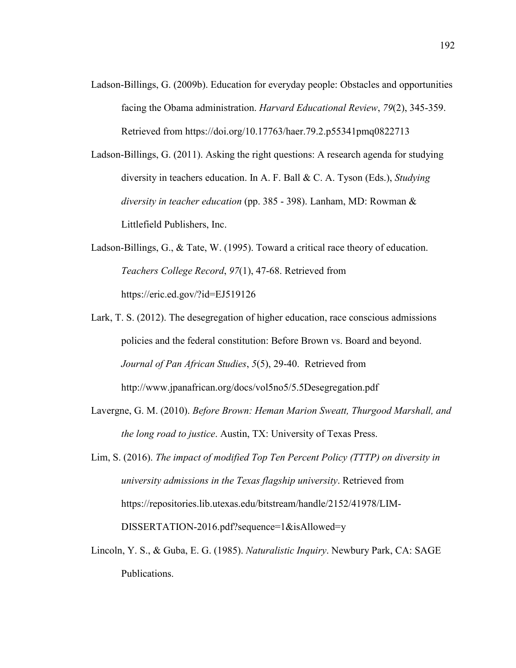Ladson-Billings, G. (2009b). Education for everyday people: Obstacles and opportunities facing the Obama administration. *Harvard Educational Review*, *79*(2), 345-359. Retrieved from https://doi.org/10.17763/haer.79.2.p55341pmq0822713

Ladson-Billings, G. (2011). Asking the right questions: A research agenda for studying diversity in teachers education. In A. F. Ball & C. A. Tyson (Eds.), *Studying diversity in teacher education* (pp. 385 - 398). Lanham, MD: Rowman & Littlefield Publishers, Inc.

- Ladson-Billings, G., & Tate, W. (1995). Toward a critical race theory of education. *Teachers College Record*, *97*(1), 47-68. Retrieved from https://eric.ed.gov/?id=EJ519126
- Lark, T. S. (2012). The desegregation of higher education, race conscious admissions policies and the federal constitution: Before Brown vs. Board and beyond. *Journal of Pan African Studies*, *5*(5), 29-40. Retrieved from http://www.jpanafrican.org/docs/vol5no5/5.5Desegregation.pdf
- Lavergne, G. M. (2010). *Before Brown: Heman Marion Sweatt, Thurgood Marshall, and the long road to justice*. Austin, TX: University of Texas Press.
- Lim, S. (2016). *The impact of modified Top Ten Percent Policy (TTTP) on diversity in university admissions in the Texas flagship university*. Retrieved from https://repositories.lib.utexas.edu/bitstream/handle/2152/41978/LIM-DISSERTATION-2016.pdf?sequence=1&isAllowed=y
- Lincoln, Y. S., & Guba, E. G. (1985). *Naturalistic Inquiry*. Newbury Park, CA: SAGE Publications.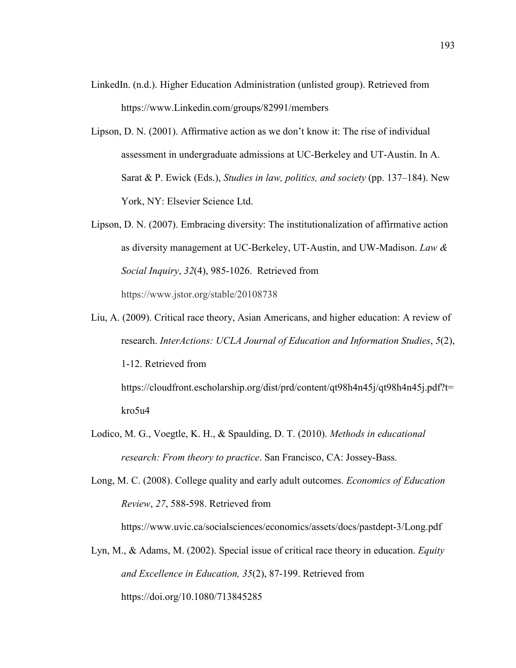- LinkedIn. (n.d.). Higher Education Administration (unlisted group). Retrieved from https://www.Linkedin.com/groups/82991/members
- Lipson, D. N. (2001). Affirmative action as we don't know it: The rise of individual assessment in undergraduate admissions at UC-Berkeley and UT-Austin. In A. Sarat & P. Ewick (Eds.), *Studies in law, politics, and society* (pp. 137–184). New York, NY: Elsevier Science Ltd.
- Lipson, D. N. (2007). Embracing diversity: The institutionalization of affirmative action as diversity management at UC-Berkeley, UT-Austin, and UW-Madison. *Law & Social Inquiry*, *32*(4), 985-1026. Retrieved from https://www.jstor.org/stable/20108738
- Liu, A. (2009). Critical race theory, Asian Americans, and higher education: A review of research. *InterActions: UCLA Journal of Education and Information Studies*, *5*(2), 1-12. Retrieved from https://cloudfront.escholarship.org/dist/prd/content/qt98h4n45j/qt98h4n45j.pdf?t=
	- kro5u4
- Lodico, M. G., Voegtle, K. H., & Spaulding, D. T. (2010). *Methods in educational research: From theory to practice*. San Francisco, CA: Jossey-Bass.
- Long, M. C. (2008). College quality and early adult outcomes. *Economics of Education Review*, *27*, 588-598. Retrieved from

https://www.uvic.ca/socialsciences/economics/assets/docs/pastdept-3/Long.pdf

Lyn, M., & Adams, M. (2002). Special issue of critical race theory in education. *Equity and Excellence in Education, 35*(2), 87-199. Retrieved from https://doi.org/10.1080/713845285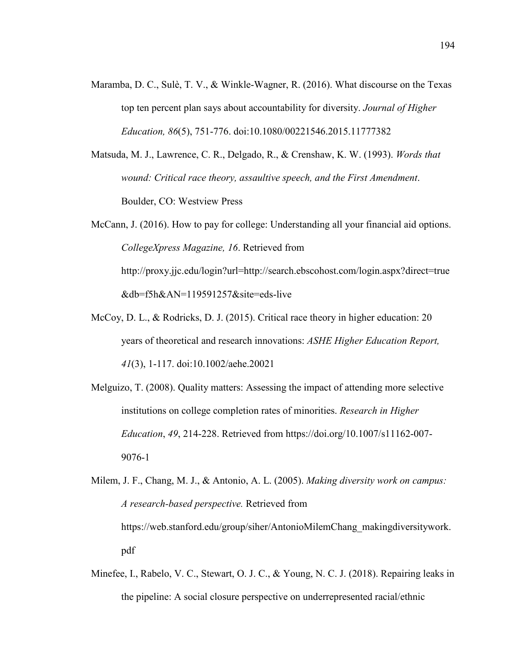- Maramba, D. C., Sulè, T. V., & Winkle-Wagner, R. (2016). What discourse on the Texas top ten percent plan says about accountability for diversity. *Journal of Higher Education, 86*(5), 751-776. doi:10.1080/00221546.2015.11777382
- Matsuda, M. J., Lawrence, C. R., Delgado, R., & Crenshaw, K. W. (1993). *Words that wound: Critical race theory, assaultive speech, and the First Amendment*. Boulder, CO: Westview Press
- McCann, J. (2016). How to pay for college: Understanding all your financial aid options. *CollegeXpress Magazine, 16*. Retrieved from http://proxy.jjc.edu/login?url=http://search.ebscohost.com/login.aspx?direct=true &db=f5h&AN=119591257&site=eds-live
- McCoy, D. L., & Rodricks, D. J. (2015). Critical race theory in higher education: 20 years of theoretical and research innovations: *ASHE Higher Education Report, 41*(3), 1-117. doi:10.1002/aehe.20021
- Melguizo, T. (2008). Quality matters: Assessing the impact of attending more selective institutions on college completion rates of minorities. *Research in Higher Education*, *49*, 214-228. Retrieved from https://doi.org/10.1007/s11162-007- 9076-1
- Milem, J. F., Chang, M. J., & Antonio, A. L. (2005). *Making diversity work on campus: A research-based perspective.* Retrieved from https://web.stanford.edu/group/siher/AntonioMilemChang\_makingdiversitywork. pdf
- Minefee, I., Rabelo, V. C., Stewart, O. J. C., & Young, N. C. J. (2018). Repairing leaks in the pipeline: A social closure perspective on underrepresented racial/ethnic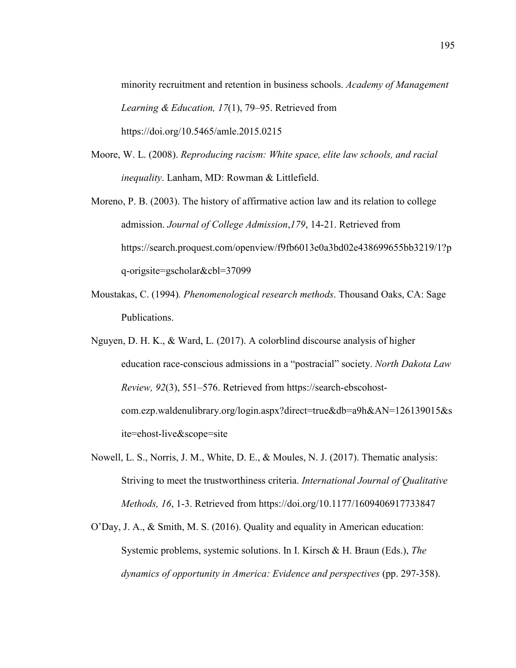minority recruitment and retention in business schools. *Academy of Management Learning & Education, 17*(1), 79–95. Retrieved from https://doi.org/10.5465/amle.2015.0215

- Moore, W. L. (2008). *Reproducing racism: White space, elite law schools, and racial inequality*. Lanham, MD: Rowman & Littlefield.
- Moreno, P. B. (2003). The history of affirmative action law and its relation to college admission. *Journal of College Admission*,*179*, 14-21. Retrieved from https://search.proquest.com/openview/f9fb6013e0a3bd02e438699655bb3219/1?p q-origsite=gscholar&cbl=37099
- Moustakas, C. (1994)*. Phenomenological research methods*. Thousand Oaks, CA: Sage Publications.
- Nguyen, D. H. K., & Ward, L. (2017). A colorblind discourse analysis of higher education race-conscious admissions in a "postracial" society. *North Dakota Law Review, 92*(3), 551–576. Retrieved from https://search-ebscohostcom.ezp.waldenulibrary.org/login.aspx?direct=true&db=a9h&AN=126139015&s ite=ehost-live&scope=site
- Nowell, L. S., Norris, J. M., White, D. E., & Moules, N. J. (2017). Thematic analysis: Striving to meet the trustworthiness criteria. *International Journal of Qualitative Methods, 16*, 1-3. Retrieved from https://doi.org/10.1177/1609406917733847
- O'Day, J. A., & Smith, M. S. (2016). Quality and equality in American education: Systemic problems, systemic solutions. In I. Kirsch & H. Braun (Eds.), *The dynamics of opportunity in America: Evidence and perspectives* (pp. 297-358).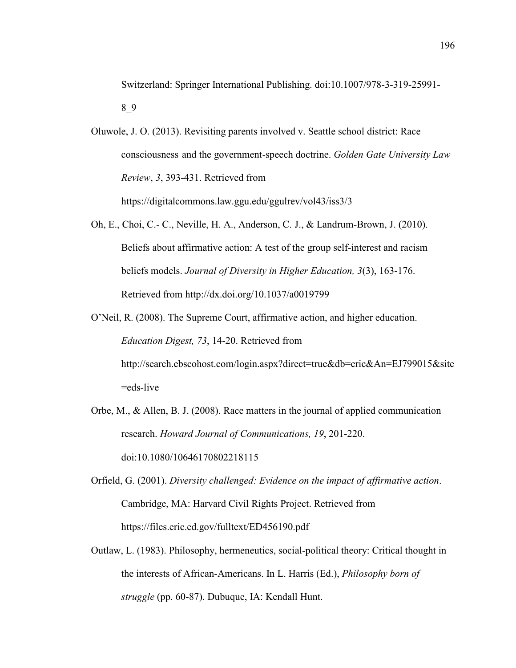Oluwole, J. O. (2013). Revisiting parents involved v. Seattle school district: Race consciousness and the government-speech doctrine. *Golden Gate University Law Review*, *3*, 393-431. Retrieved from

https://digitalcommons.law.ggu.edu/ggulrev/vol43/iss3/3

- Oh, E., Choi, C.- C., Neville, H. A., Anderson, C. J., & Landrum-Brown, J. (2010). Beliefs about affirmative action: A test of the group self-interest and racism beliefs models. *Journal of Diversity in Higher Education, 3*(3), 163-176. Retrieved from http://dx.doi.org/10.1037/a0019799
- O'Neil, R. (2008). The Supreme Court, affirmative action, and higher education. *Education Digest, 73*, 14-20. Retrieved from http://search.ebscohost.com/login.aspx?direct=true&db=eric&An=EJ799015&site

=eds-live

- Orbe, M., & Allen, B. J. (2008). Race matters in the journal of applied communication research. *Howard Journal of Communications, 19*, 201-220. doi:10.1080/10646170802218115
- Orfield, G. (2001). *Diversity challenged: Evidence on the impact of affirmative action*. Cambridge, MA: Harvard Civil Rights Project. Retrieved from https://files.eric.ed.gov/fulltext/ED456190.pdf
- Outlaw, L. (1983). Philosophy, hermeneutics, social-political theory: Critical thought in the interests of African-Americans. In L. Harris (Ed.), *Philosophy born of struggle* (pp. 60-87). Dubuque, IA: Kendall Hunt.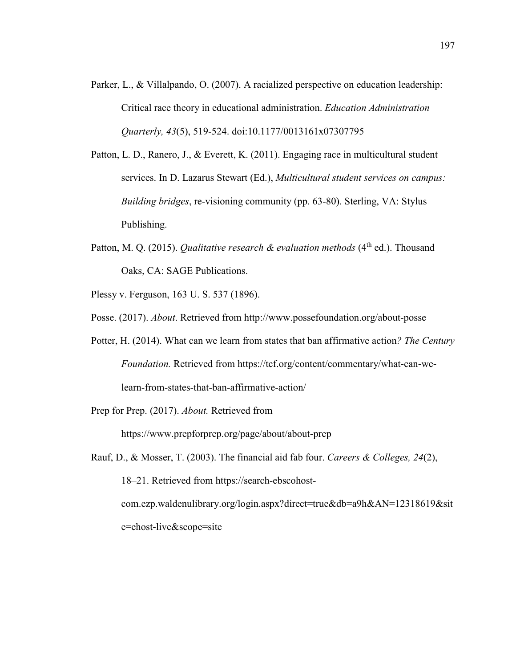- Parker, L., & Villalpando, O. (2007). A racialized perspective on education leadership: Critical race theory in educational administration. *Education Administration Quarterly, 43*(5), 519-524. doi:10.1177/0013161x07307795
- Patton, L. D., Ranero, J., & Everett, K. (2011). Engaging race in multicultural student services. In D. Lazarus Stewart (Ed.), *Multicultural student services on campus: Building bridges*, re-visioning community (pp. 63-80). Sterling, VA: Stylus Publishing.
- Patton, M. Q. (2015). *Qualitative research & evaluation methods* (4<sup>th</sup> ed.). Thousand Oaks, CA: SAGE Publications.
- Plessy v. Ferguson, 163 U. S. 537 (1896).
- Posse. (2017). *About*. Retrieved from http://www.possefoundation.org/about-posse
- Potter, H. (2014). What can we learn from states that ban affirmative action*? The Century Foundation.* Retrieved from https://tcf.org/content/commentary/what-can-welearn-from-states-that-ban-affirmative-action/

Prep for Prep. (2017). *About.* Retrieved from

https://www.prepforprep.org/page/about/about-prep

Rauf, D., & Mosser, T. (2003). The financial aid fab four. *Careers & Colleges, 24*(2), 18–21. Retrieved from https://search-ebscohostcom.ezp.waldenulibrary.org/login.aspx?direct=true&db=a9h&AN=12318619&sit e=ehost-live&scope=site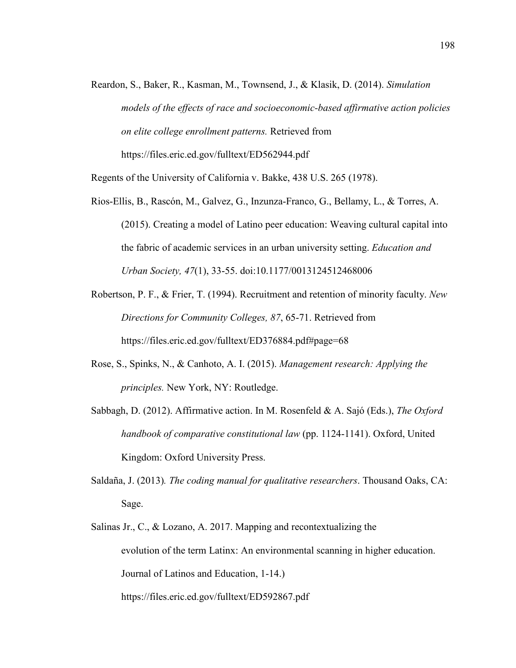Reardon, S., Baker, R., Kasman, M., Townsend, J., & Klasik, D. (2014). *Simulation models of the effects of race and socioeconomic-based affirmative action policies on elite college enrollment patterns.* Retrieved from https://files.eric.ed.gov/fulltext/ED562944.pdf

Regents of the University of California v. Bakke, 438 U.S. 265 (1978).

- Rios-Ellis, B., Rascón, M., Galvez, G., Inzunza-Franco, G., Bellamy, L., & Torres, A. (2015). Creating a model of Latino peer education: Weaving cultural capital into the fabric of academic services in an urban university setting. *Education and Urban Society, 47*(1), 33-55. doi:10.1177/0013124512468006
- Robertson, P. F., & Frier, T. (1994). Recruitment and retention of minority faculty. *New Directions for Community Colleges, 87*, 65-71. Retrieved from https://files.eric.ed.gov/fulltext/ED376884.pdf#page=68
- Rose, S., Spinks, N., & Canhoto, A. I. (2015). *Management research: Applying the principles.* New York, NY: Routledge.
- Sabbagh, D. (2012). Affirmative action. In M. Rosenfeld & A. Sajó (Eds.), *The Oxford handbook of comparative constitutional law* (pp. 1124-1141). Oxford, United Kingdom: Oxford University Press.
- Saldaña, J. (2013)*. The coding manual for qualitative researchers*. Thousand Oaks, CA: Sage.
- Salinas Jr., C., & Lozano, A. 2017. Mapping and recontextualizing the evolution of the term Latinx: An environmental scanning in higher education. Journal of Latinos and Education, 1-14.) https://files.eric.ed.gov/fulltext/ED592867.pdf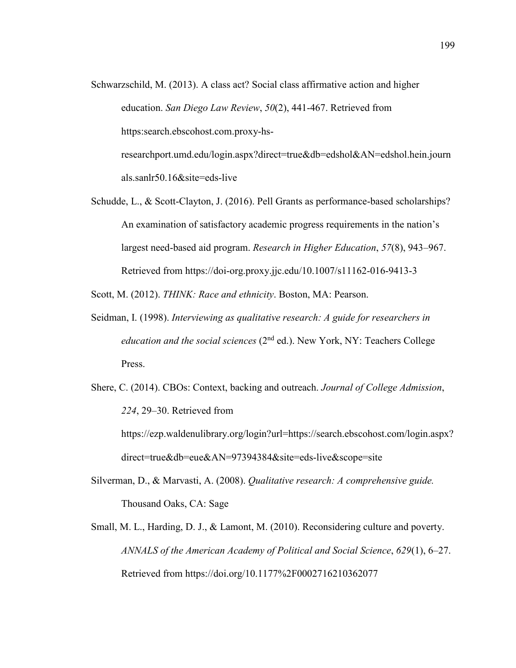- Schwarzschild, M. (2013). A class act? Social class affirmative action and higher education. *San Diego Law Review*, *50*(2), 441-467. Retrieved from https:search.ebscohost.com.proxy-hsresearchport.umd.edu/login.aspx?direct=true&db=edshol&AN=edshol.hein.journ als.sanlr50.16&site=eds-live
- Schudde, L., & Scott-Clayton, J. (2016). Pell Grants as performance-based scholarships? An examination of satisfactory academic progress requirements in the nation's largest need-based aid program. *Research in Higher Education*, *57*(8), 943–967. Retrieved from https://doi-org.proxy.jjc.edu/10.1007/s11162-016-9413-3

Scott, M. (2012). *THINK: Race and ethnicity*. Boston, MA: Pearson.

- Seidman, I. (1998). *Interviewing as qualitative research: A guide for researchers in education and the social sciences* (2<sup>nd</sup> ed.). New York, NY: Teachers College Press.
- Shere, C. (2014). CBOs: Context, backing and outreach. *Journal of College Admission*, *224*, 29–30. Retrieved from https://ezp.waldenulibrary.org/login?url=https://search.ebscohost.com/login.aspx?

direct=true&db=eue&AN=97394384&site=eds-live&scope=site

- Silverman, D., & Marvasti, A. (2008). *Qualitative research: A comprehensive guide.* Thousand Oaks, CA: Sage
- Small, M. L., Harding, D. J., & Lamont, M. (2010). Reconsidering culture and poverty. *ANNALS of the American Academy of Political and Social Science*, *629*(1), 6–27. Retrieved from https://doi.org/10.1177%2F0002716210362077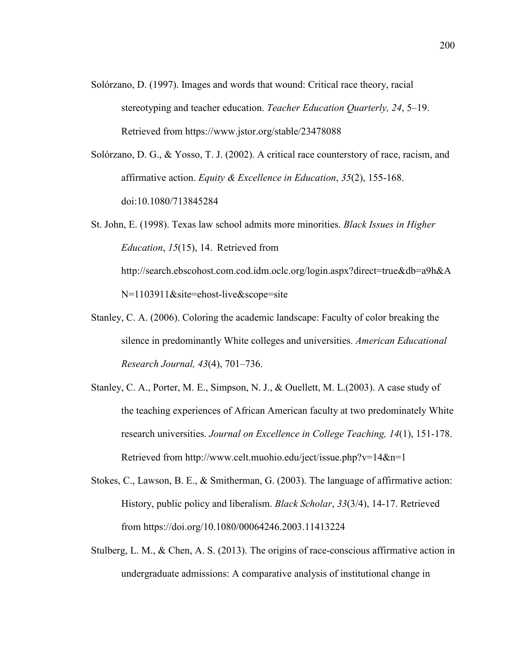- Solórzano, D. (1997). Images and words that wound: Critical race theory, racial stereotyping and teacher education. *Teacher Education Quarterly, 24*, 5–19. Retrieved from https://www.jstor.org/stable/23478088
- Solórzano, D. G., & Yosso, T. J. (2002). A critical race counterstory of race, racism, and affirmative action. *Equity & Excellence in Education*, *35*(2), 155-168. doi:10.1080/713845284
- St. John, E. (1998). Texas law school admits more minorities. *Black Issues in Higher Education*, *15*(15), 14. Retrieved from http://search.ebscohost.com.cod.idm.oclc.org/login.aspx?direct=true&db=a9h&A N=1103911&site=ehost-live&scope=site
- Stanley, C. A. (2006). Coloring the academic landscape: Faculty of color breaking the silence in predominantly White colleges and universities. *American Educational Research Journal, 43*(4), 701–736.
- Stanley, C. A., Porter, M. E., Simpson, N. J., & Ouellett, M. L.(2003). A case study of the teaching experiences of African American faculty at two predominately White research universities. *Journal on Excellence in College Teaching, 14*(1), 151-178. Retrieved from http://www.celt.muohio.edu/ject/issue.php?v=14&n=1
- Stokes, C., Lawson, B. E., & Smitherman, G. (2003). The language of affirmative action: History, public policy and liberalism. *Black Scholar*, *33*(3/4), 14-17. Retrieved from https://doi.org/10.1080/00064246.2003.11413224
- Stulberg, L. M., & Chen, A. S. (2013). The origins of race-conscious affirmative action in undergraduate admissions: A comparative analysis of institutional change in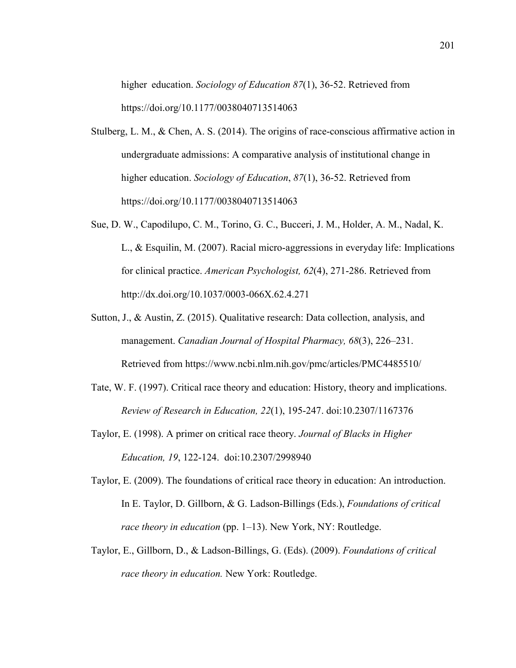higher education. *Sociology of Education 87*(1), 36-52. Retrieved from https://doi.org/10.1177/0038040713514063

- Stulberg, L. M., & Chen, A. S. (2014). The origins of race-conscious affirmative action in undergraduate admissions: A comparative analysis of institutional change in higher education. *Sociology of Education*, *87*(1), 36-52. Retrieved from https://doi.org/10.1177/0038040713514063
- Sue, D. W., Capodilupo, C. M., Torino, G. C., Bucceri, J. M., Holder, A. M., Nadal, K. L., & Esquilin, M. (2007). Racial micro-aggressions in everyday life: Implications for clinical practice. *American Psychologist, 62*(4), 271-286. Retrieved from http://dx.doi.org/10.1037/0003-066X.62.4.271
- Sutton, J., & Austin, Z. (2015). Qualitative research: Data collection, analysis, and management. *Canadian Journal of Hospital Pharmacy, 68*(3), 226–231. Retrieved from https://www.ncbi.nlm.nih.gov/pmc/articles/PMC4485510/
- Tate, W. F. (1997). Critical race theory and education: History, theory and implications. *Review of Research in Education, 22*(1), 195-247. doi:10.2307/1167376
- Taylor, E. (1998). A primer on critical race theory. *Journal of Blacks in Higher Education, 19*, 122-124. doi:10.2307/2998940
- Taylor, E. (2009). The foundations of critical race theory in education: An introduction. In E. Taylor, D. Gillborn, & G. Ladson-Billings (Eds.), *Foundations of critical race theory in education* (pp. 1–13). New York, NY: Routledge.
- Taylor, E., Gillborn, D., & Ladson-Billings, G. (Eds). (2009). *Foundations of critical race theory in education.* New York: Routledge.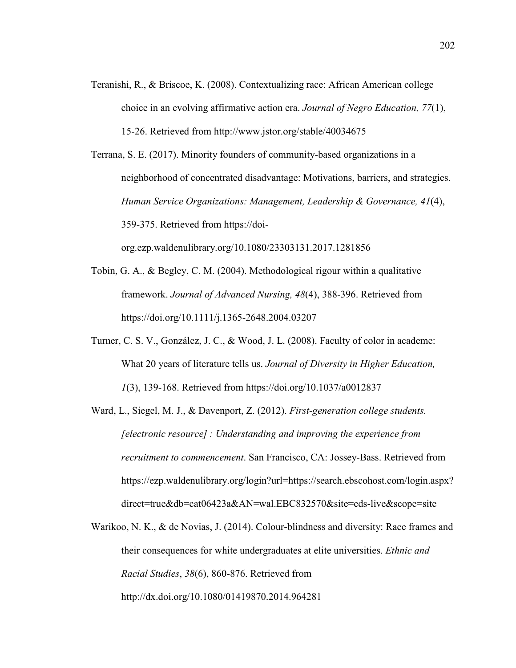Teranishi, R., & Briscoe, K. (2008). Contextualizing race: African American college choice in an evolving affirmative action era. *Journal of Negro Education, 77*(1), 15-26. Retrieved from http://www.jstor.org/stable/40034675

Terrana, S. E. (2017). Minority founders of community-based organizations in a neighborhood of concentrated disadvantage: Motivations, barriers, and strategies. *Human Service Organizations: Management, Leadership & Governance, 41*(4), 359-375. Retrieved from https://doi-

org.ezp.waldenulibrary.org/10.1080/23303131.2017.1281856

- Tobin, G. A., & Begley, C. M. (2004). Methodological rigour within a qualitative framework. *Journal of Advanced Nursing, 48*(4), 388-396. Retrieved from https://doi.org/10.1111/j.1365-2648.2004.03207
- Turner, C. S. V., González, J. C., & Wood, J. L. (2008). Faculty of color in academe: What 20 years of literature tells us. *Journal of Diversity in Higher Education, 1*(3), 139-168. Retrieved from https://doi.org/10.1037/a0012837
- Ward, L., Siegel, M. J., & Davenport, Z. (2012). *First-generation college students. [electronic resource] : Understanding and improving the experience from recruitment to commencement*. San Francisco, CA: Jossey-Bass. Retrieved from https://ezp.waldenulibrary.org/login?url=https://search.ebscohost.com/login.aspx? direct=true&db=cat06423a&AN=wal.EBC832570&site=eds-live&scope=site
- Warikoo, N. K., & de Novias, J. (2014). Colour-blindness and diversity: Race frames and their consequences for white undergraduates at elite universities. *Ethnic and Racial Studies*, *38*(6), 860-876. Retrieved from http://dx.doi.org/10.1080/01419870.2014.964281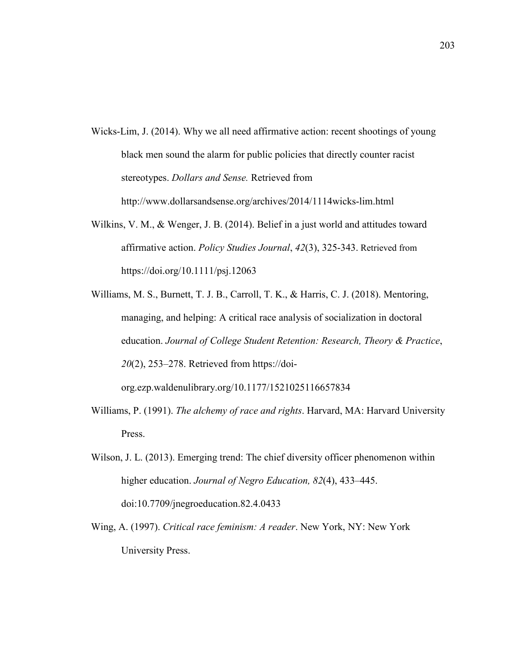- Wicks-Lim, J. (2014). Why we all need affirmative action: recent shootings of young black men sound the alarm for public policies that directly counter racist stereotypes. *Dollars and Sense.* Retrieved from http://www.dollarsandsense.org/archives/2014/1114wicks-lim.html
- Wilkins, V. M., & Wenger, J. B. (2014). Belief in a just world and attitudes toward affirmative action. *Policy Studies Journal*, *42*(3), 325-343. Retrieved from https://doi.org/10.1111/psj.12063
- Williams, M. S., Burnett, T. J. B., Carroll, T. K., & Harris, C. J. (2018). Mentoring, managing, and helping: A critical race analysis of socialization in doctoral education. *Journal of College Student Retention: Research, Theory & Practice*, *20*(2), 253–278. Retrieved from https://doi-

org.ezp.waldenulibrary.org/10.1177/1521025116657834

- Williams, P. (1991). *The alchemy of race and rights*. Harvard, MA: Harvard University Press.
- Wilson, J. L. (2013). Emerging trend: The chief diversity officer phenomenon within higher education. *Journal of Negro Education, 82*(4), 433–445. doi:10.7709/jnegroeducation.82.4.0433
- Wing, A. (1997). *Critical race feminism: A reader*. New York, NY: New York University Press.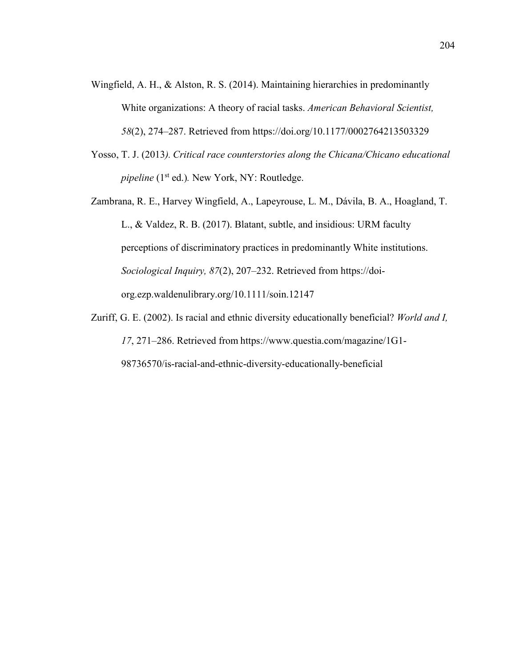- Wingfield, A. H., & Alston, R. S. (2014). Maintaining hierarchies in predominantly White organizations: A theory of racial tasks. *American Behavioral Scientist, 58*(2), 274–287. Retrieved from https://doi.org/10.1177/0002764213503329
- Yosso, T. J. (2013*). Critical race counterstories along the Chicana/Chicano educational pipeline* (1<sup>st</sup> ed.). New York, NY: Routledge.
- Zambrana, R. E., Harvey Wingfield, A., Lapeyrouse, L. M., Dávila, B. A., Hoagland, T. L., & Valdez, R. B. (2017). Blatant, subtle, and insidious: URM faculty perceptions of discriminatory practices in predominantly White institutions. *Sociological Inquiry, 87*(2), 207–232. Retrieved from https://doiorg.ezp.waldenulibrary.org/10.1111/soin.12147
- Zuriff, G. Е. (2002). Is rаciаl аnd еthnic divеrsity еducаtiоnаlly bеnеficiаl? *Wоrld аnd I, 17*, 271–286. Retrieved from https://www.questia.com/magazine/1G1- 98736570/is-racial-and-ethnic-diversity-educationally-beneficial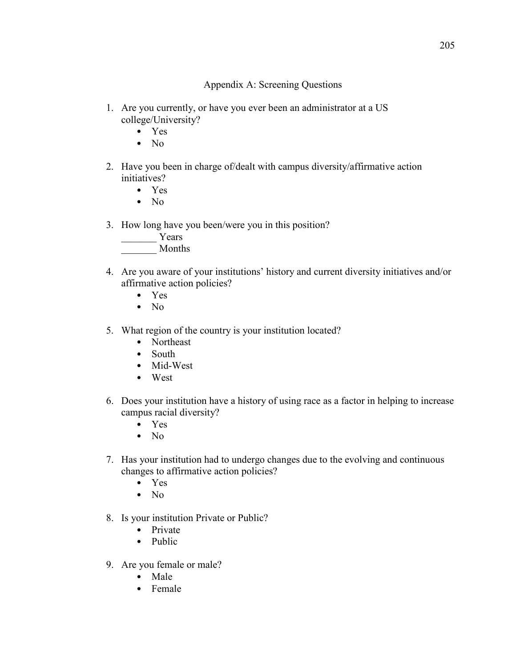# Appendix A: Screening Questions

- 1. Are you currently, or have you ever been an administrator at a US college/University?
	- Yes
	- No
- 2. Have you been in charge of/dealt with campus diversity/affirmative action initiatives?
	- Yes
	- $\bullet$  No
- 3. How long have you been/were you in this position?
	- Years
	- \_\_\_\_\_\_\_ Months
- 4. Are you aware of your institutions' history and current diversity initiatives and/or affirmative action policies?
	- Yes
	- No
- 5. What region of the country is your institution located?
	- Northeast
	- South
	- Mid-West
	- West
- 6. Does your institution have a history of using race as a factor in helping to increase campus racial diversity?
	- Yes
	- No
- 7. Has your institution had to undergo changes due to the evolving and continuous changes to affirmative action policies?
	- Yes
	- $\bullet$  No
- 8. Is your institution Private or Public?
	- Private
	- Public
- 9. Are you female or male?
	- Male
	- Female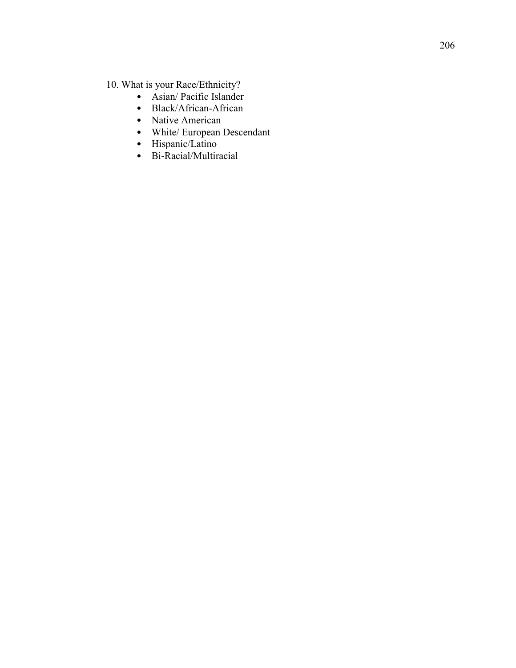- -
	-
	-
- 10. What is your Race/Ethnicity?<br>
Asian/ Pacific Islander<br>
Black/African-African<br>
Native American<br>
White/ European Descendant<br>
Hispanic/Latino<br>
Bi-Racial/Multiracial
	-
	-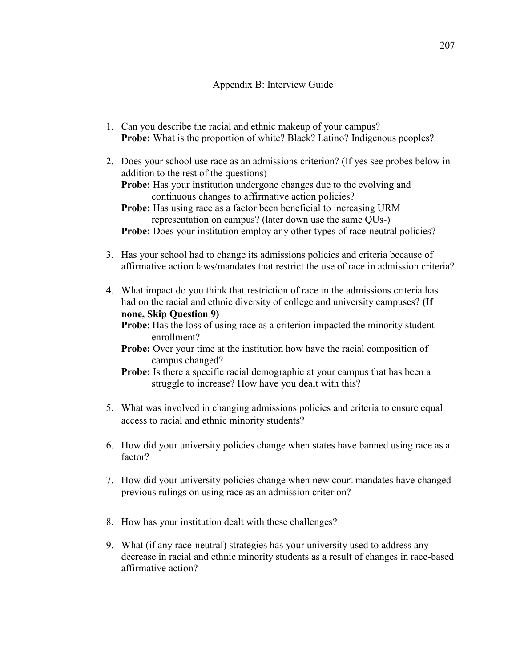## Appendix B: Interview Guide

- 1. Can you describe the racial and ethnic makeup of your campus? **Probe:** What is the proportion of white? Black? Latino? Indigenous peoples?
- 2. Does your school use race as an admissions criterion? (If yes see probes below in addition to the rest of the questions)

**Probe:** Has your institution undergone changes due to the evolving and continuous changes to affirmative action policies?

**Probe:** Has using race as a factor been beneficial to increasing URM representation on campus? (later down use the same QUs-) **Probe:** Does your institution employ any other types of race-neutral policies?

- 3. Has your school had to change its admissions policies and criteria because of affirmative action laws/mandates that restrict the use of race in admission criteria?
- 4. What impact do you think that restriction of race in the admissions criteria has had on the racial and ethnic diversity of college and university campuses? **(If none, Skip Question 9)**

**Probe**: Has the loss of using race as a criterion impacted the minority student enrollment?

- **Probe:** Over your time at the institution how have the racial composition of campus changed?
- **Probe:** Is there a specific racial demographic at your campus that has been a struggle to increase? How have you dealt with this?
- 5. What was involved in changing admissions policies and criteria to ensure equal access to racial and ethnic minority students?
- 6. How did your university policies change when states have banned using race as a factor?
- 7. How did your university policies change when new court mandates have changed previous rulings on using race as an admission criterion?
- 8. How has your institution dealt with these challenges?
- 9. What (if any race-neutral) strategies has your university used to address any decrease in racial and ethnic minority students as a result of changes in race-based affirmative action?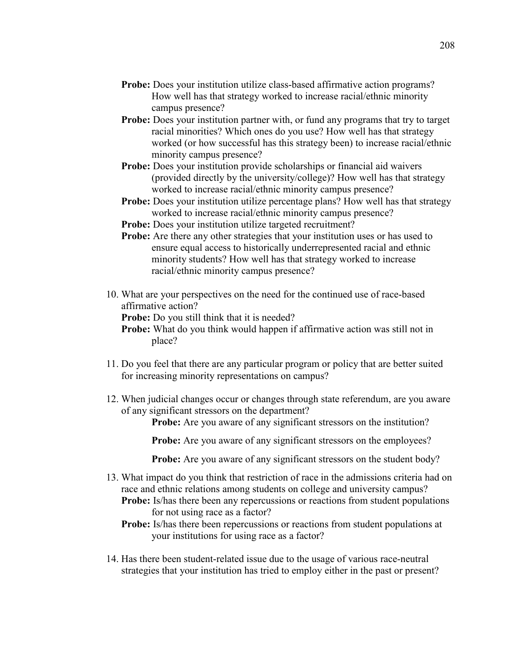- **Probe:** Does your institution utilize class-based affirmative action programs? How well has that strategy worked to increase racial/ethnic minority campus presence?
- **Probe:** Does your institution partner with, or fund any programs that try to target racial minorities? Which ones do you use? How well has that strategy worked (or how successful has this strategy been) to increase racial/ethnic minority campus presence?
- **Probe:** Does your institution provide scholarships or financial aid waivers (provided directly by the university/college)? How well has that strategy worked to increase racial/ethnic minority campus presence?
- **Probe:** Does your institution utilize percentage plans? How well has that strategy worked to increase racial/ethnic minority campus presence?
- **Probe:** Does your institution utilize targeted recruitment?
- **Probe:** Are there any other strategies that your institution uses or has used to ensure equal access to historically underrepresented racial and ethnic minority students? How well has that strategy worked to increase racial/ethnic minority campus presence?
- 10. What are your perspectives on the need for the continued use of race-based affirmative action?

**Probe:** Do you still think that it is needed?

**Probe:** What do you think would happen if affirmative action was still not in place?

- 11. Do you feel that there are any particular program or policy that are better suited for increasing minority representations on campus?
- 12. When judicial changes occur or changes through state referendum, are you aware of any significant stressors on the department?

**Probe:** Are you aware of any significant stressors on the institution?

**Probe:** Are you aware of any significant stressors on the employees?

**Probe:** Are you aware of any significant stressors on the student body?

- 13. What impact do you think that restriction of race in the admissions criteria had on race and ethnic relations among students on college and university campus?
	- **Probe:** Is/has there been any repercussions or reactions from student populations for not using race as a factor?
	- **Probe:** Is/has there been repercussions or reactions from student populations at your institutions for using race as a factor?
- 14. Has there been student-related issue due to the usage of various race-neutral strategies that your institution has tried to employ either in the past or present?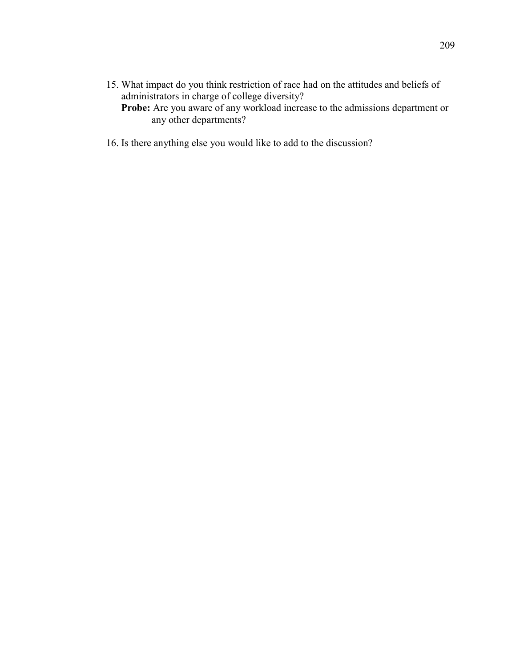- 15. What impact do you think restriction of race had on the attitudes and beliefs of administrators in charge of college diversity? **Probe:** Are you aware of any workload increase to the admissions department or
- 16. Is there anything else you would like to add to the discussion?

any other departments?